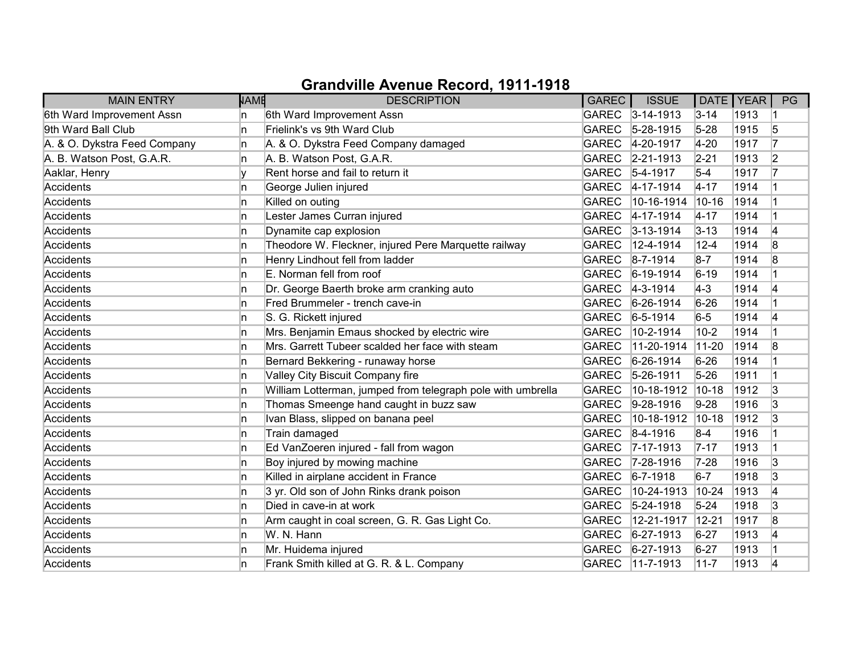| <b>MAIN ENTRY</b>            | <b>NAME</b> | <b>DESCRIPTION</b>                                          | <b>GAREC</b> | <b>ISSUE</b>     | DATE   YEAR |      | PG             |
|------------------------------|-------------|-------------------------------------------------------------|--------------|------------------|-------------|------|----------------|
| 6th Ward Improvement Assn    | n           | 6th Ward Improvement Assn                                   |              | GAREC 3-14-1913  | $3 - 14$    | 1913 |                |
| 9th Ward Ball Club           | In.         | Frielink's vs 9th Ward Club                                 | <b>GAREC</b> | $5 - 28 - 1915$  | $5 - 28$    | 1915 | 5              |
| A. & O. Dykstra Feed Company | 'n          | A. & O. Dykstra Feed Company damaged                        | <b>GAREC</b> | 4-20-1917        | $4 - 20$    | 1917 | 17             |
| A. B. Watson Post, G.A.R.    | n           | A. B. Watson Post, G.A.R.                                   |              | GAREC 2-21-1913  | $2 - 21$    | 1913 | $\overline{2}$ |
| Aaklar, Henry                | ١v          | Rent horse and fail to return it                            | GAREC        | $5-4-1917$       | $5-4$       | 1917 | 17             |
| Accidents                    | 'n          | George Julien injured                                       | <b>GAREC</b> | $4 - 17 - 1914$  | $4 - 17$    | 1914 |                |
| Accidents                    | 'n          | Killed on outing                                            | <b>GAREC</b> | 10-16-1914       | 10-16       | 1914 |                |
| Accidents                    | In.         | Lester James Curran injured                                 |              | GAREC 4-17-1914  | $4 - 17$    | 1914 |                |
| Accidents                    | 'n          | Dynamite cap explosion                                      | <b>GAREC</b> | $3 - 13 - 1914$  | $3 - 13$    | 1914 | 4              |
| Accidents                    | 'n          | Theodore W. Fleckner, injured Pere Marquette railway        | <b>GAREC</b> | 12-4-1914        | $12 - 4$    | 1914 | 8              |
| Accidents                    | n           | Henry Lindhout fell from ladder                             | GAREC        | $ 8 - 7 - 1914 $ | $8-7$       | 1914 | 8              |
| Accidents                    | 'n          | E. Norman fell from roof                                    | <b>GAREC</b> | $6-19-1914$      | $6 - 19$    | 1914 |                |
| Accidents                    | ln.         | Dr. George Baerth broke arm cranking auto                   | <b>GAREC</b> | $ 4-3-1914 $     | $ 4-3 $     | 1914 | 14             |
| Accidents                    | In.         | Fred Brummeler - trench cave-in                             | <b>GAREC</b> | $6-26-1914$      | $6 - 26$    | 1914 |                |
| Accidents                    | 'n          | S. G. Rickett injured                                       | <b>GAREC</b> | $6 - 5 - 1914$   | $6-5$       | 1914 | 4              |
| Accidents                    | In.         | Mrs. Benjamin Emaus shocked by electric wire                | <b>GAREC</b> | 10-2-1914        | $10-2$      | 1914 |                |
| Accidents                    | ln.         | Mrs. Garrett Tubeer scalded her face with steam             | <b>GAREC</b> | 11-20-1914       | $11-20$     | 1914 | 8              |
| Accidents                    | 'n          | Bernard Bekkering - runaway horse                           | <b>GAREC</b> | $6 - 26 - 1914$  | $6 - 26$    | 1914 |                |
| Accidents                    | 'n          | Valley City Biscuit Company fire                            | <b>GAREC</b> | 5-26-1911        | $5 - 26$    | 1911 |                |
| Accidents                    | ln.         | William Lotterman, jumped from telegraph pole with umbrella | <b>GAREC</b> | 10-18-1912       | $10 - 18$   | 1912 | 3              |
| Accidents                    | ln.         | Thomas Smeenge hand caught in buzz saw                      | <b>GAREC</b> | $9-28-1916$      | $9 - 28$    | 1916 | 3              |
| Accidents                    | 'n          | Ivan Blass, slipped on banana peel                          | <b>GAREC</b> | 10-18-1912       | $10-18$     | 1912 | 3              |
| Accidents                    | n.          | Train damaged                                               |              | GAREC 8-4-1916   | $8-4$       | 1916 |                |
| Accidents                    | 'n          | Ed VanZoeren injured - fall from wagon                      | <b>GAREC</b> | $7 - 17 - 1913$  | $7 - 17$    | 1913 |                |
| Accidents                    | 'n          | Boy injured by mowing machine                               | <b>GAREC</b> | $7 - 28 - 1916$  | $7 - 28$    | 1916 | 3              |
| Accidents                    | 'n          | Killed in airplane accident in France                       | GAREC        | $ 6 - 7 - 1918$  | $6-7$       | 1918 | 3              |
| Accidents                    | 'n          | 3 yr. Old son of John Rinks drank poison                    | <b>GAREC</b> | 10-24-1913       | $10 - 24$   | 1913 | 4              |
| Accidents                    | 'n          | Died in cave-in at work                                     | GAREC        | $5 - 24 - 1918$  | $5 - 24$    | 1918 | 3              |
| Accidents                    | 'n          | Arm caught in coal screen, G. R. Gas Light Co.              | <b>GAREC</b> | 12-21-1917       | $12 - 21$   | 1917 | 8              |
| Accidents                    | 'n          | W. N. Hann                                                  | <b>GAREC</b> | $6 - 27 - 1913$  | $6 - 27$    | 1913 | 4              |
| Accidents                    | n           | Mr. Huidema injured                                         | GAREC        | $6 - 27 - 1913$  | $6 - 27$    | 1913 |                |
| Accidents                    | n           | Frank Smith killed at G. R. & L. Company                    | GAREC        | $11 - 7 - 1913$  | $11 - 7$    | 1913 | 14             |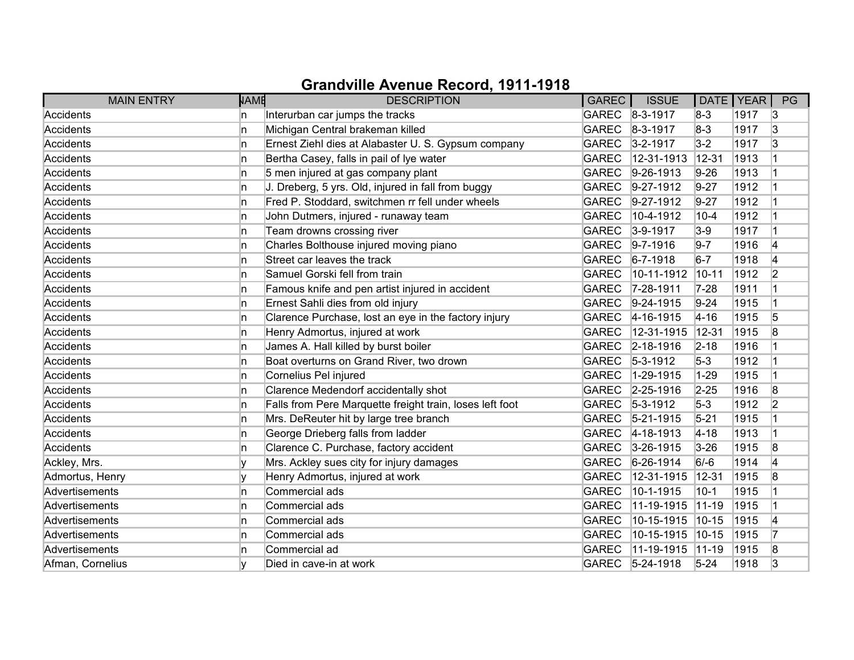| <b>MAIN ENTRY</b> | <b>NAME</b> | <b>DESCRIPTION</b>                                       | GAREC          | <b>ISSUE</b>      | DATE   YEAR |      | PG             |
|-------------------|-------------|----------------------------------------------------------|----------------|-------------------|-------------|------|----------------|
| Accidents         | n.          | Interurban car jumps the tracks                          | GAREC 8-3-1917 |                   | $8-3$       | 1917 | 13             |
| Accidents         | 'n          | Michigan Central brakeman killed                         | <b>GAREC</b>   | $ 8-3-1917$       | $8-3$       | 1917 | 3              |
| Accidents         | 'n          | Ernest Ziehl dies at Alabaster U. S. Gypsum company      | <b>GAREC</b>   | $3 - 2 - 1917$    | $3-2$       | 1917 | 3              |
| Accidents         | n           | Bertha Casey, falls in pail of lye water                 | <b>GAREC</b>   | 12-31-1913        | $12 - 31$   | 1913 |                |
| Accidents         | In.         | 5 men injured at gas company plant                       | <b>GAREC</b>   | $9-26-1913$       | $9 - 26$    | 1913 |                |
| Accidents         | 'n          | J. Dreberg, 5 yrs. Old, injured in fall from buggy       | <b>GAREC</b>   | $9-27-1912$       | $9 - 27$    | 1912 |                |
| Accidents         | In.         | Fred P. Stoddard, switchmen rr fell under wheels         | <b>GAREC</b>   | $9-27-1912$       | $9 - 27$    | 1912 |                |
| Accidents         | n           | John Dutmers, injured - runaway team                     | <b>GAREC</b>   | 10-4-1912         | $10 - 4$    | 1912 |                |
| Accidents         | 'n          | Team drowns crossing river                               | <b>GAREC</b>   | $3-9-1917$        | $3-9$       | 1917 |                |
| Accidents         | n           | Charles Bolthouse injured moving piano                   | <b>GAREC</b>   | $9 - 7 - 1916$    | $9-7$       | 1916 | 4              |
| Accidents         | n           | Street car leaves the track                              | <b>GAREC</b>   | $6 - 7 - 1918$    | $6 - 7$     | 1918 | 4              |
| Accidents         | n           | Samuel Gorski fell from train                            | <b>GAREC</b>   | 10-11-1912        | $10 - 11$   | 1912 | 2              |
| Accidents         | 'n          | Famous knife and pen artist injured in accident          | <b>GAREC</b>   | 7-28-1911         | $7 - 28$    | 1911 |                |
| Accidents         | n           | Ernest Sahli dies from old injury                        | <b>GAREC</b>   | $9-24-1915$       | $9 - 24$    | 1915 |                |
| Accidents         | n           | Clarence Purchase, lost an eye in the factory injury     | <b>GAREC</b>   | $4 - 16 - 1915$   | $4 - 16$    | 1915 | 5              |
| Accidents         | n.          | Henry Admortus, injured at work                          | <b>GAREC</b>   | 12-31-1915        | $12 - 31$   | 1915 | 8              |
| Accidents         | 'n          | James A. Hall killed by burst boiler                     | <b>GAREC</b>   | $2 - 18 - 1916$   | $2 - 18$    | 1916 |                |
| Accidents         | n           | Boat overturns on Grand River, two drown                 | <b>GAREC</b>   | $5 - 3 - 1912$    | $5-3$       | 1912 |                |
| Accidents         | n           | Cornelius Pel injured                                    | <b>GAREC</b>   | 1-29-1915         | $1 - 29$    | 1915 |                |
| Accidents         | 'n          | Clarence Medendorf accidentally shot                     | <b>GAREC</b>   | 2-25-1916         | $2 - 25$    | 1916 | 8              |
| Accidents         | 'n          | Falls from Pere Marquette freight train, loses left foot | <b>GAREC</b>   | $5-3-1912$        | $5-3$       | 1912 | $\overline{2}$ |
| Accidents         | 'n          | Mrs. DeReuter hit by large tree branch                   | <b>GAREC</b>   | $5 - 21 - 1915$   | $5 - 21$    | 1915 |                |
| Accidents         | n           | George Drieberg falls from ladder                        | <b>GAREC</b>   | $ 4 - 18 - 1913 $ | $4 - 18$    | 1913 |                |
| Accidents         | 'n          | Clarence C. Purchase, factory accident                   | <b>GAREC</b>   | $3-26-1915$       | $3 - 26$    | 1915 | 8              |
| Ackley, Mrs.      |             | Mrs. Ackley sues city for injury damages                 | <b>GAREC</b>   | 6-26-1914         | $6/-6$      | 1914 | 4              |
| Admortus, Henry   |             | Henry Admortus, injured at work                          | <b>GAREC</b>   | 12-31-1915        | $ 12 - 31 $ | 1915 | 8              |
| Advertisements    | n           | Commercial ads                                           | <b>GAREC</b>   | 10-1-1915         | $10-1$      | 1915 |                |
| Advertisements    | In.         | Commercial ads                                           | <b>GAREC</b>   | 11-19-1915        | $ 11 - 19$  | 1915 |                |
| Advertisements    | n           | Commercial ads                                           | <b>GAREC</b>   | 10-15-1915        | $10-15$     | 1915 | 4              |
| Advertisements    | n           | Commercial ads                                           | <b>GAREC</b>   | 10-15-1915        | $10-15$     | 1915 | 17             |
| Advertisements    | n           | Commercial ad                                            | <b>GAREC</b>   | 11-19-1915        | $ 11 - 19 $ | 1915 | 8              |
| Afman, Cornelius  |             | Died in cave-in at work                                  | <b>GAREC</b>   | $5 - 24 - 1918$   | $5 - 24$    | 1918 | 3              |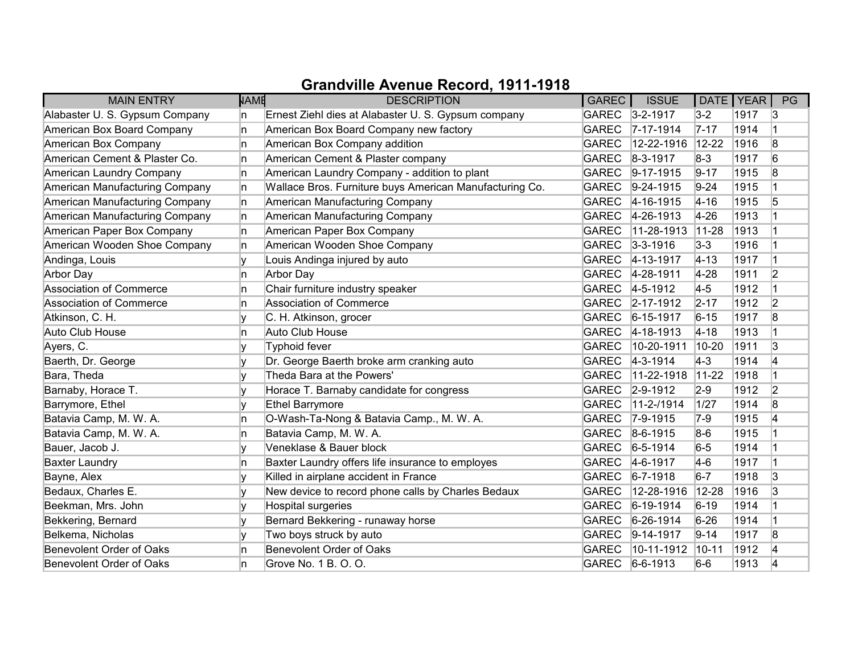| <b>MAIN ENTRY</b>              | <b>NAME</b> | <b>DESCRIPTION</b>                                      | <b>GAREC</b> | <b>ISSUE</b>    | DATE   YEAR |      | PG             |
|--------------------------------|-------------|---------------------------------------------------------|--------------|-----------------|-------------|------|----------------|
| Alabaster U. S. Gypsum Company | In.         | Ernest Ziehl dies at Alabaster U. S. Gypsum company     |              | GAREC 3-2-1917  | $3-2$       | 1917 | 13             |
| American Box Board Company     | In.         | American Box Board Company new factory                  | <b>GAREC</b> | $7 - 17 - 1914$ | $7 - 17$    | 1914 |                |
| American Box Company           | 'n          | American Box Company addition                           | <b>GAREC</b> | 12-22-1916      | $12 - 22$   | 1916 | 8              |
| American Cement & Plaster Co.  | In.         | American Cement & Plaster company                       | <b>GAREC</b> | $8 - 3 - 1917$  | $8-3$       | 1917 | 6              |
| American Laundry Company       | ln.         | American Laundry Company - addition to plant            | <b>GAREC</b> | $9-17-1915$     | $9 - 17$    | 1915 | 8              |
| American Manufacturing Company | ln.         | Wallace Bros. Furniture buys American Manufacturing Co. | <b>GAREC</b> | $9-24-1915$     | $9-24$      | 1915 |                |
| American Manufacturing Company | In.         | American Manufacturing Company                          | <b>GAREC</b> | $4 - 16 - 1915$ | $4 - 16$    | 1915 | 5              |
| American Manufacturing Company | n.          | American Manufacturing Company                          | <b>GAREC</b> | $4 - 26 - 1913$ | 4-26        | 1913 |                |
| American Paper Box Company     | In.         | American Paper Box Company                              | <b>GAREC</b> | 11-28-1913      | $11-28$     | 1913 |                |
| American Wooden Shoe Company   | In.         | American Wooden Shoe Company                            | <b>GAREC</b> | $ 3-3-1916$     | $3-3$       | 1916 |                |
| Andinga, Louis                 | v           | Louis Andinga injured by auto                           | <b>GAREC</b> | 4-13-1917       | $ 4 - 13 $  | 1917 |                |
| Arbor Day                      | In.         | <b>Arbor Day</b>                                        | GAREC        | 4-28-1911       | $4 - 28$    | 1911 | 2              |
| Association of Commerce        | 'n          | Chair furniture industry speaker                        | <b>GAREC</b> | $4 - 5 - 1912$  | $4-5$       | 1912 |                |
| Association of Commerce        | 'n          | Association of Commerce                                 | <b>GAREC</b> | $2 - 17 - 1912$ | $2 - 17$    | 1912 | 2              |
| Atkinson, C. H.                | v           | C. H. Atkinson, grocer                                  | GAREC        | $6 - 15 - 1917$ | $6 - 15$    | 1917 | 8              |
| Auto Club House                | ln.         | Auto Club House                                         |              | GAREC 4-18-1913 | $4 - 18$    | 1913 |                |
| Ayers, C.                      | I۷          | Typhoid fever                                           | <b>GAREC</b> | 10-20-1911      | $10-20$     | 1911 | 3              |
| Baerth, Dr. George             |             | Dr. George Baerth broke arm cranking auto               | GAREC        | $4 - 3 - 1914$  | $ 4-3 $     | 1914 | 4              |
| Bara, Theda                    | V           | Theda Bara at the Powers'                               | <b>GAREC</b> | 11-22-1918      | $11-22$     | 1918 |                |
| Barnaby, Horace T.             | v           | Horace T. Barnaby candidate for congress                | <b>GAREC</b> | $2 - 9 - 1912$  | $2-9$       | 1912 | $\overline{2}$ |
| Barrymore, Ethel               | I۷          | <b>Ethel Barrymore</b>                                  | <b>GAREC</b> | $11-2-1914$     | 1/27        | 1914 | 8              |
| Batavia Camp, M. W. A.         | ln.         | O-Wash-Ta-Nong & Batavia Camp., M. W. A.                | GAREC        | $ 7 - 9 - 1915$ | $7-9$       | 1915 | 14             |
| Batavia Camp, M. W. A.         | In.         | Batavia Camp, M. W. A.                                  |              | GAREC 8-6-1915  | $8-6$       | 1915 |                |
| Bauer, Jacob J.                |             | Veneklase & Bauer block                                 | <b>GAREC</b> | $6 - 5 - 1914$  | $6-5$       | 1914 |                |
| <b>Baxter Laundry</b>          | n           | Baxter Laundry offers life insurance to employes        | GAREC        | $4-6-1917$      | $4-6$       | 1917 |                |
| Bayne, Alex                    |             | Killed in airplane accident in France                   | GAREC        | $6 - 7 - 1918$  | $6-7$       | 1918 | 3              |
| Bedaux, Charles E.             | V           | New device to record phone calls by Charles Bedaux      | <b>GAREC</b> | 12-28-1916      | 12-28       | 1916 | 3              |
| Beekman, Mrs. John             | ۱v          | Hospital surgeries                                      | <b>GAREC</b> | $6-19-1914$     | $6 - 19$    | 1914 |                |
| Bekkering, Bernard             | lv          | Bernard Bekkering - runaway horse                       | <b>GAREC</b> | $6 - 26 - 1914$ | $6 - 26$    | 1914 |                |
| Belkema, Nicholas              |             | Two boys struck by auto                                 | <b>GAREC</b> | $9-14-1917$     | $9 - 14$    | 1917 | 8              |
| Benevolent Order of Oaks       | 'n          | Benevolent Order of Oaks                                | <b>GAREC</b> | 10-11-1912      | $10 - 11$   | 1912 | 4              |
| Benevolent Order of Oaks       | 'n          | Grove No. 1 B. O. O.                                    | GAREC        | $6-6-1913$      | $6-6$       | 1913 | 14             |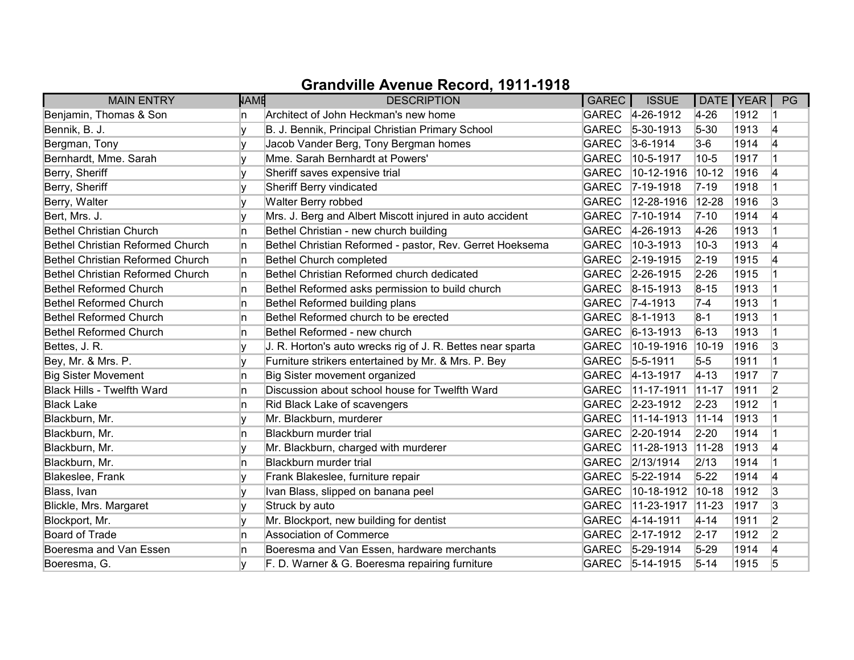| <b>MAIN ENTRY</b>                       | <b>NAME</b> | <b>DESCRIPTION</b>                                         | GAREC        | <b>ISSUE</b>       | DATE   YEAR |      | PG             |
|-----------------------------------------|-------------|------------------------------------------------------------|--------------|--------------------|-------------|------|----------------|
| Benjamin, Thomas & Son                  | n           | Architect of John Heckman's new home                       |              | GAREC 4-26-1912    | $4 - 26$    | 1912 |                |
| Bennik, B. J.                           |             | B. J. Bennik, Principal Christian Primary School           | <b>GAREC</b> | $ 5 - 30 - 1913 $  | $5 - 30$    | 1913 | 4              |
| Bergman, Tony                           |             | Jacob Vander Berg, Tony Bergman homes                      | <b>GAREC</b> | $3-6-1914$         | $3-6$       | 1914 | 4              |
| Bernhardt, Mme. Sarah                   | ٧           | Mme. Sarah Bernhardt at Powers'                            | <b>GAREC</b> | 10-5-1917          | $10-5$      | 1917 |                |
| Berry, Sheriff                          |             | Sheriff saves expensive trial                              | <b>GAREC</b> | 10-12-1916         | $10 - 12$   | 1916 | 4              |
| Berry, Sheriff                          | v           | Sheriff Berry vindicated                                   | <b>GAREC</b> | $ 7-19-1918$       | $ 7-19 $    | 1918 |                |
| Berry, Walter                           |             | Walter Berry robbed                                        | <b>GAREC</b> | 12-28-1916         | $12 - 28$   | 1916 | 3              |
| Bert, Mrs. J.                           | v           | Mrs. J. Berg and Albert Miscott injured in auto accident   | <b>GAREC</b> | $7 - 10 - 1914$    | $7 - 10$    | 1914 | 4              |
| <b>Bethel Christian Church</b>          | 'n          | Bethel Christian - new church building                     | <b>GAREC</b> | $4 - 26 - 1913$    | $4 - 26$    | 1913 |                |
| Bethel Christian Reformed Church        | In.         | Bethel Christian Reformed - pastor, Rev. Gerret Hoeksema   | <b>GAREC</b> | $10-3-1913$        | $10-3$      | 1913 | 14             |
| <b>Bethel Christian Reformed Church</b> | n.          | Bethel Church completed                                    | <b>GAREC</b> | $ 2 - 19 - 1915 $  | $2 - 19$    | 1915 | 14             |
| <b>Bethel Christian Reformed Church</b> | n.          | Bethel Christian Reformed church dedicated                 |              | GAREC 2-26-1915    | $2 - 26$    | 1915 |                |
| Bethel Reformed Church                  | In.         | Bethel Reformed asks permission to build church            | <b>GAREC</b> | $8-15-1913$        | $8 - 15$    | 1913 |                |
| Bethel Reformed Church                  | In.         | Bethel Reformed building plans                             | <b>GAREC</b> | $7 - 4 - 1913$     | $7-4$       | 1913 |                |
| <b>Bethel Reformed Church</b>           | In.         | Bethel Reformed church to be erected                       | <b>GAREC</b> | $8 - 1 - 1913$     | $8-1$       | 1913 |                |
| <b>Bethel Reformed Church</b>           | n           | Bethel Reformed - new church                               | <b>GAREC</b> | $ 6 - 13 - 1913 $  | $6 - 13$    | 1913 |                |
| Bettes, J. R.                           | v           | J. R. Horton's auto wrecks rig of J. R. Bettes near sparta | <b>GAREC</b> | 10-19-1916         | $10-19$     | 1916 | 3              |
| Bey, Mr. & Mrs. P.                      |             | Furniture strikers entertained by Mr. & Mrs. P. Bey        | <b>GAREC</b> | $ 5 - 5 - 1911$    | $5-5$       | 1911 |                |
| <b>Big Sister Movement</b>              | 'n          | Big Sister movement organized                              | <b>GAREC</b> | $4 - 13 - 1917$    | $ 4 - 13 $  | 1917 | 17             |
| <b>Black Hills - Twelfth Ward</b>       | n           | Discussion about school house for Twelfth Ward             | <b>GAREC</b> | 11-17-1911         | $11-17$     | 1911 | 2              |
| <b>Black Lake</b>                       | 'n          | Rid Black Lake of scavengers                               | <b>GAREC</b> | $2 - 23 - 1912$    | $2 - 23$    | 1912 |                |
| Blackburn, Mr.                          |             | Mr. Blackburn, murderer                                    | <b>GAREC</b> | $ 11 - 14 - 1913 $ | $ 11 - 14 $ | 1913 |                |
| Blackburn, Mr.                          | 'n          | Blackburn murder trial                                     | <b>GAREC</b> | $2 - 20 - 1914$    | $2 - 20$    | 1914 |                |
| Blackburn, Mr.                          |             | Mr. Blackburn, charged with murderer                       | <b>GAREC</b> | 11-28-1913         | $11-28$     | 1913 | 4              |
| Blackburn, Mr.                          | 'n          | Blackburn murder trial                                     | <b>GAREC</b> | 2/13/1914          | 2/13        | 1914 |                |
| Blakeslee, Frank                        |             | Frank Blakeslee, furniture repair                          | <b>GAREC</b> | $5 - 22 - 1914$    | $5 - 22$    | 1914 | 4              |
| Blass, Ivan                             | V           | Ivan Blass, slipped on banana peel                         | <b>GAREC</b> | 10-18-1912         | $10-18$     | 1912 | 3              |
| Blickle, Mrs. Margaret                  | y           | Struck by auto                                             | <b>GAREC</b> | 11-23-1917         | $ 11 - 23 $ | 1917 | 3              |
| Blockport, Mr.                          | v           | Mr. Blockport, new building for dentist                    | <b>GAREC</b> | $4 - 14 - 1911$    | $4 - 14$    | 1911 | $\overline{2}$ |
| Board of Trade                          | 'n          | Association of Commerce                                    | <b>GAREC</b> | $2 - 17 - 1912$    | $2 - 17$    | 1912 | $\overline{2}$ |
| Boeresma and Van Essen                  | n           | Boeresma and Van Essen, hardware merchants                 | <b>GAREC</b> | $5-29-1914$        | $5 - 29$    | 1914 | 4              |
| Boeresma, G.                            |             | F. D. Warner & G. Boeresma repairing furniture             |              | GAREC 5-14-1915    | $5 - 14$    | 1915 | 5              |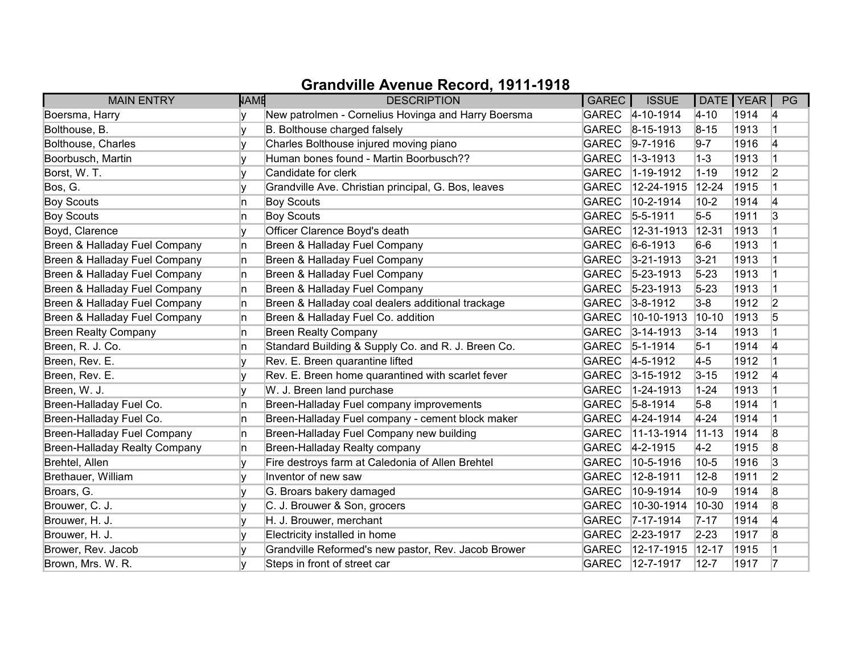| <b>MAIN ENTRY</b>                    | <b>NAME</b> | <b>DESCRIPTION</b>                                  | GAREC        | <b>ISSUE</b>     | DATE   YEAR |      | PG             |
|--------------------------------------|-------------|-----------------------------------------------------|--------------|------------------|-------------|------|----------------|
| Boersma, Harry                       |             | New patrolmen - Cornelius Hovinga and Harry Boersma |              | GAREC 4-10-1914  | $ 4 - 10 $  | 1914 | 14             |
| Bolthouse, B.                        |             | B. Bolthouse charged falsely                        | <b>GAREC</b> | $8-15-1913$      | $8 - 15$    | 1913 |                |
| Bolthouse, Charles                   |             | Charles Bolthouse injured moving piano              | <b>GAREC</b> | $9 - 7 - 1916$   | $9 - 7$     | 1916 | 4              |
| Boorbusch, Martin                    | v           | Human bones found - Martin Boorbusch??              | <b>GAREC</b> | $1 - 3 - 1913$   | $1 - 3$     | 1913 |                |
| Borst, W. T.                         | v           | Candidate for clerk                                 | <b>GAREC</b> | 1-19-1912        | $1 - 19$    | 1912 | $\overline{2}$ |
| Bos, G.                              | v           | Grandville Ave. Christian principal, G. Bos, leaves | <b>GAREC</b> | 12-24-1915       | $12 - 24$   | 1915 |                |
| <b>Boy Scouts</b>                    | 'n          | <b>Boy Scouts</b>                                   | <b>GAREC</b> | 10-2-1914        | $10-2$      | 1914 | 4              |
| <b>Boy Scouts</b>                    | n           | <b>Boy Scouts</b>                                   | <b>GAREC</b> | $5 - 5 - 1911$   | $5-5$       | 1911 | 3              |
| Boyd, Clarence                       |             | Officer Clarence Boyd's death                       | <b>GAREC</b> | 12-31-1913       | $ 12 - 31 $ | 1913 |                |
| Breen & Halladay Fuel Company        | In.         | Breen & Halladay Fuel Company                       | <b>GAREC</b> | $6-6-1913$       | $6-6$       | 1913 |                |
| Breen & Halladay Fuel Company        | 'n          | Breen & Halladay Fuel Company                       | <b>GAREC</b> | $3 - 21 - 1913$  | $3 - 21$    | 1913 |                |
| Breen & Halladay Fuel Company        | n           | Breen & Halladay Fuel Company                       | <b>GAREC</b> | $ 5 - 23 - 1913$ | $5 - 23$    | 1913 |                |
| Breen & Halladay Fuel Company        | In.         | Breen & Halladay Fuel Company                       | <b>GAREC</b> | $5 - 23 - 1913$  | $5 - 23$    | 1913 |                |
| Breen & Halladay Fuel Company        | 'n          | Breen & Halladay coal dealers additional trackage   | <b>GAREC</b> | $3 - 8 - 1912$   | $3-8$       | 1912 | $\overline{2}$ |
| Breen & Halladay Fuel Company        | 'n          | Breen & Halladay Fuel Co. addition                  | <b>GAREC</b> | 10-10-1913       | $10 - 10$   | 1913 | 5              |
| <b>Breen Realty Company</b>          | n           | <b>Breen Realty Company</b>                         | <b>GAREC</b> | $3 - 14 - 1913$  | $3 - 14$    | 1913 |                |
| Breen, R. J. Co.                     | 'n          | Standard Building & Supply Co. and R. J. Breen Co.  | <b>GAREC</b> | $5 - 1 - 1914$   | $5-1$       | 1914 | 4              |
| Breen, Rev. E.                       | v           | Rev. E. Breen quarantine lifted                     | <b>GAREC</b> | $4 - 5 - 1912$   | $4-5$       | 1912 |                |
| Breen, Rev. E.                       |             | Rev. E. Breen home quarantined with scarlet fever   | <b>GAREC</b> | $3 - 15 - 1912$  | $3 - 15$    | 1912 | 4              |
| Breen, W. J.                         | v           | W. J. Breen land purchase                           | <b>GAREC</b> | 1-24-1913        | $1 - 24$    | 1913 |                |
| Breen-Halladay Fuel Co.              | 'n          | Breen-Halladay Fuel company improvements            | <b>GAREC</b> | $5 - 8 - 1914$   | $5-8$       | 1914 |                |
| Breen-Halladay Fuel Co.              | In.         | Breen-Halladay Fuel company - cement block maker    | <b>GAREC</b> | $4 - 24 - 1914$  | $4 - 24$    | 1914 |                |
| Breen-Halladay Fuel Company          | n.          | Breen-Halladay Fuel Company new building            | <b>GAREC</b> | 11-13-1914       | $ 11 - 13 $ | 1914 | 8              |
| <b>Breen-Halladay Realty Company</b> | n           | Breen-Halladay Realty company                       | <b>GAREC</b> | $4 - 2 - 1915$   | $4-2$       | 1915 | 8              |
| Brehtel, Allen                       | v           | Fire destroys farm at Caledonia of Allen Brehtel    | <b>GAREC</b> | 10-5-1916        | $10 - 5$    | 1916 | 3              |
| Brethauer, William                   |             | Inventor of new saw                                 | <b>GAREC</b> | 12-8-1911        | $12 - 8$    | 1911 | 2              |
| Broars, G.                           |             | G. Broars bakery damaged                            | <b>GAREC</b> | 10-9-1914        | $10-9$      | 1914 | 8              |
| Brouwer, C. J.                       |             | C. J. Brouwer & Son, grocers                        | <b>GAREC</b> | 10-30-1914       | 10-30       | 1914 | 8              |
| Brouwer, H. J.                       | v           | H. J. Brouwer, merchant                             | <b>GAREC</b> | $7 - 17 - 1914$  | $7 - 17$    | 1914 | 4              |
| Brouwer, H. J.                       |             | Electricity installed in home                       | <b>GAREC</b> | 2-23-1917        | $2 - 23$    | 1917 | 8              |
| Brower, Rev. Jacob                   |             | Grandville Reformed's new pastor, Rev. Jacob Brower | <b>GAREC</b> | 12-17-1915       | $ 12 - 17$  | 1915 |                |
| Brown, Mrs. W. R.                    |             | Steps in front of street car                        | <b>GAREC</b> | $ 12 - 7 - 1917$ | $12 - 7$    | 1917 | 17             |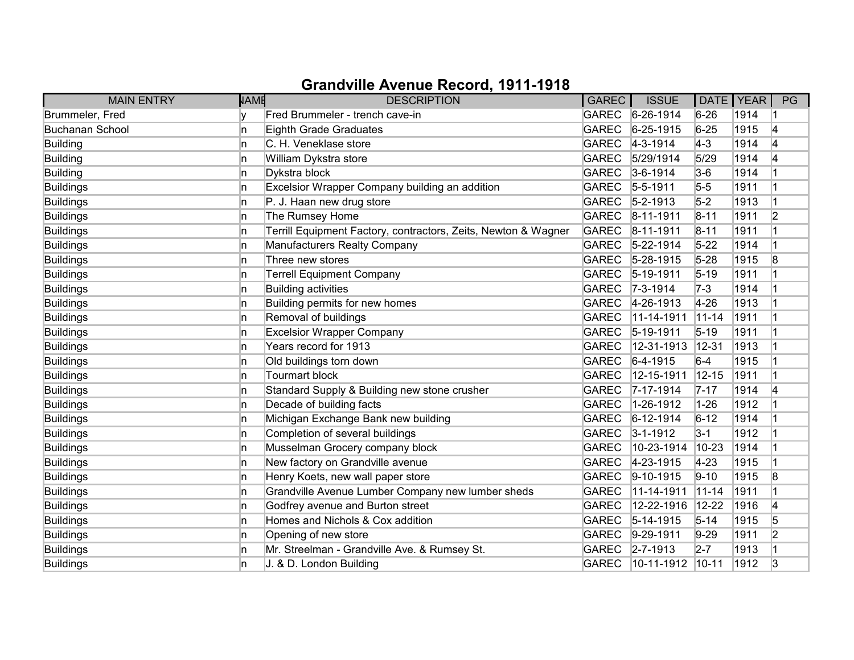| <b>MAIN ENTRY</b>      | NAME | <b>DESCRIPTION</b>                                             | <b>GAREC</b> | <b>ISSUE</b>     | DATE   YEAR |      | PG             |
|------------------------|------|----------------------------------------------------------------|--------------|------------------|-------------|------|----------------|
| Brummeler, Fred        |      | Fred Brummeler - trench cave-in                                |              | GAREC 6-26-1914  | $6 - 26$    | 1914 |                |
| <b>Buchanan School</b> | 'n   | Eighth Grade Graduates                                         | <b>GAREC</b> | $6 - 25 - 1915$  | $6 - 25$    | 1915 | 4              |
| Building               | ln.  | C. H. Veneklase store                                          | GAREC        | $4 - 3 - 1914$   | $ 4-3 $     | 1914 | 4              |
| Building               | ln.  | William Dykstra store                                          | GAREC        | 5/29/1914        | 5/29        | 1914 | 14             |
| Building               | n    | Dykstra block                                                  | GAREC        | $3-6-1914$       | $3-6$       | 1914 |                |
| <b>Buildings</b>       | ln.  | Excelsior Wrapper Company building an addition                 | <b>GAREC</b> | $5 - 5 - 1911$   | $5-5$       | 1911 |                |
| <b>Buildings</b>       | ln.  | P. J. Haan new drug store                                      | GAREC        | $5 - 2 - 1913$   | $5-2$       | 1913 |                |
| Buildings              | In.  | The Rumsey Home                                                |              | GAREC 8-11-1911  | $8 - 11$    | 1911 | $\overline{2}$ |
| <b>Buildings</b>       | ln.  | Terrill Equipment Factory, contractors, Zeits, Newton & Wagner | GAREC        | $ 8 - 11 - 1911$ | $8 - 11$    | 1911 |                |
| <b>Buildings</b>       | In   | Manufacturers Realty Company                                   | <b>GAREC</b> | $5 - 22 - 1914$  | $5 - 22$    | 1914 |                |
| Buildings              | In   | Three new stores                                               | GAREC        | $5 - 28 - 1915$  | $5 - 28$    | 1915 | 8              |
| <b>Buildings</b>       | ln.  | <b>Terrell Equipment Company</b>                               | <b>GAREC</b> | $ 5 - 19 - 1911$ | $5 - 19$    | 1911 |                |
| <b>Buildings</b>       | ln.  | <b>Building activities</b>                                     | GAREC        | $7 - 3 - 1914$   | $ 7-3 $     | 1914 |                |
| <b>Buildings</b>       | ln.  | Building permits for new homes                                 | GAREC        | 4-26-1913        | $4 - 26$    | 1913 |                |
| <b>Buildings</b>       | ln.  | Removal of buildings                                           | <b>GAREC</b> | $11-14-1911$     | $11 - 14$   | 1911 |                |
| <b>Buildings</b>       | ln.  | <b>Excelsior Wrapper Company</b>                               |              | GAREC 5-19-1911  | $5 - 19$    | 1911 |                |
| <b>Buildings</b>       | ln.  | Years record for 1913                                          | <b>GAREC</b> | 12-31-1913       | $12 - 31$   | 1913 |                |
| <b>Buildings</b>       | ln.  | Old buildings torn down                                        | <b>GAREC</b> | $6-4-1915$       | $6-4$       | 1915 |                |
| <b>Buildings</b>       | ln.  | <b>Tourmart block</b>                                          | <b>GAREC</b> | 12-15-1911       | $12 - 15$   | 1911 |                |
| Buildings              | n    | Standard Supply & Building new stone crusher                   | <b>GAREC</b> | $ 7 - 17 - 1914$ | $7 - 17$    | 1914 | 4              |
| <b>Buildings</b>       | ln.  | Decade of building facts                                       | <b>GAREC</b> | 1-26-1912        | $1 - 26$    | 1912 |                |
| Buildings              | ln.  | Michigan Exchange Bank new building                            | <b>GAREC</b> | $6 - 12 - 1914$  | $6 - 12$    | 1914 |                |
| Buildings              | ln.  | Completion of several buildings                                | GAREC        | $3 - 1 - 1912$   | $3 - 1$     | 1912 |                |
| Buildings              | ln.  | Musselman Grocery company block                                | <b>GAREC</b> | 10-23-1914       | $10 - 23$   | 1914 |                |
| <b>Buildings</b>       | In   | New factory on Grandville avenue                               | <b>GAREC</b> | 4-23-1915        | $4 - 23$    | 1915 |                |
| Buildings              | ln.  | Henry Koets, new wall paper store                              | <b>GAREC</b> | $9-10-1915$      | $9 - 10$    | 1915 | 8              |
| <b>Buildings</b>       | ln.  | Grandville Avenue Lumber Company new lumber sheds              | <b>GAREC</b> | 11-14-1911       | $11 - 14$   | 1911 |                |
| <b>Buildings</b>       | ln.  | Godfrey avenue and Burton street                               | <b>GAREC</b> | 12-22-1916       | $12 - 22$   | 1916 | 4              |
| <b>Buildings</b>       | n    | Homes and Nichols & Cox addition                               | <b>GAREC</b> | $5-14-1915$      | $5 - 14$    | 1915 | 5              |
| Buildings              | ln.  | Opening of new store                                           | GAREC        | $9-29-1911$      | $9-29$      | 1911 | 2              |
| Buildings              | In.  | Mr. Streelman - Grandville Ave. & Rumsey St.                   | GAREC        | $2 - 7 - 1913$   | $2 - 7$     | 1913 |                |
| <b>Buildings</b>       | In   | J. & D. London Building                                        | GAREC        | $ 10-11-1912 $   | $ 10 - 11 $ | 1912 | 3              |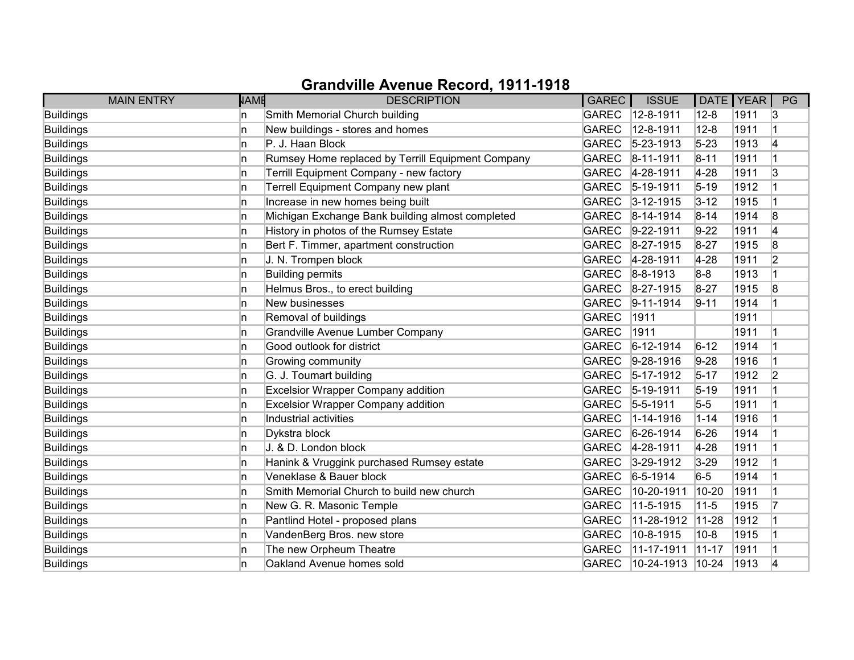| <b>MAIN ENTRY</b> | <b>NAME</b> | <b>DESCRIPTION</b>                                | <b>GAREC</b> | <b>ISSUE</b>     | DATE   YEAR |      | PG             |
|-------------------|-------------|---------------------------------------------------|--------------|------------------|-------------|------|----------------|
| <b>Buildings</b>  | ln.         | Smith Memorial Church building                    | <b>GAREC</b> | 12-8-1911        | $12 - 8$    | 1911 | 13             |
| <b>Buildings</b>  | ln.         | New buildings - stores and homes                  | <b>GAREC</b> | 12-8-1911        | $12 - 8$    | 1911 | $\vert$ 1      |
| <b>Buildings</b>  | ln.         | P. J. Haan Block                                  | <b>GAREC</b> | $5 - 23 - 1913$  | $5 - 23$    | 1913 | 4              |
| <b>Buildings</b>  | ln.         | Rumsey Home replaced by Terrill Equipment Company | <b>GAREC</b> | 8-11-1911        | $8 - 11$    | 1911 |                |
| <b>Buildings</b>  | ln.         | Terrill Equipment Company - new factory           | <b>GAREC</b> | 4-28-1911        | $4-28$      | 1911 | 3              |
| <b>Buildings</b>  | ln.         | Terrell Equipment Company new plant               | <b>GAREC</b> | $5 - 19 - 1911$  | $5 - 19$    | 1912 |                |
| Buildings         | ln.         | Increase in new homes being built                 | <b>GAREC</b> | $3 - 12 - 1915$  | $3 - 12$    | 1915 | 1              |
| <b>Buildings</b>  | ln.         | Michigan Exchange Bank building almost completed  | <b>GAREC</b> | 8-14-1914        | $8 - 14$    | 1914 | 8              |
| Buildings         | ln.         | History in photos of the Rumsey Estate            | <b>GAREC</b> | 9-22-1911        | $9-22$      | 1911 | 4              |
| <b>Buildings</b>  | In          | Bert F. Timmer, apartment construction            | <b>GAREC</b> | 8-27-1915        | $8 - 27$    | 1915 | 8              |
| Buildings         | ln.         | J. N. Trompen block                               | <b>GAREC</b> | 4-28-1911        | $4-28$      | 1911 | $\overline{2}$ |
| <b>Buildings</b>  | ln.         | <b>Building permits</b>                           | <b>GAREC</b> | 8-8-1913         | $8-8$       | 1913 |                |
| <b>Buildings</b>  | ln.         | Helmus Bros., to erect building                   | <b>GAREC</b> | 8-27-1915        | $8 - 27$    | 1915 | 8              |
| <b>Buildings</b>  | ln.         | New businesses                                    | <b>GAREC</b> | $9 - 11 - 1914$  | $9 - 11$    | 1914 |                |
| <b>Buildings</b>  | ln.         | Removal of buildings                              | <b>GAREC</b> | 1911             |             | 1911 |                |
| Buildings         | 'n          | <b>Grandville Avenue Lumber Company</b>           | <b>GAREC</b> | 1911             |             | 1911 |                |
| <b>Buildings</b>  | ln.         | Good outlook for district                         | <b>GAREC</b> | $6 - 12 - 1914$  | $6 - 12$    | 1914 |                |
| Buildings         | ln.         | Growing community                                 | <b>GAREC</b> | 9-28-1916        | $9-28$      | 1916 | 1              |
| <b>Buildings</b>  | ln.         | G. J. Toumart building                            | <b>GAREC</b> | 5-17-1912        | $5 - 17$    | 1912 | $\overline{2}$ |
| <b>Buildings</b>  | ln.         | <b>Excelsior Wrapper Company addition</b>         | <b>GAREC</b> | 5-19-1911        | $5 - 19$    | 1911 |                |
| <b>Buildings</b>  | ln.         | <b>Excelsior Wrapper Company addition</b>         | <b>GAREC</b> | $5 - 5 - 1911$   | $5-5$       | 1911 |                |
| <b>Buildings</b>  | ln.         | Industrial activities                             | <b>GAREC</b> | 1-14-1916        | $1 - 14$    | 1916 |                |
| <b>Buildings</b>  | ln.         | Dykstra block                                     | <b>GAREC</b> | 6-26-1914        | $6 - 26$    | 1914 |                |
| <b>Buildings</b>  | ln.         | J. & D. London block                              | <b>GAREC</b> | 4-28-1911        | $4-28$      | 1911 | 1              |
| <b>Buildings</b>  | ln.         | Hanink & Vruggink purchased Rumsey estate         | <b>GAREC</b> | 3-29-1912        | $3 - 29$    | 1912 |                |
| Buildings         | ln.         | Veneklase & Bauer block                           | <b>GAREC</b> | $6 - 5 - 1914$   | $6-5$       | 1914 | 1              |
| <b>Buildings</b>  | 'n          | Smith Memorial Church to build new church         | <b>GAREC</b> | 10-20-1911       | 10-20       | 1911 |                |
| <b>Buildings</b>  | ln.         | New G. R. Masonic Temple                          | <b>GAREC</b> | 11-5-1915        | $11 - 5$    | 1915 | 7              |
| <b>Buildings</b>  | ln.         | Pantlind Hotel - proposed plans                   | <b>GAREC</b> | 11-28-1912       | $ 11 - 28$  | 1912 |                |
| <b>Buildings</b>  | ln.         | VandenBerg Bros. new store                        | <b>GAREC</b> | 10-8-1915        | $10 - 8$    | 1915 |                |
| <b>Buildings</b>  | ln.         | The new Orpheum Theatre                           | <b>GAREC</b> | 11-17-1911       | $11-17$     | 1911 |                |
| <b>Buildings</b>  | ln.         | Oakland Avenue homes sold                         | <b>GAREC</b> | 10-24-1913 10-24 |             | 1913 | 4              |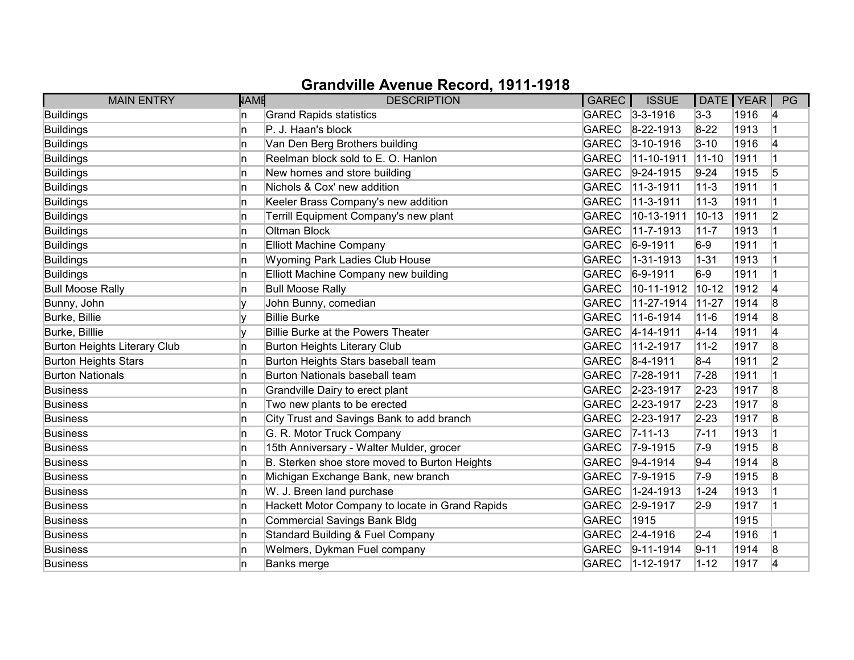| <b>MAIN ENTRY</b>                   | <b>NAME</b> | <b>DESCRIPTION</b>                              | GAREC        | <b>ISSUE</b>    | DATE   YEAR |      | PG             |
|-------------------------------------|-------------|-------------------------------------------------|--------------|-----------------|-------------|------|----------------|
| Buildings                           | n           | <b>Grand Rapids statistics</b>                  |              | GAREC 3-3-1916  | $3 - 3$     | 1916 | 14             |
| <b>Buildings</b>                    | n           | P. J. Haan's block                              | <b>GAREC</b> | $8 - 22 - 1913$ | $8 - 22$    | 1913 |                |
| <b>Buildings</b>                    | n           | Van Den Berg Brothers building                  | <b>GAREC</b> | $3 - 10 - 1916$ | $3 - 10$    | 1916 | 4              |
| <b>Buildings</b>                    | n           | Reelman block sold to E. O. Hanlon              | <b>GAREC</b> | 11-10-1911      | $11 - 10$   | 1911 |                |
| <b>Buildings</b>                    | n           | New homes and store building                    | <b>GAREC</b> | $9-24-1915$     | $9 - 24$    | 1915 | 5              |
| <b>Buildings</b>                    | n.          | Nichols & Cox' new addition                     | <b>GAREC</b> | 11-3-1911       | $11 - 3$    | 1911 |                |
| Buildings                           | In.         | Keeler Brass Company's new addition             | <b>GAREC</b> | 11-3-1911       | $11 - 3$    | 1911 | $\overline{1}$ |
| Buildings                           | n           | Terrill Equipment Company's new plant           | <b>GAREC</b> | 10-13-1911      | $10 - 13$   | 1911 | 2              |
| <b>Buildings</b>                    | In.         | Oltman Block                                    | <b>GAREC</b> | 11-7-1913       | $11 - 7$    | 1913 |                |
| <b>Buildings</b>                    | n.          | <b>Elliott Machine Company</b>                  | <b>GAREC</b> | $6-9-1911$      | $6-9$       | 1911 |                |
| <b>Buildings</b>                    | n.          | Wyoming Park Ladies Club House                  | <b>GAREC</b> | 1-31-1913       | $ 1 - 31 $  | 1913 |                |
| <b>Buildings</b>                    | n           | Elliott Machine Company new building            | <b>GAREC</b> | $6-9-1911$      | $6-9$       | 1911 |                |
| <b>Bull Moose Rally</b>             | n.          | <b>Bull Moose Rally</b>                         | <b>GAREC</b> | 10-11-1912      | $10 - 12$   | 1912 | 4              |
| Bunny, John                         |             | John Bunny, comedian                            | <b>GAREC</b> | 11-27-1914      | $11-27$     | 1914 | 8              |
| Burke, Billie                       |             | <b>Billie Burke</b>                             | <b>GAREC</b> | 11-6-1914       | $11 - 6$    | 1914 | 8              |
| Burke, Billlie                      |             | Billie Burke at the Powers Theater              | <b>GAREC</b> | 4-14-1911       | $4 - 14$    | 1911 | 4              |
| <b>Burton Heights Literary Club</b> | n           | <b>Burton Heights Literary Club</b>             | <b>GAREC</b> | 11-2-1917       | $11-2$      | 1917 | 8              |
| <b>Burton Heights Stars</b>         | n           | Burton Heights Stars baseball team              | <b>GAREC</b> | $ 8-4-1911$     | $8-4$       | 1911 | $\overline{2}$ |
| <b>Burton Nationals</b>             | n           | Burton Nationals baseball team                  | <b>GAREC</b> | $7 - 28 - 1911$ | $7 - 28$    | 1911 |                |
| <b>Business</b>                     | n           | Grandville Dairy to erect plant                 |              | GAREC 2-23-1917 | $2 - 23$    | 1917 | 8              |
| <b>Business</b>                     | n.          | Two new plants to be erected                    | <b>GAREC</b> | 2-23-1917       | $2 - 23$    | 1917 | 8              |
| <b>Business</b>                     | n           | City Trust and Savings Bank to add branch       |              | GAREC 2-23-1917 | $2 - 23$    | 1917 | 8              |
| <b>Business</b>                     | n           | G. R. Motor Truck Company                       | <b>GAREC</b> | $ 7 - 11 - 13 $ | $7 - 11$    | 1913 |                |
| <b>Business</b>                     | n           | 15th Anniversary - Walter Mulder, grocer        | <b>GAREC</b> | $7-9-1915$      | $7-9$       | 1915 | 8              |
| <b>Business</b>                     | In.         | B. Sterken shoe store moved to Burton Heights   | <b>GAREC</b> | $ 9-4-1914$     | $9 - 4$     | 1914 | 8              |
| <b>Business</b>                     | n           | Michigan Exchange Bank, new branch              | <b>GAREC</b> | $7 - 9 - 1915$  | $7-9$       | 1915 | 8              |
| <b>Business</b>                     | n           | W. J. Breen land purchase                       | <b>GAREC</b> | 1-24-1913       | $1 - 24$    | 1913 |                |
| <b>Business</b>                     | n.          | Hackett Motor Company to locate in Grand Rapids | <b>GAREC</b> | $2 - 9 - 1917$  | $2-9$       | 1917 | 1              |
| <b>Business</b>                     | n.          | Commercial Savings Bank Bldg                    | <b>GAREC</b> | 1915            |             | 1915 |                |
| <b>Business</b>                     | In.         | Standard Building & Fuel Company                |              | GAREC 2-4-1916  | $2 - 4$     | 1916 |                |
| <b>Business</b>                     | n           | Welmers, Dykman Fuel company                    | <b>GAREC</b> | $9 - 11 - 1914$ | $9 - 11$    | 1914 | 8              |
| <b>Business</b>                     | n           | Banks merge                                     | <b>GAREC</b> | $1 - 12 - 1917$ | $1 - 12$    | 1917 | 4              |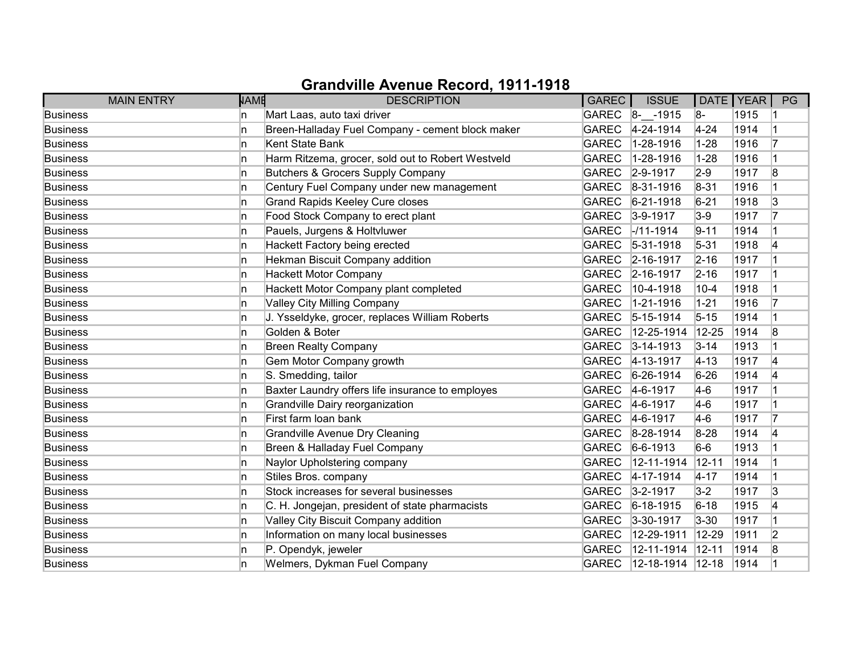| <b>MAIN ENTRY</b> | <b>NAME</b> | <b>DESCRIPTION</b>                                | GAREC        | <b>ISSUE</b>           | DATE   YEAR |      | PG |
|-------------------|-------------|---------------------------------------------------|--------------|------------------------|-------------|------|----|
| <b>Business</b>   | In.         | Mart Laas, auto taxi driver                       |              | GAREC 8- -1915         | 8-          | 1915 |    |
| <b>Business</b>   | 'n          | Breen-Halladay Fuel Company - cement block maker  | <b>GAREC</b> | 4-24-1914              | $4 - 24$    | 1914 |    |
| <b>Business</b>   | ln.         | Kent State Bank                                   | <b>GAREC</b> | 1-28-1916              | $1 - 28$    | 1916 | 17 |
| <b>Business</b>   | 'n          | Harm Ritzema, grocer, sold out to Robert Westveld | <b>GAREC</b> | 1-28-1916              | $1 - 28$    | 1916 |    |
| <b>Business</b>   | In.         | Butchers & Grocers Supply Company                 | <b>GAREC</b> | $ 2 - 9 - 1917$        | $2-9$       | 1917 | 8  |
| <b>Business</b>   | ln.         | Century Fuel Company under new management         | <b>GAREC</b> | $ 8-31-1916$           | $8 - 31$    | 1916 |    |
| <b>Business</b>   | 'n          | <b>Grand Rapids Keeley Cure closes</b>            | GAREC        | $6 - 21 - 1918$        | $6 - 21$    | 1918 | 3  |
| <b>Business</b>   | In.         | Food Stock Company to erect plant                 | GAREC        | $3-9-1917$             | $3-9$       | 1917 | 17 |
| <b>Business</b>   | 'n          | Pauels, Jurgens & Holtvluwer                      | <b>GAREC</b> | $-111 - 1914$          | $9 - 11$    | 1914 |    |
| <b>Business</b>   | In          | Hackett Factory being erected                     | GAREC        | $ 5 - 31 - 1918$       | $5 - 31$    | 1918 | 4  |
| <b>Business</b>   | 'n          | Hekman Biscuit Company addition                   |              | GAREC 2-16-1917        | $2 - 16$    | 1917 |    |
| <b>Business</b>   | n.          | <b>Hackett Motor Company</b>                      | GAREC        | $2 - 16 - 1917$        | $2 - 16$    | 1917 |    |
| <b>Business</b>   | 'n          | Hackett Motor Company plant completed             | <b>GAREC</b> | 10-4-1918              | $10 - 4$    | 1918 |    |
| <b>Business</b>   | In.         | <b>Valley City Milling Company</b>                | <b>GAREC</b> | 1-21-1916              | $1 - 21$    | 1916 | 17 |
| <b>Business</b>   | 'n          | J. Ysseldyke, grocer, replaces William Roberts    | GAREC        | $5 - 15 - 1914$        | $5 - 15$    | 1914 |    |
| <b>Business</b>   | n.          | Golden & Boter                                    | <b>GAREC</b> | 12-25-1914             | 12-25       | 1914 | 8  |
| <b>Business</b>   | 'n          | <b>Breen Realty Company</b>                       | GAREC        | $3 - 14 - 1913$        | $3 - 14$    | 1913 |    |
| <b>Business</b>   | 'n          | Gem Motor Company growth                          | GAREC        | $4 - 13 - 1917$        | $ 4 - 13 $  | 1917 | 4  |
| <b>Business</b>   | 'n          | S. Smedding, tailor                               | <b>GAREC</b> | $6-26-1914$            | $6 - 26$    | 1914 | 14 |
| <b>Business</b>   | In.         | Baxter Laundry offers life insurance to employes  | GAREC        | $4-6-1917$             | $4-6$       | 1917 |    |
| <b>Business</b>   | ln.         | Grandville Dairy reorganization                   | GAREC        | $4-6-1917$             | $4-6$       | 1917 |    |
| <b>Business</b>   | ln.         | First farm loan bank                              | <b>GAREC</b> | $4-6-1917$             | $4-6$       | 1917 | 17 |
| <b>Business</b>   | In.         | <b>Grandville Avenue Dry Cleaning</b>             | GAREC        | $ 8-28-1914 $          | 8-28        | 1914 | 4  |
| <b>Business</b>   | ln.         | Breen & Halladay Fuel Company                     | <b>GAREC</b> | $ 6 - 6 - 1913$        | $6-6$       | 1913 |    |
| <b>Business</b>   | ln.         | Naylor Upholstering company                       | <b>GAREC</b> | 12-11-1914             | $12 - 11$   | 1914 |    |
| <b>Business</b>   | 'n          | Stiles Bros. company                              | <b>GAREC</b> | $ 4 - 17 - 1914 $      | $4 - 17$    | 1914 |    |
| <b>Business</b>   | n           | Stock increases for several businesses            | <b>GAREC</b> | $3 - 2 - 1917$         | $3-2$       | 1917 | 3  |
| <b>Business</b>   | ln.         | C. H. Jongejan, president of state pharmacists    | <b>GAREC</b> | $6-18-1915$            | $6 - 18$    | 1915 | 4  |
| <b>Business</b>   | ln.         | Valley City Biscuit Company addition              | <b>GAREC</b> | 3-30-1917              | $3 - 30$    | 1917 |    |
| <b>Business</b>   | 'n          | Information on many local businesses              | <b>GAREC</b> | 12-29-1911             | $12 - 29$   | 1911 | 2  |
| <b>Business</b>   | n           | P. Opendyk, jeweler                               | <b>GAREC</b> | 12-11-1914             | $ 12 - 11 $ | 1914 | 8  |
| <b>Business</b>   | 'n          | Welmers, Dykman Fuel Company                      | GAREC        | $12 - 18 - 1914$ 12-18 |             | 1914 |    |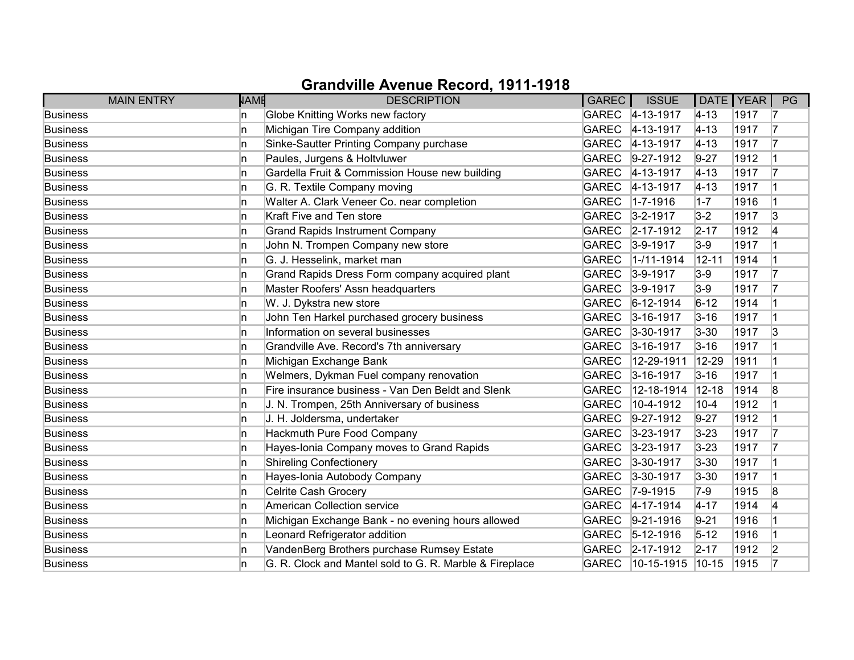| <b>MAIN ENTRY</b> | <b>NAME</b> | <b>DESCRIPTION</b>                                      | GAREC        | <b>ISSUE</b>       | DATE   YEAR |      | PG |
|-------------------|-------------|---------------------------------------------------------|--------------|--------------------|-------------|------|----|
| <b>Business</b>   | In.         | Globe Knitting Works new factory                        |              | GAREC 4-13-1917    | $ 4 - 13 $  | 1917 | 17 |
| <b>Business</b>   | In.         | Michigan Tire Company addition                          | <b>GAREC</b> | $4 - 13 - 1917$    | $ 4 - 13 $  | 1917 | 17 |
| <b>Business</b>   | 'n          | Sinke-Sautter Printing Company purchase                 | GAREC        | $4 - 13 - 1917$    | $4 - 13$    | 1917 | 17 |
| <b>Business</b>   | In.         | Paules, Jurgens & Holtvluwer                            | GAREC        | $9-27-1912$        | $9 - 27$    | 1912 |    |
| <b>Business</b>   | 'n          | Gardella Fruit & Commission House new building          | <b>GAREC</b> | $4 - 13 - 1917$    | $4 - 13$    | 1917 | 17 |
| <b>Business</b>   | In.         | G. R. Textile Company moving                            | <b>GAREC</b> | $ 4 - 13 - 1917$   | $ 4 - 13 $  | 1917 |    |
| <b>Business</b>   | n.          | Walter A. Clark Veneer Co. near completion              | <b>GAREC</b> | $1 - 7 - 1916$     | $1 - 7$     | 1916 |    |
| <b>Business</b>   | n.          | Kraft Five and Ten store                                |              | GAREC 3-2-1917     | $3-2$       | 1917 | 3  |
| <b>Business</b>   | 'n          | <b>Grand Rapids Instrument Company</b>                  | <b>GAREC</b> | $2 - 17 - 1912$    | $2 - 17$    | 1912 | 4  |
| <b>Business</b>   | 'n          | John N. Trompen Company new store                       | <b>GAREC</b> | $3-9-1917$         | $3-9$       | 1917 |    |
| <b>Business</b>   | n           | G. J. Hesselink, market man                             | <b>GAREC</b> | $1 - 11 - 1914$    | $12 - 11$   | 1914 |    |
| <b>Business</b>   | 'n          | Grand Rapids Dress Form company acquired plant          | GAREC        | $3-9-1917$         | $3-9$       | 1917 | 17 |
| <b>Business</b>   | ln.         | Master Roofers' Assn headquarters                       | <b>GAREC</b> | $3-9-1917$         | $3-9$       | 1917 | 17 |
| <b>Business</b>   | In.         | W. J. Dykstra new store                                 | <b>GAREC</b> | $6 - 12 - 1914$    | $6 - 12$    | 1914 |    |
| <b>Business</b>   | 'n          | John Ten Harkel purchased grocery business              | <b>GAREC</b> | $3 - 16 - 1917$    | $3 - 16$    | 1917 |    |
| <b>Business</b>   | 'n          | Information on several businesses                       | GAREC        | $3 - 30 - 1917$    | $3 - 30$    | 1917 | 3  |
| <b>Business</b>   | ln.         | Grandville Ave. Record's 7th anniversary                | GAREC        | $3 - 16 - 1917$    | $3 - 16$    | 1917 |    |
| <b>Business</b>   | 'n          | Michigan Exchange Bank                                  | <b>GAREC</b> | 12-29-1911         | 12-29       | 1911 |    |
| <b>Business</b>   | 'n          | Welmers, Dykman Fuel company renovation                 | <b>GAREC</b> | $3 - 16 - 1917$    | $3 - 16$    | 1917 |    |
| <b>Business</b>   | 'n          | Fire insurance business - Van Den Beldt and Slenk       | <b>GAREC</b> | 12-18-1914         | $12 - 18$   | 1914 | 8  |
| <b>Business</b>   | ln.         | J. N. Trompen, 25th Anniversary of business             | <b>GAREC</b> | 10-4-1912          | $10 - 4$    | 1912 |    |
| <b>Business</b>   | 'n          | J. H. Joldersma, undertaker                             | GAREC        | $9-27-1912$        | $9 - 27$    | 1912 |    |
| <b>Business</b>   | n.          | Hackmuth Pure Food Company                              |              | GAREC 3-23-1917    | $3 - 23$    | 1917 | 17 |
| <b>Business</b>   | 'n          | Hayes-Ionia Company moves to Grand Rapids               | GAREC        | $3 - 23 - 1917$    | $3 - 23$    | 1917 | 17 |
| <b>Business</b>   | 'n          | <b>Shireling Confectionery</b>                          | <b>GAREC</b> | $3 - 30 - 1917$    | $3 - 30$    | 1917 |    |
| <b>Business</b>   | n           | Hayes-Ionia Autobody Company                            | GAREC        | $3 - 30 - 1917$    | $3 - 30$    | 1917 |    |
| <b>Business</b>   | 'n          | Celrite Cash Grocery                                    | <b>GAREC</b> | $ 7 - 9 - 1915$    | $7-9$       | 1915 | 8  |
| <b>Business</b>   | 'n          | American Collection service                             | GAREC        | $4 - 17 - 1914$    | $4 - 17$    | 1914 | 4  |
| <b>Business</b>   | 'n          | Michigan Exchange Bank - no evening hours allowed       | <b>GAREC</b> | $ 9-21-1916$       | $9 - 21$    | 1916 |    |
| <b>Business</b>   | 'n          | Leonard Refrigerator addition                           | <b>GAREC</b> | $5 - 12 - 1916$    | $5 - 12$    | 1916 |    |
| <b>Business</b>   | 'n          | VandenBerg Brothers purchase Rumsey Estate              |              | GAREC 2-17-1912    | $2 - 17$    | 1912 | 2  |
| <b>Business</b>   | n           | G. R. Clock and Mantel sold to G. R. Marble & Fireplace | GAREC        | $10-15-1915$ 10-15 |             | 1915 |    |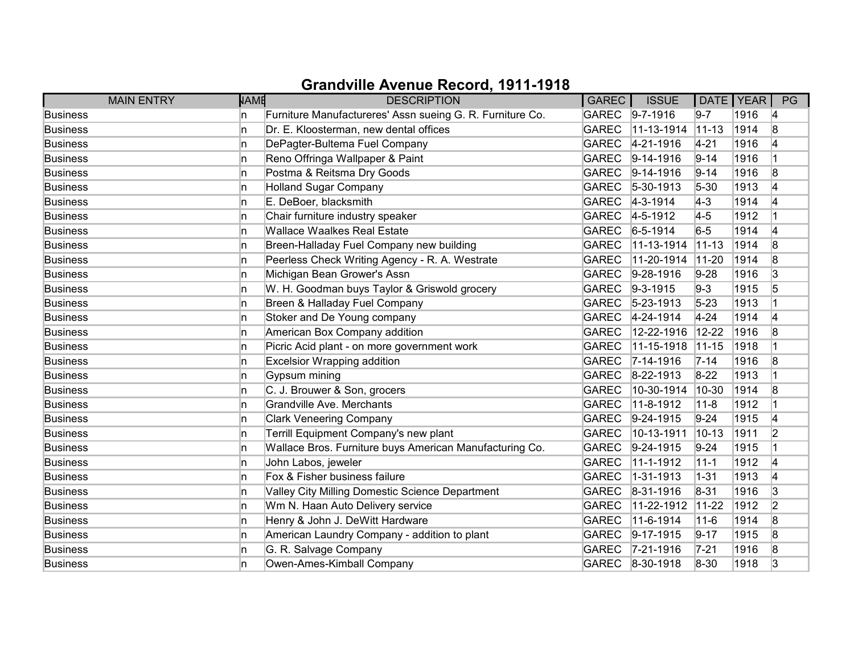|                 | <b>NAME</b><br><b>MAIN ENTRY</b> | <b>DESCRIPTION</b>                                        | <b>GAREC</b> | <b>ISSUE</b>      | DATE   YEAR |      | PG             |
|-----------------|----------------------------------|-----------------------------------------------------------|--------------|-------------------|-------------|------|----------------|
| <b>Business</b> | In.                              | Furniture Manufactureres' Assn sueing G. R. Furniture Co. | GAREC        | $9 - 7 - 1916$    | $9 - 7$     | 1916 | 14             |
| <b>Business</b> | 'n                               | Dr. E. Kloosterman, new dental offices                    | <b>GAREC</b> | 11-13-1914        | $ 11 - 13 $ | 1914 | 8              |
| <b>Business</b> | 'n                               | DePagter-Bultema Fuel Company                             | <b>GAREC</b> | 4-21-1916         | $4 - 21$    | 1916 | 14             |
| <b>Business</b> | In.                              | Reno Offringa Wallpaper & Paint                           | <b>GAREC</b> | $9-14-1916$       | $9 - 14$    | 1916 |                |
| <b>Business</b> | 'n                               | Postma & Reitsma Dry Goods                                | <b>GAREC</b> | $ 9-14-1916$      | $9 - 14$    | 1916 | 8              |
| <b>Business</b> | 'n                               | <b>Holland Sugar Company</b>                              | <b>GAREC</b> | $ 5 - 30 - 1913 $ | $5 - 30$    | 1913 | 4              |
| <b>Business</b> | 'n                               | E. DeBoer, blacksmith                                     | <b>GAREC</b> | $ 4-3-1914 $      | $4-3$       | 1914 | 14             |
| <b>Business</b> | In.                              | Chair furniture industry speaker                          | GAREC        | $4 - 5 - 1912$    | $4-5$       | 1912 |                |
| <b>Business</b> | 'n                               | <b>Wallace Waalkes Real Estate</b>                        | <b>GAREC</b> | $6 - 5 - 1914$    | $6-5$       | 1914 | 4              |
| <b>Business</b> | 'n                               | Breen-Halladay Fuel Company new building                  | <b>GAREC</b> | 11-13-1914        | $11 - 13$   | 1914 | 8              |
| <b>Business</b> | 'n                               | Peerless Check Writing Agency - R. A. Westrate            | <b>GAREC</b> | 11-20-1914        | $11 - 20$   | 1914 | 8              |
| <b>Business</b> | 'n                               | Michigan Bean Grower's Assn                               | <b>GAREC</b> | $ 9-28-1916$      | $9 - 28$    | 1916 | 3              |
| <b>Business</b> | ln.                              | W. H. Goodman buys Taylor & Griswold grocery              | <b>GAREC</b> | $9-3-1915$        | $9-3$       | 1915 | 5              |
| <b>Business</b> | ln.                              | Breen & Halladay Fuel Company                             | <b>GAREC</b> | $ 5 - 23 - 1913 $ | $5 - 23$    | 1913 |                |
| <b>Business</b> | In.                              | Stoker and De Young company                               | GAREC        | 4-24-1914         | $4 - 24$    | 1914 | 4              |
| <b>Business</b> | 'n                               | American Box Company addition                             | <b>GAREC</b> | 12-22-1916        | $12 - 22$   | 1916 | 8              |
| <b>Business</b> | ln.                              | Picric Acid plant - on more government work               | <b>GAREC</b> | 11-15-1918        | $11-15$     | 1918 |                |
| <b>Business</b> | 'n                               | <b>Excelsior Wrapping addition</b>                        | <b>GAREC</b> | $ 7 - 14 - 1916$  | $7 - 14$    | 1916 | 8              |
| <b>Business</b> | n                                | Gypsum mining                                             | <b>GAREC</b> | $ 8-22-1913$      | $8 - 22$    | 1913 |                |
| <b>Business</b> | 'n                               | C. J. Brouwer & Son, grocers                              | <b>GAREC</b> | 10-30-1914        | 10-30       | 1914 | 8              |
| <b>Business</b> | ln.                              | Grandville Ave. Merchants                                 | <b>GAREC</b> | 11-8-1912         | $11 - 8$    | 1912 |                |
| <b>Business</b> | 'n                               | <b>Clark Veneering Company</b>                            | GAREC        | $ 9-24-1915$      | $9 - 24$    | 1915 | 4              |
| <b>Business</b> | In.                              | Terrill Equipment Company's new plant                     | <b>GAREC</b> | 10-13-1911        | $10 - 13$   | 1911 | 2              |
| <b>Business</b> | 'n                               | Wallace Bros. Furniture buys American Manufacturing Co.   | GAREC        | $9-24-1915$       | $9 - 24$    | 1915 |                |
| <b>Business</b> | 'n                               | John Labos, jeweler                                       | <b>GAREC</b> | 11-1-1912         | $11 - 1$    | 1912 | 4              |
| <b>Business</b> | n                                | Fox & Fisher business failure                             | <b>GAREC</b> | 1-31-1913         | $1 - 31$    | 1913 | 14             |
| <b>Business</b> | 'n                               | Valley City Milling Domestic Science Department           | <b>GAREC</b> | $ 8-31-1916$      | $8 - 31$    | 1916 | 3              |
| <b>Business</b> | 'n                               | Wm N. Haan Auto Delivery service                          | <b>GAREC</b> | 11-22-1912        | $11 - 22$   | 1912 | $\overline{2}$ |
| <b>Business</b> | 'n                               | Henry & John J. DeWitt Hardware                           | <b>GAREC</b> | 11-6-1914         | $11 - 6$    | 1914 | 8              |
| <b>Business</b> | 'n                               | American Laundry Company - addition to plant              | GAREC        | $9-17-1915$       | $9 - 17$    | 1915 | 8              |
| <b>Business</b> | n                                | G. R. Salvage Company                                     | <b>GAREC</b> | $ 7-21-1916$      | $7 - 21$    | 1916 | 8              |
| <b>Business</b> | n                                | Owen-Ames-Kimball Company                                 | GAREC        | $8-30-1918$       | 8-30        | 1918 | 3              |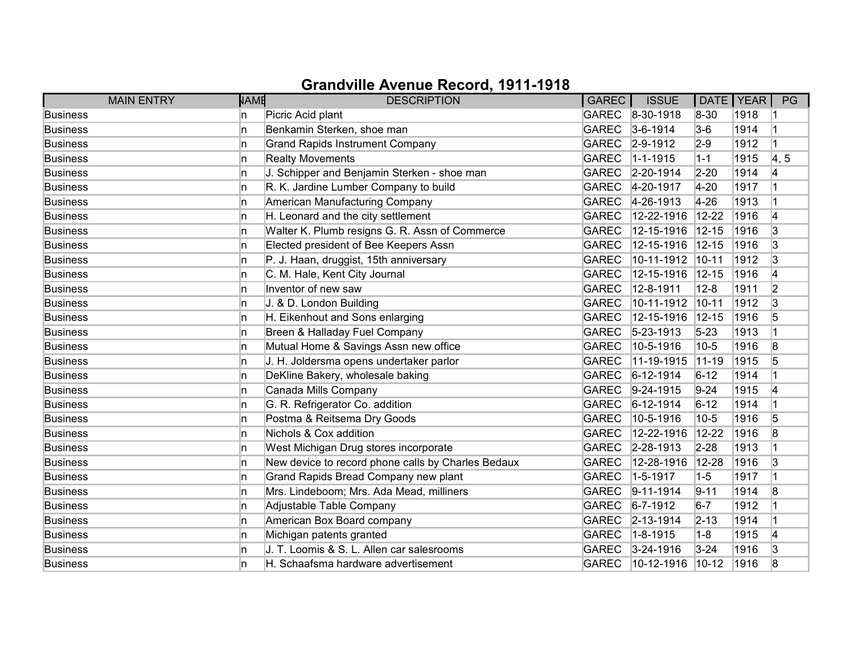|                 | <b>MAIN ENTRY</b> | <b>NAME</b> | <b>DESCRIPTION</b>                                 | <b>GAREC</b> | <b>ISSUE</b>      | DATE   YEAR |      | PG                 |
|-----------------|-------------------|-------------|----------------------------------------------------|--------------|-------------------|-------------|------|--------------------|
| <b>Business</b> |                   | In.         | Picric Acid plant                                  |              | GAREC 8-30-1918   | 8-30        | 1918 |                    |
| <b>Business</b> |                   | 'n          | Benkamin Sterken, shoe man                         | <b>GAREC</b> | $3-6-1914$        | $3-6$       | 1914 |                    |
| <b>Business</b> |                   | 'n          | <b>Grand Rapids Instrument Company</b>             | GAREC        | $2 - 9 - 1912$    | $2-9$       | 1912 |                    |
| <b>Business</b> |                   | In.         | <b>Realty Movements</b>                            | <b>GAREC</b> | $ 1 - 1 - 1915$   | $1 - 1$     | 1915 | $\vert 4, 5 \vert$ |
| <b>Business</b> |                   | 'n          | J. Schipper and Benjamin Sterken - shoe man        | GAREC        | $ 2 - 20 - 1914 $ | $2 - 20$    | 1914 | 4                  |
| <b>Business</b> |                   | In.         | R. K. Jardine Lumber Company to build              | <b>GAREC</b> | 4-20-1917         | $4 - 20$    | 1917 |                    |
| <b>Business</b> |                   | 'n          | American Manufacturing Company                     | GAREC        | $4 - 26 - 1913$   | $4 - 26$    | 1913 |                    |
| <b>Business</b> |                   | In.         | H. Leonard and the city settlement                 | <b>GAREC</b> | 12-22-1916        | $12 - 22$   | 1916 | 4                  |
| <b>Business</b> |                   | 'n          | Walter K. Plumb resigns G. R. Assn of Commerce     | <b>GAREC</b> | 12-15-1916        | $12 - 15$   | 1916 | 3                  |
| <b>Business</b> |                   | 'n          | Elected president of Bee Keepers Assn              | <b>GAREC</b> | 12-15-1916        | $12 - 15$   | 1916 | 3                  |
| <b>Business</b> |                   | 'n          | P. J. Haan, druggist, 15th anniversary             | <b>GAREC</b> | 10-11-1912        | $10 - 11$   | 1912 | 3                  |
| <b>Business</b> |                   | 'n          | C. M. Hale, Kent City Journal                      | <b>GAREC</b> | 12-15-1916        | $12 - 15$   | 1916 | 4                  |
| <b>Business</b> |                   | ln.         | Inventor of new saw                                | <b>GAREC</b> | 12-8-1911         | $12 - 8$    | 1911 | $\overline{2}$     |
| <b>Business</b> |                   | 'n          | J. & D. London Building                            | <b>GAREC</b> | 10-11-1912        | $10 - 11$   | 1912 | 3                  |
| <b>Business</b> |                   | 'n          | H. Eikenhout and Sons enlarging                    | <b>GAREC</b> | 12-15-1916        | $12 - 15$   | 1916 | 5                  |
| <b>Business</b> |                   | n.          | Breen & Halladay Fuel Company                      | <b>GAREC</b> | $ 5 - 23 - 1913 $ | $5 - 23$    | 1913 |                    |
| <b>Business</b> |                   | 'n          | Mutual Home & Savings Assn new office              | <b>GAREC</b> | 10-5-1916         | $10-5$      | 1916 | 8                  |
| <b>Business</b> |                   | 'n          | J. H. Joldersma opens undertaker parlor            | <b>GAREC</b> | 11-19-1915        | $ 11 - 19$  | 1915 | 5                  |
| <b>Business</b> |                   | In.         | DeKline Bakery, wholesale baking                   | <b>GAREC</b> | $6 - 12 - 1914$   | $6 - 12$    | 1914 |                    |
| <b>Business</b> |                   | ln.         | Canada Mills Company                               | GAREC        | $9-24-1915$       | $9 - 24$    | 1915 | 4                  |
| <b>Business</b> |                   | ln.         | G. R. Refrigerator Co. addition                    | <b>GAREC</b> | $6 - 12 - 1914$   | $6 - 12$    | 1914 |                    |
| <b>Business</b> |                   | In.         | Postma & Reitsema Dry Goods                        | <b>GAREC</b> | 10-5-1916         | $10-5$      | 1916 | 5                  |
| <b>Business</b> |                   | In.         | Nichols & Cox addition                             | <b>GAREC</b> | 12-22-1916        | $12 - 22$   | 1916 | 8                  |
| <b>Business</b> |                   | ln.         | West Michigan Drug stores incorporate              | GAREC        | $2 - 28 - 1913$   | $2 - 28$    | 1913 |                    |
| <b>Business</b> |                   | 'n          | New device to record phone calls by Charles Bedaux | <b>GAREC</b> | 12-28-1916        | 12-28       | 1916 | 3                  |
| <b>Business</b> |                   | 'n          | Grand Rapids Bread Company new plant               | <b>GAREC</b> | $1 - 5 - 1917$    | $1-5$       | 1917 |                    |
| <b>Business</b> |                   | 'n          | Mrs. Lindeboom; Mrs. Ada Mead, milliners           | <b>GAREC</b> | $ 9-11-1914 $     | $ 9 - 11$   | 1914 | 8                  |
| <b>Business</b> |                   | 'n          | Adjustable Table Company                           | GAREC        | $ 6 - 7 - 1912 $  | $6-7$       | 1912 |                    |
| <b>Business</b> |                   | 'n          | American Box Board company                         | <b>GAREC</b> | $2 - 13 - 1914$   | $ 2 - 13 $  | 1914 |                    |
| <b>Business</b> |                   | 'n          | Michigan patents granted                           | <b>GAREC</b> | $1 - 8 - 1915$    | $1-8$       | 1915 | 4                  |
| <b>Business</b> |                   | 'n          | J. T. Loomis & S. L. Allen car salesrooms          | <b>GAREC</b> | $3 - 24 - 1916$   | $3 - 24$    | 1916 | 3                  |
| <b>Business</b> |                   | n           | H. Schaafsma hardware advertisement                | <b>GAREC</b> | $10-12-1916$      | $10-12$     | 1916 | 8                  |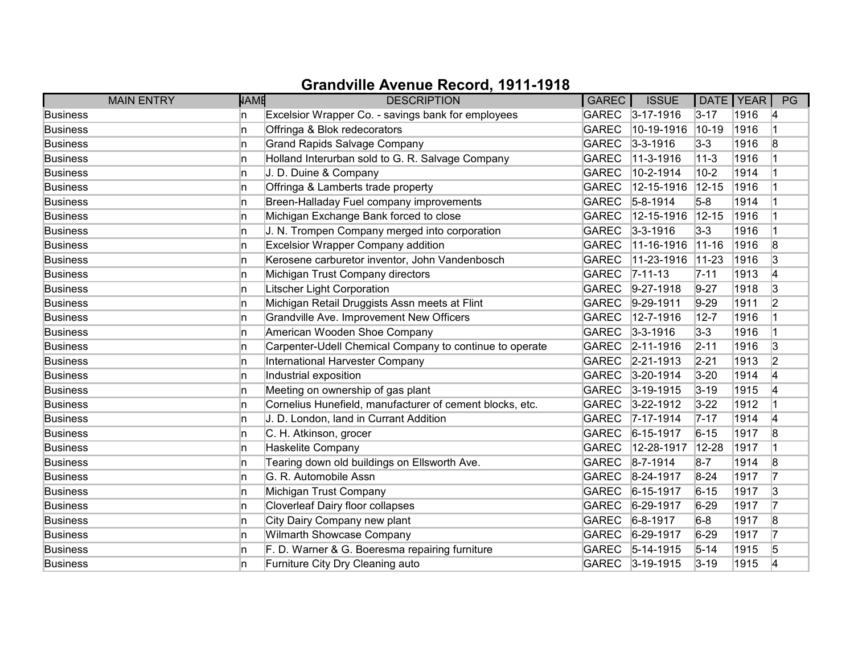| <b>MAIN ENTRY</b> | <b>NAME</b> | <b>DESCRIPTION</b>                                       | <b>GAREC</b> | <b>ISSUE</b>      | DATE   YEAR |      | PG             |
|-------------------|-------------|----------------------------------------------------------|--------------|-------------------|-------------|------|----------------|
| <b>Business</b>   | In.         | Excelsior Wrapper Co. - savings bank for employees       |              | GAREC 3-17-1916   | $3 - 17$    | 1916 | 14             |
| <b>Business</b>   | In.         | Offringa & Blok redecorators                             | <b>GAREC</b> | 10-19-1916        | $10-19$     | 1916 |                |
| <b>Business</b>   | 'n          | <b>Grand Rapids Salvage Company</b>                      | <b>GAREC</b> | $3 - 3 - 1916$    | $3-3$       | 1916 | 8              |
| <b>Business</b>   | In.         | Holland Interurban sold to G. R. Salvage Company         | <b>GAREC</b> | 11-3-1916         | $11 - 3$    | 1916 |                |
| <b>Business</b>   | 'n          | J. D. Duine & Company                                    | <b>GAREC</b> | 10-2-1914         | $10-2$      | 1914 |                |
| <b>Business</b>   | In.         | Offringa & Lamberts trade property                       | <b>GAREC</b> | 12-15-1916        | $12 - 15$   | 1916 |                |
| <b>Business</b>   | 'n          | Breen-Halladay Fuel company improvements                 | <b>GAREC</b> | $5 - 8 - 1914$    | $5-8$       | 1914 |                |
| <b>Business</b>   | In.         | Michigan Exchange Bank forced to close                   | <b>GAREC</b> | 12-15-1916        | $ 12 - 15 $ | 1916 |                |
| <b>Business</b>   | 'n          | J. N. Trompen Company merged into corporation            | GAREC        | $3 - 3 - 1916$    | $3-3$       | 1916 |                |
| <b>Business</b>   | 'n          | <b>Excelsior Wrapper Company addition</b>                | <b>GAREC</b> | 11-16-1916        | $ 11 - 16$  | 1916 | 8              |
| <b>Business</b>   | n           | Kerosene carburetor inventor, John Vandenbosch           | <b>GAREC</b> | 11-23-1916        | $ 11 - 23 $ | 1916 | 3              |
| <b>Business</b>   | n           | Michigan Trust Company directors                         | <b>GAREC</b> | $ 7 - 11 - 13 $   | $7 - 11$    | 1913 | 4              |
| <b>Business</b>   | ln.         | Litscher Light Corporation                               | <b>GAREC</b> | $9-27-1918$       | $9 - 27$    | 1918 | 3              |
| <b>Business</b>   | ln.         | Michigan Retail Druggists Assn meets at Flint            | <b>GAREC</b> | $9-29-1911$       | $9-29$      | 1911 | $\overline{2}$ |
| <b>Business</b>   | 'n          | Grandville Ave. Improvement New Officers                 | <b>GAREC</b> | 12-7-1916         | $12 - 7$    | 1916 |                |
| <b>Business</b>   | n           | American Wooden Shoe Company                             |              | GAREC 3-3-1916    | $3-3$       | 1916 |                |
| <b>Business</b>   | 'n          | Carpenter-Udell Chemical Company to continue to operate  | GAREC        | $ 2 - 11 - 1916 $ | $2 - 11$    | 1916 | 3              |
| <b>Business</b>   | 'n          | International Harvester Company                          | <b>GAREC</b> | $ 2 - 21 - 1913$  | $2 - 21$    | 1913 | 2              |
| <b>Business</b>   | n           | Industrial exposition                                    | <b>GAREC</b> | $3 - 20 - 1914$   | $3 - 20$    | 1914 | 14             |
| <b>Business</b>   | 'n          | Meeting on ownership of gas plant                        | GAREC        | $3 - 19 - 1915$   | $3 - 19$    | 1915 | 4              |
| <b>Business</b>   | ln.         | Cornelius Hunefield, manufacturer of cement blocks, etc. | <b>GAREC</b> | $3 - 22 - 1912$   | $3 - 22$    | 1912 |                |
| <b>Business</b>   | 'n          | J. D. London, land in Currant Addition                   | <b>GAREC</b> | $7 - 17 - 1914$   | $ 7 - 17 $  | 1914 | 14             |
| <b>Business</b>   | In.         | C. H. Atkinson, grocer                                   | <b>GAREC</b> | $6 - 15 - 1917$   | $6 - 15$    | 1917 | 8              |
| <b>Business</b>   | ln.         | Haskelite Company                                        | <b>GAREC</b> | 12-28-1917        | 12-28       | 1917 |                |
| <b>Business</b>   | 'n          | Tearing down old buildings on Ellsworth Ave.             | <b>GAREC</b> | $8 - 7 - 1914$    | $8-7$       | 1914 | 8              |
| <b>Business</b>   | 'n          | G. R. Automobile Assn                                    | <b>GAREC</b> | $8 - 24 - 1917$   | $8 - 24$    | 1917 | 17             |
| <b>Business</b>   | ln.         | Michigan Trust Company                                   | <b>GAREC</b> | $6 - 15 - 1917$   | $6 - 15$    | 1917 | 3              |
| <b>Business</b>   | ln.         | <b>Cloverleaf Dairy floor collapses</b>                  | GAREC        | $6 - 29 - 1917$   | $6 - 29$    | 1917 | 17             |
| <b>Business</b>   | ln.         | City Dairy Company new plant                             | <b>GAREC</b> | $6 - 8 - 1917$    | $6-8$       | 1917 | 8              |
| <b>Business</b>   | 'n          | Wilmarth Showcase Company                                | GAREC        | $6 - 29 - 1917$   | $6 - 29$    | 1917 | 17             |
| <b>Business</b>   | n.          | F. D. Warner & G. Boeresma repairing furniture           | GAREC        | $5-14-1915$       | $5 - 14$    | 1915 | $\sqrt{5}$     |
| <b>Business</b>   | n           | Furniture City Dry Cleaning auto                         |              | GAREC 3-19-1915   | $3 - 19$    | 1915 | 14             |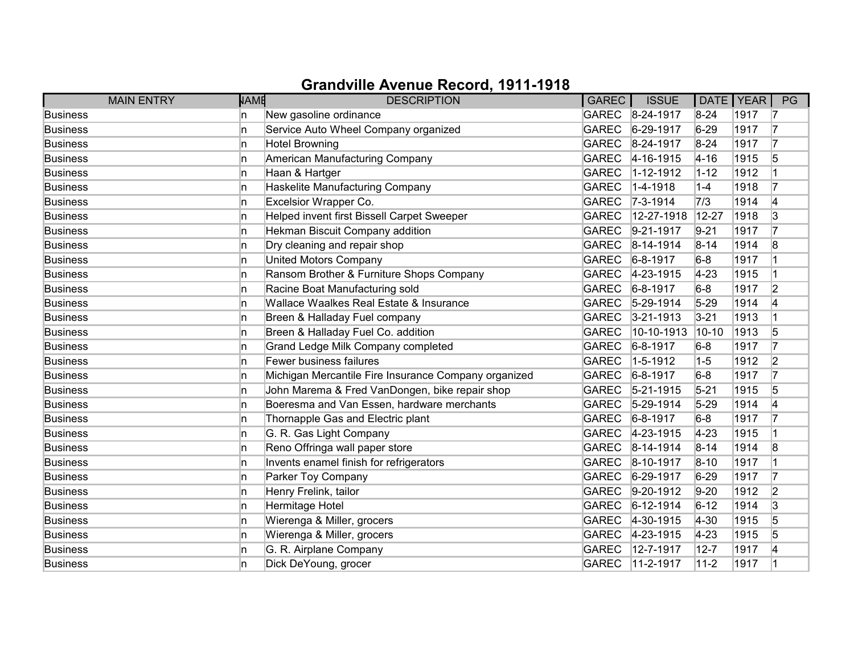|                 | <b>MAIN ENTRY</b> | <b>NAME</b> | <b>DESCRIPTION</b>                                   | <b>GAREC</b> | <b>ISSUE</b>      | DATE   YEAR |      | PG             |
|-----------------|-------------------|-------------|------------------------------------------------------|--------------|-------------------|-------------|------|----------------|
| <b>Business</b> |                   | In.         | New gasoline ordinance                               |              | GAREC 8-24-1917   | $8 - 24$    | 1917 | 17             |
| <b>Business</b> |                   | 'n          | Service Auto Wheel Company organized                 | <b>GAREC</b> | $6-29-1917$       | $6 - 29$    | 1917 | 17             |
| <b>Business</b> |                   | 'n          | <b>Hotel Browning</b>                                | GAREC        | 8-24-1917         | $8 - 24$    | 1917 | 17             |
| <b>Business</b> |                   | 'n          | American Manufacturing Company                       | <b>GAREC</b> | $4 - 16 - 1915$   | $4 - 16$    | 1915 | 5              |
| <b>Business</b> |                   | ln.         | Haan & Hartger                                       | <b>GAREC</b> | 1-12-1912         | $1 - 12$    | 1912 |                |
| <b>Business</b> |                   | In.         | Haskelite Manufacturing Company                      | <b>GAREC</b> | $1-4-1918$        | $1-4$       | 1918 | 17             |
| <b>Business</b> |                   | 'n          | Excelsior Wrapper Co.                                |              | GAREC 7-3-1914    | 7/3         | 1914 | 4              |
| <b>Business</b> |                   | In.         | Helped invent first Bissell Carpet Sweeper           | <b>GAREC</b> | 12-27-1918        | 12-27       | 1918 | 3              |
| <b>Business</b> |                   | 'n          | Hekman Biscuit Company addition                      | <b>GAREC</b> | $9-21-1917$       | $9 - 21$    | 1917 | 17             |
| <b>Business</b> |                   | 'n          | Dry cleaning and repair shop                         | <b>GAREC</b> | $ 8-14-1914$      | $8 - 14$    | 1914 | 8              |
| <b>Business</b> |                   | 'n          | <b>United Motors Company</b>                         | <b>GAREC</b> | $6 - 8 - 1917$    | $6-8$       | 1917 |                |
| <b>Business</b> |                   | 'n          | Ransom Brother & Furniture Shops Company             | <b>GAREC</b> | $4 - 23 - 1915$   | $4 - 23$    | 1915 |                |
| <b>Business</b> |                   | ln.         | Racine Boat Manufacturing sold                       | <b>GAREC</b> | $6 - 8 - 1917$    | $6-8$       | 1917 | $\overline{2}$ |
| <b>Business</b> |                   | ln.         | Wallace Waalkes Real Estate & Insurance              | <b>GAREC</b> | $5-29-1914$       | $5 - 29$    | 1914 | 14             |
| <b>Business</b> |                   | In.         | Breen & Halladay Fuel company                        | GAREC        | $3 - 21 - 1913$   | $3 - 21$    | 1913 |                |
| <b>Business</b> |                   | n           | Breen & Halladay Fuel Co. addition                   | <b>GAREC</b> | 10-10-1913        | $10 - 10$   | 1913 | 5              |
| <b>Business</b> |                   | 'n          | Grand Ledge Milk Company completed                   | <b>GAREC</b> | $6 - 8 - 1917$    | $6-8$       | 1917 | 17             |
| <b>Business</b> |                   | 'n          | Fewer business failures                              | <b>GAREC</b> | $1 - 5 - 1912$    | $1-5$       | 1912 | $\overline{2}$ |
| <b>Business</b> |                   | 'n          | Michigan Mercantile Fire Insurance Company organized | <b>GAREC</b> | $6 - 8 - 1917$    | $6-8$       | 1917 | 17             |
| <b>Business</b> |                   | ln.         | John Marema & Fred VanDongen, bike repair shop       | <b>GAREC</b> | $5 - 21 - 1915$   | $5 - 21$    | 1915 | 5              |
| <b>Business</b> |                   | ln.         | Boeresma and Van Essen, hardware merchants           | <b>GAREC</b> | $5-29-1914$       | $5 - 29$    | 1914 | 4              |
| <b>Business</b> |                   | 'n          | Thornapple Gas and Electric plant                    | <b>GAREC</b> | $6 - 8 - 1917$    | $6-8$       | 1917 | 17             |
| <b>Business</b> |                   | In.         | G. R. Gas Light Company                              | GAREC        | $ 4 - 23 - 1915 $ | $4 - 23$    | 1915 |                |
| <b>Business</b> |                   | ln.         | Reno Offringa wall paper store                       | <b>GAREC</b> | $8-14-1914$       | $8 - 14$    | 1914 | 8              |
| <b>Business</b> |                   | 'n          | Invents enamel finish for refrigerators              | <b>GAREC</b> | $8 - 10 - 1917$   | $8 - 10$    | 1917 |                |
| <b>Business</b> |                   | 'n          | Parker Toy Company                                   | <b>GAREC</b> | $6 - 29 - 1917$   | $6 - 29$    | 1917 | 17             |
| <b>Business</b> |                   | n           | Henry Frelink, tailor                                | GAREC        | $ 9-20-1912$      | $9-20$      | 1912 | $\overline{2}$ |
| <b>Business</b> |                   | In.         | Hermitage Hotel                                      | <b>GAREC</b> | $6 - 12 - 1914$   | $6 - 12$    | 1914 | 3              |
| <b>Business</b> |                   | In.         | Wierenga & Miller, grocers                           | <b>GAREC</b> | $4-30-1915$       | $ 4 - 30 $  | 1915 | 5              |
| <b>Business</b> |                   | 'n          | Wierenga & Miller, grocers                           | GAREC        | $4 - 23 - 1915$   | $4 - 23$    | 1915 | 5              |
| <b>Business</b> |                   | 'n          | G. R. Airplane Company                               | <b>GAREC</b> | 12-7-1917         | $12 - 7$    | 1917 | 14             |
| <b>Business</b> |                   | 'n          | Dick DeYoung, grocer                                 | <b>GAREC</b> | $11-2-1917$       | $11 - 2$    | 1917 |                |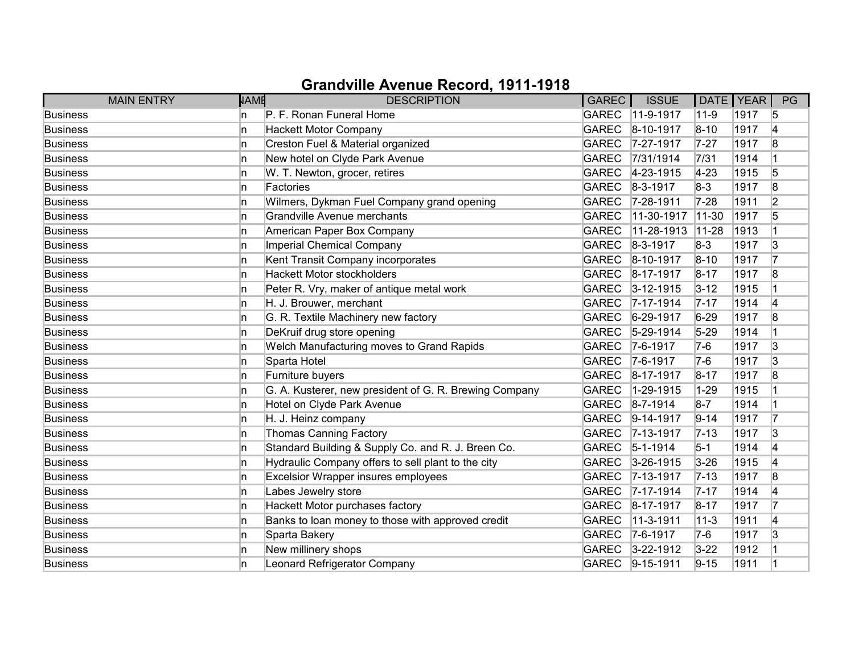| <b>MAIN ENTRY</b> | <b>NAME</b> | <b>DESCRIPTION</b>                                     | <b>GAREC</b> | <b>ISSUE</b>     | DATE   YEAR |      | PG |
|-------------------|-------------|--------------------------------------------------------|--------------|------------------|-------------|------|----|
| <b>Business</b>   | n           | P. F. Ronan Funeral Home                               | <b>GAREC</b> | $11-9-1917$      | $11-9$      | 1917 | 5  |
| <b>Business</b>   | n           | Hackett Motor Company                                  | <b>GAREC</b> | $ 8 - 10 - 1917$ | $8 - 10$    | 1917 | 4  |
| <b>Business</b>   | n           | Creston Fuel & Material organized                      | GAREC        | 7-27-1917        | $7 - 27$    | 1917 | 8  |
| <b>Business</b>   | n           | New hotel on Clyde Park Avenue                         | <b>GAREC</b> | 7/31/1914        | 7/31        | 1914 |    |
| <b>Business</b>   | In.         | W. T. Newton, grocer, retires                          | <b>GAREC</b> | 4-23-1915        | $ 4-23$     | 1915 | 5  |
| <b>Business</b>   | In.         | Factories                                              | <b>GAREC</b> | $ 8-3-1917$      | $8-3$       | 1917 | 8  |
| <b>Business</b>   | In.         | Wilmers, Dykman Fuel Company grand opening             |              | GAREC 7-28-1911  | $7 - 28$    | 1911 | 2  |
| <b>Business</b>   | n           | Grandville Avenue merchants                            | <b>GAREC</b> | 11-30-1917       | 11-30       | 1917 | 5  |
| <b>Business</b>   | n           | American Paper Box Company                             | <b>GAREC</b> | 11-28-1913       | $ 11 - 28 $ | 1913 |    |
| <b>Business</b>   | ln.         | Imperial Chemical Company                              | <b>GAREC</b> | $8 - 3 - 1917$   | $8-3$       | 1917 | 3  |
| <b>Business</b>   | n           | Kent Transit Company incorporates                      | GAREC        | $8-10-1917$      | $8 - 10$    | 1917 | 7  |
| <b>Business</b>   | n           | <b>Hackett Motor stockholders</b>                      | <b>GAREC</b> | $8-17-1917$      | $8 - 17$    | 1917 | 8  |
| <b>Business</b>   | ln.         | Peter R. Vry, maker of antique metal work              | <b>GAREC</b> | $3 - 12 - 1915$  | $3 - 12$    | 1915 |    |
| <b>Business</b>   | In.         | H. J. Brouwer, merchant                                | <b>GAREC</b> | $7 - 17 - 1914$  | $7 - 17$    | 1914 | 4  |
| <b>Business</b>   | In.         | G. R. Textile Machinery new factory                    | GAREC        | $6 - 29 - 1917$  | $6 - 29$    | 1917 | 8  |
| <b>Business</b>   | In.         | DeKruif drug store opening                             |              | GAREC 5-29-1914  | $5 - 29$    | 1914 |    |
| <b>Business</b>   | ln.         | Welch Manufacturing moves to Grand Rapids              | <b>GAREC</b> | $7-6-1917$       | $7-6$       | 1917 | 3  |
| <b>Business</b>   | ln.         | Sparta Hotel                                           | <b>GAREC</b> | $7-6-1917$       | $7-6$       | 1917 | 3  |
| <b>Business</b>   | In.         | Furniture buyers                                       | GAREC        | 8-17-1917        | $8 - 17$    | 1917 | 8  |
| <b>Business</b>   | In.         | G. A. Kusterer, new president of G. R. Brewing Company | <b>GAREC</b> | 1-29-1915        | $1 - 29$    | 1915 |    |
| <b>Business</b>   | In.         | Hotel on Clyde Park Avenue                             | <b>GAREC</b> | $8 - 7 - 1914$   | $8 - 7$     | 1914 |    |
| <b>Business</b>   | In.         | H. J. Heinz company                                    | <b>GAREC</b> | $ 9-14-1917$     | $9 - 14$    | 1917 | 17 |
| <b>Business</b>   | In.         | <b>Thomas Canning Factory</b>                          | <b>GAREC</b> | $ 7 - 13 - 1917$ | $ 7 - 13$   | 1917 | 3  |
| <b>Business</b>   | In.         | Standard Building & Supply Co. and R. J. Breen Co.     | <b>GAREC</b> | $5 - 1 - 1914$   | $5-1$       | 1914 | 4  |
| <b>Business</b>   | ln.         | Hydraulic Company offers to sell plant to the city     | <b>GAREC</b> | $3-26-1915$      | $3 - 26$    | 1915 | 4  |
| <b>Business</b>   | ln.         | <b>Excelsior Wrapper insures employees</b>             | <b>GAREC</b> | $ 7 - 13 - 1917$ | $7 - 13$    | 1917 | 8  |
| <b>Business</b>   | In.         | Labes Jewelry store                                    | <b>GAREC</b> | $ 7 - 17 - 1914$ | $7 - 17$    | 1914 | 4  |
| <b>Business</b>   | In.         | Hackett Motor purchases factory                        | <b>GAREC</b> | $8-17-1917$      | $8 - 17$    | 1917 | 7  |
| <b>Business</b>   | In.         | Banks to loan money to those with approved credit      | <b>GAREC</b> | 11-3-1911        | $ 11-3$     | 1911 | 4  |
| <b>Business</b>   | ln.         | Sparta Bakery                                          | <b>GAREC</b> | $ 7-6-1917$      | $7-6$       | 1917 | 3  |
| <b>Business</b>   | In.         | New millinery shops                                    |              | GAREC 3-22-1912  | $3 - 22$    | 1912 |    |
| <b>Business</b>   | n           | Leonard Refrigerator Company                           |              | GAREC 9-15-1911  | $9 - 15$    | 1911 |    |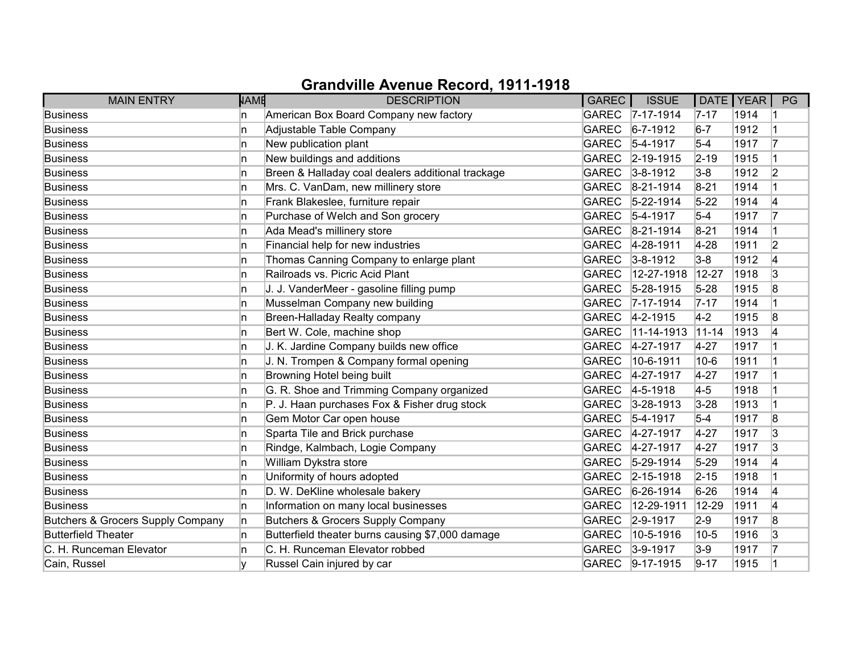| <b>MAIN ENTRY</b>                 | <b>NAME</b> | <b>DESCRIPTION</b>                                | <b>GAREC</b> | <b>ISSUE</b>      | DATE   YEAR |      | PG             |
|-----------------------------------|-------------|---------------------------------------------------|--------------|-------------------|-------------|------|----------------|
| <b>Business</b>                   | In.         | American Box Board Company new factory            |              | GAREC 7-17-1914   | $7 - 17$    | 1914 |                |
| <b>Business</b>                   | 'n          | Adjustable Table Company                          | <b>GAREC</b> | $6 - 7 - 1912$    | $6-7$       | 1912 |                |
| <b>Business</b>                   | n           | New publication plant                             | <b>GAREC</b> | $ 5 - 4 - 1917$   | $5-4$       | 1917 | 17             |
| <b>Business</b>                   | 'n          | New buildings and additions                       | <b>GAREC</b> | $ 2 - 19 - 1915 $ | $2 - 19$    | 1915 |                |
| <b>Business</b>                   | 'n          | Breen & Halladay coal dealers additional trackage | <b>GAREC</b> | $3 - 8 - 1912$    | $3-8$       | 1912 | $\overline{2}$ |
| <b>Business</b>                   | ln.         | Mrs. C. VanDam, new millinery store               | <b>GAREC</b> | $8 - 21 - 1914$   | $8 - 21$    | 1914 |                |
| <b>Business</b>                   | 'n          | Frank Blakeslee, furniture repair                 | GAREC        | $5 - 22 - 1914$   | $5-22$      | 1914 | 4              |
| <b>Business</b>                   | In.         | Purchase of Welch and Son grocery                 | <b>GAREC</b> | $5-4-1917$        | $5-4$       | 1917 | 17             |
| <b>Business</b>                   | 'n          | Ada Mead's millinery store                        | <b>GAREC</b> | $8-21-1914$       | $8 - 21$    | 1914 |                |
| <b>Business</b>                   | 'n          | Financial help for new industries                 | <b>GAREC</b> | 4-28-1911         | $4 - 28$    | 1911 | $\overline{2}$ |
| <b>Business</b>                   | 'n          | Thomas Canning Company to enlarge plant           | <b>GAREC</b> | $3 - 8 - 1912$    | $3-8$       | 1912 | 4              |
| <b>Business</b>                   | In.         | Railroads vs. Picric Acid Plant                   | <b>GAREC</b> | 12-27-1918        | 12-27       | 1918 | 3              |
| <b>Business</b>                   | ln.         | J. J. VanderMeer - gasoline filling pump          | <b>GAREC</b> | 5-28-1915         | $5 - 28$    | 1915 | 8              |
| <b>Business</b>                   | ln.         | Musselman Company new building                    | <b>GAREC</b> | $7 - 17 - 1914$   | $ 7 - 17 $  | 1914 |                |
| <b>Business</b>                   | In.         | Breen-Halladay Realty company                     | <b>GAREC</b> | $ 4-2-1915$       | $4-2$       | 1915 | 8              |
| <b>Business</b>                   | 'n          | Bert W. Cole, machine shop                        | <b>GAREC</b> | 11-14-1913        | $11 - 14$   | 1913 | 4              |
| <b>Business</b>                   | 'n          | J. K. Jardine Company builds new office           | <b>GAREC</b> | 4-27-1917         | $4 - 27$    | 1917 |                |
| <b>Business</b>                   | 'n          | J. N. Trompen & Company formal opening            | <b>GAREC</b> | 10-6-1911         | $10-6$      | 1911 |                |
| <b>Business</b>                   | In.         | Browning Hotel being built                        | <b>GAREC</b> | 4-27-1917         | $4 - 27$    | 1917 |                |
| <b>Business</b>                   | 'n          | G. R. Shoe and Trimming Company organized         | GAREC        | $4 - 5 - 1918$    | $4-5$       | 1918 |                |
| <b>Business</b>                   | ln.         | P. J. Haan purchases Fox & Fisher drug stock      | <b>GAREC</b> | $3 - 28 - 1913$   | $3 - 28$    | 1913 |                |
| <b>Business</b>                   | In.         | Gem Motor Car open house                          | <b>GAREC</b> | $5-4-1917$        | $5-4$       | 1917 | 8              |
| <b>Business</b>                   | In.         | Sparta Tile and Brick purchase                    | GAREC        | $4 - 27 - 1917$   | $4 - 27$    | 1917 | 3              |
| <b>Business</b>                   | ln.         | Rindge, Kalmbach, Logie Company                   |              | GAREC 4-27-1917   | $4 - 27$    | 1917 | 3              |
| <b>Business</b>                   | ln.         | William Dykstra store                             | <b>GAREC</b> | $5-29-1914$       | $5 - 29$    | 1914 | 14             |
| <b>Business</b>                   | 'n          | Uniformity of hours adopted                       | GAREC        | $2 - 15 - 1918$   | $2 - 15$    | 1918 |                |
| <b>Business</b>                   | ln.         | D. W. DeKline wholesale bakery                    | <b>GAREC</b> | $ 6-26-1914$      | $6 - 26$    | 1914 | 4              |
| <b>Business</b>                   | ln.         | Information on many local businesses              | <b>GAREC</b> | 12-29-1911        | 12-29       | 1911 | 4              |
| Butchers & Grocers Supply Company | ln.         | Butchers & Grocers Supply Company                 | <b>GAREC</b> | $2 - 9 - 1917$    | $2-9$       | 1917 | 8              |
| <b>Butterfield Theater</b>        | In.         | Butterfield theater burns causing \$7,000 damage  | <b>GAREC</b> | 10-5-1916         | $ 10-5 $    | 1916 | 3              |
| C. H. Runceman Elevator           | n           | C. H. Runceman Elevator robbed                    | GAREC        | $ 3 - 9 - 1917$   | $3-9$       | 1917 | 17             |
| Cain, Russel                      |             | Russel Cain injured by car                        |              | GAREC 9-17-1915   | $9 - 17$    | 1915 |                |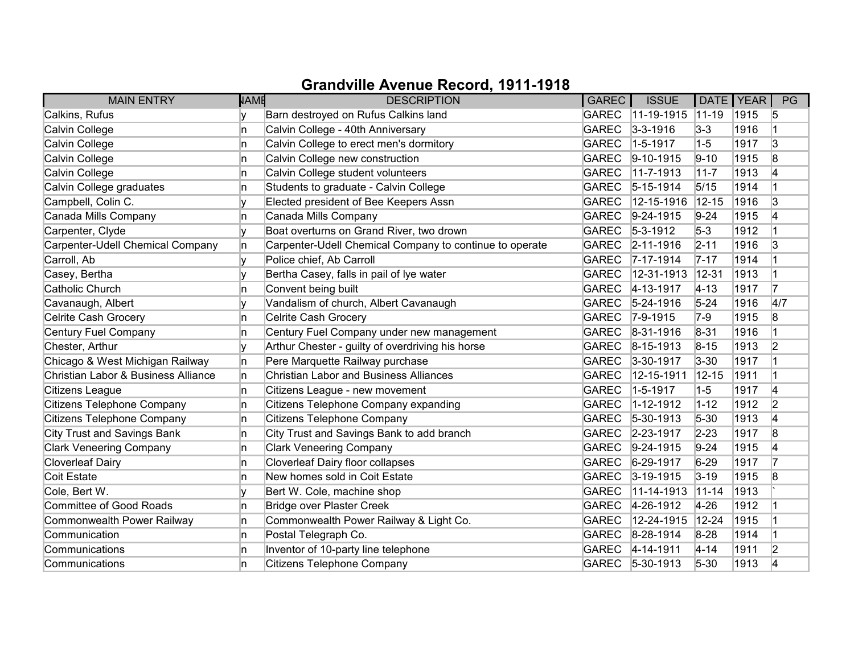| <b>MAIN ENTRY</b>                   | <b>NAME</b> | <b>DESCRIPTION</b>                                      | GAREC        | <b>ISSUE</b>      | DATE   YEAR |      | PG             |
|-------------------------------------|-------------|---------------------------------------------------------|--------------|-------------------|-------------|------|----------------|
| Calkins, Rufus                      |             | Barn destroyed on Rufus Calkins land                    | <b>GAREC</b> | $11-19-1915$      | $ 11 - 19 $ | 1915 | 5              |
| Calvin College                      | 'n          | Calvin College - 40th Anniversary                       | <b>GAREC</b> | $3 - 3 - 1916$    | $3 - 3$     | 1916 |                |
| Calvin College                      | 'n          | Calvin College to erect men's dormitory                 | <b>GAREC</b> | $1-5-1917$        | $1-5$       | 1917 | 3              |
| Calvin College                      | n           | Calvin College new construction                         | <b>GAREC</b> | $9-10-1915$       | $9 - 10$    | 1915 | 8              |
| Calvin College                      | In.         | Calvin College student volunteers                       | <b>GAREC</b> | 11-7-1913         | $11 - 7$    | 1913 | 4              |
| Calvin College graduates            | In.         | Students to graduate - Calvin College                   | <b>GAREC</b> | $ 5 - 15 - 1914 $ | 5/15        | 1914 |                |
| Campbell, Colin C.                  |             | Elected president of Bee Keepers Assn                   | <b>GAREC</b> | 12-15-1916        | $12 - 15$   | 1916 | 3              |
| Canada Mills Company                | n           | Canada Mills Company                                    | <b>GAREC</b> | $9-24-1915$       | $9-24$      | 1915 | 4              |
| Carpenter, Clyde                    | v           | Boat overturns on Grand River, two drown                | <b>GAREC</b> | $5-3-1912$        | $5-3$       | 1912 |                |
| Carpenter-Udell Chemical Company    | In.         | Carpenter-Udell Chemical Company to continue to operate | <b>GAREC</b> | $ 2 - 11 - 1916 $ | $2 - 11$    | 1916 | 3              |
| Carroll, Ab                         |             | Police chief, Ab Carroll                                | <b>GAREC</b> | $7 - 17 - 1914$   | $7 - 17$    | 1914 |                |
| Casey, Bertha                       |             | Bertha Casey, falls in pail of lye water                | <b>GAREC</b> | 12-31-1913        | $ 12 - 31$  | 1913 |                |
| <b>Catholic Church</b>              | n           | Convent being built                                     | <b>GAREC</b> | 4-13-1917         | $ 4 - 13 $  | 1917 | 7              |
| Cavanaugh, Albert                   |             | Vandalism of church, Albert Cavanaugh                   | <b>GAREC</b> | $5 - 24 - 1916$   | $5 - 24$    | 1916 | 4/7            |
| Celrite Cash Grocery                | n           | Celrite Cash Grocery                                    | <b>GAREC</b> | $7-9-1915$        | $7-9$       | 1915 | 8              |
| Century Fuel Company                | n           | Century Fuel Company under new management               | <b>GAREC</b> | $ 8-31-1916$      | $8 - 31$    | 1916 |                |
| Chester, Arthur                     | I۷          | Arthur Chester - guilty of overdriving his horse        | <b>GAREC</b> | $8-15-1913$       | $8 - 15$    | 1913 | $\overline{2}$ |
| Chicago & West Michigan Railway     | In.         | Pere Marquette Railway purchase                         | <b>GAREC</b> | $3 - 30 - 1917$   | $3 - 30$    | 1917 |                |
| Christian Labor & Business Alliance | n           | <b>Christian Labor and Business Alliances</b>           | <b>GAREC</b> | 12-15-1911        | $12 - 15$   | 1911 |                |
| Citizens League                     | n.          | Citizens League - new movement                          | <b>GAREC</b> | 1-5-1917          | $1 - 5$     | 1917 | 4              |
| Citizens Telephone Company          | In.         | Citizens Telephone Company expanding                    | <b>GAREC</b> | 1-12-1912         | $1 - 12$    | 1912 | $\overline{2}$ |
| Citizens Telephone Company          | In.         | Citizens Telephone Company                              | <b>GAREC</b> | $5-30-1913$       | $5 - 30$    | 1913 | 4              |
| City Trust and Savings Bank         | n           | City Trust and Savings Bank to add branch               | <b>GAREC</b> | $2 - 23 - 1917$   | $2 - 23$    | 1917 | 8              |
| <b>Clark Veneering Company</b>      | n           | <b>Clark Veneering Company</b>                          | <b>GAREC</b> | $9-24-1915$       | $9 - 24$    | 1915 | 4              |
| <b>Cloverleaf Dairy</b>             | n           | <b>Cloverleaf Dairy floor collapses</b>                 | <b>GAREC</b> | $6-29-1917$       | $6 - 29$    | 1917 | 17             |
| Coit Estate                         | n           | New homes sold in Coit Estate                           | <b>GAREC</b> | $3 - 19 - 1915$   | $3 - 19$    | 1915 | 8              |
| Cole, Bert W.                       | V           | Bert W. Cole, machine shop                              | <b>GAREC</b> | 11-14-1913        | $ 11 - 14 $ | 1913 |                |
| Committee of Good Roads             | 'n          | Bridge over Plaster Creek                               | <b>GAREC</b> | 4-26-1912         | $4 - 26$    | 1912 |                |
| Commonwealth Power Railway          | In.         | Commonwealth Power Railway & Light Co.                  | <b>GAREC</b> | 12-24-1915        | $12 - 24$   | 1915 |                |
| Communication                       | 'n          | Postal Telegraph Co.                                    | <b>GAREC</b> | $8-28-1914$       | $8-28$      | 1914 | 1              |
| Communications                      | In.         | Inventor of 10-party line telephone                     | <b>GAREC</b> | $ 4 - 14 - 1911 $ | $4 - 14$    | 1911 | $\overline{2}$ |
| Communications                      | n           | Citizens Telephone Company                              |              | GAREC 5-30-1913   | $5 - 30$    | 1913 | 4              |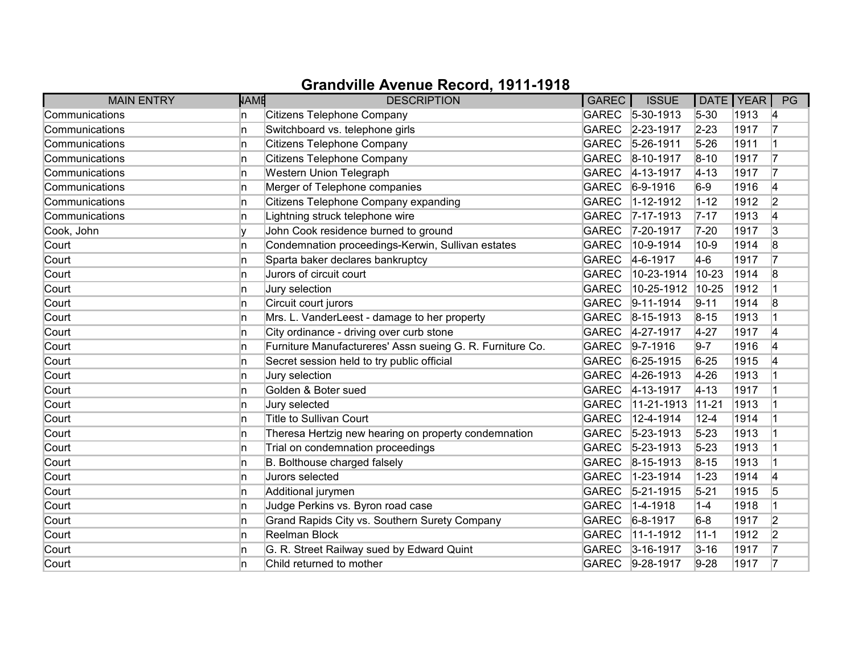| <b>MAIN ENTRY</b> | <b>NAME</b> | <b>DESCRIPTION</b>                                        | <b>GAREC</b> | <b>ISSUE</b>      |           | DATE YEAR | PG             |
|-------------------|-------------|-----------------------------------------------------------|--------------|-------------------|-----------|-----------|----------------|
| Communications    | n           | Citizens Telephone Company                                |              | GAREC 5-30-1913   | $5 - 30$  | 1913      | 4              |
| Communications    | n           | Switchboard vs. telephone girls                           | <b>GAREC</b> | 2-23-1917         | $2 - 23$  | 1917      | 17             |
| Communications    | n           | Citizens Telephone Company                                | GAREC        | $5 - 26 - 1911$   | $5 - 26$  | 1911      | 1              |
| Communications    | n           | Citizens Telephone Company                                | GAREC        | $8 - 10 - 1917$   | $8 - 10$  | 1917      | 17             |
| Communications    | n           | Western Union Telegraph                                   | <b>GAREC</b> | 4-13-1917         | $4 - 13$  | 1917      | 17             |
| Communications    | ln.         | Merger of Telephone companies                             | <b>GAREC</b> | $ 6 - 9 - 1916 $  | $6-9$     | 1916      | 4              |
| Communications    | n           | Citizens Telephone Company expanding                      | <b>GAREC</b> | $1 - 12 - 1912$   | $1 - 12$  | 1912      | 2              |
| Communications    | n           | Lightning struck telephone wire                           |              | GAREC 7-17-1913   | $7 - 17$  | 1913      | 4              |
| Cook, John        |             | John Cook residence burned to ground                      | <b>GAREC</b> | 7-20-1917         | $7 - 20$  | 1917      | 3              |
| Court             | n           | Condemnation proceedings-Kerwin, Sullivan estates         | <b>GAREC</b> | 10-9-1914         | $10-9$    | 1914      | 8              |
| Court             | n           | Sparta baker declares bankruptcy                          | GAREC        | $4-6-1917$        | $4-6$     | 1917      | 17             |
| Court             | n           | Jurors of circuit court                                   | <b>GAREC</b> | 10-23-1914        | $10 - 23$ | 1914      | 8              |
| Court             | n           | Jury selection                                            | <b>GAREC</b> | 10-25-1912        | 10-25     | 1912      | $\overline{1}$ |
| Court             | n           | Circuit court jurors                                      | <b>GAREC</b> | $9 - 11 - 1914$   | $9 - 11$  | 1914      | 8              |
| Court             | n           | Mrs. L. VanderLeest - damage to her property              | GAREC        | $8-15-1913$       | $8 - 15$  | 1913      | 1              |
| Court             | n           | City ordinance - driving over curb stone                  |              | GAREC 4-27-1917   | $4 - 27$  | 1917      | 4              |
| Court             | n           | Furniture Manufactureres' Assn sueing G. R. Furniture Co. | <b>GAREC</b> | $9 - 7 - 1916$    | $9 - 7$   | 1916      | 4              |
| Court             | n           | Secret session held to try public official                | <b>GAREC</b> | $6 - 25 - 1915$   | $6 - 25$  | 1915      | 4              |
| Court             | n           | Jury selection                                            | GAREC        | 4-26-1913         | $4 - 26$  | 1913      |                |
| Court             | n           | Golden & Boter sued                                       | <b>GAREC</b> | $4 - 13 - 1917$   | $4 - 13$  | 1917      |                |
| Court             | In.         | Jury selected                                             | <b>GAREC</b> | 11-21-1913        | $11 - 21$ | 1913      |                |
| Court             | n           | <b>Title to Sullivan Court</b>                            | <b>GAREC</b> | 12-4-1914         | $12 - 4$  | 1914      |                |
| Court             | n           | Theresa Hertzig new hearing on property condemnation      | <b>GAREC</b> | $ 5 - 23 - 1913 $ | $5 - 23$  | 1913      |                |
| Court             | n           | Trial on condemnation proceedings                         | GAREC        | $ 5 - 23 - 1913 $ | $5 - 23$  | 1913      |                |
| Court             | n           | B. Bolthouse charged falsely                              | <b>GAREC</b> | $8 - 15 - 1913$   | $8 - 15$  | 1913      |                |
| Court             | n           | Jurors selected                                           | <b>GAREC</b> | $1 - 23 - 1914$   | $1 - 23$  | 1914      | 4              |
| Court             | n           | Additional jurymen                                        | <b>GAREC</b> | $5 - 21 - 1915$   | $5 - 21$  | 1915      | 5              |
| Court             | n           | Judge Perkins vs. Byron road case                         | <b>GAREC</b> | 1-4-1918          | $1 - 4$   | 1918      |                |
| Court             | ln.         | Grand Rapids City vs. Southern Surety Company             | <b>GAREC</b> | $6 - 8 - 1917$    | $6-8$     | 1917      | $\overline{2}$ |
| Court             | n           | Reelman Block                                             | <b>GAREC</b> | 11-1-1912         | $11 - 1$  | 1912      | 2              |
| Court             | n           | G. R. Street Railway sued by Edward Quint                 | <b>GAREC</b> | $3 - 16 - 1917$   | $3 - 16$  | 1917      | 17             |
| Court             | n           | Child returned to mother                                  |              | GAREC 9-28-1917   | $9 - 28$  | 1917      | 17             |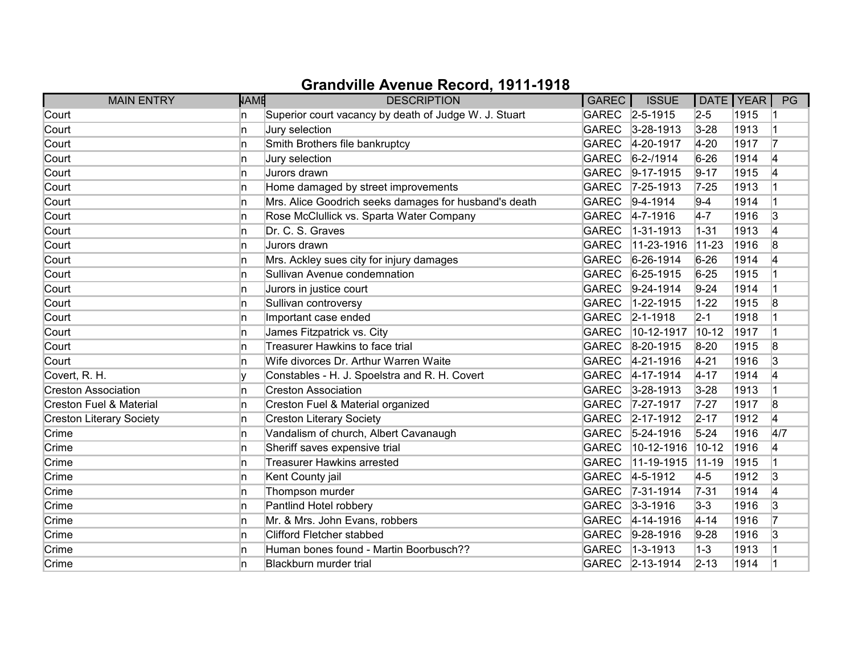| <b>MAIN ENTRY</b>                  | <b>NAME</b> | <b>DESCRIPTION</b>                                    | GAREC        | <b>ISSUE</b>      | DATE   YEAR |      | PG  |
|------------------------------------|-------------|-------------------------------------------------------|--------------|-------------------|-------------|------|-----|
| Court                              | In.         | Superior court vacancy by death of Judge W. J. Stuart |              | GAREC 2-5-1915    | $2 - 5$     | 1915 |     |
| Court                              | 'n          | Jury selection                                        | <b>GAREC</b> | $3 - 28 - 1913$   | $3 - 28$    | 1913 |     |
| Court                              | n           | Smith Brothers file bankruptcy                        | <b>GAREC</b> | 4-20-1917         | $4 - 20$    | 1917 | 17  |
| Court                              | In.         | Jury selection                                        | <b>GAREC</b> | $6 - 2 - 1914$    | $6 - 26$    | 1914 | 4   |
| Court                              | 'n          | Jurors drawn                                          | <b>GAREC</b> | $9-17-1915$       | $9 - 17$    | 1915 | 4   |
| Court                              | 'n          | Home damaged by street improvements                   | <b>GAREC</b> | $7 - 25 - 1913$   | $7 - 25$    | 1913 |     |
| Court                              | In.         | Mrs. Alice Goodrich seeks damages for husband's death | GAREC        | $ 9-4-1914 $      | $9-4$       | 1914 |     |
| Court                              | ln.         | Rose McClullick vs. Sparta Water Company              | <b>GAREC</b> | $4 - 7 - 1916$    | $4-7$       | 1916 | 3   |
| Court                              | ln.         | Dr. C. S. Graves                                      | <b>GAREC</b> | $1 - 31 - 1913$   | $1 - 31$    | 1913 | 4   |
| Court                              | 'n          | Jurors drawn                                          | <b>GAREC</b> | 11-23-1916        | $11 - 23$   | 1916 | 8   |
| Court                              | 'n          | Mrs. Ackley sues city for injury damages              | <b>GAREC</b> | 6-26-1914         | $6 - 26$    | 1914 | 4   |
| Court                              | In.         | Sullivan Avenue condemnation                          | <b>GAREC</b> | $6 - 25 - 1915$   | $6 - 25$    | 1915 |     |
| Court                              | ln.         | Jurors in justice court                               | <b>GAREC</b> | $ 9-24-1914$      | $9 - 24$    | 1914 |     |
| Court                              | ln.         | Sullivan controversy                                  | <b>GAREC</b> | $1 - 22 - 1915$   | $1 - 22$    | 1915 | 8   |
| Court                              | In.         | Important case ended                                  | <b>GAREC</b> | $ 2 - 1 - 1918$   | $2 - 1$     | 1918 |     |
| Court                              | In.         | James Fitzpatrick vs. City                            | <b>GAREC</b> | 10-12-1917        | $10 - 12$   | 1917 |     |
| Court                              | 'n          | <b>Treasurer Hawkins to face trial</b>                | <b>GAREC</b> | $8-20-1915$       | $8 - 20$    | 1915 | 8   |
| Court                              | In.         | Wife divorces Dr. Arthur Warren Waite                 | <b>GAREC</b> | 4-21-1916         | $4 - 21$    | 1916 | 3   |
| Covert, R. H.                      | v           | Constables - H. J. Spoelstra and R. H. Covert         | <b>GAREC</b> | $ 4 - 17 - 1914 $ | $4 - 17$    | 1914 | 4   |
| <b>Creston Association</b>         | ln.         | <b>Creston Association</b>                            | GAREC        | $3 - 28 - 1913$   | $3 - 28$    | 1913 |     |
| <b>Creston Fuel &amp; Material</b> | ln.         | Creston Fuel & Material organized                     | <b>GAREC</b> | 7-27-1917         | $7-27$      | 1917 | 8   |
| <b>Creston Literary Society</b>    | In.         | <b>Creston Literary Society</b>                       | <b>GAREC</b> | $2 - 17 - 1912$   | $2 - 17$    | 1912 | 4   |
| Crime                              | In.         | Vandalism of church, Albert Cavanaugh                 | <b>GAREC</b> | $ 5 - 24 - 1916 $ | $5 - 24$    | 1916 | 4/7 |
| Crime                              | ln.         | Sheriff saves expensive trial                         | <b>GAREC</b> | 10-12-1916        | $10 - 12$   | 1916 | 4   |
| Crime                              | ln.         | <b>Treasurer Hawkins arrested</b>                     | <b>GAREC</b> | 11-19-1915        | $11-19$     | 1915 |     |
| Crime                              | 'n          | Kent County jail                                      | GAREC        | $4 - 5 - 1912$    | $4-5$       | 1912 | 3   |
| Crime                              | 'n          | Thompson murder                                       | <b>GAREC</b> | $ 7-31-1914$      | $7 - 31$    | 1914 | 4   |
| Crime                              | ln.         | Pantlind Hotel robbery                                | GAREC        | $3 - 3 - 1916$    | $3 - 3$     | 1916 | 3   |
| Crime                              | ln.         | Mr. & Mrs. John Evans, robbers                        | <b>GAREC</b> | $ 4 - 14 - 1916 $ | $4 - 14$    | 1916 | 17  |
| Crime                              | 'n          | <b>Clifford Fletcher stabbed</b>                      | GAREC        | $9-28-1916$       | $9 - 28$    | 1916 | 3   |
| Crime                              | n.          | Human bones found - Martin Boorbusch??                | <b>GAREC</b> | $ 1 - 3 - 1913 $  | $1-3$       | 1913 |     |
| Crime                              | n           | Blackburn murder trial                                |              | GAREC 2-13-1914   | $2 - 13$    | 1914 |     |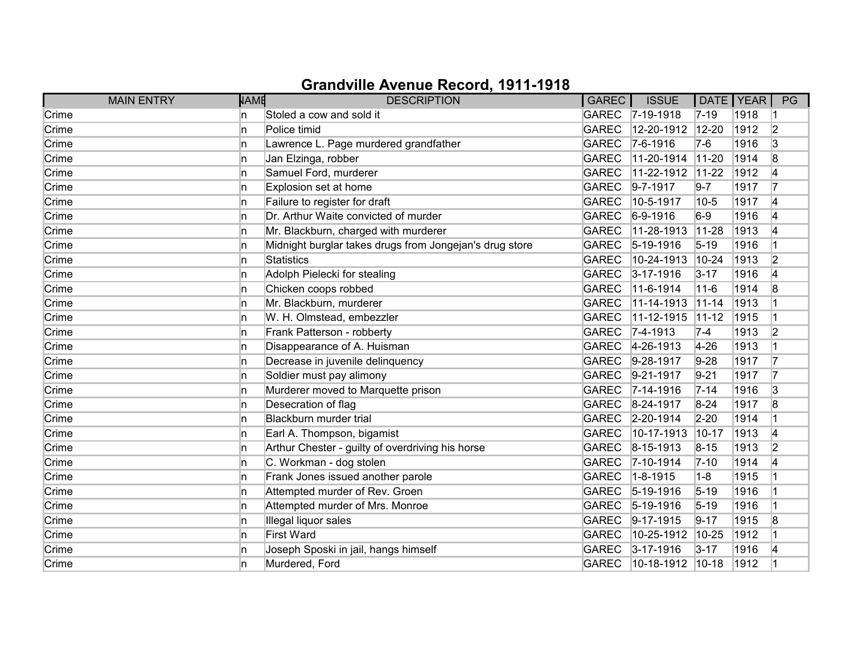|       | <b>MAIN ENTRY</b> | <b>NAME</b> | <b>DESCRIPTION</b>                                      | GAREC        | <b>ISSUE</b>       | DATE   YEAR |      | PG             |
|-------|-------------------|-------------|---------------------------------------------------------|--------------|--------------------|-------------|------|----------------|
| Crime | ln.               |             | Stoled a cow and sold it                                |              | GAREC 7-19-1918    | $7 - 19$    | 1918 |                |
| Crime | ln.               |             | Police timid                                            | <b>GAREC</b> | 12-20-1912         | 12-20       | 1912 | 2              |
| Crime | ln.               |             | Lawrence L. Page murdered grandfather                   | <b>GAREC</b> | $7-6-1916$         | $7-6$       | 1916 | 3              |
| Crime | ln.               |             | Jan Elzinga, robber                                     | <b>GAREC</b> | 11-20-1914         | $11 - 20$   | 1914 | 8              |
| Crime | ln.               |             | Samuel Ford, murderer                                   | <b>GAREC</b> | 11-22-1912         | $11 - 22$   | 1912 | 4              |
| Crime | ln.               |             | Explosion set at home                                   | <b>GAREC</b> | $9 - 7 - 1917$     | $9 - 7$     | 1917 | 17             |
| Crime | ln.               |             | Failure to register for draft                           | <b>GAREC</b> | 10-5-1917          | $10 - 5$    | 1917 | 4              |
| Crime | ln.               |             | Dr. Arthur Waite convicted of murder                    | <b>GAREC</b> | $6-9-1916$         | $6-9$       | 1916 | 4              |
| Crime | ln.               |             | Mr. Blackburn, charged with murderer                    | <b>GAREC</b> | 11-28-1913         | $11-28$     | 1913 | 4              |
| Crime | ln.               |             | Midnight burglar takes drugs from Jongejan's drug store | <b>GAREC</b> | $5-19-1916$        | $5 - 19$    | 1916 |                |
| Crime | ln.               |             | <b>Statistics</b>                                       | <b>GAREC</b> | 10-24-1913         | 10-24       | 1913 | 2              |
| Crime | ln.               |             | Adolph Pielecki for stealing                            | GAREC        | $3 - 17 - 1916$    | $3 - 17$    | 1916 | 4              |
| Crime | ln.               |             | Chicken coops robbed                                    | <b>GAREC</b> | 11-6-1914          | $11 - 6$    | 1914 | 8              |
| Crime | ln.               |             | Mr. Blackburn, murderer                                 | <b>GAREC</b> | 11-14-1913         | $11 - 14$   | 1913 |                |
| Crime | ln.               |             | W. H. Olmstead, embezzler                               | <b>GAREC</b> | 11-12-1915         | $11 - 12$   | 1915 |                |
| Crime | ln.               |             | Frank Patterson - robberty                              | <b>GAREC</b> | $ 7 - 4 - 1913$    | $7-4$       | 1913 | 2              |
| Crime | ln.               |             | Disappearance of A. Huisman                             | <b>GAREC</b> | 4-26-1913          | $4 - 26$    | 1913 |                |
| Crime | ln.               |             | Decrease in juvenile delinquency                        | <b>GAREC</b> | 9-28-1917          | $9 - 28$    | 1917 | 17             |
| Crime | ln.               |             | Soldier must pay alimony                                | <b>GAREC</b> | $ 9-21-1917$       | $9 - 21$    | 1917 | 17             |
| Crime | ln.               |             | Murderer moved to Marquette prison                      | <b>GAREC</b> | $7 - 14 - 1916$    | $7 - 14$    | 1916 | 3              |
| Crime | ln.               |             | Desecration of flag                                     | GAREC        | 8-24-1917          | $8 - 24$    | 1917 | 8              |
| Crime | ln.               |             | Blackburn murder trial                                  | <b>GAREC</b> | $ 2 - 20 - 1914$   | $2 - 20$    | 1914 | $\overline{1}$ |
| Crime | ln.               |             | Earl A. Thompson, bigamist                              | <b>GAREC</b> | 10-17-1913         | $10 - 17$   | 1913 | 4              |
| Crime | ln.               |             | Arthur Chester - guilty of overdriving his horse        | <b>GAREC</b> | $ 8 - 15 - 1913$   | $8 - 15$    | 1913 | 2              |
| Crime | ln.               |             | C. Workman - dog stolen                                 | <b>GAREC</b> | 7-10-1914          | $7 - 10$    | 1914 | 4              |
| Crime | ln.               |             | Frank Jones issued another parole                       | <b>GAREC</b> | $1 - 8 - 1915$     | $1-8$       | 1915 |                |
| Crime | In.               |             | Attempted murder of Rev. Groen                          | <b>GAREC</b> | $5-19-1916$        | $5 - 19$    | 1916 |                |
| Crime | ln.               |             | Attempted murder of Mrs. Monroe                         | <b>GAREC</b> | $ 5 - 19 - 1916$   | $5 - 19$    | 1916 | $\overline{1}$ |
| Crime | ln.               |             | Illegal liquor sales                                    | <b>GAREC</b> | $9-17-1915$        | $9 - 17$    | 1915 | 8              |
| Crime | ln.               |             | <b>First Ward</b>                                       | <b>GAREC</b> | 10-25-1912         | $10 - 25$   | 1912 |                |
| Crime | ln.               |             | Joseph Sposki in jail, hangs himself                    | <b>GAREC</b> | $3 - 17 - 1916$    | $3 - 17$    | 1916 | 4              |
| Crime | ln.               |             | Murdered, Ford                                          | <b>GAREC</b> | $10-18-1912$ 10-18 |             | 1912 |                |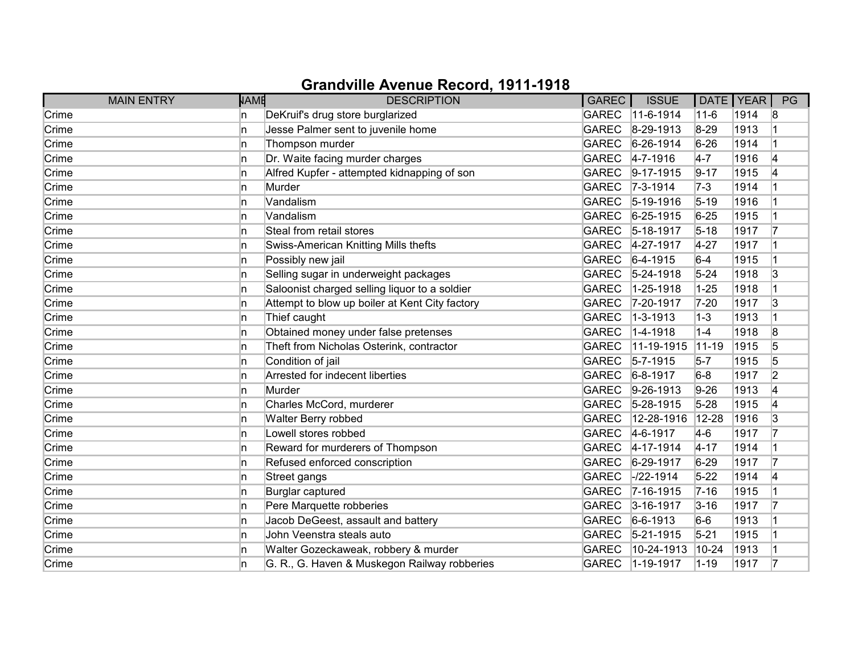| <b>MAIN ENTRY</b> | <b>NAME</b> | <b>DESCRIPTION</b>                             | <b>GAREC</b> | <b>ISSUE</b>     |           | DATE   YEAR | PG             |
|-------------------|-------------|------------------------------------------------|--------------|------------------|-----------|-------------|----------------|
| Crime             | In.         | DeKruif's drug store burglarized               | GAREC        | $11-6-1914$      | $11 - 6$  | 1914        | 8              |
| Crime             | 'n          | Jesse Palmer sent to juvenile home             | <b>GAREC</b> | $ 8-29-1913 $    | $8-29$    | 1913        |                |
| Crime             | 'n          | Thompson murder                                | <b>GAREC</b> | $6-26-1914$      | $6 - 26$  | 1914        |                |
| Crime             | 'n          | Dr. Waite facing murder charges                | GAREC        | $ 4 - 7 - 1916 $ | $4-7$     | 1916        | 14             |
| Crime             | 'n          | Alfred Kupfer - attempted kidnapping of son    | GAREC        | $9-17-1915$      | $9 - 17$  | 1915        | 4              |
| Crime             | ln.         | Murder                                         | <b>GAREC</b> | $ 7-3-1914 $     | $7-3$     | 1914        |                |
| Crime             | n           | Vandalism                                      | <b>GAREC</b> | $5-19-1916$      | $5 - 19$  | 1916        |                |
| Crime             | n.          | Vandalism                                      |              | GAREC 6-25-1915  | $6 - 25$  | 1915        |                |
| Crime             | 'n          | Steal from retail stores                       | <b>GAREC</b> | $5-18-1917$      | $5 - 18$  | 1917        |                |
| Crime             | 'n          | Swiss-American Knitting Mills thefts           | GAREC        | 4-27-1917        | $4 - 27$  | 1917        |                |
| Crime             | n           | Possibly new jail                              | GAREC        | $ 6-4-1915$      | $6-4$     | 1915        |                |
| Crime             | 'n          | Selling sugar in underweight packages          | <b>GAREC</b> | $5 - 24 - 1918$  | $5 - 24$  | 1918        | 3              |
| Crime             | ln.         | Saloonist charged selling liquor to a soldier  | <b>GAREC</b> | 1-25-1918        | $1 - 25$  | 1918        |                |
| Crime             | 'n          | Attempt to blow up boiler at Kent City factory | <b>GAREC</b> | 7-20-1917        | $7 - 20$  | 1917        | 3              |
| Crime             | 'n          | Thief caught                                   | <b>GAREC</b> | $ 1 - 3 - 1913 $ | $1-3$     | 1913        |                |
| Crime             | 'n          | Obtained money under false pretenses           | <b>GAREC</b> | 1-4-1918         | $1-4$     | 1918        | 8              |
| Crime             | ln.         | Theft from Nicholas Osterink, contractor       | <b>GAREC</b> | 11-19-1915       | $11-19$   | 1915        | 5              |
| Crime             | 'n          | Condition of jail                              | <b>GAREC</b> | $5 - 7 - 1915$   | $5-7$     | 1915        | 5              |
| Crime             | 'n          | Arrested for indecent liberties                | <b>GAREC</b> | $6 - 8 - 1917$   | $6-8$     | 1917        | $\overline{2}$ |
| Crime             | ln.         | Murder                                         | GAREC        | $9-26-1913$      | $9 - 26$  | 1913        | 4              |
| Crime             | ln.         | Charles McCord, murderer                       | <b>GAREC</b> | $5 - 28 - 1915$  | $5 - 28$  | 1915        | 14             |
| Crime             | 'n          | Walter Berry robbed                            | <b>GAREC</b> | 12-28-1916       | $12 - 28$ | 1916        | 3              |
| Crime             | n           | Lowell stores robbed                           | GAREC        | $4-6-1917$       | $ 4-6 $   | 1917        |                |
| Crime             | 'n          | Reward for murderers of Thompson               |              | GAREC 4-17-1914  | $4 - 17$  | 1914        |                |
| Crime             | 'n          | Refused enforced conscription                  | GAREC        | $6 - 29 - 1917$  | $6 - 29$  | 1917        |                |
| Crime             | n           | Street gangs                                   | <b>GAREC</b> | $-122 - 1914$    | $5 - 22$  | 1914        | 14             |
| Crime             | In.         | Burglar captured                               | <b>GAREC</b> | $ 7 - 16 - 1915$ | $7 - 16$  | 1915        |                |
| Crime             | 'n          | Pere Marquette robberies                       | GAREC        | $3 - 16 - 1917$  | $3 - 16$  | 1917        | 17             |
| Crime             | n           | Jacob DeGeest, assault and battery             | <b>GAREC</b> | $6-6-1913$       | $6-6$     | 1913        |                |
| Crime             | 'n          | John Veenstra steals auto                      | <b>GAREC</b> | $5 - 21 - 1915$  | $5 - 21$  | 1915        |                |
| Crime             | 'n          | Walter Gozeckaweak, robbery & murder           | <b>GAREC</b> | 10-24-1913       | $10 - 24$ | 1913        |                |
| Crime             | n           | G. R., G. Haven & Muskegon Railway robberies   | GAREC        | $1 - 19 - 1917$  | $1 - 19$  | 1917        | 17             |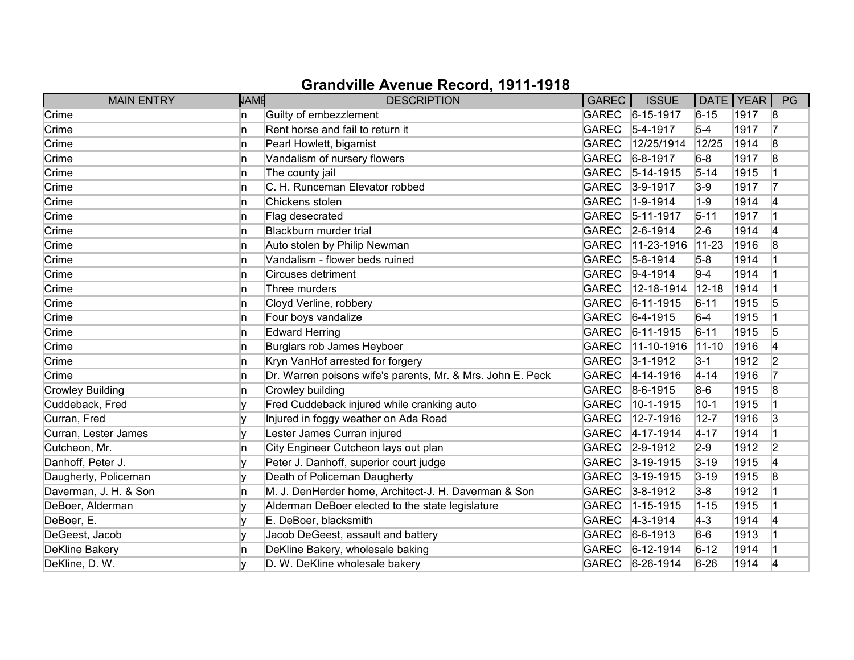| <b>MAIN ENTRY</b>       | <b>NAME</b> | <b>DESCRIPTION</b>                                         | GAREC        | <b>ISSUE</b>      | DATE   YEAR |      | PG |
|-------------------------|-------------|------------------------------------------------------------|--------------|-------------------|-------------|------|----|
| Crime                   | In.         | Guilty of embezzlement                                     |              | GAREC 6-15-1917   | $6 - 15$    | 1917 | 8  |
| Crime                   | 'n          | Rent horse and fail to return it                           | GAREC        | $5-4-1917$        | $5-4$       | 1917 | 17 |
| Crime                   | 'n          | Pearl Howlett, bigamist                                    | <b>GAREC</b> | 12/25/1914        | 12/25       | 1914 | 8  |
| Crime                   | 'n          | Vandalism of nursery flowers                               | GAREC        | $6 - 8 - 1917$    | $6-8$       | 1917 | 8  |
| Crime                   | ln.         | The county jail                                            | GAREC        | $5-14-1915$       | $5 - 14$    | 1915 |    |
| Crime                   | ln.         | C. H. Runceman Elevator robbed                             | <b>GAREC</b> | $3-9-1917$        | $3-9$       | 1917 | 17 |
| Crime                   | In.         | Chickens stolen                                            | <b>GAREC</b> | $1-9-1914$        | $1-9$       | 1914 | 14 |
| Crime                   | In.         | Flag desecrated                                            |              | GAREC 5-11-1917   | $5 - 11$    | 1917 |    |
| Crime                   | 'n          | Blackburn murder trial                                     |              | GAREC 2-6-1914    | $2-6$       | 1914 | 4  |
| Crime                   | 'n          | Auto stolen by Philip Newman                               | <b>GAREC</b> | $11 - 23 - 1916$  | $11 - 23$   | 1916 | 8  |
| Crime                   | 'n          | Vandalism - flower beds ruined                             |              | GAREC 5-8-1914    | $5-8$       | 1914 |    |
| Crime                   | n.          | <b>Circuses detriment</b>                                  | GAREC        | $ 9-4-1914 $      | $9-4$       | 1914 |    |
| Crime                   | In.         | Three murders                                              | <b>GAREC</b> | 12-18-1914        | $12 - 18$   | 1914 |    |
| Crime                   | 'n          | Cloyd Verline, robbery                                     | <b>GAREC</b> | $6 - 11 - 1915$   | $6 - 11$    | 1915 | 5  |
| Crime                   | 'n          | Four boys vandalize                                        |              | GAREC 6-4-1915    | $6-4$       | 1915 |    |
| Crime                   | n.          | <b>Edward Herring</b>                                      |              | GAREC 6-11-1915   | $6 - 11$    | 1915 | 5  |
| Crime                   | 'n          | Burglars rob James Heyboer                                 | <b>GAREC</b> | $11-10-1916$      | $11-10$     | 1916 | 4  |
| Crime                   | 'n          | Kryn VanHof arrested for forgery                           | GAREC        | $3 - 1 - 1912$    | $3-1$       | 1912 | 2  |
| Crime                   | n           | Dr. Warren poisons wife's parents, Mr. & Mrs. John E. Peck | GAREC        | $ 4 - 14 - 1916 $ | $4 - 14$    | 1916 |    |
| <b>Crowley Building</b> | 'n          | Crowley building                                           | <b>GAREC</b> | 8-6-1915          | $8-6$       | 1915 | 8  |
| Cuddeback, Fred         | I۷          | Fred Cuddeback injured while cranking auto                 | <b>GAREC</b> | 10-1-1915         | $10 - 1$    | 1915 |    |
| Curran, Fred            | I۷          | Injured in foggy weather on Ada Road                       | <b>GAREC</b> | 12-7-1916         | $12 - 7$    | 1916 | 3  |
| Curran, Lester James    |             | Lester James Curran injured                                | <b>GAREC</b> | $4 - 17 - 1914$   | $4 - 17$    | 1914 |    |
| Cutcheon, Mr.           | 'n          | City Engineer Cutcheon lays out plan                       |              | GAREC 2-9-1912    | $2-9$       | 1912 | 2  |
| Danhoff, Peter J.       | v           | Peter J. Danhoff, superior court judge                     | GAREC        | $3 - 19 - 1915$   | $3 - 19$    | 1915 | 4  |
| Daugherty, Policeman    |             | Death of Policeman Daugherty                               | <b>GAREC</b> | $3 - 19 - 1915$   | $3 - 19$    | 1915 | 8  |
| Daverman, J. H. & Son   | n           | M. J. DenHerder home, Architect-J. H. Daverman & Son       | GAREC        | $3 - 8 - 1912$    | $3-8$       | 1912 |    |
| DeBoer, Alderman        |             | Alderman DeBoer elected to the state legislature           | <b>GAREC</b> | 1-15-1915         | $1 - 15$    | 1915 |    |
| DeBoer, E.              | V           | E. DeBoer, blacksmith                                      | <b>GAREC</b> | $ 4-3-1914 $      | $ 4-3 $     | 1914 | 4  |
| DeGeest, Jacob          |             | Jacob DeGeest, assault and battery                         | <b>GAREC</b> | $6-6-1913$        | $6-6$       | 1913 |    |
| <b>DeKline Bakery</b>   | n           | DeKline Bakery, wholesale baking                           | <b>GAREC</b> | $6-12-1914$       | $6 - 12$    | 1914 |    |
| DeKline, D. W.          |             | D. W. DeKline wholesale bakery                             |              | GAREC 6-26-1914   | $6 - 26$    | 1914 | 4  |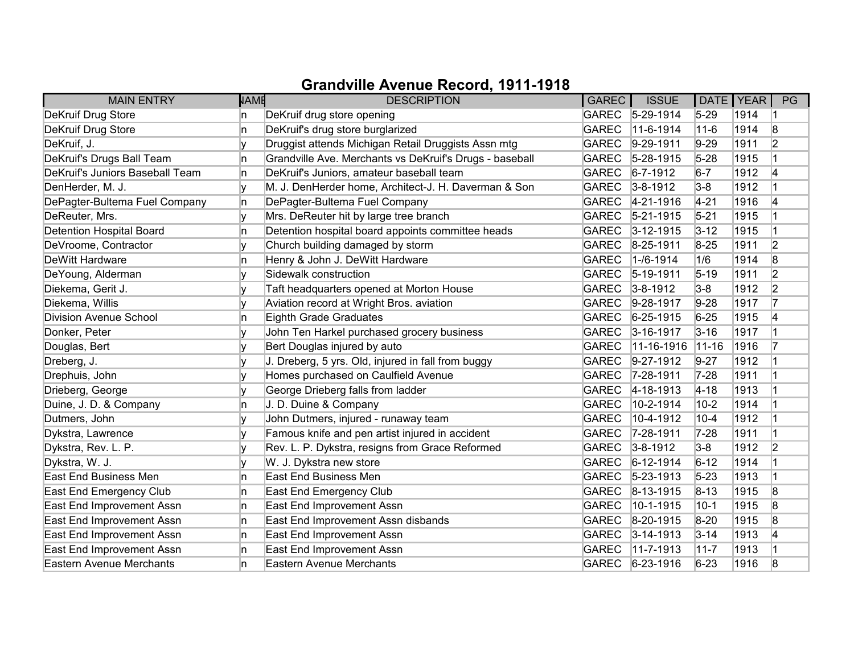| <b>MAIN ENTRY</b>               | <b>NAME</b> | <b>DESCRIPTION</b>                                      | GAREC        | <b>ISSUE</b>       | DATE   YEAR |      | PG             |
|---------------------------------|-------------|---------------------------------------------------------|--------------|--------------------|-------------|------|----------------|
| DeKruif Drug Store              | n           | DeKruif drug store opening                              |              | GAREC 5-29-1914    | $5 - 29$    | 1914 |                |
| DeKruif Drug Store              | n.          | DeKruif's drug store burglarized                        | <b>GAREC</b> | $ 11-6-1914 $      | $11 - 6$    | 1914 | 8              |
| DeKruif, J.                     |             | Druggist attends Michigan Retail Druggists Assn mtg     | <b>GAREC</b> | $9-29-1911$        | $9-29$      | 1911 | 2              |
| DeKruif's Drugs Ball Team       | n           | Grandville Ave. Merchants vs DeKruif's Drugs - baseball | <b>GAREC</b> | $5 - 28 - 1915$    | $5 - 28$    | 1915 |                |
| DeKruif's Juniors Baseball Team | n.          | DeKruif's Juniors, amateur baseball team                | <b>GAREC</b> | $ 6 - 7 - 1912 $   | $6-7$       | 1912 | 4              |
| DenHerder, M. J.                |             | M. J. DenHerder home, Architect-J. H. Daverman & Son    | <b>GAREC</b> | $3 - 8 - 1912$     | $3-8$       | 1912 |                |
| DePagter-Bultema Fuel Company   | n.          | DePagter-Bultema Fuel Company                           |              | GAREC 4-21-1916    | $4 - 21$    | 1916 | 4              |
| DeReuter, Mrs.                  |             | Mrs. DeReuter hit by large tree branch                  |              | GAREC 5-21-1915    | $5 - 21$    | 1915 |                |
| Detention Hospital Board        | In.         | Detention hospital board appoints committee heads       | <b>GAREC</b> | $3 - 12 - 1915$    | $3 - 12$    | 1915 |                |
| DeVroome, Contractor            | v           | Church building damaged by storm                        | <b>GAREC</b> | $8-25-1911$        | $8 - 25$    | 1911 | 2              |
| DeWitt Hardware                 | n           | Henry & John J. DeWitt Hardware                         | <b>GAREC</b> | $1 - 16 - 1914$    | 1/6         | 1914 | 8              |
| DeYoung, Alderman               |             | Sidewalk construction                                   | <b>GAREC</b> | $ 5 - 19 - 1911$   | $5 - 19$    | 1911 | 2              |
| Diekema, Gerit J.               |             | Taft headquarters opened at Morton House                | <b>GAREC</b> | $3 - 8 - 1912$     | $3-8$       | 1912 | $\overline{2}$ |
| Diekema, Willis                 |             | Aviation record at Wright Bros. aviation                | <b>GAREC</b> | $9-28-1917$        | $9-28$      | 1917 | 17             |
| <b>Division Avenue School</b>   | n           | Eighth Grade Graduates                                  | <b>GAREC</b> | $6 - 25 - 1915$    | $6 - 25$    | 1915 | 4              |
| Donker, Peter                   |             | John Ten Harkel purchased grocery business              | <b>GAREC</b> | $3 - 16 - 1917$    | $3 - 16$    | 1917 |                |
| Douglas, Bert                   |             | Bert Douglas injured by auto                            | <b>GAREC</b> | $ 11 - 16 - 1916 $ | $ 11 - 16$  | 1916 |                |
| Dreberg, J.                     |             | J. Dreberg, 5 yrs. Old, injured in fall from buggy      | <b>GAREC</b> | $9-27-1912$        | $9 - 27$    | 1912 |                |
| Drephuis, John                  |             | Homes purchased on Caulfield Avenue                     | <b>GAREC</b> | $ 7 - 28 - 1911$   | $7-28$      | 1911 |                |
| Drieberg, George                |             | George Drieberg falls from ladder                       | <b>GAREC</b> | $ 4 - 18 - 1913 $  | $4 - 18$    | 1913 |                |
| Duine, J. D. & Company          | In.         | J. D. Duine & Company                                   | <b>GAREC</b> | 10-2-1914          | $10-2$      | 1914 |                |
| Dutmers, John                   |             | John Dutmers, injured - runaway team                    | <b>GAREC</b> | 10-4-1912          | $10 - 4$    | 1912 |                |
| Dykstra, Lawrence               | V           | Famous knife and pen artist injured in accident         | GAREC        | $7 - 28 - 1911$    | $7 - 28$    | 1911 |                |
| Dykstra, Rev. L. P.             |             | Rev. L. P. Dykstra, resigns from Grace Reformed         | <b>GAREC</b> | $3 - 8 - 1912$     | $3-8$       | 1912 | $\overline{2}$ |
| Dykstra, W. J.                  |             | W. J. Dykstra new store                                 | <b>GAREC</b> | $6-12-1914$        | $6 - 12$    | 1914 |                |
| <b>East End Business Men</b>    | n           | <b>East End Business Men</b>                            | <b>GAREC</b> | $ 5-23-1913 $      | $5 - 23$    | 1913 |                |
| East End Emergency Club         | n           | East End Emergency Club                                 | <b>GAREC</b> | $ 8-13-1915$       | $8 - 13$    | 1915 | 8              |
| East End Improvement Assn       | In.         | East End Improvement Assn                               | <b>GAREC</b> | 10-1-1915          | $10-1$      | 1915 | 8              |
| East End Improvement Assn       | n.          | East End Improvement Assn disbands                      | <b>GAREC</b> | $ 8-20-1915 $      | $8-20$      | 1915 | 8              |
| East End Improvement Assn       | n.          | East End Improvement Assn                               | <b>GAREC</b> | $3 - 14 - 1913$    | $3 - 14$    | 1913 | 4              |
| East End Improvement Assn       | n           | East End Improvement Assn                               | <b>GAREC</b> | $11-7-1913$        | $11 - 7$    | 1913 |                |
| <b>Eastern Avenue Merchants</b> | n           | Eastern Avenue Merchants                                | <b>GAREC</b> | $6 - 23 - 1916$    | $6 - 23$    | 1916 | 8              |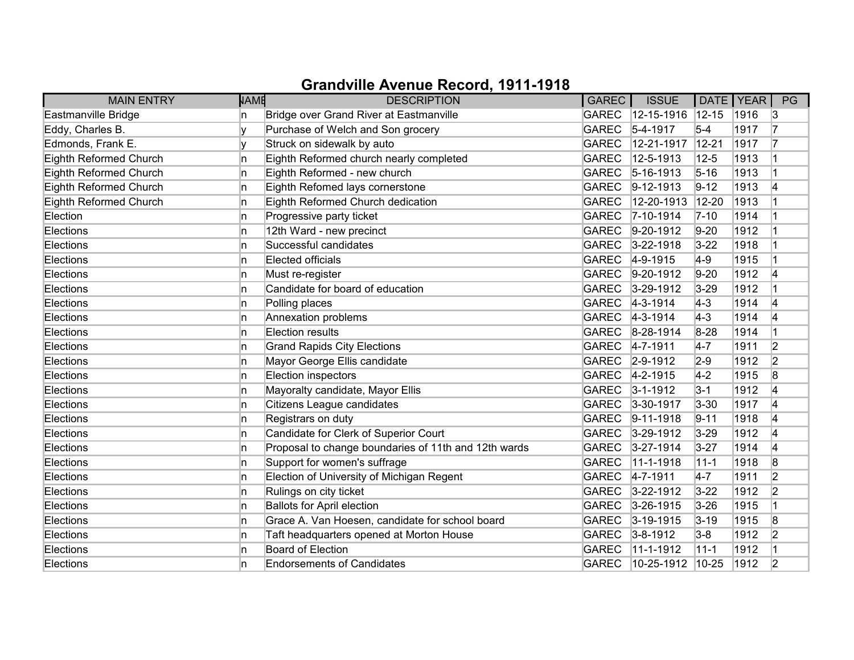| <b>MAIN ENTRY</b>      | <b>NAME</b> | <b>DESCRIPTION</b>                                   | <b>GAREC</b> | <b>ISSUE</b>        | DATE   YEAR |      | PG             |
|------------------------|-------------|------------------------------------------------------|--------------|---------------------|-------------|------|----------------|
| Eastmanville Bridge    | In.         | Bridge over Grand River at Eastmanville              | <b>GAREC</b> | $\sqrt{12-15-1916}$ | $12 - 15$   | 1916 | 3              |
| Eddy, Charles B.       | Iv          | Purchase of Welch and Son grocery                    | <b>GAREC</b> | $5-4-1917$          | $5-4$       | 1917 | 17             |
| Edmonds, Frank E.      |             | Struck on sidewalk by auto                           | <b>GAREC</b> | 12-21-1917          | $12 - 21$   | 1917 | 17             |
| Eighth Reformed Church | ln.         | Eighth Reformed church nearly completed              | <b>GAREC</b> | 12-5-1913           | $12 - 5$    | 1913 |                |
| Eighth Reformed Church | ln.         | Eighth Reformed - new church                         | <b>GAREC</b> | $5 - 16 - 1913$     | $5 - 16$    | 1913 | $\overline{1}$ |
| Eighth Reformed Church | ln.         | Eighth Refomed lays cornerstone                      | <b>GAREC</b> | $ 9-12-1913$        | $9 - 12$    | 1913 | 4              |
| Eighth Reformed Church | ln.         | Eighth Reformed Church dedication                    | <b>GAREC</b> | 12-20-1913          | $12 - 20$   | 1913 |                |
| Election               | ln.         | Progressive party ticket                             | <b>GAREC</b> | 7-10-1914           | $7 - 10$    | 1914 |                |
| Elections              | ln.         | 12th Ward - new precinct                             | <b>GAREC</b> | $9-20-1912$         | $9 - 20$    | 1912 |                |
| Elections              | ln.         | Successful candidates                                | <b>GAREC</b> | $3 - 22 - 1918$     | $3 - 22$    | 1918 |                |
| Elections              | ln.         | Elected officials                                    | <b>GAREC</b> | $ 4 - 9 - 1915 $    | $4-9$       | 1915 |                |
| Elections              | ln.         | Must re-register                                     | <b>GAREC</b> | $ 9-20-1912$        | $9 - 20$    | 1912 | 4              |
| Elections              | ln.         | Candidate for board of education                     | <b>GAREC</b> | $3 - 29 - 1912$     | $3 - 29$    | 1912 | $\overline{1}$ |
| Elections              | ln.         | Polling places                                       | <b>GAREC</b> | $4 - 3 - 1914$      | $ 4-3 $     | 1914 | 4              |
| Elections              | ln.         | Annexation problems                                  | GAREC        | $ 4-3-1914 $        | $4-3$       | 1914 | 4              |
| Elections              | ln.         | <b>Election results</b>                              |              | GAREC 8-28-1914     | $8 - 28$    | 1914 |                |
| Elections              | ln.         | <b>Grand Rapids City Elections</b>                   | GAREC        | $4 - 7 - 1911$      | $4-7$       | 1911 | 2              |
| Elections              | ln.         | Mayor George Ellis candidate                         | <b>GAREC</b> | $2 - 9 - 1912$      | $2 - 9$     | 1912 | $\overline{2}$ |
| Elections              | ln.         | Election inspectors                                  | GAREC        | $4 - 2 - 1915$      | $4-2$       | 1915 | 8              |
| Elections              | ln.         | Mayoralty candidate, Mayor Ellis                     | GAREC        | $3 - 1 - 1912$      | $3 - 1$     | 1912 | 4              |
| Elections              | ln.         | Citizens League candidates                           | <b>GAREC</b> | $3 - 30 - 1917$     | $3 - 30$    | 1917 | 4              |
| Elections              | ln.         | Registrars on duty                                   | GAREC        | $ 9-11-1918$        | $9 - 11$    | 1918 | 4              |
| Elections              | ln.         | Candidate for Clerk of Superior Court                | GAREC        | $3 - 29 - 1912$     | $3 - 29$    | 1912 | 4              |
| Elections              | ln.         | Proposal to change boundaries of 11th and 12th wards | <b>GAREC</b> | $3 - 27 - 1914$     | $3 - 27$    | 1914 | 4              |
| Elections              | ln.         | Support for women's suffrage                         | <b>GAREC</b> | 11-1-1918           | $11 - 1$    | 1918 | 8              |
| Elections              | ln.         | Election of University of Michigan Regent            | GAREC        | $4 - 7 - 1911$      | $4 - 7$     | 1911 | 2              |
| Elections              | ln.         | Rulings on city ticket                               | <b>GAREC</b> | $3 - 22 - 1912$     | $3 - 22$    | 1912 | 2              |
| Elections              | ln.         | <b>Ballots for April election</b>                    | <b>GAREC</b> | $3 - 26 - 1915$     | $3 - 26$    | 1915 | $\overline{1}$ |
| Elections              | ln.         | Grace A. Van Hoesen, candidate for school board      | <b>GAREC</b> | $3-19-1915$         | $3 - 19$    | 1915 | 8              |
| Elections              | ln.         | Taft headquarters opened at Morton House             |              | GAREC 3-8-1912      | $3-8$       | 1912 | 2              |
| Elections              | ln.         | Board of Election                                    | <b>GAREC</b> | 11-1-1912           | $11 - 1$    | 1912 |                |
| Elections              | ln.         | <b>Endorsements of Candidates</b>                    | <b>GAREC</b> | $10-25-1912$        | $ 10 - 25 $ | 1912 | 2              |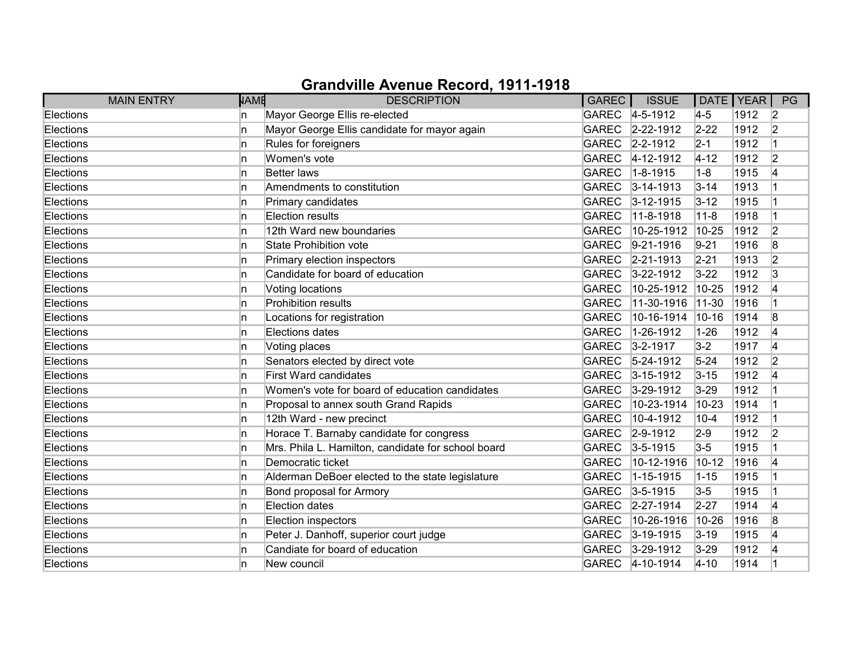| <b>MAIN ENTRY</b> | <b>NAME</b> | <b>DESCRIPTION</b>                                 | GAREC        | <b>ISSUE</b>      | DATE   YEAR |      | PG                   |
|-------------------|-------------|----------------------------------------------------|--------------|-------------------|-------------|------|----------------------|
| Elections         | n           | Mayor George Ellis re-elected                      |              | GAREC 4-5-1912    | $4-5$       | 1912 | $\vert$ 2            |
| Elections         | In.         | Mayor George Ellis candidate for mayor again       | <b>GAREC</b> | $2 - 22 - 1912$   | $2 - 22$    | 1912 | $\vert$ <sub>2</sub> |
| Elections         | n           | Rules for foreigners                               | <b>GAREC</b> | $2 - 2 - 1912$    | $2 - 1$     | 1912 | 1                    |
| Elections         | n           | Women's vote                                       | <b>GAREC</b> | $4 - 12 - 1912$   | $ 4 - 12 $  | 1912 | $\overline{2}$       |
| Elections         | n           | <b>Better laws</b>                                 | <b>GAREC</b> | $1 - 8 - 1915$    | $1 - 8$     | 1915 | 4                    |
| Elections         | In.         | Amendments to constitution                         | <b>GAREC</b> | $3 - 14 - 1913$   | $3 - 14$    | 1913 |                      |
| Elections         | n           | Primary candidates                                 |              | GAREC 3-12-1915   | $3 - 12$    | 1915 |                      |
| Elections         | n           | Election results                                   | <b>GAREC</b> | 11-8-1918         | $11 - 8$    | 1918 |                      |
| Elections         | n           | 12th Ward new boundaries                           | <b>GAREC</b> | 10-25-1912        | 10-25       | 1912 | 2                    |
| Elections         | n           | <b>State Prohibition vote</b>                      | <b>GAREC</b> | $9-21-1916$       | $9 - 21$    | 1916 | 8                    |
| Elections         | n           | Primary election inspectors                        | <b>GAREC</b> | $ 2 - 21 - 1913 $ | $2 - 21$    | 1913 | $\overline{2}$       |
| Elections         | n           | Candidate for board of education                   | <b>GAREC</b> | $3 - 22 - 1912$   | $3 - 22$    | 1912 | 3                    |
| Elections         | n.          | Voting locations                                   | <b>GAREC</b> | 10-25-1912        | $10-25$     | 1912 | 14                   |
| Elections         | n.          | Prohibition results                                | <b>GAREC</b> | 11-30-1916        | $11-30$     | 1916 |                      |
| Elections         | n.          | Locations for registration                         | <b>GAREC</b> | 10-16-1914        | $10 - 16$   | 1914 | 8                    |
| Elections         | n           | Elections dates                                    | <b>GAREC</b> | 1-26-1912         | $1 - 26$    | 1912 | 14                   |
| Elections         | n.          | Voting places                                      | <b>GAREC</b> | $3 - 2 - 1917$    | $3-2$       | 1917 | 4                    |
| Elections         | n           | Senators elected by direct vote                    | <b>GAREC</b> | $5 - 24 - 1912$   | $5 - 24$    | 1912 | 2                    |
| Elections         | In.         | <b>First Ward candidates</b>                       | <b>GAREC</b> | $ 3 - 15 - 1912 $ | $3 - 15$    | 1912 | 14                   |
| Elections         | n           | Women's vote for board of education candidates     | <b>GAREC</b> | $3 - 29 - 1912$   | $3 - 29$    | 1912 |                      |
| Elections         | n.          | Proposal to annex south Grand Rapids               | <b>GAREC</b> | 10-23-1914        | 10-23       | 1914 |                      |
| Elections         | n           | 12th Ward - new precinct                           | <b>GAREC</b> | 10-4-1912         | $10 - 4$    | 1912 |                      |
| Elections         | n           | Horace T. Barnaby candidate for congress           | <b>GAREC</b> | $2 - 9 - 1912$    | $2-9$       | 1912 | $\overline{2}$       |
| Elections         | n           | Mrs. Phila L. Hamilton, candidate for school board |              | GAREC 3-5-1915    | $3-5$       | 1915 |                      |
| Elections         | In.         | Democratic ticket                                  | <b>GAREC</b> | 10-12-1916        | $10 - 12$   | 1916 | 14                   |
| Elections         | n           | Alderman DeBoer elected to the state legislature   | <b>GAREC</b> | 1-15-1915         | $ 1 - 15 $  | 1915 |                      |
| Elections         | n           | Bond proposal for Armory                           | <b>GAREC</b> | $3 - 5 - 1915$    | $3-5$       | 1915 |                      |
| Elections         | In.         | Election dates                                     | <b>GAREC</b> | $2 - 27 - 1914$   | $2 - 27$    | 1914 | 4                    |
| Elections         | n.          | Election inspectors                                | <b>GAREC</b> | 10-26-1916        | $ 10 - 26$  | 1916 | 8                    |
| Elections         | In.         | Peter J. Danhoff, superior court judge             | <b>GAREC</b> | $3 - 19 - 1915$   | $3 - 19$    | 1915 | 14                   |
| Elections         | n           | Candiate for board of education                    | <b>GAREC</b> | $3 - 29 - 1912$   | $3-29$      | 1912 | 14                   |
| Elections         | n           | New council                                        |              | GAREC 4-10-1914   | $4 - 10$    | 1914 |                      |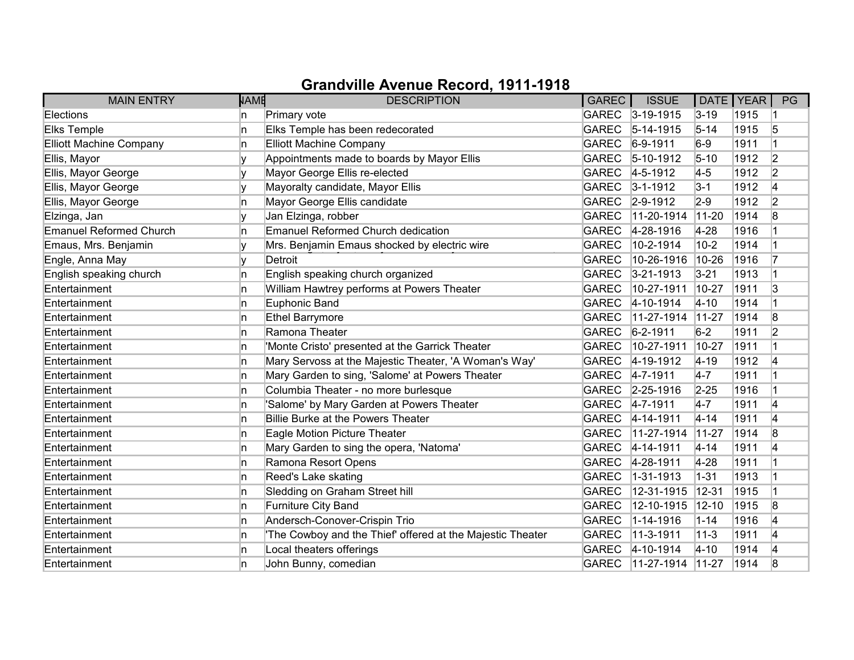| <b>MAIN ENTRY</b>              | <b>NAME</b> | <b>DESCRIPTION</b>                                         | GAREC        | <b>ISSUE</b>      | DATE   YEAR |      | PG             |
|--------------------------------|-------------|------------------------------------------------------------|--------------|-------------------|-------------|------|----------------|
| Elections                      | n.          | Primary vote                                               |              | GAREC 3-19-1915   | $3 - 19$    | 1915 |                |
| Elks Temple                    | n           | Elks Temple has been redecorated                           | <b>GAREC</b> | $5-14-1915$       | $5 - 14$    | 1915 | 5              |
| <b>Elliott Machine Company</b> | n           | <b>Elliott Machine Company</b>                             | <b>GAREC</b> | $6-9-1911$        | $6-9$       | 1911 |                |
| Ellis, Mayor                   |             | Appointments made to boards by Mayor Ellis                 | <b>GAREC</b> | $5-10-1912$       | $5 - 10$    | 1912 | 2              |
| Ellis, Mayor George            | v           | Mayor George Ellis re-elected                              | <b>GAREC</b> | $4 - 5 - 1912$    | $4-5$       | 1912 | 2              |
| Ellis, Mayor George            | v           | Mayoralty candidate, Mayor Ellis                           | <b>GAREC</b> | $3 - 1 - 1912$    | $3-1$       | 1912 | 4              |
| Ellis, Mayor George            | n           | Mayor George Ellis candidate                               | <b>GAREC</b> | $2 - 9 - 1912$    | $2-9$       | 1912 | $\overline{2}$ |
| Elzinga, Jan                   | v           | Jan Elzinga, robber                                        | <b>GAREC</b> | 11-20-1914        | $11-20$     | 1914 | 8              |
| <b>Emanuel Reformed Church</b> | n           | Emanuel Reformed Church dedication                         | <b>GAREC</b> | 4-28-1916         | $4-28$      | 1916 |                |
| Emaus, Mrs. Benjamin           |             | Mrs. Benjamin Emaus shocked by electric wire               | <b>GAREC</b> | 10-2-1914         | $10-2$      | 1914 |                |
| Engle, Anna May                |             | Detroit                                                    | <b>GAREC</b> | 10-26-1916        | 10-26       | 1916 |                |
| English speaking church        | n           | English speaking church organized                          | <b>GAREC</b> | $3 - 21 - 1913$   | $3 - 21$    | 1913 |                |
| Entertainment                  | n           | William Hawtrey performs at Powers Theater                 | <b>GAREC</b> | 10-27-1911        | 10-27       | 1911 | 3              |
| Entertainment                  | n           | Euphonic Band                                              | <b>GAREC</b> | $4 - 10 - 1914$   | $4 - 10$    | 1914 |                |
| Entertainment                  | n           | Ethel Barrymore                                            | <b>GAREC</b> | 11-27-1914        | $11-27$     | 1914 | 8              |
| Entertainment                  | n           | Ramona Theater                                             | <b>GAREC</b> | $6 - 2 - 1911$    | $6-2$       | 1911 | $\overline{2}$ |
| Entertainment                  | n           | 'Monte Cristo' presented at the Garrick Theater            | <b>GAREC</b> | 10-27-1911        | $10-27$     | 1911 |                |
| Entertainment                  | n           | Mary Servoss at the Majestic Theater, 'A Woman's Way'      | <b>GAREC</b> | $ 4 - 19 - 1912 $ | $ 4 - 19 $  | 1912 | 4              |
| Entertainment                  | n           | Mary Garden to sing, 'Salome' at Powers Theater            | <b>GAREC</b> | $4 - 7 - 1911$    | $4-7$       | 1911 |                |
| Entertainment                  | n           | Columbia Theater - no more burlesque                       |              | GAREC 2-25-1916   | $2 - 25$    | 1916 | 1              |
| Entertainment                  | In.         | 'Salome' by Mary Garden at Powers Theater                  | <b>GAREC</b> | $4 - 7 - 1911$    | $4-7$       | 1911 | 4              |
| Entertainment                  | n           | Billie Burke at the Powers Theater                         | <b>GAREC</b> | 4-14-1911         | $4 - 14$    | 1911 | 4              |
| Entertainment                  | In.         | Eagle Motion Picture Theater                               | <b>GAREC</b> | $11-27-1914$      | $11-27$     | 1914 | 8              |
| Entertainment                  | 'n          | Mary Garden to sing the opera, 'Natoma'                    | <b>GAREC</b> | 4-14-1911         | $4 - 14$    | 1911 | 4              |
| Entertainment                  | 'n          | Ramona Resort Opens                                        | <b>GAREC</b> | $4 - 28 - 1911$   | $4-28$      | 1911 |                |
| Entertainment                  | n           | Reed's Lake skating                                        | <b>GAREC</b> | 1-31-1913         | $1 - 31$    | 1913 |                |
| Entertainment                  | n           | Sledding on Graham Street hill                             | <b>GAREC</b> | 12-31-1915        | $12 - 31$   | 1915 |                |
| Entertainment                  | In.         | Furniture City Band                                        | <b>GAREC</b> | 12-10-1915        | $ 12 - 10 $ | 1915 | 8              |
| Entertainment                  | 'n          | Andersch-Conover-Crispin Trio                              | <b>GAREC</b> | 1-14-1916         | $1 - 14$    | 1916 | 4              |
| Entertainment                  | 'n          | 'The Cowboy and the Thief' offered at the Majestic Theater | <b>GAREC</b> | 11-3-1911         | $11 - 3$    | 1911 | 4              |
| Entertainment                  | 'n          | Local theaters offerings                                   | <b>GAREC</b> | $4 - 10 - 1914$   | $ 4 - 10 $  | 1914 | 4              |
| Entertainment                  | n           | John Bunny, comedian                                       | <b>GAREC</b> | $11-27-1914$      | $11-27$     | 1914 | 8              |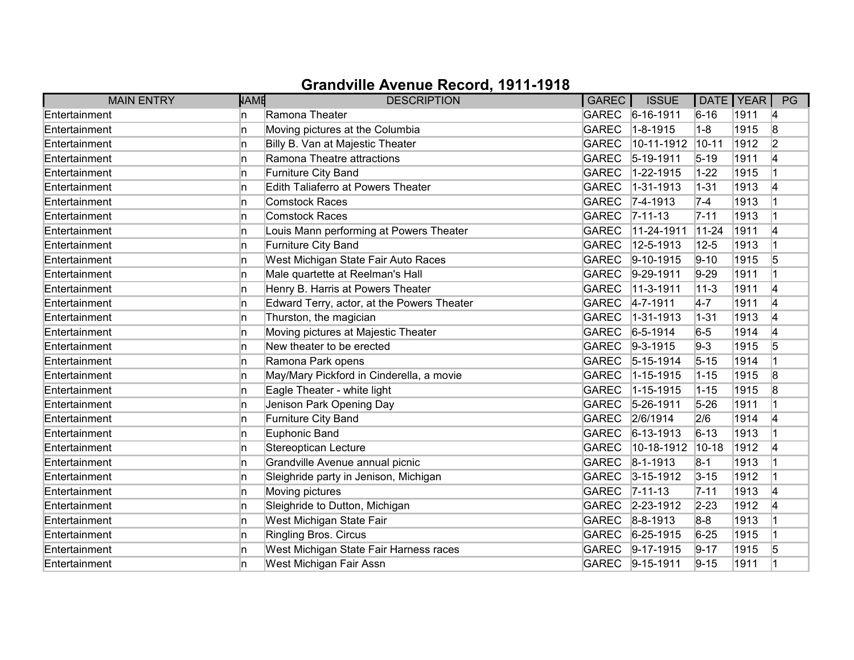| <b>MAIN ENTRY</b> | <b>NAME</b> | <b>DESCRIPTION</b>                         | GAREC        | <b>ISSUE</b>      | DATE   YEAR |      | PG             |
|-------------------|-------------|--------------------------------------------|--------------|-------------------|-------------|------|----------------|
| Entertainment     | n           | Ramona Theater                             |              | GAREC 6-16-1911   | $6 - 16$    | 1911 | 14             |
| Entertainment     | n.          | Moving pictures at the Columbia            | <b>GAREC</b> | $1 - 8 - 1915$    | $1-8$       | 1915 | 8              |
| Entertainment     | n           | Billy B. Van at Majestic Theater           | <b>GAREC</b> | 10-11-1912        | $10 - 11$   | 1912 | $\overline{2}$ |
| Entertainment     | n           | Ramona Theatre attractions                 | <b>GAREC</b> | $ 5 - 19 - 1911$  | $5 - 19$    | 1911 | 4              |
| Entertainment     | n           | Furniture City Band                        | <b>GAREC</b> | 1-22-1915         | $1 - 22$    | 1915 | 1              |
| Entertainment     | In.         | Edith Taliaferro at Powers Theater         | <b>GAREC</b> | $1 - 31 - 1913$   | $1 - 31$    | 1913 | 14             |
| Entertainment     | n.          | <b>Comstock Races</b>                      |              | GAREC 7-4-1913    | $7-4$       | 1913 |                |
| Entertainment     | n           | Comstock Races                             | <b>GAREC</b> | $ 7 - 11 - 13 $   | $7 - 11$    | 1913 |                |
| Entertainment     | In.         | Louis Mann performing at Powers Theater    | <b>GAREC</b> | 11-24-1911        | $11-24$     | 1911 | 4              |
| Entertainment     | n.          | Furniture City Band                        | <b>GAREC</b> | 12-5-1913         | $12 - 5$    | 1913 |                |
| Entertainment     | n.          | West Michigan State Fair Auto Races        | <b>GAREC</b> | $9 - 10 - 1915$   | $9 - 10$    | 1915 | 5              |
| Entertainment     | n           | Male quartette at Reelman's Hall           | <b>GAREC</b> | $9-29-1911$       | $9-29$      | 1911 |                |
| Entertainment     | n.          | Henry B. Harris at Powers Theater          | <b>GAREC</b> | 11-3-1911         | $11 - 3$    | 1911 | 14             |
| Entertainment     | n.          | Edward Terry, actor, at the Powers Theater | <b>GAREC</b> | $4 - 7 - 1911$    | $4-7$       | 1911 | 4              |
| Entertainment     | n.          | Thurston, the magician                     | <b>GAREC</b> | $ 1 - 31 - 1913 $ | $1 - 31$    | 1913 | 4              |
| Entertainment     | n           | Moving pictures at Majestic Theater        | <b>GAREC</b> | $6 - 5 - 1914$    | $6-5$       | 1914 | 4              |
| Entertainment     | n.          | New theater to be erected                  | <b>GAREC</b> | $ 9-3-1915 $      | $9-3$       | 1915 | 5              |
| Entertainment     | n           | Ramona Park opens                          | <b>GAREC</b> | $ 5 - 15 - 1914$  | $5 - 15$    | 1914 |                |
| Entertainment     | n           | May/Mary Pickford in Cinderella, a movie   | <b>GAREC</b> | 1-15-1915         | $1 - 15$    | 1915 | 8              |
| Entertainment     | n           | Eagle Theater - white light                | <b>GAREC</b> | 1-15-1915         | $1 - 15$    | 1915 | 8              |
| Entertainment     | n.          | Jenison Park Opening Day                   | <b>GAREC</b> | $5 - 26 - 1911$   | $5 - 26$    | 1911 |                |
| Entertainment     | n           | Furniture City Band                        | <b>GAREC</b> | 2/6/1914          | 2/6         | 1914 | 4              |
| Entertainment     | n           | Euphonic Band                              | <b>GAREC</b> | $ 6 - 13 - 1913 $ | $6 - 13$    | 1913 |                |
| Entertainment     | n           | Stereoptican Lecture                       | <b>GAREC</b> | 10-18-1912        | $10 - 18$   | 1912 | 4              |
| Entertainment     | In.         | Grandville Avenue annual picnic            | <b>GAREC</b> | $ 8 - 1 - 1913 $  | $8-1$       | 1913 |                |
| Entertainment     | n           | Sleighride party in Jenison, Michigan      | <b>GAREC</b> | $3 - 15 - 1912$   | $3 - 15$    | 1912 |                |
| Entertainment     | n.          | Moving pictures                            | <b>GAREC</b> | $ 7 - 11 - 13 $   | $7 - 11$    | 1913 | 14             |
| Entertainment     | In.         | Sleighride to Dutton, Michigan             | <b>GAREC</b> | $2 - 23 - 1912$   | $2 - 23$    | 1912 | 4              |
| Entertainment     | n.          | West Michigan State Fair                   | <b>GAREC</b> | $8-8-1913$        | $8-8$       | 1913 |                |
| Entertainment     | n.          | Ringling Bros. Circus                      | <b>GAREC</b> | $6 - 25 - 1915$   | $6 - 25$    | 1915 |                |
| Entertainment     | n.          | West Michigan State Fair Harness races     | <b>GAREC</b> | $9-17-1915$       | $9 - 17$    | 1915 | 5              |
| Entertainment     | n           | West Michigan Fair Assn                    |              | GAREC 9-15-1911   | $9 - 15$    | 1911 |                |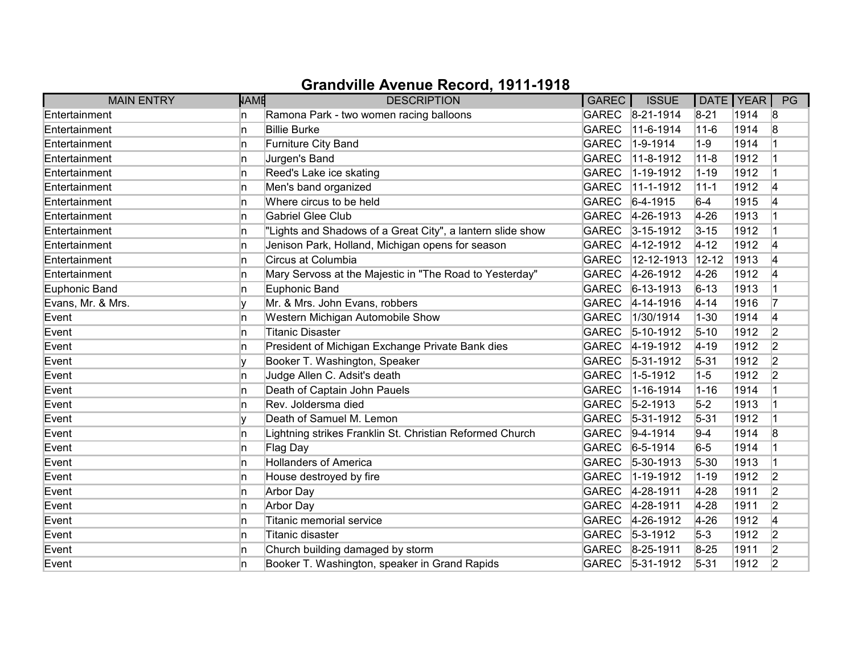| <b>MAIN ENTRY</b> | <b>NAME</b> | <b>DESCRIPTION</b>                                         | GAREC        | <b>ISSUE</b>      | DATE   YEAR |      | PG             |
|-------------------|-------------|------------------------------------------------------------|--------------|-------------------|-------------|------|----------------|
| Entertainment     | ln.         | Ramona Park - two women racing balloons                    |              | GAREC 8-21-1914   | $8 - 21$    | 1914 | 8              |
| Entertainment     | ln.         | <b>Billie Burke</b>                                        | <b>GAREC</b> | 11-6-1914         | $11 - 6$    | 1914 | 8              |
| Entertainment     | ln.         | Furniture City Band                                        | <b>GAREC</b> | $1 - 9 - 1914$    | $1-9$       | 1914 |                |
| Entertainment     | ln.         | Jurgen's Band                                              | <b>GAREC</b> | 11-8-1912         | $11 - 8$    | 1912 |                |
| Entertainment     | ln.         | Reed's Lake ice skating                                    | <b>GAREC</b> | 1-19-1912         | $1 - 19$    | 1912 |                |
| Entertainment     | ln.         | Men's band organized                                       | <b>GAREC</b> | 11-1-1912         | $11 - 1$    | 1912 | 4              |
| Entertainment     | In.         | Where circus to be held                                    | GAREC        | $6-4-1915$        | $6-4$       | 1915 | 14             |
| Entertainment     | ln.         | <b>Gabriel Glee Club</b>                                   |              | GAREC 4-26-1913   | 4-26        | 1913 |                |
| Entertainment     | ln.         | "Lights and Shadows of a Great City", a lantern slide show | <b>GAREC</b> | $3 - 15 - 1912$   | $3 - 15$    | 1912 |                |
| Entertainment     | ln.         | Jenison Park, Holland, Michigan opens for season           | <b>GAREC</b> | $4 - 12 - 1912$   | $4 - 12$    | 1912 | 4              |
| Entertainment     | ln.         | Circus at Columbia                                         | <b>GAREC</b> | 12-12-1913        | $12 - 12$   | 1913 | 4              |
| Entertainment     | ln.         | Mary Servoss at the Majestic in "The Road to Yesterday"    | <b>GAREC</b> | 4-26-1912         | $4 - 26$    | 1912 | 4              |
| Euphonic Band     | ln.         | Euphonic Band                                              | <b>GAREC</b> | $6 - 13 - 1913$   | $6 - 13$    | 1913 | 1              |
| Evans, Mr. & Mrs. |             | Mr. & Mrs. John Evans, robbers                             | <b>GAREC</b> | $4 - 14 - 1916$   | $4 - 14$    | 1916 | 17             |
| Event             | ln.         | Western Michigan Automobile Show                           | <b>GAREC</b> | 1/30/1914         | $1 - 30$    | 1914 | 4              |
| Event             | In.         | <b>Titanic Disaster</b>                                    |              | GAREC 5-10-1912   | $5 - 10$    | 1912 | 2              |
| Event             | ln.         | President of Michigan Exchange Private Bank dies           | <b>GAREC</b> | $4 - 19 - 1912$   | $ 4 - 19$   | 1912 | 2              |
| Event             |             | Booker T. Washington, Speaker                              | GAREC        | $ 5 - 31 - 1912$  | $5 - 31$    | 1912 | 2              |
| Event             | ln.         | Judge Allen C. Adsit's death                               | <b>GAREC</b> | $1 - 5 - 1912$    | $1 - 5$     | 1912 | 2              |
| Event             | ln.         | Death of Captain John Pauels                               | <b>GAREC</b> | $1 - 16 - 1914$   | $1 - 16$    | 1914 | 1              |
| Event             | ln.         | Rev. Joldersma died                                        | <b>GAREC</b> | $5 - 2 - 1913$    | $5-2$       | 1913 | 1              |
| Event             |             | Death of Samuel M. Lemon                                   |              | GAREC 5-31-1912   | $5 - 31$    | 1912 | 1              |
| Event             | ln.         | Lightning strikes Franklin St. Christian Reformed Church   |              | GAREC 9-4-1914    | $9 - 4$     | 1914 | 8              |
| Event             | ln.         | Flag Day                                                   | <b>GAREC</b> | $6 - 5 - 1914$    | $6-5$       | 1914 | 1              |
| Event             | ln.         | <b>Hollanders of America</b>                               | <b>GAREC</b> | $ 5 - 30 - 1913 $ | $5 - 30$    | 1913 |                |
| Event             | ln.         | House destroyed by fire                                    | <b>GAREC</b> | $1 - 19 - 1912$   | $1 - 19$    | 1912 | 2              |
| Event             | ln.         | Arbor Day                                                  | <b>GAREC</b> | $ 4 - 28 - 1911$  | $4-28$      | 1911 | 2              |
| Event             | ln.         | Arbor Day                                                  | GAREC        | 4-28-1911         | $4 - 28$    | 1911 | $\overline{2}$ |
| Event             | ln.         | Titanic memorial service                                   | <b>GAREC</b> | $4 - 26 - 1912$   | $4 - 26$    | 1912 | 4              |
| Event             | ln.         | Titanic disaster                                           |              | GAREC 5-3-1912    | $5-3$       | 1912 | 2              |
| Event             | ln.         | Church building damaged by storm                           |              | GAREC 8-25-1911   | $8 - 25$    | 1911 | 2              |
| Event             | ln.         | Booker T. Washington, speaker in Grand Rapids              |              | GAREC 5-31-1912   | $5 - 31$    | 1912 | 2              |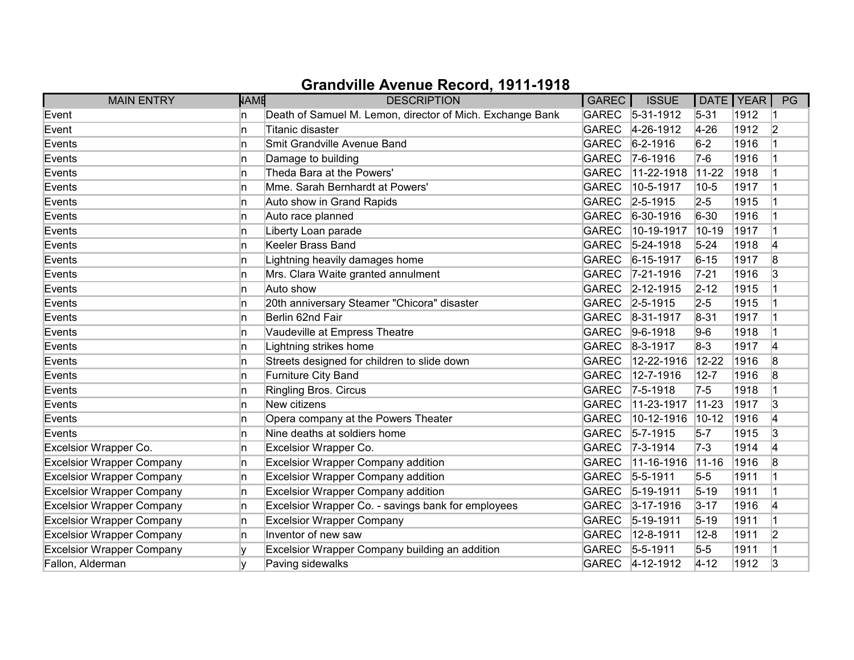| <b>MAIN ENTRY</b>                | <b>NAME</b> | <b>DESCRIPTION</b>                                        | GAREC        | <b>ISSUE</b>      | DATE   YEAR |      | PG |
|----------------------------------|-------------|-----------------------------------------------------------|--------------|-------------------|-------------|------|----|
| Event                            | 'n          | Death of Samuel M. Lemon, director of Mich. Exchange Bank | <b>GAREC</b> | $ 5-31-1912 $     | $5 - 31$    | 1912 |    |
| Event                            | 'n          | Titanic disaster                                          | <b>GAREC</b> | 4-26-1912         | $4 - 26$    | 1912 | 2  |
| Events                           | 'n          | Smit Grandville Avenue Band                               | <b>GAREC</b> | $6 - 2 - 1916$    | $6-2$       | 1916 |    |
| Events                           | 'n          | Damage to building                                        | <b>GAREC</b> | $7-6-1916$        | $7-6$       | 1916 |    |
| Events                           | ln.         | Theda Bara at the Powers'                                 | <b>GAREC</b> | 11-22-1918        | $11-22$     | 1918 |    |
| Events                           | 'n          | Mme. Sarah Bernhardt at Powers'                           | <b>GAREC</b> | 10-5-1917         | $10-5$      | 1917 |    |
| Events                           | 'n          | Auto show in Grand Rapids                                 | <b>GAREC</b> | $ 2 - 5 - 1915 $  | $2 - 5$     | 1915 |    |
| Events                           | 'n          | Auto race planned                                         | <b>GAREC</b> | $6-30-1916$       | $6 - 30$    | 1916 |    |
| Events                           | 'n          | Liberty Loan parade                                       | <b>GAREC</b> | 10-19-1917        | $10-19$     | 1917 |    |
| Events                           | 'n          | <b>Keeler Brass Band</b>                                  | <b>GAREC</b> | $5 - 24 - 1918$   | $5 - 24$    | 1918 | 4  |
| Events                           | 'n          | Lightning heavily damages home                            | <b>GAREC</b> | $6 - 15 - 1917$   | $6 - 15$    | 1917 | 8  |
| Events                           | In.         | Mrs. Clara Waite granted annulment                        | <b>GAREC</b> | $ 7-21-1916$      | $7 - 21$    | 1916 | 3  |
| Events                           | ln.         | Auto show                                                 | <b>GAREC</b> | $ 2 - 12 - 1915 $ | $2 - 12$    | 1915 |    |
| Events                           | 'n          | 20th anniversary Steamer "Chicora" disaster               | <b>GAREC</b> | $ 2 - 5 - 1915 $  | $2-5$       | 1915 |    |
| Events                           | 'n          | Berlin 62nd Fair                                          | GAREC        | 8-31-1917         | $8 - 31$    | 1917 |    |
| Events                           | n           | Vaudeville at Empress Theatre                             | GAREC        | $9-6-1918$        | $9-6$       | 1918 |    |
| Events                           | 'n          | Lightning strikes home                                    | <b>GAREC</b> | $ 8-3-1917$       | $8-3$       | 1917 | 4  |
| Events                           | 'n          | Streets designed for children to slide down               | <b>GAREC</b> | 12-22-1916        | 12-22       | 1916 | 8  |
| Events                           | 'n          | Furniture City Band                                       | <b>GAREC</b> | 12-7-1916         | $12 - 7$    | 1916 | 8  |
| Events                           | In.         | <b>Ringling Bros. Circus</b>                              | <b>GAREC</b> | $7 - 5 - 1918$    | $7-5$       | 1918 |    |
| Events                           | ln.         | New citizens                                              | <b>GAREC</b> | 11-23-1917        | $11 - 23$   | 1917 | 3  |
| Events                           | 'n          | Opera company at the Powers Theater                       | <b>GAREC</b> | 10-12-1916        | $10-12$     | 1916 | 14 |
| Events                           | In.         | Nine deaths at soldiers home                              | <b>GAREC</b> | $5 - 7 - 1915$    | $5-7$       | 1915 | 3  |
| Excelsior Wrapper Co.            | ln.         | Excelsior Wrapper Co.                                     | <b>GAREC</b> | $ 7-3-1914 $      | $7-3$       | 1914 | 14 |
| <b>Excelsior Wrapper Company</b> | 'n          | <b>Excelsior Wrapper Company addition</b>                 | <b>GAREC</b> | 11-16-1916        | $11 - 16$   | 1916 | 8  |
| <b>Excelsior Wrapper Company</b> | ln.         | <b>Excelsior Wrapper Company addition</b>                 | <b>GAREC</b> | $5 - 5 - 1911$    | $5-5$       | 1911 |    |
| <b>Excelsior Wrapper Company</b> | n           | <b>Excelsior Wrapper Company addition</b>                 | <b>GAREC</b> | $ 5 - 19 - 1911$  | $5-19$      | 1911 |    |
| <b>Excelsior Wrapper Company</b> | In.         | Excelsior Wrapper Co. - savings bank for employees        | <b>GAREC</b> | $3 - 17 - 1916$   | $3 - 17$    | 1916 | 4  |
| <b>Excelsior Wrapper Company</b> | ln.         | <b>Excelsior Wrapper Company</b>                          | <b>GAREC</b> | $ 5 - 19 - 1911$  | $5 - 19$    | 1911 |    |
| <b>Excelsior Wrapper Company</b> | ln.         | Inventor of new saw                                       | <b>GAREC</b> | 12-8-1911         | $12 - 8$    | 1911 | 2  |
| <b>Excelsior Wrapper Company</b> |             | Excelsior Wrapper Company building an addition            | GAREC        | $5 - 5 - 1911$    | $5-5$       | 1911 |    |
| Fallon, Alderman                 |             | Paving sidewalks                                          |              | GAREC 4-12-1912   | $4 - 12$    | 1912 | 3  |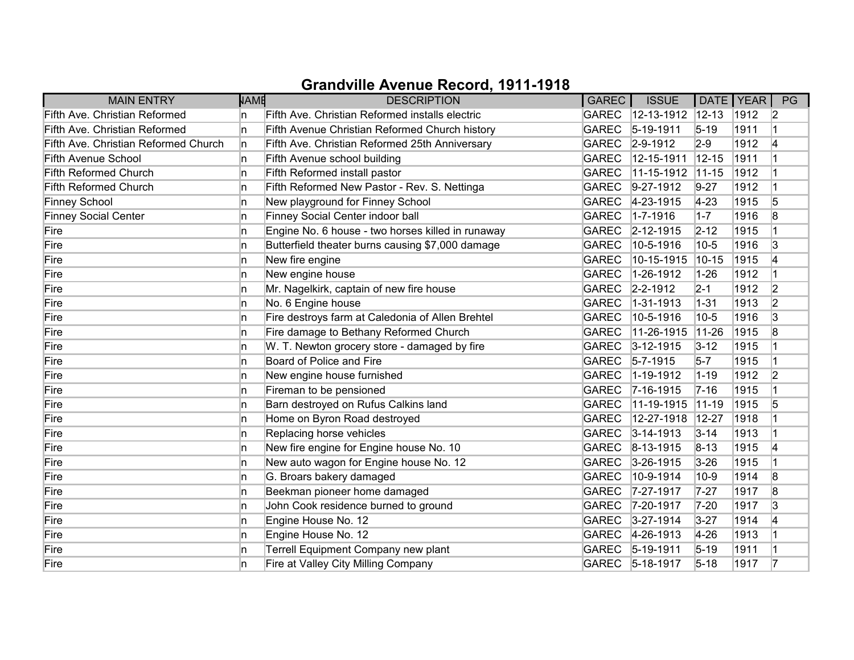| <b>MAIN ENTRY</b>                    | <b>NAME</b> | <b>DESCRIPTION</b>                                | GAREC        | <b>ISSUE</b>      |             | DATE   YEAR | PG             |
|--------------------------------------|-------------|---------------------------------------------------|--------------|-------------------|-------------|-------------|----------------|
| Fifth Ave. Christian Reformed        | In.         | Fifth Ave. Christian Reformed installs electric   | <b>GAREC</b> | $12 - 13 - 1912$  | $ 12 - 13 $ | 1912        | $\overline{2}$ |
| Fifth Ave. Christian Reformed        | ln.         | Fifth Avenue Christian Reformed Church history    | <b>GAREC</b> | $5-19-1911$       | $5-19$      | 1911        |                |
| Fifth Ave. Christian Reformed Church | In.         | Fifth Ave. Christian Reformed 25th Anniversary    |              | GAREC 2-9-1912    | $2-9$       | 1912        | 14             |
| <b>Fifth Avenue School</b>           | In.         | Fifth Avenue school building                      | <b>GAREC</b> | 12-15-1911        | $12 - 15$   | 1911        |                |
| <b>Fifth Reformed Church</b>         | ln.         | Fifth Reformed install pastor                     | <b>GAREC</b> | 11-15-1912        | $11-15$     | 1912        |                |
| <b>Fifth Reformed Church</b>         | ln.         | Fifth Reformed New Pastor - Rev. S. Nettinga      | <b>GAREC</b> | $9-27-1912$       | $9-27$      | 1912        |                |
| <b>Finney School</b>                 | ln.         | New playground for Finney School                  | GAREC        | $ 4 - 23 - 1915 $ | $4 - 23$    | 1915        | 5              |
| <b>Finney Social Center</b>          | ln.         | Finney Social Center indoor ball                  | <b>GAREC</b> | $1 - 7 - 1916$    | $1 - 7$     | 1916        | 8              |
| Fire                                 | ln.         | Engine No. 6 house - two horses killed in runaway | GAREC        | $2 - 12 - 1915$   | $2 - 12$    | 1915        |                |
| Fire                                 | ln.         | Butterfield theater burns causing \$7,000 damage  | <b>GAREC</b> | 10-5-1916         | $ 10-5 $    | 1916        | 3              |
| Fire                                 | ln.         | New fire engine                                   | <b>GAREC</b> | 10-15-1915        | $10 - 15$   | 1915        | 14             |
| Fire                                 | ln.         | New engine house                                  | <b>GAREC</b> | 1-26-1912         | $1 - 26$    | 1912        |                |
| Fire                                 | ln.         | Mr. Nagelkirk, captain of new fire house          | <b>GAREC</b> | $2 - 2 - 1912$    | $2 - 1$     | 1912        | $\overline{2}$ |
| Fire                                 | ln.         | No. 6 Engine house                                | <b>GAREC</b> | $1 - 31 - 1913$   | $ 1 - 31$   | 1913        | $\overline{2}$ |
| Fire                                 | ln.         | Fire destroys farm at Caledonia of Allen Brehtel  | <b>GAREC</b> | 10-5-1916         | $10-5$      | 1916        | 3              |
| Fire                                 | ln.         | Fire damage to Bethany Reformed Church            | <b>GAREC</b> | 11-26-1915        | $11 - 26$   | 1915        | 8              |
| Fire                                 | ln.         | W. T. Newton grocery store - damaged by fire      | <b>GAREC</b> | $3 - 12 - 1915$   | $3 - 12$    | 1915        |                |
| Fire                                 | ln.         | Board of Police and Fire                          | <b>GAREC</b> | $5 - 7 - 1915$    | $5-7$       | 1915        |                |
| Fire                                 | In          | New engine house furnished                        | <b>GAREC</b> | $1 - 19 - 1912$   | $1 - 19$    | 1912        | 2              |
| Fire                                 | ln.         | Fireman to be pensioned                           | GAREC        | $ 7 - 16 - 1915 $ | $7 - 16$    | 1915        |                |
| Fire                                 | ln.         | Barn destroyed on Rufus Calkins land              | <b>GAREC</b> | 11-19-1915        | $ 11 - 19$  | 1915        | 5              |
| Fire                                 | ln.         | Home on Byron Road destroyed                      | <b>GAREC</b> | 12-27-1918        | 12-27       | 1918        |                |
| Fire                                 | ln.         | Replacing horse vehicles                          | GAREC        | $3 - 14 - 1913$   | $3 - 14$    | 1913        |                |
| Fire                                 | ln.         | New fire engine for Engine house No. 10           |              | GAREC 8-13-1915   | $8 - 13$    | 1915        | 4              |
| Fire                                 | ln.         | New auto wagon for Engine house No. 12            | <b>GAREC</b> | $3 - 26 - 1915$   | $3 - 26$    | 1915        |                |
| Fire                                 | ln.         | G. Broars bakery damaged                          | <b>GAREC</b> | 10-9-1914         | $10-9$      | 1914        | 8              |
| Fire                                 | ln.         | Beekman pioneer home damaged                      | <b>GAREC</b> | 7-27-1917         | $7 - 27$    | 1917        | 8              |
| Fire                                 | ln.         | John Cook residence burned to ground              | GAREC        | 7-20-1917         | $7 - 20$    | 1917        | 3              |
| Fire                                 | In.         | Engine House No. 12                               | <b>GAREC</b> | $3 - 27 - 1914$   | $3 - 27$    | 1914        | 14             |
| Fire                                 | ln.         | Engine House No. 12                               | GAREC        | $4 - 26 - 1913$   | $4 - 26$    | 1913        |                |
| Fire                                 | ln.         | Terrell Equipment Company new plant               |              | GAREC 5-19-1911   | $5 - 19$    | 1911        |                |
| Fire                                 | ln.         | Fire at Valley City Milling Company               |              | GAREC 5-18-1917   | $5 - 18$    | 1917        | 17             |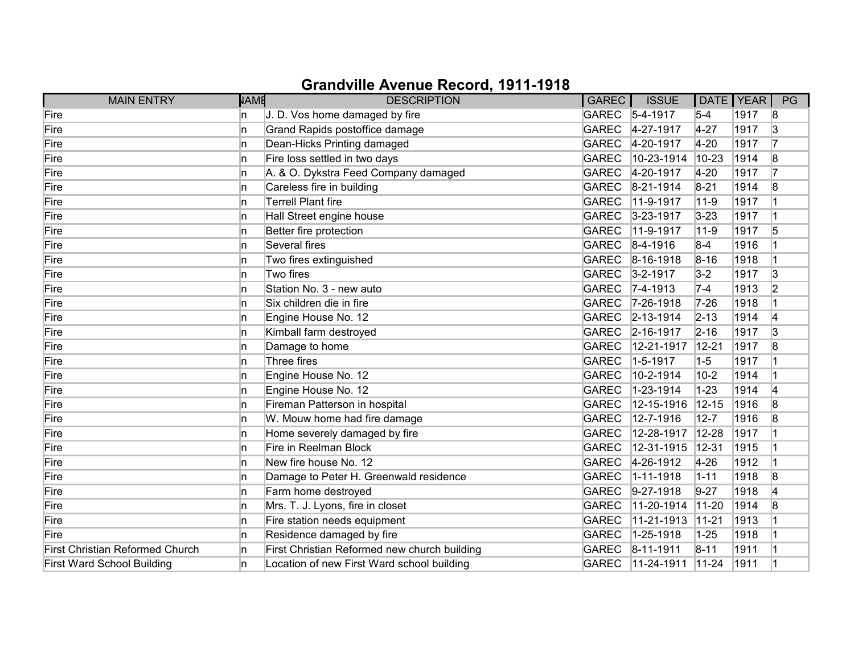| <b>MAIN ENTRY</b>                      | <b>NAME</b> | <b>DESCRIPTION</b>                           | GAREC        | <b>ISSUE</b>       | DATE   YEAR |      | PG |
|----------------------------------------|-------------|----------------------------------------------|--------------|--------------------|-------------|------|----|
| Fire                                   | n           | J. D. Vos home damaged by fire               |              | GAREC 5-4-1917     | $5-4$       | 1917 | 8  |
| Fire                                   | n           | Grand Rapids postoffice damage               | <b>GAREC</b> | 4-27-1917          | $4 - 27$    | 1917 | 3  |
| Fire                                   | n           | Dean-Hicks Printing damaged                  | <b>GAREC</b> | 4-20-1917          | $4-20$      | 1917 | 17 |
| Fire                                   | n           | Fire loss settled in two days                | <b>GAREC</b> | 10-23-1914         | 10-23       | 1914 | 8  |
| Fire                                   | n           | A. & O. Dykstra Feed Company damaged         | <b>GAREC</b> | 4-20-1917          | $4 - 20$    | 1917 | 7  |
| Fire                                   | n.          | Careless fire in building                    | <b>GAREC</b> | $8-21-1914$        | $8 - 21$    | 1914 | 8  |
| Fire                                   | n           | <b>Terrell Plant fire</b>                    | <b>GAREC</b> | $11-9-1917$        | $11-9$      | 1917 |    |
| Fire                                   | n.          | Hall Street engine house                     |              | GAREC 3-23-1917    | $3 - 23$    | 1917 |    |
| Fire                                   | In.         | Better fire protection                       | <b>GAREC</b> | 11-9-1917          | $11 - 9$    | 1917 | 5  |
| Fire                                   | In.         | Several fires                                | <b>GAREC</b> | $ 8-4-1916 $       | $8-4$       | 1916 |    |
| Fire                                   | n           | Two fires extinguished                       | <b>GAREC</b> | $8-16-1918$        | $8 - 16$    | 1918 |    |
| Fire                                   | n           | Two fires                                    | <b>GAREC</b> | $ 3 - 2 - 1917$    | $3-2$       | 1917 | 3  |
| Fire                                   | In.         | Station No. 3 - new auto                     | <b>GAREC</b> | $7-4-1913$         | $7-4$       | 1913 | 2  |
| Fire                                   | n.          | Six children die in fire                     | <b>GAREC</b> | $ 7 - 26 - 1918 $  | $7 - 26$    | 1918 |    |
| Fire                                   | n.          | Engine House No. 12                          |              | GAREC 2-13-1914    | $2 - 13$    | 1914 | 14 |
| Fire                                   | n           | Kimball farm destroyed                       |              | GAREC 2-16-1917    | $2 - 16$    | 1917 | 3  |
| Fire                                   | In.         | Damage to home                               | <b>GAREC</b> | 12-21-1917         | $12 - 21$   | 1917 | 8  |
| Fire                                   | n           | Three fires                                  | <b>GAREC</b> | $1 - 5 - 1917$     | $1-5$       | 1917 |    |
| Fire                                   | n           | Engine House No. 12                          | <b>GAREC</b> | 10-2-1914          | $10-2$      | 1914 |    |
| Fire                                   | n           | Engine House No. 12                          | <b>GAREC</b> | 1-23-1914          | $1 - 23$    | 1914 | 4  |
| Fire                                   | In.         | Fireman Patterson in hospital                | <b>GAREC</b> | 12-15-1916         | $12 - 15$   | 1916 | 8  |
| Fire                                   | n.          | W. Mouw home had fire damage                 | <b>GAREC</b> | 12-7-1916          | $12 - 7$    | 1916 | 8  |
| Fire                                   | n.          | Home severely damaged by fire                | <b>GAREC</b> | 12-28-1917         | 12-28       | 1917 |    |
| Fire                                   | n           | Fire in Reelman Block                        | <b>GAREC</b> | 12-31-1915         | 12-31       | 1915 |    |
| Fire                                   | In.         | New fire house No. 12                        | <b>GAREC</b> | 4-26-1912          | $4 - 26$    | 1912 |    |
| Fire                                   | n.          | Damage to Peter H. Greenwald residence       | <b>GAREC</b> | 1-11-1918          | $1 - 11$    | 1918 | 8  |
| Fire                                   | n.          | Farm home destroyed                          | <b>GAREC</b> | $9-27-1918$        | $9 - 27$    | 1918 | 14 |
| Fire                                   | n           | Mrs. T. J. Lyons, fire in closet             | <b>GAREC</b> | 11-20-1914         | $11-20$     | 1914 | 8  |
| Fire                                   | In.         | Fire station needs equipment                 | <b>GAREC</b> | 11-21-1913         | $11-21$     | 1913 |    |
| Fire                                   | n.          | Residence damaged by fire                    | <b>GAREC</b> | 1-25-1918          | $1 - 25$    | 1918 |    |
| <b>First Christian Reformed Church</b> | n           | First Christian Reformed new church building | <b>GAREC</b> | $ 8-11-1911$       | $ 8 - 11 $  | 1911 |    |
| <b>First Ward School Building</b>      | n           | Location of new First Ward school building   | <b>GAREC</b> | $ 11 - 24 - 1911 $ | $ 11-24 $   | 1911 |    |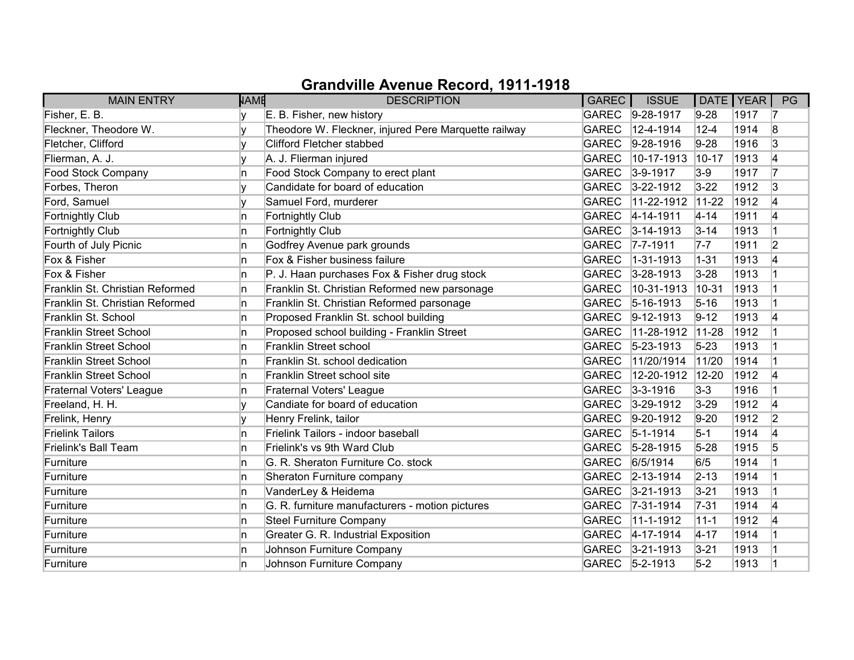| <b>MAIN ENTRY</b>               | <b>NAME</b> | <b>DESCRIPTION</b>                                   | <b>GAREC</b> | <b>ISSUE</b>     | DATE   YEAR |      | PG             |
|---------------------------------|-------------|------------------------------------------------------|--------------|------------------|-------------|------|----------------|
| Fisher, E. B.                   |             | E. B. Fisher, new history                            |              | GAREC 9-28-1917  | $9 - 28$    | 1917 | 17             |
| Fleckner, Theodore W.           | v           | Theodore W. Fleckner, injured Pere Marquette railway | <b>GAREC</b> | 12-4-1914        | $12 - 4$    | 1914 | 8              |
| Fletcher, Clifford              |             | <b>Clifford Fletcher stabbed</b>                     | <b>GAREC</b> | $9-28-1916$      | $9 - 28$    | 1916 | 3              |
| Flierman, A. J.                 | v           | A. J. Flierman injured                               | <b>GAREC</b> | 10-17-1913       | $10-17$     | 1913 | 4              |
| <b>Food Stock Company</b>       | In.         | Food Stock Company to erect plant                    | <b>GAREC</b> | $3-9-1917$       | $3-9$       | 1917 | 17             |
| Forbes, Theron                  | I۷          | Candidate for board of education                     | <b>GAREC</b> | $3 - 22 - 1912$  | $3 - 22$    | 1912 | 3              |
| Ford, Samuel                    |             | Samuel Ford, murderer                                | <b>GAREC</b> | 11-22-1912       | $11-22$     | 1912 | 14             |
| <b>Fortnightly Club</b>         | In.         | <b>Fortnightly Club</b>                              |              | GAREC 4-14-1911  | $4 - 14$    | 1911 | 4              |
| Fortnightly Club                | In.         | <b>Fortnightly Club</b>                              | <b>GAREC</b> | $3 - 14 - 1913$  | $3 - 14$    | 1913 |                |
| Fourth of July Picnic           | ln.         | Godfrey Avenue park grounds                          | <b>GAREC</b> | $ 7 - 7 - 1911 $ | $7 - 7$     | 1911 | $\overline{2}$ |
| Fox & Fisher                    | In.         | Fox & Fisher business failure                        | <b>GAREC</b> | 1-31-1913        | $1 - 31$    | 1913 | 4              |
| Fox & Fisher                    | In.         | P. J. Haan purchases Fox & Fisher drug stock         | <b>GAREC</b> | $3 - 28 - 1913$  | $3 - 28$    | 1913 |                |
| Franklin St. Christian Reformed | In.         | Franklin St. Christian Reformed new parsonage        | <b>GAREC</b> | 10-31-1913       | $10-31$     | 1913 |                |
| Franklin St. Christian Reformed | In.         | Franklin St. Christian Reformed parsonage            | <b>GAREC</b> | $5 - 16 - 1913$  | $5 - 16$    | 1913 |                |
| Franklin St. School             | In.         | Proposed Franklin St. school building                | <b>GAREC</b> | $ 9-12-1913$     | $9 - 12$    | 1913 | 4              |
| <b>Franklin Street School</b>   | In.         | Proposed school building - Franklin Street           | <b>GAREC</b> | 11-28-1912       | $11-28$     | 1912 |                |
| <b>Franklin Street School</b>   | In.         | Franklin Street school                               | <b>GAREC</b> | $5 - 23 - 1913$  | $5 - 23$    | 1913 |                |
| <b>Franklin Street School</b>   | ln.         | Franklin St. school dedication                       | <b>GAREC</b> | 11/20/1914       | 11/20       | 1914 |                |
| <b>Franklin Street School</b>   | ln.         | Franklin Street school site                          | <b>GAREC</b> | 12-20-1912       | $12 - 20$   | 1912 | 4              |
| Fraternal Voters' League        | In.         | <b>Fraternal Voters' League</b>                      | <b>GAREC</b> | $3 - 3 - 1916$   | $3-3$       | 1916 |                |
| Freeland, H. H.                 | Iv.         | Candiate for board of education                      | <b>GAREC</b> | $3 - 29 - 1912$  | $3 - 29$    | 1912 | 4              |
| Frelink, Henry                  | I۷          | Henry Frelink, tailor                                | <b>GAREC</b> | $ 9-20-1912$     | $9-20$      | 1912 | 2              |
| <b>Frielink Tailors</b>         | In.         | Frielink Tailors - indoor baseball                   | <b>GAREC</b> | $5 - 1 - 1914$   | $5 - 1$     | 1914 | 4              |
| Frielink's Ball Team            | In.         | Frielink's vs 9th Ward Club                          | <b>GAREC</b> | $5 - 28 - 1915$  | $5 - 28$    | 1915 | 5              |
| Furniture                       | In.         | G. R. Sheraton Furniture Co. stock                   | <b>GAREC</b> | 6/5/1914         | 6/5         | 1914 |                |
| Furniture                       | In.         | Sheraton Furniture company                           | <b>GAREC</b> | $2 - 13 - 1914$  | $2 - 13$    | 1914 |                |
| Furniture                       | In.         | VanderLey & Heidema                                  | <b>GAREC</b> | $3 - 21 - 1913$  | $3 - 21$    | 1913 |                |
| Furniture                       | In.         | G. R. furniture manufacturers - motion pictures      | <b>GAREC</b> | $7 - 31 - 1914$  | $7 - 31$    | 1914 | 4              |
| Furniture                       | In.         | <b>Steel Furniture Company</b>                       | <b>GAREC</b> | 11-1-1912        | $11 - 1$    | 1912 | 14             |
| Furniture                       | In.         | Greater G. R. Industrial Exposition                  | <b>GAREC</b> | 4-17-1914        | $4 - 17$    | 1914 |                |
| Furniture                       | In.         | Johnson Furniture Company                            | <b>GAREC</b> | $3 - 21 - 1913$  | $3 - 21$    | 1913 |                |
| Furniture                       | ln.         | Johnson Furniture Company                            | <b>GAREC</b> | $5 - 2 - 1913$   | $5-2$       | 1913 |                |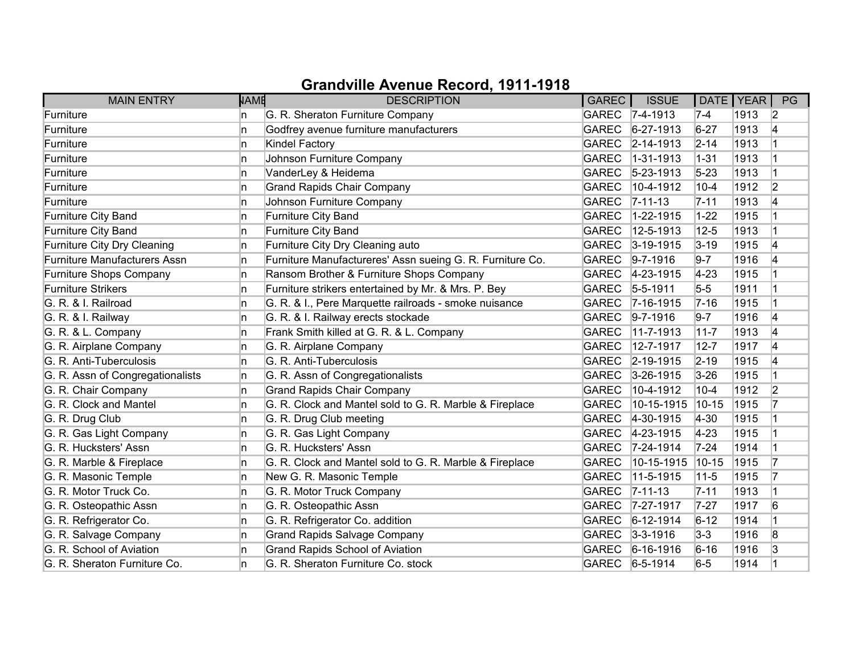| <b>MAIN ENTRY</b>                   | <b>NAME</b> | <b>DESCRIPTION</b>                                        | GAREC        | <b>ISSUE</b>      | DATE   YEAR |      | PG             |
|-------------------------------------|-------------|-----------------------------------------------------------|--------------|-------------------|-------------|------|----------------|
| Furniture                           | n           | G. R. Sheraton Furniture Company                          |              | GAREC 7-4-1913    | $7-4$       | 1913 | $\vert$ 2      |
| Furniture                           | n           | Godfrey avenue furniture manufacturers                    | <b>GAREC</b> | $6 - 27 - 1913$   | $6 - 27$    | 1913 | 14             |
| Furniture                           | n           | Kindel Factory                                            | GAREC        | $ 2 - 14 - 1913$  | $2 - 14$    | 1913 |                |
| Furniture                           | n           | Johnson Furniture Company                                 | <b>GAREC</b> | $1 - 31 - 1913$   | $1 - 31$    | 1913 |                |
| Furniture                           | n           | VanderLey & Heidema                                       | <b>GAREC</b> | $ 5 - 23 - 1913 $ | $5 - 23$    | 1913 |                |
| Furniture                           | n.          | <b>Grand Rapids Chair Company</b>                         | <b>GAREC</b> | 10-4-1912         | $10 - 4$    | 1912 | $\overline{2}$ |
| Furniture                           | n           | Johnson Furniture Company                                 | <b>GAREC</b> | $ 7 - 11 - 13 $   | $7 - 11$    | 1913 | 4              |
| Furniture City Band                 | n           | Furniture City Band                                       | <b>GAREC</b> | 1-22-1915         | $1 - 22$    | 1915 |                |
| Furniture City Band                 | In.         | Furniture City Band                                       | <b>GAREC</b> | 12-5-1913         | $12 - 5$    | 1913 |                |
| Furniture City Dry Cleaning         | n           | Furniture City Dry Cleaning auto                          | <b>GAREC</b> | $3 - 19 - 1915$   | $3 - 19$    | 1915 | 4              |
| <b>Furniture Manufacturers Assn</b> | n           | Furniture Manufactureres' Assn sueing G. R. Furniture Co. | <b>GAREC</b> | $9 - 7 - 1916$    | $9 - 7$     | 1916 | 14             |
| Furniture Shops Company             | n           | Ransom Brother & Furniture Shops Company                  | <b>GAREC</b> | 4-23-1915         | $4 - 23$    | 1915 |                |
| <b>Furniture Strikers</b>           | n           | Furniture strikers entertained by Mr. & Mrs. P. Bey       | <b>GAREC</b> | $5 - 5 - 1911$    | $5-5$       | 1911 |                |
| G. R. & I. Railroad                 | n.          | G. R. & I., Pere Marquette railroads - smoke nuisance     | <b>GAREC</b> | $7 - 16 - 1915$   | $7 - 16$    | 1915 |                |
| G. R. & I. Railway                  | n.          | G. R. & I. Railway erects stockade                        | <b>GAREC</b> | $ 9 - 7 - 1916$   | $9-7$       | 1916 | 4              |
| G. R. & L. Company                  | n           | Frank Smith killed at G. R. & L. Company                  | <b>GAREC</b> | 11-7-1913         | $11 - 7$    | 1913 | 4              |
| G. R. Airplane Company              | n.          | G. R. Airplane Company                                    | <b>GAREC</b> | 12-7-1917         | $12 - 7$    | 1917 | 4              |
| G. R. Anti-Tuberculosis             | n           | G. R. Anti-Tuberculosis                                   | <b>GAREC</b> | $ 2 - 19 - 1915$  | $2 - 19$    | 1915 | 4              |
| G. R. Assn of Congregationalists    | n           | G. R. Assn of Congregationalists                          | <b>GAREC</b> | $3 - 26 - 1915$   | $3 - 26$    | 1915 |                |
| G. R. Chair Company                 | n           | <b>Grand Rapids Chair Company</b>                         | <b>GAREC</b> | 10-4-1912         | $10 - 4$    | 1912 | 2              |
| G. R. Clock and Mantel              | n.          | G. R. Clock and Mantel sold to G. R. Marble & Fireplace   | <b>GAREC</b> | 10-15-1915        | $10 - 15$   | 1915 |                |
| G. R. Drug Club                     | n           | G. R. Drug Club meeting                                   | <b>GAREC</b> | $4 - 30 - 1915$   | $4 - 30$    | 1915 |                |
| G. R. Gas Light Company             | n           | G. R. Gas Light Company                                   | <b>GAREC</b> | $ 4 - 23 - 1915 $ | $ 4-23 $    | 1915 |                |
| G. R. Hucksters' Assn               | n           | G. R. Hucksters' Assn                                     | <b>GAREC</b> | $ 7-24-1914$      | $7 - 24$    | 1914 |                |
| G. R. Marble & Fireplace            | In.         | G. R. Clock and Mantel sold to G. R. Marble & Fireplace   | <b>GAREC</b> | 10-15-1915        | $10 - 15$   | 1915 |                |
| G. R. Masonic Temple                | n           | New G. R. Masonic Temple                                  | <b>GAREC</b> | 11-5-1915         | $11 - 5$    | 1915 |                |
| G. R. Motor Truck Co.               | n           | G. R. Motor Truck Company                                 | <b>GAREC</b> | $ 7 - 11 - 13 $   | $7 - 11$    | 1913 |                |
| G. R. Osteopathic Assn              | n.          | G. R. Osteopathic Assn                                    | <b>GAREC</b> | 7-27-1917         | $7 - 27$    | 1917 | 6              |
| G. R. Refrigerator Co.              | n.          | G. R. Refrigerator Co. addition                           | <b>GAREC</b> | $6-12-1914$       | $6 - 12$    | 1914 |                |
| G. R. Salvage Company               | n.          | <b>Grand Rapids Salvage Company</b>                       | <b>GAREC</b> | $3 - 3 - 1916$    | $3-3$       | 1916 | 8              |
| G. R. School of Aviation            | n           | <b>Grand Rapids School of Aviation</b>                    | <b>GAREC</b> | $6 - 16 - 1916$   | $6 - 16$    | 1916 | 3              |
| G. R. Sheraton Furniture Co.        | n           | G. R. Sheraton Furniture Co. stock                        |              | GAREC 6-5-1914    | $6-5$       | 1914 |                |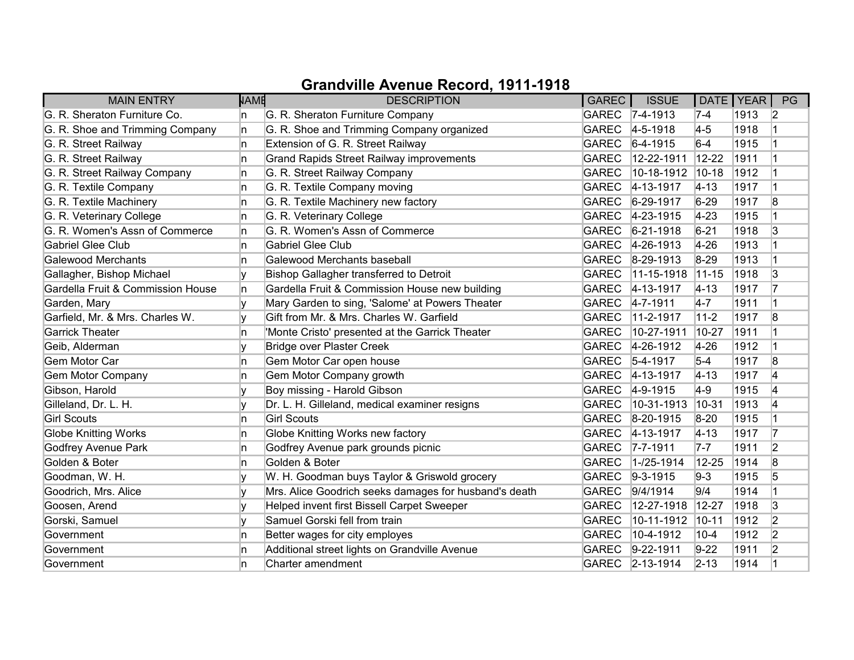| <b>MAIN ENTRY</b>                 | <b>NAME</b> | <b>DESCRIPTION</b>                                    | GAREC        | <b>ISSUE</b>      | DATE   YEAR |      | PG             |
|-----------------------------------|-------------|-------------------------------------------------------|--------------|-------------------|-------------|------|----------------|
| G. R. Sheraton Furniture Co.      | In.         | G. R. Sheraton Furniture Company                      |              | GAREC 7-4-1913    | $7-4$       | 1913 | $\vert$ 2      |
| G. R. Shoe and Trimming Company   | In.         | G. R. Shoe and Trimming Company organized             | <b>GAREC</b> | $4 - 5 - 1918$    | $4-5$       | 1918 |                |
| G. R. Street Railway              | In.         | Extension of G. R. Street Railway                     | <b>GAREC</b> | $6-4-1915$        | $6-4$       | 1915 |                |
| G. R. Street Railway              | In.         | <b>Grand Rapids Street Railway improvements</b>       | <b>GAREC</b> | 12-22-1911        | $12 - 22$   | 1911 |                |
| G. R. Street Railway Company      | ln.         | G. R. Street Railway Company                          | <b>GAREC</b> | 10-18-1912        | $10 - 18$   | 1912 |                |
| G. R. Textile Company             | ln.         | G. R. Textile Company moving                          | <b>GAREC</b> | $4 - 13 - 1917$   | $ 4 - 13 $  | 1917 |                |
| G. R. Textile Machinery           | In.         | G. R. Textile Machinery new factory                   | GAREC        | $6 - 29 - 1917$   | $6 - 29$    | 1917 | 8              |
| G. R. Veterinary College          | In.         | G. R. Veterinary College                              |              | GAREC 4-23-1915   | $ 4-23 $    | 1915 |                |
| G. R. Women's Assn of Commerce    | 'n          | G. R. Women's Assn of Commerce                        | <b>GAREC</b> | $6 - 21 - 1918$   | $6 - 21$    | 1918 | 3              |
| <b>Gabriel Glee Club</b>          | n.          | Gabriel Glee Club                                     | GAREC        | $ 4 - 26 - 1913 $ | $4 - 26$    | 1913 |                |
| Galewood Merchants                | In.         | Galewood Merchants baseball                           | <b>GAREC</b> | $8 - 29 - 1913$   | 8-29        | 1913 |                |
| Gallagher, Bishop Michael         | I۷          | Bishop Gallagher transferred to Detroit               | <b>GAREC</b> | $11-15-1918$      | $11-15$     | 1918 | 3              |
| Gardella Fruit & Commission House | ln.         | Gardella Fruit & Commission House new building        | <b>GAREC</b> | $4 - 13 - 1917$   | $ 4 - 13 $  | 1917 | 17             |
| Garden, Mary                      |             | Mary Garden to sing, 'Salome' at Powers Theater       | <b>GAREC</b> | $4 - 7 - 1911$    | $4-7$       | 1911 |                |
| Garfield, Mr. & Mrs. Charles W.   |             | Gift from Mr. & Mrs. Charles W. Garfield              | <b>GAREC</b> | $11-2-1917$       | $11-2$      | 1917 | 8              |
| <b>Garrick Theater</b>            | 'n          | 'Monte Cristo' presented at the Garrick Theater       | <b>GAREC</b> | 10-27-1911        | 10-27       | 1911 |                |
| Geib, Alderman                    | I۷          | <b>Bridge over Plaster Creek</b>                      | <b>GAREC</b> | $4 - 26 - 1912$   | $4 - 26$    | 1912 | $\overline{1}$ |
| Gem Motor Car                     | 'n          | Gem Motor Car open house                              | <b>GAREC</b> | $5-4-1917$        | $5-4$       | 1917 | 8              |
| <b>Gem Motor Company</b>          | 'n          | Gem Motor Company growth                              | <b>GAREC</b> | $ 4 - 13 - 1917$  | $ 4 - 13 $  | 1917 | 14             |
| Gibson, Harold                    | V           | Boy missing - Harold Gibson                           | <b>GAREC</b> | 4-9-1915          | $ 4-9 $     | 1915 | 4              |
| Gilleland, Dr. L. H.              | I۷          | Dr. L. H. Gilleland, medical examiner resigns         | <b>GAREC</b> | 10-31-1913        | $ 10 - 31$  | 1913 | 14             |
| <b>Girl Scouts</b>                | ln.         | <b>Girl Scouts</b>                                    | <b>GAREC</b> | 8-20-1915         | $8 - 20$    | 1915 |                |
| <b>Globe Knitting Works</b>       | In.         | Globe Knitting Works new factory                      | GAREC        | $4 - 13 - 1917$   | $ 4 - 13 $  | 1917 | 17             |
| <b>Godfrey Avenue Park</b>        | 'n          | Godfrey Avenue park grounds picnic                    | GAREC        | $7 - 7 - 1911$    | $7-7$       | 1911 | 2              |
| Golden & Boter                    | ln.         | Golden & Boter                                        | <b>GAREC</b> | $1 - 25 - 1914$   | 12-25       | 1914 | 8              |
| Goodman, W. H.                    |             | W. H. Goodman buys Taylor & Griswold grocery          | GAREC        | $9 - 3 - 1915$    | $9-3$       | 1915 | 5              |
| Goodrich, Mrs. Alice              | V           | Mrs. Alice Goodrich seeks damages for husband's death | <b>GAREC</b> | 9/4/1914          | 9/4         | 1914 |                |
| Goosen, Arend                     | V           | Helped invent first Bissell Carpet Sweeper            | <b>GAREC</b> | 12-27-1918        | 12-27       | 1918 | 3              |
| Gorski, Samuel                    | I۷          | Samuel Gorski fell from train                         | <b>GAREC</b> | 10-11-1912        | $10 - 11$   | 1912 | $\overline{2}$ |
| Government                        | 'n          | Better wages for city employes                        | <b>GAREC</b> | 10-4-1912         | $10 - 4$    | 1912 | 2              |
| Government                        | 'n          | Additional street lights on Grandville Avenue         | GAREC        | $9 - 22 - 1911$   | $9-22$      | 1911 | 2              |
| Government                        | 'n          | Charter amendment                                     |              | GAREC 2-13-1914   | $2 - 13$    | 1914 |                |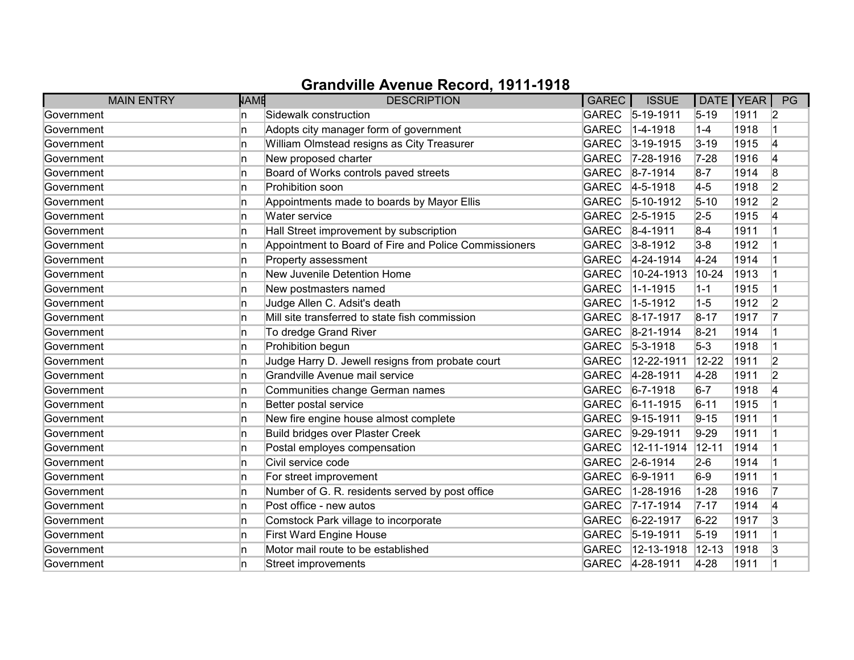| <b>MAIN ENTRY</b> | <b>NAME</b> | <b>DESCRIPTION</b>                                    | GAREC        | <b>ISSUE</b>     | DATE   YEAR |      | PG             |
|-------------------|-------------|-------------------------------------------------------|--------------|------------------|-------------|------|----------------|
| Government        | n           | Sidewalk construction                                 |              | GAREC 5-19-1911  | $5 - 19$    | 1911 | 2              |
| Government        | n           | Adopts city manager form of government                | <b>GAREC</b> | $ 1 - 4 - 1918$  | $1 - 4$     | 1918 |                |
| Government        | n           | William Olmstead resigns as City Treasurer            | <b>GAREC</b> | $3 - 19 - 1915$  | $3 - 19$    | 1915 | 4              |
| Government        | In.         | New proposed charter                                  | <b>GAREC</b> | $7 - 28 - 1916$  | $7 - 28$    | 1916 | 14             |
| Government        | n           | Board of Works controls paved streets                 | <b>GAREC</b> | $8 - 7 - 1914$   | $8 - 7$     | 1914 | 8              |
| Government        | In.         | Prohibition soon                                      | <b>GAREC</b> | $4 - 5 - 1918$   | $4-5$       | 1918 | 2              |
| Government        | 'n          | Appointments made to boards by Mayor Ellis            | <b>GAREC</b> | $5 - 10 - 1912$  | $5 - 10$    | 1912 | $\overline{2}$ |
| Government        | In.         | Water service                                         |              | GAREC 2-5-1915   | $2 - 5$     | 1915 | 4              |
| Government        | 'n          | Hall Street improvement by subscription               | <b>GAREC</b> | $8-4-1911$       | $8-4$       | 1911 |                |
| Government        | 'n          | Appointment to Board of Fire and Police Commissioners | <b>GAREC</b> | $3 - 8 - 1912$   | $3-8$       | 1912 |                |
| Government        | n           | Property assessment                                   | <b>GAREC</b> | $4 - 24 - 1914$  | $4 - 24$    | 1914 |                |
| Government        | n           | New Juvenile Detention Home                           | <b>GAREC</b> | 10-24-1913       | $10 - 24$   | 1913 |                |
| Government        | 'n          | New postmasters named                                 | <b>GAREC</b> | $1 - 1 - 1915$   | $1 - 1$     | 1915 |                |
| Government        | 'n          | Judge Allen C. Adsit's death                          | <b>GAREC</b> | $1 - 5 - 1912$   | $1-5$       | 1912 | 2              |
| Government        | 'n          | Mill site transferred to state fish commission        | <b>GAREC</b> | $ 8-17-1917$     | $8 - 17$    | 1917 |                |
| Government        | In.         | To dredge Grand River                                 | <b>GAREC</b> | $8-21-1914$      | $8 - 21$    | 1914 |                |
| Government        | 'n          | Prohibition begun                                     | <b>GAREC</b> | $5 - 3 - 1918$   | $5-3$       | 1918 |                |
| Government        | n           | Judge Harry D. Jewell resigns from probate court      | <b>GAREC</b> | 12-22-1911       | 12-22       | 1911 | $\overline{2}$ |
| Government        | n           | Grandville Avenue mail service                        | <b>GAREC</b> | 4-28-1911        | $4-28$      | 1911 | $\overline{2}$ |
| Government        | n           | Communities change German names                       | <b>GAREC</b> | $6 - 7 - 1918$   | $6-7$       | 1918 | 4              |
| Government        | 'n          | Better postal service                                 | <b>GAREC</b> | $6-11-1915$      | $6 - 11$    | 1915 |                |
| Government        | 'n          | New fire engine house almost complete                 | <b>GAREC</b> | $9 - 15 - 1911$  | $9 - 15$    | 1911 |                |
| Government        | In.         | <b>Build bridges over Plaster Creek</b>               | <b>GAREC</b> | $ 9-29-1911$     | $9-29$      | 1911 |                |
| Government        | n           | Postal employes compensation                          | <b>GAREC</b> | 12-11-1914       | $12 - 11$   | 1914 |                |
| Government        | 'n          | Civil service code                                    | <b>GAREC</b> | $2 - 6 - 1914$   | $2-6$       | 1914 |                |
| Government        | n           | For street improvement                                | <b>GAREC</b> | $6-9-1911$       | $6-9$       | 1911 |                |
| Government        | n           | Number of G. R. residents served by post office       | <b>GAREC</b> | 1-28-1916        | $1 - 28$    | 1916 | 17             |
| Government        | In.         | Post office - new autos                               | <b>GAREC</b> | $7 - 17 - 1914$  | $7 - 17$    | 1914 | 4              |
| Government        | In.         | Comstock Park village to incorporate                  | <b>GAREC</b> | $6 - 22 - 1917$  | $6 - 22$    | 1917 | 3              |
| Government        | 'n          | First Ward Engine House                               | <b>GAREC</b> | $ 5 - 19 - 1911$ | $5 - 19$    | 1911 |                |
| Government        | In.         | Motor mail route to be established                    | <b>GAREC</b> | 12-13-1918       | $12 - 13$   | 1918 | 3              |
| Government        | n           | Street improvements                                   |              | GAREC 4-28-1911  | $4 - 28$    | 1911 |                |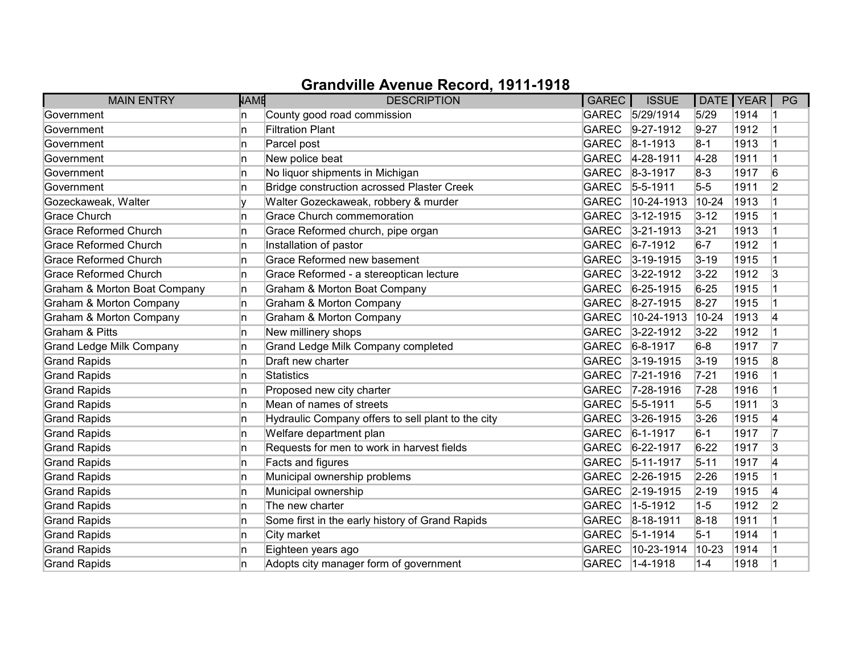| <b>MAIN ENTRY</b>                  | <b>NAME</b> | <b>DESCRIPTION</b>                                 | GAREC        | <b>ISSUE</b>      | DATE   YEAR |      | PG             |
|------------------------------------|-------------|----------------------------------------------------|--------------|-------------------|-------------|------|----------------|
| Government                         | n           | County good road commission                        | <b>GAREC</b> | 5/29/1914         | 5/29        | 1914 |                |
| Government                         | 'n          | <b>Filtration Plant</b>                            | <b>GAREC</b> | $9-27-1912$       | $9 - 27$    | 1912 |                |
| Government                         | n           | Parcel post                                        | <b>GAREC</b> | $ 8 - 1 - 1913 $  | $8-1$       | 1913 |                |
| Government                         | In.         | New police beat                                    | <b>GAREC</b> | 4-28-1911         | $4-28$      | 1911 |                |
| Government                         | 'n          | No liquor shipments in Michigan                    | <b>GAREC</b> | $ 8-3-1917$       | $8-3$       | 1917 | 6              |
| Government                         | In.         | Bridge construction acrossed Plaster Creek         | <b>GAREC</b> | $5 - 5 - 1911$    | $5-5$       | 1911 | $\overline{2}$ |
| Gozeckaweak, Walter                |             | Walter Gozeckaweak, robbery & murder               | <b>GAREC</b> | 10-24-1913        | $10-24$     | 1913 |                |
| <b>Grace Church</b>                | 'n          | <b>Grace Church commemoration</b>                  | <b>GAREC</b> | $3 - 12 - 1915$   | $3 - 12$    | 1915 |                |
| <b>Grace Reformed Church</b>       | 'n          | Grace Reformed church, pipe organ                  | <b>GAREC</b> | $3 - 21 - 1913$   | $3 - 21$    | 1913 |                |
| <b>Grace Reformed Church</b>       | In.         | Installation of pastor                             | <b>GAREC</b> | $6 - 7 - 1912$    | $6-7$       | 1912 |                |
| <b>Grace Reformed Church</b>       | 'n          | Grace Reformed new basement                        | <b>GAREC</b> | $ 3 - 19 - 1915 $ | $3 - 19$    | 1915 |                |
| <b>Grace Reformed Church</b>       | In.         | Grace Reformed - a stereoptican lecture            | <b>GAREC</b> | $3 - 22 - 1912$   | $3 - 22$    | 1912 | 3              |
| Graham & Morton Boat Company       | In.         | Graham & Morton Boat Company                       | <b>GAREC</b> | $6 - 25 - 1915$   | $6 - 25$    | 1915 |                |
| Graham & Morton Company            | In.         | <b>Graham &amp; Morton Company</b>                 | <b>GAREC</b> | $8-27-1915$       | $8 - 27$    | 1915 |                |
| <b>Graham &amp; Morton Company</b> | n.          | Graham & Morton Company                            | <b>GAREC</b> | 10-24-1913        | $10 - 24$   | 1913 | 14             |
| <b>Graham &amp; Pitts</b>          | n.          | New millinery shops                                | <b>GAREC</b> | $3 - 22 - 1912$   | $3 - 22$    | 1912 |                |
| <b>Grand Ledge Milk Company</b>    | 'n          | Grand Ledge Milk Company completed                 | <b>GAREC</b> | $6 - 8 - 1917$    | $6-8$       | 1917 | 17             |
| <b>Grand Rapids</b>                | In.         | Draft new charter                                  | <b>GAREC</b> | $3 - 19 - 1915$   | $3 - 19$    | 1915 | 8              |
| <b>Grand Rapids</b>                | n           | <b>Statistics</b>                                  | <b>GAREC</b> | 7-21-1916         | $7 - 21$    | 1916 |                |
| <b>Grand Rapids</b>                | n           | Proposed new city charter                          | <b>GAREC</b> | 7-28-1916         | $7 - 28$    | 1916 |                |
| <b>Grand Rapids</b>                | 'n          | Mean of names of streets                           | <b>GAREC</b> | $5 - 5 - 1911$    | $5-5$       | 1911 | 3              |
| <b>Grand Rapids</b>                | 'n          | Hydraulic Company offers to sell plant to the city | <b>GAREC</b> | $3 - 26 - 1915$   | $3 - 26$    | 1915 | 14             |
| <b>Grand Rapids</b>                | In.         | Welfare department plan                            | <b>GAREC</b> | $6 - 1 - 1917$    | $6-1$       | 1917 | 17             |
| <b>Grand Rapids</b>                | n           | Requests for men to work in harvest fields         | <b>GAREC</b> | $6 - 22 - 1917$   | $6 - 22$    | 1917 | 3              |
| <b>Grand Rapids</b>                | 'n          | Facts and figures                                  | <b>GAREC</b> | $5 - 11 - 1917$   | $5 - 11$    | 1917 | 4              |
| <b>Grand Rapids</b>                | n           | Municipal ownership problems                       | <b>GAREC</b> | 2-26-1915         | $2 - 26$    | 1915 |                |
| <b>Grand Rapids</b>                | 'n          | Municipal ownership                                | <b>GAREC</b> | 2-19-1915         | $2 - 19$    | 1915 | 4              |
| <b>Grand Rapids</b>                | In.         | The new charter                                    | <b>GAREC</b> | 1-5-1912          | $1 - 5$     | 1912 | $\overline{2}$ |
| <b>Grand Rapids</b>                | In.         | Some first in the early history of Grand Rapids    | <b>GAREC</b> | $8-18-1911$       | $8 - 18$    | 1911 |                |
| <b>Grand Rapids</b>                | 'n          | City market                                        | <b>GAREC</b> | $5 - 1 - 1914$    | $5-1$       | 1914 |                |
| <b>Grand Rapids</b>                | In.         | Eighteen years ago                                 | <b>GAREC</b> | 10-23-1914        | $10 - 23$   | 1914 |                |
| <b>Grand Rapids</b>                | n           | Adopts city manager form of government             | <b>GAREC</b> | $ 1 - 4 - 1918$   | $1 - 4$     | 1918 |                |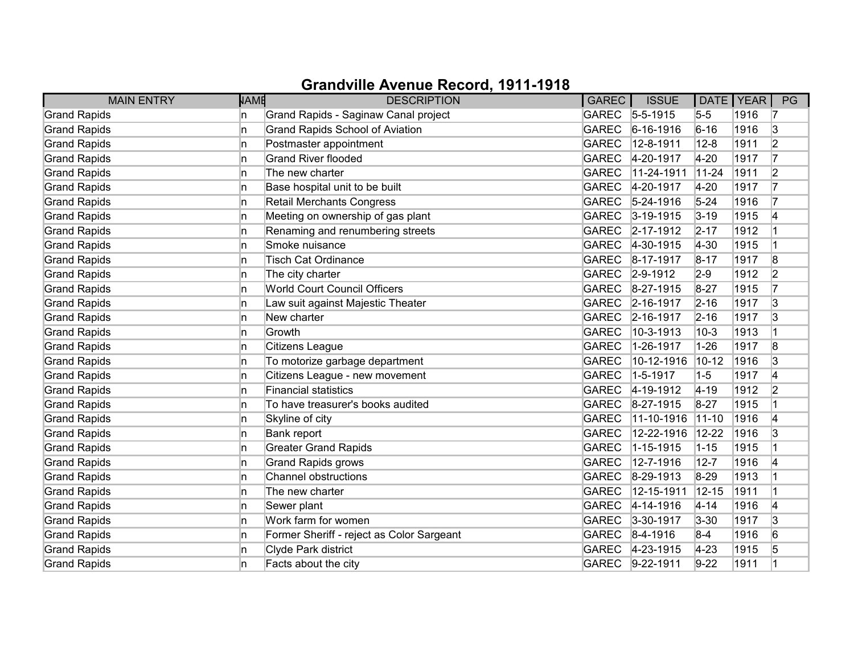| <b>MAIN ENTRY</b>   | <b>NAME</b> | <b>DESCRIPTION</b>                        | GAREC        | <b>ISSUE</b>     | DATE   YEAR |      | PG             |
|---------------------|-------------|-------------------------------------------|--------------|------------------|-------------|------|----------------|
| <b>Grand Rapids</b> | n           | Grand Rapids - Saginaw Canal project      | <b>GAREC</b> | $5 - 5 - 1915$   | $5-5$       | 1916 | 17             |
| <b>Grand Rapids</b> | ln.         | Grand Rapids School of Aviation           | <b>GAREC</b> | $6 - 16 - 1916$  | $6 - 16$    | 1916 | 3              |
| <b>Grand Rapids</b> | ln.         | Postmaster appointment                    | <b>GAREC</b> | 12-8-1911        | $12 - 8$    | 1911 | $\overline{2}$ |
| <b>Grand Rapids</b> | In.         | <b>Grand River flooded</b>                | <b>GAREC</b> | 4-20-1917        | $4 - 20$    | 1917 | 17             |
| <b>Grand Rapids</b> | In.         | The new charter                           | <b>GAREC</b> | 11-24-1911       | $11-24$     | 1911 | $\overline{2}$ |
| <b>Grand Rapids</b> | In.         | Base hospital unit to be built            | <b>GAREC</b> | 4-20-1917        | $4-20$      | 1917 | 17             |
| <b>Grand Rapids</b> | In.         | <b>Retail Merchants Congress</b>          | <b>GAREC</b> | $5 - 24 - 1916$  | $5 - 24$    | 1916 |                |
| <b>Grand Rapids</b> | In.         | Meeting on ownership of gas plant         | <b>GAREC</b> | $3-19-1915$      | $3-19$      | 1915 | 4              |
| <b>Grand Rapids</b> | ln.         | Renaming and renumbering streets          | <b>GAREC</b> | 2-17-1912        | $2 - 17$    | 1912 |                |
| <b>Grand Rapids</b> | ln.         | Smoke nuisance                            | <b>GAREC</b> | $4-30-1915$      | $ 4 - 30 $  | 1915 |                |
| <b>Grand Rapids</b> | In.         | <b>Tisch Cat Ordinance</b>                | <b>GAREC</b> | 8-17-1917        | $8 - 17$    | 1917 | 8              |
| <b>Grand Rapids</b> | In.         | The city charter                          | <b>GAREC</b> | $ 2 - 9 - 1912 $ | $2-9$       | 1912 | 2              |
| <b>Grand Rapids</b> | ln.         | <b>World Court Council Officers</b>       | <b>GAREC</b> | 8-27-1915        | $8 - 27$    | 1915 | 17             |
| <b>Grand Rapids</b> | In.         | Law suit against Majestic Theater         | <b>GAREC</b> | 2-16-1917        | $ 2 - 16 $  | 1917 | 3              |
| <b>Grand Rapids</b> | In.         | New charter                               | <b>GAREC</b> | 2-16-1917        | $2 - 16$    | 1917 | 3              |
| <b>Grand Rapids</b> | In.         | Growth                                    | <b>GAREC</b> | 10-3-1913        | $10-3$      | 1913 |                |
| <b>Grand Rapids</b> | ln.         | Citizens League                           | <b>GAREC</b> | 1-26-1917        | $1 - 26$    | 1917 | 8              |
| <b>Grand Rapids</b> | ln.         | To motorize garbage department            | <b>GAREC</b> | 10-12-1916       | $10 - 12$   | 1916 | 3              |
| <b>Grand Rapids</b> | In.         | Citizens League - new movement            | <b>GAREC</b> | 1-5-1917         | $1 - 5$     | 1917 | 14             |
| <b>Grand Rapids</b> | In.         | Financial statistics                      | <b>GAREC</b> | 4-19-1912        | $4 - 19$    | 1912 | 2              |
| <b>Grand Rapids</b> | In.         | To have treasurer's books audited         | <b>GAREC</b> | 8-27-1915        | $8 - 27$    | 1915 |                |
| <b>Grand Rapids</b> | ln.         | Skyline of city                           | <b>GAREC</b> | 11-10-1916       | $11-10$     | 1916 | 14             |
| <b>Grand Rapids</b> | In.         | Bank report                               | <b>GAREC</b> | 12-22-1916       | $12 - 22$   | 1916 | 3              |
| <b>Grand Rapids</b> | ln.         | <b>Greater Grand Rapids</b>               | <b>GAREC</b> | 1-15-1915        | $1 - 15$    | 1915 |                |
| <b>Grand Rapids</b> | In.         | <b>Grand Rapids grows</b>                 | <b>GAREC</b> | 12-7-1916        | $12 - 7$    | 1916 | 14             |
| <b>Grand Rapids</b> | ln.         | Channel obstructions                      | <b>GAREC</b> | 8-29-1913        | $8 - 29$    | 1913 |                |
| <b>Grand Rapids</b> | ln.         | The new charter                           | <b>GAREC</b> | 12-15-1911       | $12 - 15$   | 1911 |                |
| <b>Grand Rapids</b> | ln.         | Sewer plant                               | <b>GAREC</b> | $4 - 14 - 1916$  | $4 - 14$    | 1916 | 4              |
| <b>Grand Rapids</b> | ln.         | Work farm for women                       | <b>GAREC</b> | $3-30-1917$      | $3 - 30$    | 1917 | 3              |
| <b>Grand Rapids</b> | ln.         | Former Sheriff - reject as Color Sargeant | <b>GAREC</b> | $ 8-4-1916 $     | $8-4$       | 1916 | 6              |
| <b>Grand Rapids</b> | In.         | Clyde Park district                       | <b>GAREC</b> | 4-23-1915        | $4 - 23$    | 1915 | 5              |
| <b>Grand Rapids</b> | ln.         | Facts about the city                      | <b>GAREC</b> | $ 9-22-1911$     | $9 - 22$    | 1911 |                |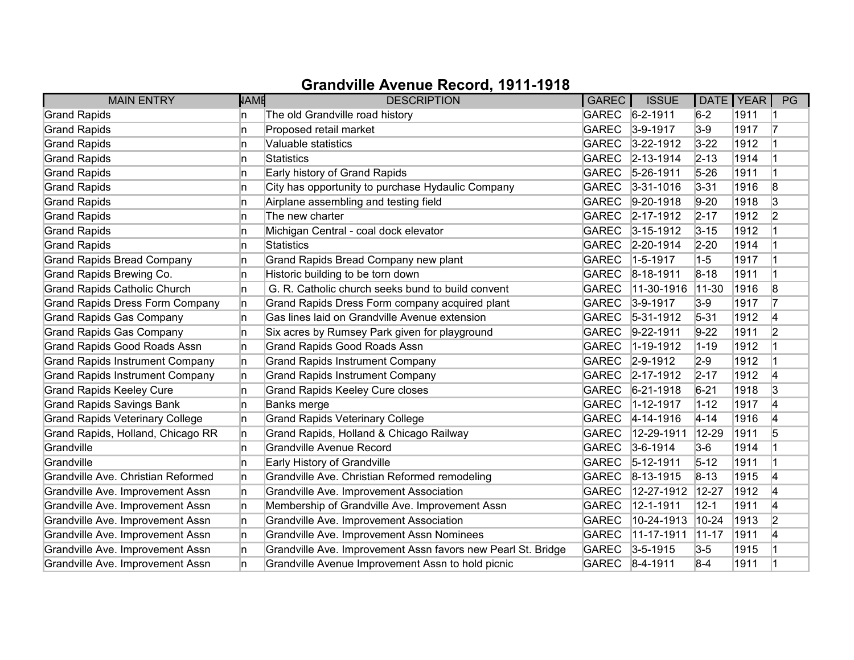| <b>MAIN ENTRY</b>                      | <b>NAME</b> | <b>DESCRIPTION</b>                                           | GAREC        | <b>ISSUE</b>      | DATE   YEAR |      | PG             |
|----------------------------------------|-------------|--------------------------------------------------------------|--------------|-------------------|-------------|------|----------------|
| <b>Grand Rapids</b>                    | n           | The old Grandville road history                              |              | GAREC 6-2-1911    | $6-2$       | 1911 |                |
| <b>Grand Rapids</b>                    | n           | Proposed retail market                                       | <b>GAREC</b> | $3-9-1917$        | $3-9$       | 1917 | 17             |
| <b>Grand Rapids</b>                    | n           | Valuable statistics                                          | <b>GAREC</b> | $3 - 22 - 1912$   | $3 - 22$    | 1912 |                |
| <b>Grand Rapids</b>                    | n           | Statistics                                                   | <b>GAREC</b> | $ 2 - 13 - 1914 $ | $2 - 13$    | 1914 |                |
| <b>Grand Rapids</b>                    | n           | Early history of Grand Rapids                                | <b>GAREC</b> | $5 - 26 - 1911$   | $5 - 26$    | 1911 | 1              |
| <b>Grand Rapids</b>                    | n.          | City has opportunity to purchase Hydaulic Company            | <b>GAREC</b> | $3 - 31 - 1016$   | $3 - 31$    | 1916 | 8              |
| <b>Grand Rapids</b>                    | n           | Airplane assembling and testing field                        | <b>GAREC</b> | $9-20-1918$       | $9-20$      | 1918 | 3              |
| <b>Grand Rapids</b>                    | n           | The new charter                                              |              | GAREC 2-17-1912   | $2 - 17$    | 1912 | 2              |
| <b>Grand Rapids</b>                    | In.         | Michigan Central - coal dock elevator                        |              | GAREC 3-15-1912   | $3 - 15$    | 1912 |                |
| <b>Grand Rapids</b>                    | n.          | Statistics                                                   | <b>GAREC</b> | $ 2 - 20 - 1914 $ | $2-20$      | 1914 |                |
| <b>Grand Rapids Bread Company</b>      | n           | Grand Rapids Bread Company new plant                         | <b>GAREC</b> | $1-5-1917$        | $1-5$       | 1917 |                |
| Grand Rapids Brewing Co.               | n           | Historic building to be torn down                            | <b>GAREC</b> | $ 8 - 18 - 1911$  | $8 - 18$    | 1911 |                |
| <b>Grand Rapids Catholic Church</b>    | n.          | G. R. Catholic church seeks bund to build convent            | <b>GAREC</b> | 11-30-1916        | $ 11 - 30 $ | 1916 | 8              |
| <b>Grand Rapids Dress Form Company</b> | n.          | Grand Rapids Dress Form company acquired plant               | <b>GAREC</b> | $3-9-1917$        | $3-9$       | 1917 | 17             |
| <b>Grand Rapids Gas Company</b>        | n.          | Gas lines laid on Grandville Avenue extension                | <b>GAREC</b> | $ 5-31-1912 $     | $5 - 31$    | 1912 | 4              |
| <b>Grand Rapids Gas Company</b>        | n           | Six acres by Rumsey Park given for playground                | <b>GAREC</b> | $9 - 22 - 1911$   | $9-22$      | 1911 | 2              |
| <b>Grand Rapids Good Roads Assn</b>    | n.          | <b>Grand Rapids Good Roads Assn</b>                          | <b>GAREC</b> | $1 - 19 - 1912$   | $1 - 19$    | 1912 |                |
| <b>Grand Rapids Instrument Company</b> | n           | <b>Grand Rapids Instrument Company</b>                       | <b>GAREC</b> | $ 2 - 9 - 1912 $  | $2-9$       | 1912 |                |
| <b>Grand Rapids Instrument Company</b> | n.          | <b>Grand Rapids Instrument Company</b>                       | <b>GAREC</b> | $2 - 17 - 1912$   | $2 - 17$    | 1912 | 4              |
| <b>Grand Rapids Keeley Cure</b>        | n           | <b>Grand Rapids Keeley Cure closes</b>                       | <b>GAREC</b> | $6 - 21 - 1918$   | $6 - 21$    | 1918 | 3              |
| <b>Grand Rapids Savings Bank</b>       | In.         | Banks merge                                                  | <b>GAREC</b> | $1 - 12 - 1917$   | $1 - 12$    | 1917 | 4              |
| <b>Grand Rapids Veterinary College</b> | n.          | <b>Grand Rapids Veterinary College</b>                       | <b>GAREC</b> | $4 - 14 - 1916$   | $4 - 14$    | 1916 | 4              |
| Grand Rapids, Holland, Chicago RR      | n           | Grand Rapids, Holland & Chicago Railway                      | <b>GAREC</b> | 12-29-1911        | $ 12 - 29$  | 1911 | 5              |
| Grandville                             | n           | Grandville Avenue Record                                     | <b>GAREC</b> | $ 3-6-1914 $      | $3-6$       | 1914 |                |
| Grandville                             | In.         | Early History of Grandville                                  | <b>GAREC</b> | $ 5 - 12 - 1911$  | $5 - 12$    | 1911 |                |
| Grandville Ave. Christian Reformed     | n.          | Grandville Ave. Christian Reformed remodeling                | <b>GAREC</b> | $ 8-13-1915$      | $8 - 13$    | 1915 | 4              |
| Grandville Ave. Improvement Assn       | n.          | Grandville Ave. Improvement Association                      | <b>GAREC</b> | 12-27-1912        | 12-27       | 1912 | 14             |
| Grandville Ave. Improvement Assn       | In.         | Membership of Grandville Ave. Improvement Assn               | <b>GAREC</b> | 12-1-1911         | $12 - 1$    | 1911 | 4              |
| Grandville Ave. Improvement Assn       | n.          | Grandville Ave. Improvement Association                      | <b>GAREC</b> | 10-24-1913        | $10-24$     | 1913 | $\overline{2}$ |
| Grandville Ave. Improvement Assn       | n.          | Grandville Ave. Improvement Assn Nominees                    | <b>GAREC</b> | 11-17-1911        | $11-17$     | 1911 | 4              |
| Grandville Ave. Improvement Assn       | n           | Grandville Ave. Improvement Assn favors new Pearl St. Bridge | <b>GAREC</b> | $3 - 5 - 1915$    | $3-5$       | 1915 |                |
| Grandville Ave. Improvement Assn       | n           | Grandville Avenue Improvement Assn to hold picnic            |              | GAREC 8-4-1911    | $8 - 4$     | 1911 |                |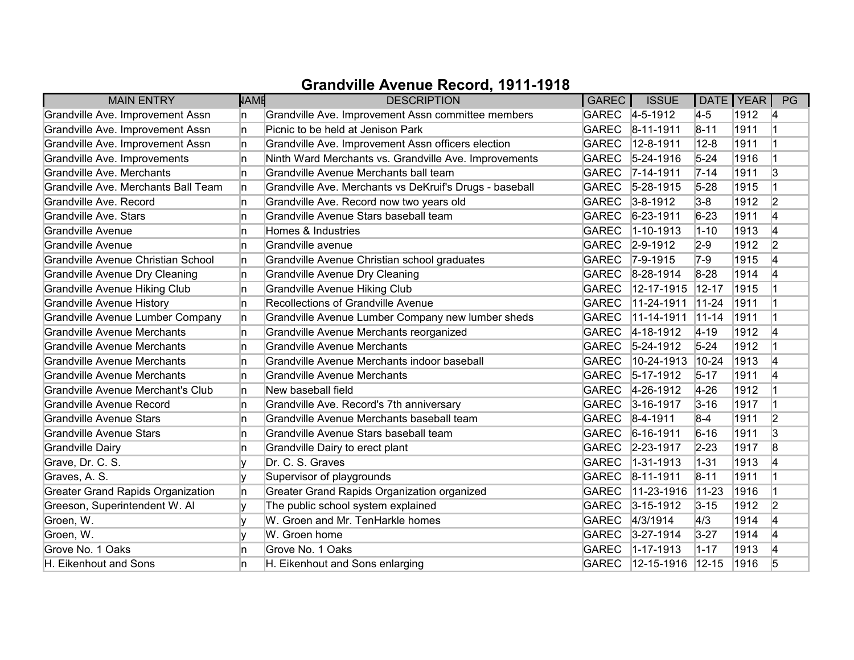| <b>MAIN ENTRY</b>                        | <b>NAME</b> | <b>DESCRIPTION</b>                                      | GAREC        | <b>ISSUE</b>     |            | DATE   YEAR | PG             |
|------------------------------------------|-------------|---------------------------------------------------------|--------------|------------------|------------|-------------|----------------|
| Grandville Ave. Improvement Assn         | In.         | Grandville Ave. Improvement Assn committee members      |              | GAREC 4-5-1912   | $4-5$      | 1912        | 14             |
| Grandville Ave. Improvement Assn         | In.         | Picnic to be held at Jenison Park                       | <b>GAREC</b> | $ 8 - 11 - 1911$ | $8 - 11$   | 1911        |                |
| Grandville Ave. Improvement Assn         | ln.         | Grandville Ave. Improvement Assn officers election      | <b>GAREC</b> | $12 - 8 - 1911$  | $12 - 8$   | 1911        |                |
| Grandville Ave. Improvements             | ln.         | Ninth Ward Merchants vs. Grandville Ave. Improvements   | GAREC        | $5 - 24 - 1916$  | $5 - 24$   | 1916        |                |
| Grandville Ave. Merchants                | ln.         | Grandville Avenue Merchants ball team                   | <b>GAREC</b> | $7 - 14 - 1911$  | $7 - 14$   | 1911        | 3              |
| Grandville Ave. Merchants Ball Team      | In.         | Grandville Ave. Merchants vs DeKruif's Drugs - baseball | <b>GAREC</b> | $5 - 28 - 1915$  | $5 - 28$   | 1915        |                |
| Grandville Ave. Record                   | ln.         | Grandville Ave. Record now two years old                |              | GAREC 3-8-1912   | $3-8$      | 1912        | 2              |
| Grandville Ave. Stars                    | ln.         | Grandville Avenue Stars baseball team                   | GAREC        | $6 - 23 - 1911$  | $6 - 23$   | 1911        | 4              |
| <b>Grandville Avenue</b>                 | ln.         | Homes & Industries                                      | <b>GAREC</b> | $1 - 10 - 1913$  | $1 - 10$   | 1913        | 4              |
| <b>Grandville Avenue</b>                 | ln.         | Grandville avenue                                       |              | GAREC 2-9-1912   | $2-9$      | 1912        | 2              |
| Grandville Avenue Christian School       | In.         | Grandville Avenue Christian school graduates            | GAREC        | $7-9-1915$       | $7-9$      | 1915        | 4              |
| <b>Grandville Avenue Dry Cleaning</b>    | In.         | <b>Grandville Avenue Dry Cleaning</b>                   | <b>GAREC</b> | 8-28-1914        | $8-28$     | 1914        | 4              |
| Grandville Avenue Hiking Club            | ln.         | <b>Grandville Avenue Hiking Club</b>                    | <b>GAREC</b> | 12-17-1915       | $12 - 17$  | 1915        |                |
| <b>Grandville Avenue History</b>         | ln.         | <b>Recollections of Grandville Avenue</b>               | <b>GAREC</b> | 11-24-1911       | $11-24$    | 1911        |                |
| Grandville Avenue Lumber Company         | In.         | Grandville Avenue Lumber Company new lumber sheds       | <b>GAREC</b> | 11-14-1911       | $11 - 14$  | 1911        | $\overline{1}$ |
| Grandville Avenue Merchants              | In.         | Grandville Avenue Merchants reorganized                 | <b>GAREC</b> | $4 - 18 - 1912$  | $ 4 - 19 $ | 1912        | 4              |
| <b>Grandville Avenue Merchants</b>       | ln.         | <b>Grandville Avenue Merchants</b>                      | <b>GAREC</b> | $5-24-1912$      | $5 - 24$   | 1912        | $\overline{1}$ |
| Grandville Avenue Merchants              | ln.         | Grandville Avenue Merchants indoor baseball             | <b>GAREC</b> | 10-24-1913       | $10-24$    | 1913        | 4              |
| <b>Grandville Avenue Merchants</b>       | ln.         | <b>Grandville Avenue Merchants</b>                      | GAREC        | $5-17-1912$      | $5 - 17$   | 1911        | 14             |
| Grandville Avenue Merchant's Club        | In.         | New baseball field                                      |              | GAREC 4-26-1912  | $4 - 26$   | 1912        |                |
| Grandville Avenue Record                 | ln.         | Grandville Ave. Record's 7th anniversary                | <b>GAREC</b> | $3 - 16 - 1917$  | $3 - 16$   | 1917        |                |
| Grandville Avenue Stars                  | ln.         | Grandville Avenue Merchants baseball team               | GAREC        | $8-4-1911$       | $8-4$      | 1911        | 2              |
| Grandville Avenue Stars                  | ln.         | Grandville Avenue Stars baseball team                   |              | GAREC 6-16-1911  | $6 - 16$   | 1911        | 3              |
| <b>Grandville Dairy</b>                  | ln.         | Grandville Dairy to erect plant                         |              | GAREC 2-23-1917  | $2 - 23$   | 1917        | 8              |
| Grave, Dr. C. S.                         | ١v          | Dr. C. S. Graves                                        | <b>GAREC</b> | $1 - 31 - 1913$  | $ 1 - 31$  | 1913        | 4              |
| Graves, A. S.                            |             | Supervisor of playgrounds                               | GAREC        | $ 8 - 11 - 1911$ | $8 - 11$   | 1911        | $\overline{1}$ |
| <b>Greater Grand Rapids Organization</b> | In.         | Greater Grand Rapids Organization organized             | <b>GAREC</b> | 11-23-1916       | $11 - 23$  | 1916        |                |
| Greeson, Superintendent W. Al            | ly          | The public school system explained                      | GAREC        | $3 - 15 - 1912$  | $3 - 15$   | 1912        | 2              |
| Groen, W.                                | ١v          | W. Groen and Mr. TenHarkle homes                        | <b>GAREC</b> | 4/3/1914         | 4/3        | 1914        | 4              |
| Groen, W.                                |             | W. Groen home                                           |              | GAREC 3-27-1914  | $3 - 27$   | 1914        | 4              |
| Grove No. 1 Oaks                         | ln.         | Grove No. 1 Oaks                                        | <b>GAREC</b> | $1 - 17 - 1913$  | $1 - 17$   | 1913        | 4              |
| H. Eikenhout and Sons                    | In          | H. Eikenhout and Sons enlarging                         | <b>GAREC</b> | 12-15-1916       | $12 - 15$  | 1916        | 5              |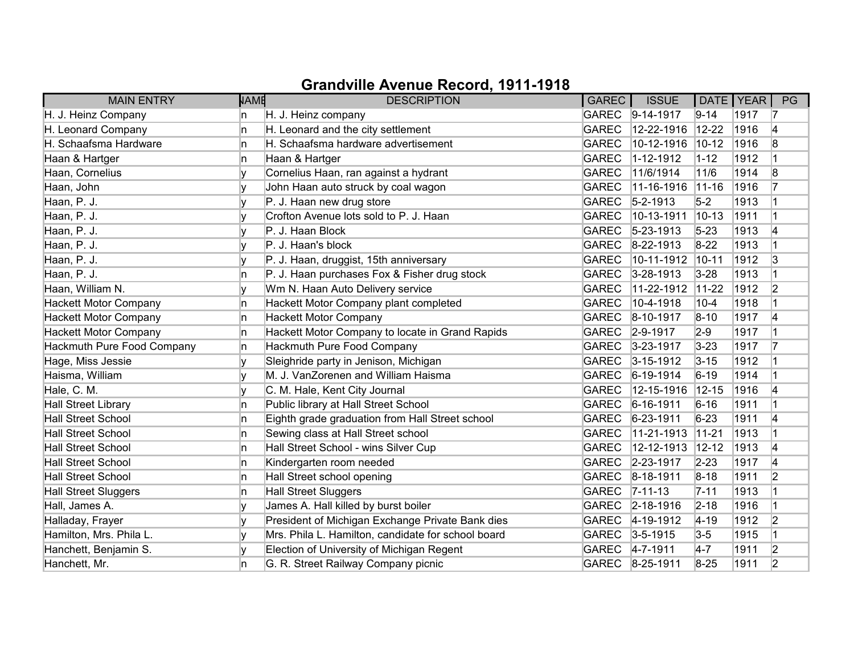| <b>MAIN ENTRY</b>            | <b>NAME</b> | <b>DESCRIPTION</b>                                 | GAREC        | <b>ISSUE</b>     | DATE   YEAR |      | PG             |
|------------------------------|-------------|----------------------------------------------------|--------------|------------------|-------------|------|----------------|
| H. J. Heinz Company          | n           | H. J. Heinz company                                |              | GAREC 9-14-1917  | $9 - 14$    | 1917 | 17             |
| H. Leonard Company           | n           | H. Leonard and the city settlement                 | <b>GAREC</b> | 12-22-1916       | $12 - 22$   | 1916 | 4              |
| H. Schaafsma Hardware        | n           | H. Schaafsma hardware advertisement                | <b>GAREC</b> | 10-12-1916       | $10 - 12$   | 1916 | 8              |
| Haan & Hartger               | In.         | Haan & Hartger                                     | <b>GAREC</b> | 1-12-1912        | $1 - 12$    | 1912 |                |
| Haan, Cornelius              | ۷           | Cornelius Haan, ran against a hydrant              | <b>GAREC</b> | 11/6/1914        | 11/6        | 1914 | 8              |
| Haan, John                   | v           | John Haan auto struck by coal wagon                | <b>GAREC</b> | 11-16-1916       | $ 11 - 16 $ | 1916 | 17             |
| Haan, P. J.                  |             | P. J. Haan new drug store                          | <b>GAREC</b> | $5 - 2 - 1913$   | $5-2$       | 1913 |                |
| Haan, P. J.                  |             | Crofton Avenue lots sold to P. J. Haan             | <b>GAREC</b> | 10-13-1911       | $10 - 13$   | 1911 |                |
| Haan, P. J.                  |             | P. J. Haan Block                                   | <b>GAREC</b> | $5 - 23 - 1913$  | $5 - 23$    | 1913 | 4              |
| Haan, P. J.                  |             | P. J. Haan's block                                 | <b>GAREC</b> | 8-22-1913        | $8-22$      | 1913 |                |
| Haan, P. J.                  |             | P. J. Haan, druggist, 15th anniversary             | <b>GAREC</b> | 10-11-1912       | $10 - 11$   | 1912 | 3              |
| Haan, P. J.                  | In.         | P. J. Haan purchases Fox & Fisher drug stock       | <b>GAREC</b> | $3 - 28 - 1913$  | $3 - 28$    | 1913 |                |
| Haan, William N.             | v           | Wm N. Haan Auto Delivery service                   | <b>GAREC</b> | 11-22-1912       | $11-22$     | 1912 | $\overline{2}$ |
| <b>Hackett Motor Company</b> | In.         | Hackett Motor Company plant completed              | <b>GAREC</b> | 10-4-1918        | $10 - 4$    | 1918 |                |
| <b>Hackett Motor Company</b> | In.         | <b>Hackett Motor Company</b>                       | <b>GAREC</b> | 8-10-1917        | $8 - 10$    | 1917 | 4              |
| <b>Hackett Motor Company</b> | n           | Hackett Motor Company to locate in Grand Rapids    | <b>GAREC</b> | $2 - 9 - 1917$   | $2-9$       | 1917 |                |
| Hackmuth Pure Food Company   | ln.         | Hackmuth Pure Food Company                         | <b>GAREC</b> | $3 - 23 - 1917$  | $3 - 23$    | 1917 | 17             |
| Hage, Miss Jessie            |             | Sleighride party in Jenison, Michigan              | <b>GAREC</b> | $3 - 15 - 1912$  | $3 - 15$    | 1912 |                |
| Haisma, William              |             | M. J. VanZorenen and William Haisma                | <b>GAREC</b> | $ 6-19-1914$     | $6 - 19$    | 1914 |                |
| Hale, C. M.                  |             | C. M. Hale, Kent City Journal                      | <b>GAREC</b> | 12-15-1916       | $12 - 15$   | 1916 | 4              |
| <b>Hall Street Library</b>   | ln.         | Public library at Hall Street School               | <b>GAREC</b> | $6 - 16 - 1911$  | $6 - 16$    | 1911 |                |
| <b>Hall Street School</b>    | ln.         | Eighth grade graduation from Hall Street school    | <b>GAREC</b> | $6 - 23 - 1911$  | $6-23$      | 1911 | 14             |
| <b>Hall Street School</b>    | In.         | Sewing class at Hall Street school                 | <b>GAREC</b> | 11-21-1913       | $11-21$     | 1913 |                |
| <b>Hall Street School</b>    | ln.         | Hall Street School - wins Silver Cup               | <b>GAREC</b> | 12-12-1913       | $12 - 12$   | 1913 | 4              |
| <b>Hall Street School</b>    | ln.         | Kindergarten room needed                           | <b>GAREC</b> | 2-23-1917        | $2 - 23$    | 1917 | 4              |
| <b>Hall Street School</b>    | ln.         | Hall Street school opening                         | <b>GAREC</b> | 8-18-1911        | $8 - 18$    | 1911 | 2              |
| <b>Hall Street Sluggers</b>  | In.         | <b>Hall Street Sluggers</b>                        | <b>GAREC</b> | $ 7 - 11 - 13 $  | $7 - 11$    | 1913 |                |
| Hall, James A.               | ٧           | James A. Hall killed by burst boiler               | <b>GAREC</b> | $ 2 - 18 - 1916$ | $2 - 18$    | 1916 | $\overline{1}$ |
| Halladay, Frayer             | ١v          | President of Michigan Exchange Private Bank dies   | <b>GAREC</b> | $4 - 19 - 1912$  | $ 4 - 19 $  | 1912 | 2              |
| Hamilton, Mrs. Phila L.      |             | Mrs. Phila L. Hamilton, candidate for school board |              | GAREC 3-5-1915   | $3-5$       | 1915 |                |
| Hanchett, Benjamin S.        |             | Election of University of Michigan Regent          |              | GAREC 4-7-1911   | $4-7$       | 1911 | 2              |
| Hanchett, Mr.                | n           | G. R. Street Railway Company picnic                |              | GAREC 8-25-1911  | $8 - 25$    | 1911 | 2              |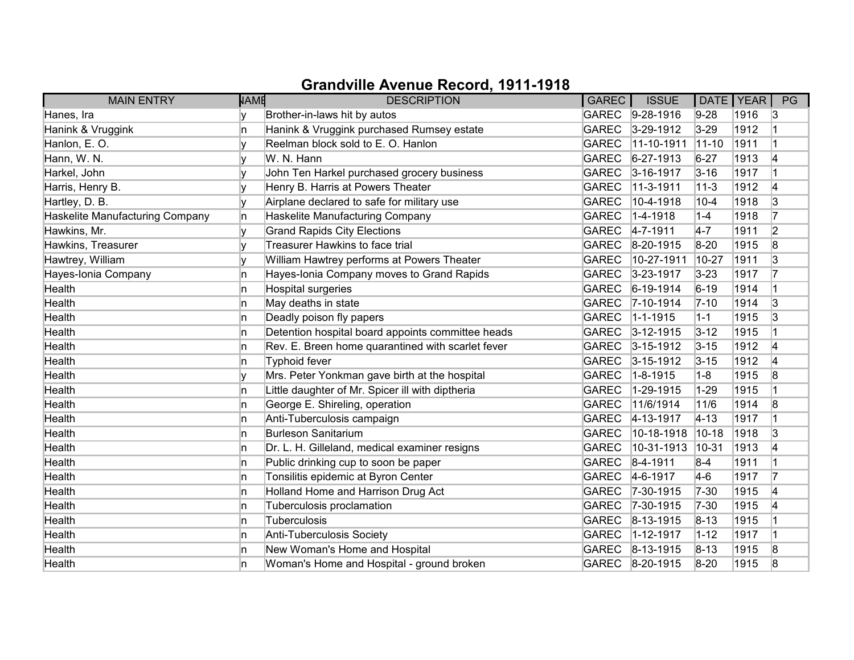| <b>MAIN ENTRY</b>               | <b>NAME</b> | <b>DESCRIPTION</b>                                | GAREC        | <b>ISSUE</b>      |             | DATE   YEAR | PG             |
|---------------------------------|-------------|---------------------------------------------------|--------------|-------------------|-------------|-------------|----------------|
| Hanes, Ira                      |             | Brother-in-laws hit by autos                      |              | GAREC 9-28-1916   | $9 - 28$    | 1916        | 13             |
| Hanink & Vruggink               | n           | Hanink & Vruggink purchased Rumsey estate         | <b>GAREC</b> | $3 - 29 - 1912$   | $3-29$      | 1912        |                |
| Hanlon, E.O.                    |             | Reelman block sold to E. O. Hanlon                | <b>GAREC</b> | 11-10-1911        | $11 - 10$   | 1911        | 1              |
| Hann, W. N.                     | ٧           | W. N. Hann                                        | <b>GAREC</b> | $6 - 27 - 1913$   | $6 - 27$    | 1913        | 4              |
| Harkel, John                    |             | John Ten Harkel purchased grocery business        | <b>GAREC</b> | $3 - 16 - 1917$   | $3 - 16$    | 1917        |                |
| Harris, Henry B.                | v           | Henry B. Harris at Powers Theater                 | <b>GAREC</b> | 11-3-1911         | $11 - 3$    | 1912        | 4              |
| Hartley, D. B.                  |             | Airplane declared to safe for military use        | <b>GAREC</b> | 10-4-1918         | $10 - 4$    | 1918        | 3              |
| Haskelite Manufacturing Company | n.          | Haskelite Manufacturing Company                   | <b>GAREC</b> | $ 1 - 4 - 1918 $  | $1 - 4$     | 1918        | 17             |
| Hawkins, Mr.                    |             | <b>Grand Rapids City Elections</b>                | <b>GAREC</b> | $4 - 7 - 1911$    | $4-7$       | 1911        | $\overline{2}$ |
| Hawkins, Treasurer              | v           | <b>Treasurer Hawkins to face trial</b>            | <b>GAREC</b> | 8-20-1915         | $8 - 20$    | 1915        | 8              |
| Hawtrey, William                |             | William Hawtrey performs at Powers Theater        | <b>GAREC</b> | 10-27-1911        | 10-27       | 1911        | 3              |
| Hayes-Ionia Company             | n           | Hayes-Ionia Company moves to Grand Rapids         | <b>GAREC</b> | 3-23-1917         | $3 - 23$    | 1917        | 17             |
| Health                          | n           | Hospital surgeries                                | <b>GAREC</b> | $6 - 19 - 1914$   | $6 - 19$    | 1914        |                |
| Health                          | n           | May deaths in state                               | <b>GAREC</b> | $ 7 - 10 - 1914 $ | $7 - 10$    | 1914        | 3              |
| Health                          | In.         | Deadly poison fly papers                          | <b>GAREC</b> | $1 - 1 - 1915$    | $1 - 1$     | 1915        | 3              |
| Health                          | n           | Detention hospital board appoints committee heads | <b>GAREC</b> | $3 - 12 - 1915$   | $3 - 12$    | 1915        |                |
| Health                          | n           | Rev. E. Breen home quarantined with scarlet fever | <b>GAREC</b> | $3 - 15 - 1912$   | $3 - 15$    | 1912        | 4              |
| Health                          | n           | Typhoid fever                                     | <b>GAREC</b> | $3 - 15 - 1912$   | $3 - 15$    | 1912        | 4              |
| Health                          | v           | Mrs. Peter Yonkman gave birth at the hospital     | <b>GAREC</b> | $1 - 8 - 1915$    | $1 - 8$     | 1915        | 8              |
| Health                          | n           | Little daughter of Mr. Spicer ill with diptheria  | <b>GAREC</b> | 1-29-1915         | $1 - 29$    | 1915        |                |
| Health                          | n           | George E. Shireling, operation                    | <b>GAREC</b> | 11/6/1914         | 11/6        | 1914        | 8              |
| Health                          | n           | Anti-Tuberculosis campaign                        | <b>GAREC</b> | $4-13-1917$       | $ 4 - 13 $  | 1917        |                |
| Health                          | n           | <b>Burleson Sanitarium</b>                        | <b>GAREC</b> | 10-18-1918        | $ 10 - 18 $ | 1918        | 3              |
| Health                          | n           | Dr. L. H. Gilleland, medical examiner resigns     | <b>GAREC</b> | 10-31-1913        | 10-31       | 1913        | 4              |
| Health                          | 'n          | Public drinking cup to soon be paper              | <b>GAREC</b> | $8-4-1911$        | $8-4$       | 1911        |                |
| Health                          | n           | Tonsilitis epidemic at Byron Center               | <b>GAREC</b> | $4-6-1917$        | $4-6$       | 1917        | 17             |
| Health                          | n           | Holland Home and Harrison Drug Act                | <b>GAREC</b> | 7-30-1915         | $7 - 30$    | 1915        | 14             |
| Health                          | 'n          | Tuberculosis proclamation                         | <b>GAREC</b> | $7 - 30 - 1915$   | $7 - 30$    | 1915        | 4              |
| Health                          | 'n          | Tuberculosis                                      | <b>GAREC</b> | $8-13-1915$       | $ 8 - 13 $  | 1915        |                |
| Health                          | 'n          | Anti-Tuberculosis Society                         | <b>GAREC</b> | 1-12-1917         | $1 - 12$    | 1917        |                |
| Health                          | In.         | New Woman's Home and Hospital                     | <b>GAREC</b> | $ 8-13-1915 $     | $8 - 13$    | 1915        | 8              |
| Health                          | n           | Woman's Home and Hospital - ground broken         | <b>GAREC</b> | $8 - 20 - 1915$   | $8 - 20$    | 1915        | 8              |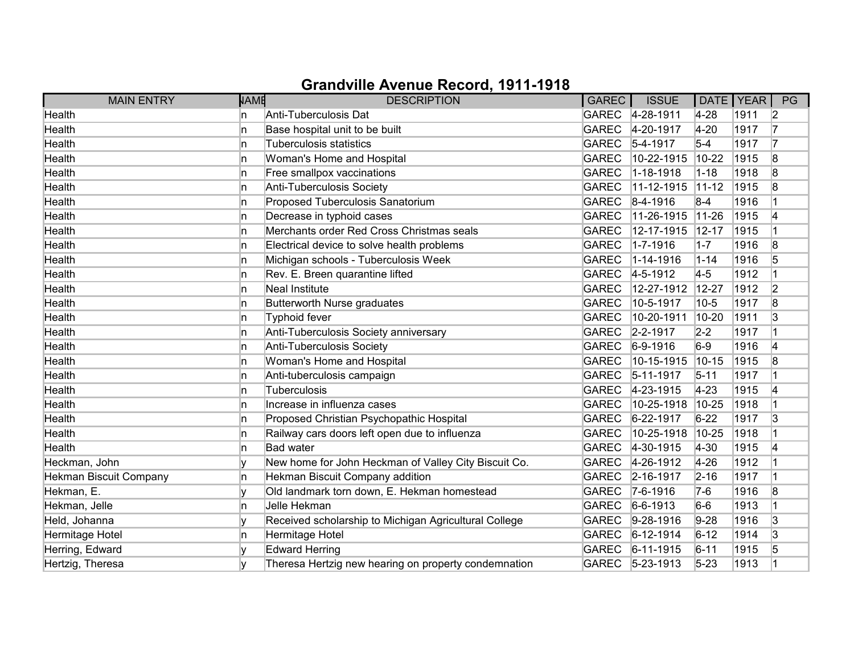| <b>MAIN ENTRY</b>             | <b>NAME</b> | <b>DESCRIPTION</b>                                    | <b>GAREC</b> | <b>ISSUE</b>     | DATE   YEAR |      | PG             |
|-------------------------------|-------------|-------------------------------------------------------|--------------|------------------|-------------|------|----------------|
| Health                        | In.         | Anti-Tuberculosis Dat                                 |              | GAREC 4-28-1911  | $4-28$      | 1911 | 2              |
| Health                        | ln.         | Base hospital unit to be built                        | <b>GAREC</b> | 4-20-1917        | $4 - 20$    | 1917 | 17             |
| Health                        | In.         | <b>Tuberculosis statistics</b>                        | <b>GAREC</b> | $5-4-1917$       | $5-4$       | 1917 | 17             |
| Health                        | ln.         | Woman's Home and Hospital                             | <b>GAREC</b> | 10-22-1915       | $10 - 22$   | 1915 | 8              |
| Health                        | ln.         | Free smallpox vaccinations                            | <b>GAREC</b> | 1-18-1918        | $1 - 18$    | 1918 | 8              |
| Health                        | ln.         | Anti-Tuberculosis Society                             | <b>GAREC</b> | 11-12-1915       | $11-12$     | 1915 | 8              |
| Health                        | ln.         | Proposed Tuberculosis Sanatorium                      |              | GAREC 8-4-1916   | $8 - 4$     | 1916 |                |
| Health                        | ln.         | Decrease in typhoid cases                             | <b>GAREC</b> | 11-26-1915       | $11-26$     | 1915 | 4              |
| Health                        | ln.         | Merchants order Red Cross Christmas seals             | <b>GAREC</b> | 12-17-1915       | $12 - 17$   | 1915 | $\mathbf 1$    |
| Health                        | ln.         | Electrical device to solve health problems            | <b>GAREC</b> | $1 - 7 - 1916$   | $1 - 7$     | 1916 | 8              |
| Health                        | ln.         | Michigan schools - Tuberculosis Week                  | <b>GAREC</b> | $1 - 14 - 1916$  | $1 - 14$    | 1916 | 5              |
| Health                        | ln.         | Rev. E. Breen quarantine lifted                       | GAREC        | $4 - 5 - 1912$   | $4-5$       | 1912 |                |
| Health                        | ln.         | Neal Institute                                        | <b>GAREC</b> | 12-27-1912       | 12-27       | 1912 | $\overline{2}$ |
| Health                        | ln.         | Butterworth Nurse graduates                           | <b>GAREC</b> | 10-5-1917        | 10-5        | 1917 | 8              |
| Health                        | ln.         | <b>Typhoid fever</b>                                  | <b>GAREC</b> | 10-20-1911       | 10-20       | 1911 | 3              |
| Health                        | ln.         | Anti-Tuberculosis Society anniversary                 |              | GAREC 2-2-1917   | $2 - 2$     | 1917 |                |
| Health                        | ln.         | Anti-Tuberculosis Society                             | <b>GAREC</b> | $6-9-1916$       | $6-9$       | 1916 | 4              |
| Health                        | ln.         | Woman's Home and Hospital                             | <b>GAREC</b> | 10-15-1915       | $10 - 15$   | 1915 | $\overline{8}$ |
| Health                        | ln.         | Anti-tuberculosis campaign                            | <b>GAREC</b> | $5 - 11 - 1917$  | $5 - 11$    | 1917 |                |
| Health                        | ln.         | Tuberculosis                                          | GAREC        | $4 - 23 - 1915$  | $4 - 23$    | 1915 | 4              |
| Health                        | ln.         | Increase in influenza cases                           | <b>GAREC</b> | 10-25-1918       | 10-25       | 1918 |                |
| Health                        | ln.         | Proposed Christian Psychopathic Hospital              | GAREC        | $6 - 22 - 1917$  | $6 - 22$    | 1917 | 3              |
| Health                        | ln.         | Railway cars doors left open due to influenza         | <b>GAREC</b> | 10-25-1918       | 10-25       | 1918 |                |
| Health                        | ln.         | <b>Bad water</b>                                      | GAREC        | $4 - 30 - 1915$  | 4-30        | 1915 | 4              |
| Heckman, John                 | I٧          | New home for John Heckman of Valley City Biscuit Co.  | <b>GAREC</b> | 4-26-1912        | $4 - 26$    | 1912 | 1              |
| <b>Hekman Biscuit Company</b> | ln.         | Hekman Biscuit Company addition                       | GAREC        | $ 2 - 16 - 1917$ | $2 - 16$    | 1917 | $\overline{1}$ |
| Hekman, E.                    | I۷          | Old landmark torn down, E. Hekman homestead           | <b>GAREC</b> | $7-6-1916$       | $7-6$       | 1916 | 8              |
| Hekman, Jelle                 | ln.         | Jelle Hekman                                          | GAREC        | $6-6-1913$       | $6-6$       | 1913 | $\overline{1}$ |
| Held, Johanna                 | I۷          | Received scholarship to Michigan Agricultural College | <b>GAREC</b> | $9-28-1916$      | $9-28$      | 1916 | 3              |
| Hermitage Hotel               | ln.         | Hermitage Hotel                                       | GAREC        | $6 - 12 - 1914$  | $6 - 12$    | 1914 | 3              |
| Herring, Edward               | I۷          | <b>Edward Herring</b>                                 |              | GAREC 6-11-1915  | $6 - 11$    | 1915 | 5              |
| Hertzig, Theresa              |             | Theresa Hertzig new hearing on property condemnation  |              | GAREC 5-23-1913  | $5 - 23$    | 1913 |                |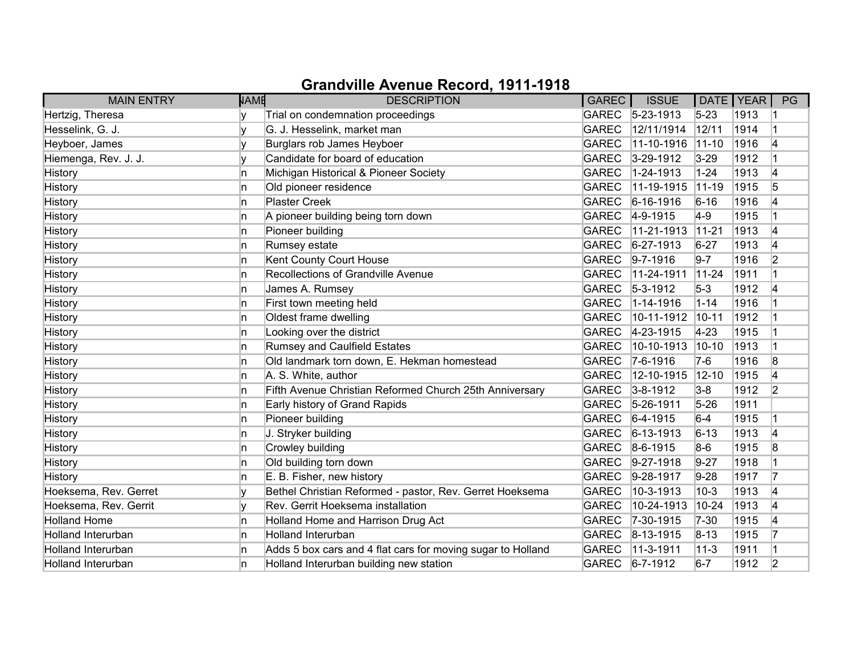| <b>MAIN ENTRY</b>         | <b>NAME</b> | <b>DESCRIPTION</b>                                          | GAREC        | <b>ISSUE</b>      |           | DATE   YEAR | PG             |
|---------------------------|-------------|-------------------------------------------------------------|--------------|-------------------|-----------|-------------|----------------|
| Hertzig, Theresa          |             | Trial on condemnation proceedings                           |              | GAREC 5-23-1913   | $5 - 23$  | 1913        |                |
| Hesselink, G. J.          |             | G. J. Hesselink, market man                                 | <b>GAREC</b> | 12/11/1914        | 12/11     | 1914        |                |
| Heyboer, James            |             | Burglars rob James Heyboer                                  | <b>GAREC</b> | 11-10-1916        | $11 - 10$ | 1916        | 4              |
| Hiemenga, Rev. J. J.      |             | Candidate for board of education                            | GAREC        | $3 - 29 - 1912$   | $3 - 29$  | 1912        |                |
| <b>History</b>            | n           | Michigan Historical & Pioneer Society                       | <b>GAREC</b> | 1-24-1913         | $1 - 24$  | 1913        | 4              |
| <b>History</b>            | n           | Old pioneer residence                                       | <b>GAREC</b> | $11-19-1915$      | $11 - 19$ | 1915        | 5              |
| History                   | n           | <b>Plaster Creek</b>                                        | <b>GAREC</b> | $6 - 16 - 1916$   | $6 - 16$  | 1916        |                |
| History                   | n           | A pioneer building being torn down                          | GAREC        | $4-9-1915$        | $4-9$     | 1915        |                |
| History                   | n           | Pioneer building                                            | <b>GAREC</b> | 11-21-1913        | $11-21$   | 1913        | 4              |
| <b>History</b>            | n           | Rumsey estate                                               | <b>GAREC</b> | $6 - 27 - 1913$   | $6 - 27$  | 1913        | 4              |
| History                   | n           | Kent County Court House                                     | <b>GAREC</b> | $9 - 7 - 1916$    | $9 - 7$   | 1916        | $\overline{2}$ |
| History                   | n           | Recollections of Grandville Avenue                          | <b>GAREC</b> | 11-24-1911        | $11-24$   | 1911        |                |
| History                   | ln.         | James A. Rumsey                                             | <b>GAREC</b> | $5-3-1912$        | $5-3$     | 1912        | 4              |
| History                   | n           | First town meeting held                                     | <b>GAREC</b> | $1 - 14 - 1916$   | $1 - 14$  | 1916        |                |
| History                   | n           | Oldest frame dwelling                                       | <b>GAREC</b> | 10-11-1912        | $10 - 11$ | 1912        |                |
| History                   | n           | Looking over the district                                   | GAREC        | $ 4 - 23 - 1915 $ | $4 - 23$  | 1915        |                |
| History                   | ln.         | Rumsey and Caulfield Estates                                | <b>GAREC</b> | 10-10-1913        | $10-10$   | 1913        | $\vert$ 1      |
| <b>History</b>            | n           | Old landmark torn down, E. Hekman homestead                 | <b>GAREC</b> | $ 7-6-1916$       | $7-6$     | 1916        | 8              |
| History                   | n           | A. S. White, author                                         | <b>GAREC</b> | 12-10-1915        | $12 - 10$ | 1915        | 4              |
| History                   | n           | Fifth Avenue Christian Reformed Church 25th Anniversary     | GAREC        | $3 - 8 - 1912$    | $3-8$     | 1912        | 2              |
| <b>History</b>            | ln.         | Early history of Grand Rapids                               | GAREC        | $5 - 26 - 1911$   | $5 - 26$  | 1911        |                |
| <b>History</b>            | n           | Pioneer building                                            | GAREC        | $6-4-1915$        | $6-4$     | 1915        | $\overline{1}$ |
| History                   | n           | J. Stryker building                                         | GAREC        | $ 6 - 13 - 1913 $ | $6 - 13$  | 1913        | 4              |
| <b>History</b>            | n           | Crowley building                                            | GAREC        | $8-6-1915$        | $8-6$     | 1915        | 8              |
| <b>History</b>            | n           | Old building torn down                                      | <b>GAREC</b> | $9-27-1918$       | $9 - 27$  | 1918        |                |
| History                   | n           | E. B. Fisher, new history                                   | GAREC        | $9-28-1917$       | $9 - 28$  | 1917        | 17             |
| Hoeksema, Rev. Gerret     |             | Bethel Christian Reformed - pastor, Rev. Gerret Hoeksema    | <b>GAREC</b> | 10-3-1913         | $10-3$    | 1913        | 4              |
| Hoeksema, Rev. Gerrit     |             | Rev. Gerrit Hoeksema installation                           | <b>GAREC</b> | 10-24-1913        | $10 - 24$ | 1913        | 4              |
| <b>Holland Home</b>       | In.         | Holland Home and Harrison Drug Act                          | <b>GAREC</b> | 7-30-1915         | $7 - 30$  | 1915        | 4              |
| <b>Holland Interurban</b> | In.         | <b>Holland Interurban</b>                                   |              | GAREC 8-13-1915   | $8 - 13$  | 1915        | 17             |
| <b>Holland Interurban</b> | n           | Adds 5 box cars and 4 flat cars for moving sugar to Holland | <b>GAREC</b> | $ 11-3-1911$      | $11 - 3$  | 1911        |                |
| <b>Holland Interurban</b> | n           | Holland Interurban building new station                     | GAREC        | $6 - 7 - 1912$    | $6 - 7$   | 1912        | 2              |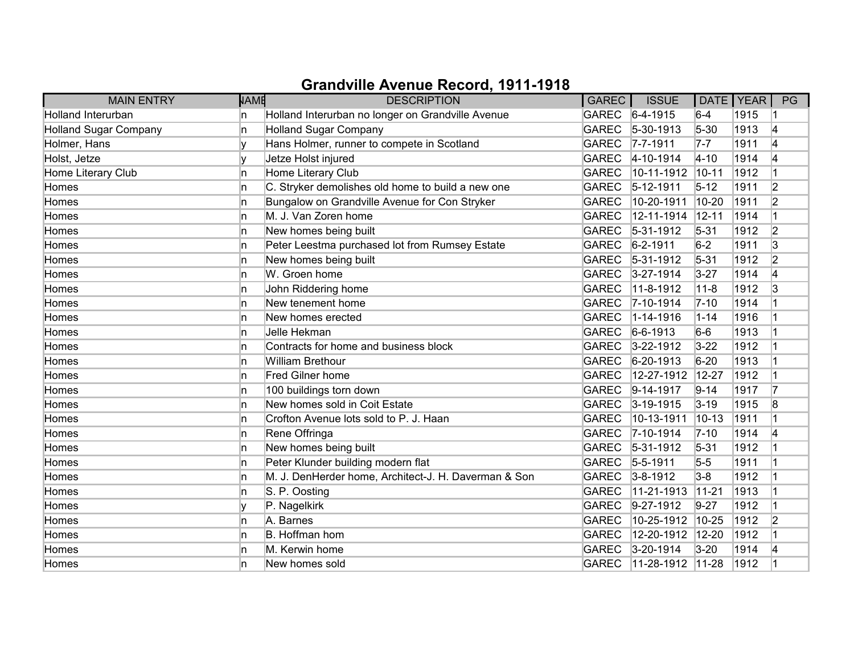| <b>MAIN ENTRY</b>            | NAME | <b>DESCRIPTION</b>                                   | GAREC        | <b>ISSUE</b>       |           | DATE   YEAR | PG             |
|------------------------------|------|------------------------------------------------------|--------------|--------------------|-----------|-------------|----------------|
| <b>Holland Interurban</b>    | n    | Holland Interurban no longer on Grandville Avenue    | <b>GAREC</b> | $6-4-1915$         | $6-4$     | 1915        |                |
| <b>Holland Sugar Company</b> | n    | <b>Holland Sugar Company</b>                         | <b>GAREC</b> | $5-30-1913$        | $5 - 30$  | 1913        | 4              |
| Holmer, Hans                 |      | Hans Holmer, runner to compete in Scotland           | <b>GAREC</b> | $7 - 7 - 1911$     | $7-7$     | 1911        | 4              |
| Holst, Jetze                 | v    | Jetze Holst injured                                  | <b>GAREC</b> | 4-10-1914          | $4 - 10$  | 1914        | 4              |
| Home Literary Club           | n    | Home Literary Club                                   | <b>GAREC</b> | 10-11-1912         | $10 - 11$ | 1912        |                |
| Homes                        | n    | C. Stryker demolishes old home to build a new one    | <b>GAREC</b> | 5-12-1911          | $5-12$    | 1911        | 2              |
| Homes                        | n    | Bungalow on Grandville Avenue for Con Stryker        | <b>GAREC</b> | 10-20-1911         | 10-20     | 1911        | $\overline{2}$ |
| Homes                        | n    | M. J. Van Zoren home                                 | <b>GAREC</b> | 12-11-1914         | $12 - 11$ | 1914        |                |
| Homes                        | n    | New homes being built                                | <b>GAREC</b> | 5-31-1912          | $5 - 31$  | 1912        | $\overline{2}$ |
| Homes                        | n    | Peter Leestma purchased lot from Rumsey Estate       | <b>GAREC</b> | $6 - 2 - 1911$     | $6-2$     | 1911        | $\overline{3}$ |
| Homes                        | n    | New homes being built                                | <b>GAREC</b> | 5-31-1912          | $5 - 31$  | 1912        | 2              |
| Homes                        | n    | W. Groen home                                        | <b>GAREC</b> | 3-27-1914          | $3 - 27$  | 1914        | 4              |
| Homes                        | 'n   | John Riddering home                                  | <b>GAREC</b> | 11-8-1912          | $11 - 8$  | 1912        | 3              |
| Homes                        | n    | New tenement home                                    | <b>GAREC</b> | $7 - 10 - 1914$    | $7 - 10$  | 1914        |                |
| Homes                        | n    | New homes erected                                    | <b>GAREC</b> | 1-14-1916          | $1 - 14$  | 1916        |                |
| Homes                        | n    | Jelle Hekman                                         | <b>GAREC</b> | $6-6-1913$         | $6-6$     | 1913        |                |
| Homes                        | n    | Contracts for home and business block                | <b>GAREC</b> | $3 - 22 - 1912$    | $3 - 22$  | 1912        |                |
| Homes                        | n    | <b>William Brethour</b>                              | <b>GAREC</b> | $6 - 20 - 1913$    | $6 - 20$  | 1913        |                |
| Homes                        | n    | <b>Fred Gilner home</b>                              | <b>GAREC</b> | 12-27-1912         | $12 - 27$ | 1912        |                |
| Homes                        | n    | 100 buildings torn down                              | <b>GAREC</b> | $9-14-1917$        | $9 - 14$  | 1917        | 17             |
| Homes                        | 'n   | New homes sold in Coit Estate                        | <b>GAREC</b> | $3-19-1915$        | $3 - 19$  | 1915        | 8              |
| Homes                        | n    | Crofton Avenue lots sold to P. J. Haan               | <b>GAREC</b> | 10-13-1911         | $10 - 13$ | 1911        |                |
| Homes                        | n    | Rene Offringa                                        | <b>GAREC</b> | 7-10-1914          | $7 - 10$  | 1914        | 4              |
| Homes                        | 'n   | New homes being built                                | <b>GAREC</b> | $5-31-1912$        | $5 - 31$  | 1912        |                |
| Homes                        | 'n   | Peter Klunder building modern flat                   | <b>GAREC</b> | $5 - 5 - 1911$     | $5-5$     | 1911        |                |
| Homes                        | 'n   | M. J. DenHerder home, Architect-J. H. Daverman & Son | <b>GAREC</b> | $3 - 8 - 1912$     | $3-8$     | 1912        |                |
| Homes                        | n    | S. P. Oosting                                        | <b>GAREC</b> | 11-21-1913         | $11 - 21$ | 1913        |                |
| Homes                        |      | P. Nagelkirk                                         | <b>GAREC</b> | $9-27-1912$        | $9 - 27$  | 1912        |                |
| Homes                        | 'n   | A. Barnes                                            | <b>GAREC</b> | 10-25-1912         | 10-25     | 1912        | $\overline{2}$ |
| Homes                        | 'n   | B. Hoffman hom                                       | <b>GAREC</b> | 12-20-1912         | $12 - 20$ | 1912        |                |
| Homes                        | n    | M. Kerwin home                                       | <b>GAREC</b> | 3-20-1914          | $3-20$    | 1914        | 4              |
| Homes                        | n    | New homes sold                                       | <b>GAREC</b> | $11-28-1912$ 11-28 |           | 1912        |                |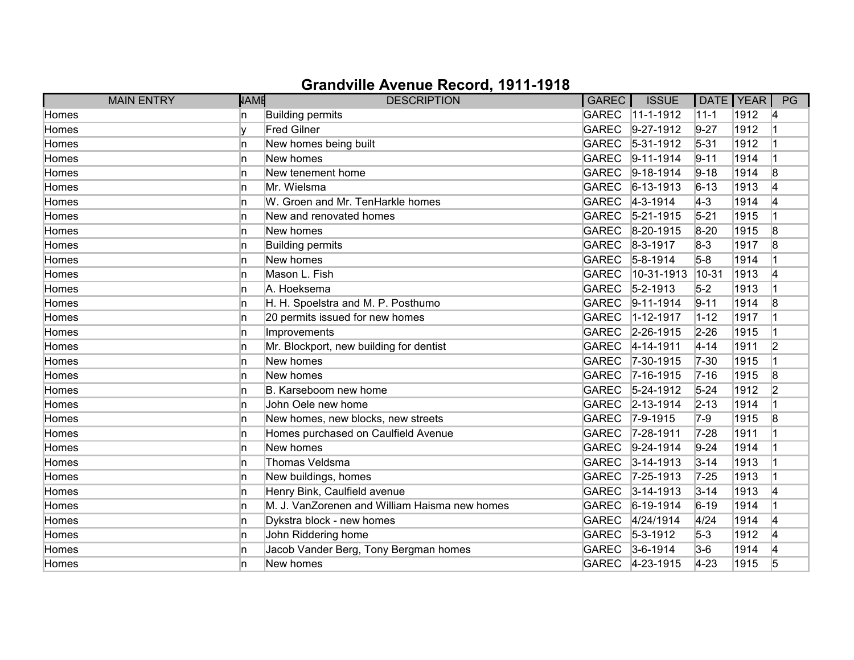| <b>MAIN ENTRY</b> | <b>NAME</b> | <b>DESCRIPTION</b>                            | GAREC        | <b>ISSUE</b>      | DATE   YEAR |      | PG             |
|-------------------|-------------|-----------------------------------------------|--------------|-------------------|-------------|------|----------------|
| Homes             | n           | Building permits                              | GAREC        | $11-1-1912$       | $11 - 1$    | 1912 | 14             |
| Homes             |             | <b>Fred Gilner</b>                            | <b>GAREC</b> | $9-27-1912$       | $9-27$      | 1912 |                |
| Homes             | In.         | New homes being built                         | <b>GAREC</b> | $ 5-31-1912$      | $5 - 31$    | 1912 |                |
| Homes             | n.          | New homes                                     | <b>GAREC</b> | $ 9 - 11 - 1914$  | $9 - 11$    | 1914 |                |
| Homes             | In.         | New tenement home                             | <b>GAREC</b> | $9-18-1914$       | $9 - 18$    | 1914 | 8              |
| Homes             | In.         | Mr. Wielsma                                   | <b>GAREC</b> | $ 6 - 13 - 1913 $ | $6 - 13$    | 1913 |                |
| Homes             | n.          | W. Groen and Mr. TenHarkle homes              |              | GAREC 4-3-1914    | $4-3$       | 1914 |                |
| Homes             | n           | New and renovated homes                       | <b>GAREC</b> | $5 - 21 - 1915$   | $5 - 21$    | 1915 |                |
| Homes             | n.          | New homes                                     | <b>GAREC</b> | $8-20-1915$       | $8 - 20$    | 1915 | 8              |
| Homes             | In.         | Building permits                              | <b>GAREC</b> | $8-3-1917$        | $8-3$       | 1917 | 8              |
| Homes             | n.          | New homes                                     | <b>GAREC</b> | $5 - 8 - 1914$    | $5-8$       | 1914 |                |
| Homes             | n           | Mason L. Fish                                 | <b>GAREC</b> | 10-31-1913        | 10-31       | 1913 | 4              |
| Homes             | In.         | A. Hoeksema                                   | <b>GAREC</b> | $5 - 2 - 1913$    | $5-2$       | 1913 |                |
| Homes             | n.          | H. H. Spoelstra and M. P. Posthumo            | <b>GAREC</b> | $9-11-1914$       | $9 - 11$    | 1914 | 8              |
| Homes             | n.          | 20 permits issued for new homes               | <b>GAREC</b> | $1 - 12 - 1917$   | $1 - 12$    | 1917 |                |
| Homes             | n           | Improvements                                  |              | GAREC 2-26-1915   | $2 - 26$    | 1915 |                |
| Homes             | In.         | Mr. Blockport, new building for dentist       | <b>GAREC</b> | $4 - 14 - 1911$   | $4 - 14$    | 1911 | $\overline{2}$ |
| Homes             | n.          | New homes                                     | <b>GAREC</b> | $7 - 30 - 1915$   | $7 - 30$    | 1915 |                |
| Homes             | n           | New homes                                     | <b>GAREC</b> | $7-16-1915$       | $7 - 16$    | 1915 | 8              |
| Homes             | n           | B. Karseboom new home                         | <b>GAREC</b> | $5 - 24 - 1912$   | $5 - 24$    | 1912 | 2              |
| Homes             | In.         | John Oele new home                            | <b>GAREC</b> | $2 - 13 - 1914$   | $2 - 13$    | 1914 |                |
| Homes             | n.          | New homes, new blocks, new streets            | <b>GAREC</b> | $7 - 9 - 1915$    | $7-9$       | 1915 | 8              |
| Homes             | n.          | Homes purchased on Caulfield Avenue           | <b>GAREC</b> | 7-28-1911         | $7 - 28$    | 1911 |                |
| Homes             | n.          | New homes                                     | <b>GAREC</b> | $9-24-1914$       | $9 - 24$    | 1914 |                |
| Homes             | In.         | Thomas Veldsma                                | <b>GAREC</b> | $3 - 14 - 1913$   | $3 - 14$    | 1913 |                |
| Homes             | n           | New buildings, homes                          | <b>GAREC</b> | $7 - 25 - 1913$   | $7 - 25$    | 1913 |                |
| Homes             | n.          | Henry Bink, Caulfield avenue                  | <b>GAREC</b> | $3-14-1913$       | $3 - 14$    | 1913 | 4              |
| Homes             | n.          | M. J. VanZorenen and William Haisma new homes | <b>GAREC</b> | $ 6-19-1914$      | $6 - 19$    | 1914 |                |
| Homes             | n.          | Dykstra block - new homes                     | <b>GAREC</b> | 4/24/1914         | 4/24        | 1914 | 14             |
| Homes             | n           | John Riddering home                           |              | GAREC 5-3-1912    | $5-3$       | 1912 | 4              |
| Homes             | n.          | Jacob Vander Berg, Tony Bergman homes         |              | GAREC 3-6-1914    | $3-6$       | 1914 | 14             |
| Homes             | n           | New homes                                     |              | GAREC 4-23-1915   | $4 - 23$    | 1915 | 5              |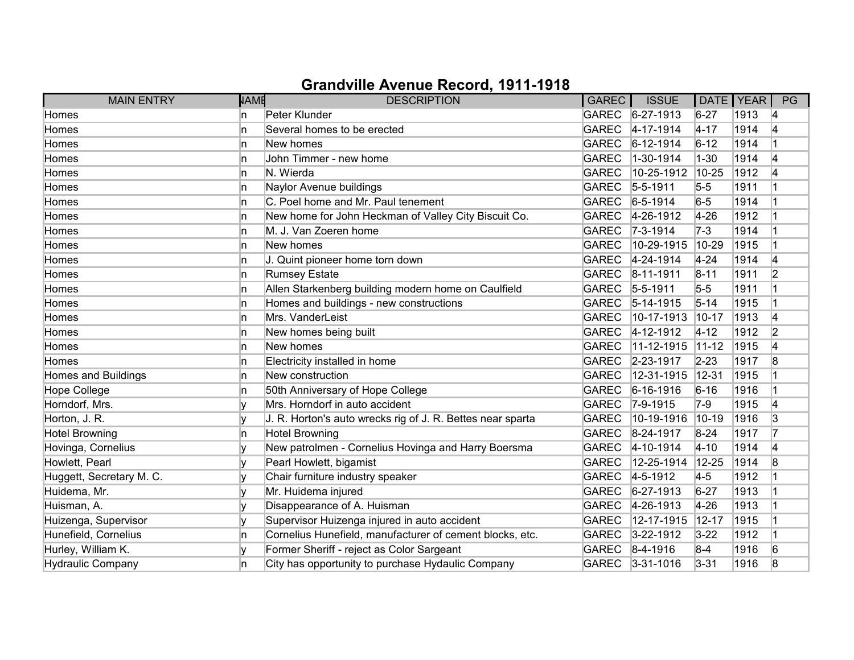| <b>MAIN ENTRY</b>          | <b>NAME</b> | <b>DESCRIPTION</b>                                         | GAREC        | <b>ISSUE</b>      | DATE   YEAR |      | PG |
|----------------------------|-------------|------------------------------------------------------------|--------------|-------------------|-------------|------|----|
| Homes                      | n           | Peter Klunder                                              |              | GAREC 6-27-1913   | $6 - 27$    | 1913 | 14 |
| Homes                      | n           | Several homes to be erected                                | <b>GAREC</b> | $4 - 17 - 1914$   | $4 - 17$    | 1914 | 4  |
| Homes                      | n           | New homes                                                  | <b>GAREC</b> | $ 6 - 12 - 1914$  | $6 - 12$    | 1914 |    |
| Homes                      | n           | John Timmer - new home                                     | <b>GAREC</b> | 1-30-1914         | $1 - 30$    | 1914 | 14 |
| Homes                      | n.          | N. Wierda                                                  | <b>GAREC</b> | 10-25-1912        | 10-25       | 1912 | 4  |
| Homes                      | In.         | Naylor Avenue buildings                                    | <b>GAREC</b> | $5 - 5 - 1911$    | $5-5$       | 1911 |    |
| Homes                      | In.         | C. Poel home and Mr. Paul tenement                         | <b>GAREC</b> | $6 - 5 - 1914$    | $6-5$       | 1914 |    |
| Homes                      | n           | New home for John Heckman of Valley City Biscuit Co.       |              | GAREC 4-26-1912   | $4 - 26$    | 1912 |    |
| Homes                      | In.         | M. J. Van Zoeren home                                      | <b>GAREC</b> | $7 - 3 - 1914$    | 7-3         | 1914 |    |
| Homes                      | n           | New homes                                                  | <b>GAREC</b> | 10-29-1915        | 10-29       | 1915 |    |
| Homes                      | n           | J. Quint pioneer home torn down                            | <b>GAREC</b> | 4-24-1914         | $4 - 24$    | 1914 | 4  |
| Homes                      | n           | <b>Rumsey Estate</b>                                       | <b>GAREC</b> | $ 8 - 11 - 1911$  | $8 - 11$    | 1911 | 2  |
| Homes                      | In.         | Allen Starkenberg building modern home on Caulfield        | <b>GAREC</b> | $5 - 5 - 1911$    | $5-5$       | 1911 |    |
| Homes                      | n.          | Homes and buildings - new constructions                    | <b>GAREC</b> | $ 5 - 14 - 1915 $ | $5 - 14$    | 1915 |    |
| Homes                      | n.          | Mrs. VanderLeist                                           | <b>GAREC</b> | 10-17-1913        | $10-17$     | 1913 |    |
| Homes                      | n           | New homes being built                                      | <b>GAREC</b> | $4 - 12 - 1912$   | $4 - 12$    | 1912 | 2  |
| Homes                      | In.         | New homes                                                  | <b>GAREC</b> | $11-12-1915$      | $11-12$     | 1915 | 14 |
| Homes                      | n           | Electricity installed in home                              | <b>GAREC</b> | 2-23-1917         | $2 - 23$    | 1917 | 8  |
| <b>Homes and Buildings</b> | n           | New construction                                           | <b>GAREC</b> | 12-31-1915        | $ 12 - 31$  | 1915 |    |
| <b>Hope College</b>        | n           | 50th Anniversary of Hope College                           | <b>GAREC</b> | $6 - 16 - 1916$   | $6 - 16$    | 1916 |    |
| Horndorf, Mrs.             |             | Mrs. Horndorf in auto accident                             | <b>GAREC</b> | $ 7 - 9 - 1915$   | 7-9         | 1915 | 14 |
| Horton, J. R.              |             | J. R. Horton's auto wrecks rig of J. R. Bettes near sparta | <b>GAREC</b> | 10-19-1916        | $ 10 - 19$  | 1916 | 3  |
| <b>Hotel Browning</b>      | n.          | <b>Hotel Browning</b>                                      | <b>GAREC</b> | $8-24-1917$       | $8 - 24$    | 1917 |    |
| Hovinga, Cornelius         |             | New patrolmen - Cornelius Hovinga and Harry Boersma        |              | GAREC 4-10-1914   | $4 - 10$    | 1914 | 14 |
| Howlett, Pearl             |             | Pearl Howlett, bigamist                                    | <b>GAREC</b> | 12-25-1914        | 12-25       | 1914 | 8  |
| Huggett, Secretary M. C.   |             | Chair furniture industry speaker                           | <b>GAREC</b> | $4 - 5 - 1912$    | $4-5$       | 1912 |    |
| Huidema, Mr.               |             | Mr. Huidema injured                                        | <b>GAREC</b> | $6 - 27 - 1913$   | $6 - 27$    | 1913 |    |
| Huisman, A.                |             | Disappearance of A. Huisman                                | <b>GAREC</b> | $4 - 26 - 1913$   | 4-26        | 1913 |    |
| Huizenga, Supervisor       |             | Supervisor Huizenga injured in auto accident               | <b>GAREC</b> | 12-17-1915        | $12 - 17$   | 1915 |    |
| Hunefield, Cornelius       | In.         | Cornelius Hunefield, manufacturer of cement blocks, etc.   | <b>GAREC</b> | $3 - 22 - 1912$   | $3 - 22$    | 1912 |    |
| Hurley, William K.         |             | Former Sheriff - reject as Color Sargeant                  |              | GAREC 8-4-1916    | $8-4$       | 1916 | 6  |
| <b>Hydraulic Company</b>   | n           | City has opportunity to purchase Hydaulic Company          |              | GAREC 3-31-1016   | $3 - 31$    | 1916 | 8  |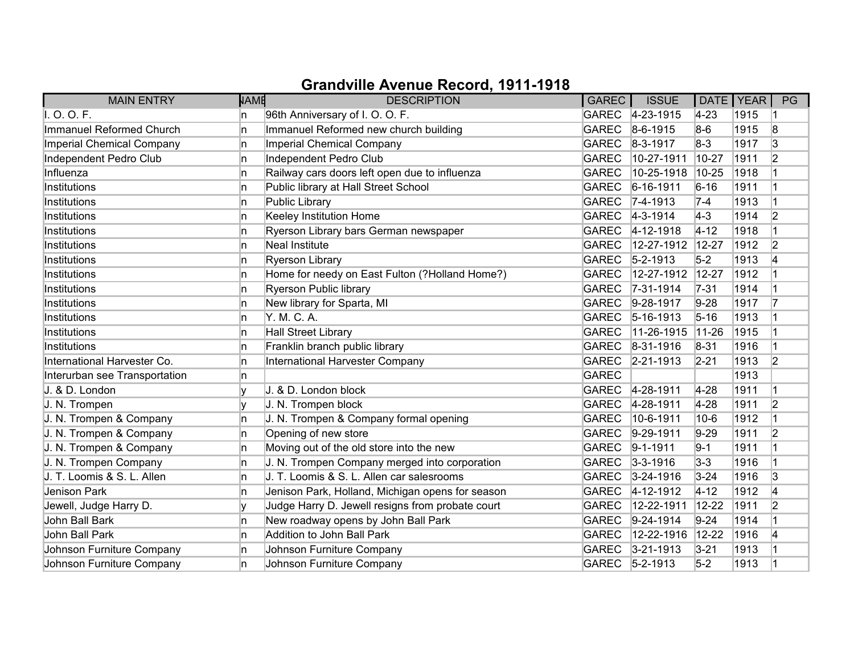| <b>MAIN ENTRY</b>             | <b>NAME</b> | <b>DESCRIPTION</b>                               | GAREC        | <b>ISSUE</b>      | DATE   YEAR |      | PG             |
|-------------------------------|-------------|--------------------------------------------------|--------------|-------------------|-------------|------|----------------|
| I. O. O. F.                   | In.         | 96th Anniversary of I. O. O. F.                  |              | GAREC 4-23-1915   | $4 - 23$    | 1915 |                |
| Immanuel Reformed Church      | 'n          | Immanuel Reformed new church building            | GAREC        | $8-6-1915$        | $8-6$       | 1915 | 8              |
| Imperial Chemical Company     | 'n          | Imperial Chemical Company                        |              | GAREC 8-3-1917    | $8-3$       | 1917 | 3              |
| Independent Pedro Club        | In.         | Independent Pedro Club                           | <b>GAREC</b> | 10-27-1911        | 10-27       | 1911 | $\overline{2}$ |
| Influenza                     | 'n          | Railway cars doors left open due to influenza    | <b>GAREC</b> | 10-25-1918        | 10-25       | 1918 |                |
| Institutions                  | 'n          | Public library at Hall Street School             | <b>GAREC</b> | $6 - 16 - 1911$   | $6 - 16$    | 1911 |                |
| Institutions                  | 'n          | Public Library                                   |              | GAREC 7-4-1913    | $7-4$       | 1913 |                |
| Institutions                  | In.         | Keeley Institution Home                          |              | GAREC 4-3-1914    | $ 4-3 $     | 1914 | 2              |
| Institutions                  | ln.         | Ryerson Library bars German newspaper            | GAREC        | $4 - 12 - 1918$   | $4 - 12$    | 1918 |                |
| Institutions                  | ln.         | <b>Neal Institute</b>                            | <b>GAREC</b> | 12-27-1912        | 12-27       | 1912 | 2              |
| Institutions                  | n           | <b>Ryerson Library</b>                           | GAREC        | $ 5 - 2 - 1913 $  | $5-2$       | 1913 | 4              |
| Institutions                  | In.         | Home for needy on East Fulton (?Holland Home?)   | <b>GAREC</b> | 12-27-1912        | $12 - 27$   | 1912 |                |
| Institutions                  | ln.         | Ryerson Public library                           | <b>GAREC</b> | $7 - 31 - 1914$   | $7 - 31$    | 1914 |                |
| Institutions                  | 'n          | New library for Sparta, MI                       | <b>GAREC</b> | $9-28-1917$       | $9 - 28$    | 1917 | 17             |
| Institutions                  | 'n          | Y. M. C. A.                                      | GAREC        | $ 5 - 16 - 1913 $ | $5 - 16$    | 1913 |                |
| Institutions                  | n.          | <b>Hall Street Library</b>                       | <b>GAREC</b> | $11-26-1915$      | $11-26$     | 1915 |                |
| Institutions                  | ln.         | Franklin branch public library                   | GAREC        | 8-31-1916         | $8 - 31$    | 1916 |                |
| International Harvester Co.   | 'n          | International Harvester Company                  | <b>GAREC</b> | $ 2 - 21 - 1913$  | $2 - 21$    | 1913 | $\overline{2}$ |
| Interurban see Transportation | n.          |                                                  | <b>GAREC</b> |                   |             | 1913 |                |
| J. & D. London                |             | J. & D. London block                             |              | GAREC 4-28-1911   | $4-28$      | 1911 |                |
| J. N. Trompen                 | I۷          | J. N. Trompen block                              | GAREC        | 4-28-1911         | $4 - 28$    | 1911 | $\overline{2}$ |
| J. N. Trompen & Company       | ln.         | J. N. Trompen & Company formal opening           | <b>GAREC</b> | 10-6-1911         | $ 10-6 $    | 1912 |                |
| J. N. Trompen & Company       | ln.         | Opening of new store                             | <b>GAREC</b> | $9-29-1911$       | $9-29$      | 1911 | $\overline{2}$ |
| J. N. Trompen & Company       | ln.         | Moving out of the old store into the new         | GAREC        | $9 - 1 - 1911$    | $9 - 1$     | 1911 |                |
| J. N. Trompen Company         | ln.         | J. N. Trompen Company merged into corporation    | GAREC        | $3 - 3 - 1916$    | $3 - 3$     | 1916 |                |
| J. T. Loomis & S. L. Allen    | 'n          | J. T. Loomis & S. L. Allen car salesrooms        | GAREC        | $3 - 24 - 1916$   | $3 - 24$    | 1916 | 3              |
| Jenison Park                  | ln.         | Jenison Park, Holland, Michigan opens for season | GAREC        | $4 - 12 - 1912$   | $4 - 12$    | 1912 | 14             |
| Jewell, Judge Harry D.        | V           | Judge Harry D. Jewell resigns from probate court | <b>GAREC</b> | 12-22-1911        | $12 - 22$   | 1911 | $\overline{2}$ |
| John Ball Bark                | ln.         | New roadway opens by John Ball Park              | <b>GAREC</b> | $9-24-1914$       | $9 - 24$    | 1914 |                |
| John Ball Park                | 'n          | Addition to John Ball Park                       | <b>GAREC</b> | 12-22-1916        | $12 - 22$   | 1916 | 14             |
| Johnson Furniture Company     | n.          | Johnson Furniture Company                        | GAREC        | $3 - 21 - 1913$   | $3 - 21$    | 1913 |                |
| Johnson Furniture Company     | n           | Johnson Furniture Company                        |              | GAREC 5-2-1913    | $5-2$       | 1913 |                |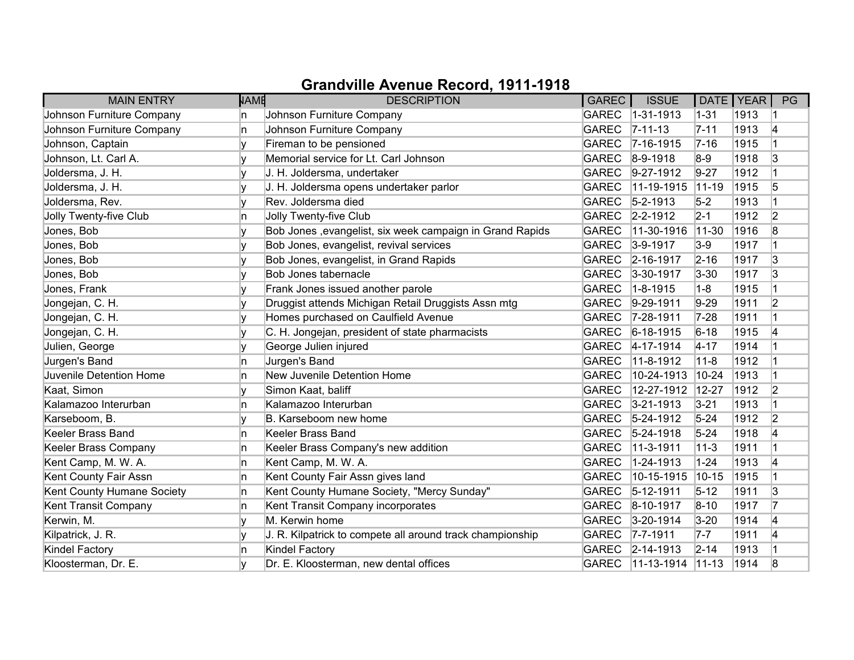| <b>MAIN ENTRY</b>          | <b>NAME</b> | <b>DESCRIPTION</b>                                        | <b>GAREC</b> | <b>ISSUE</b>           | DATE   YEAR |      | PG             |
|----------------------------|-------------|-----------------------------------------------------------|--------------|------------------------|-------------|------|----------------|
| Johnson Furniture Company  | n           | Johnson Furniture Company                                 | <b>GAREC</b> | $1 - 31 - 1913$        | $1 - 31$    | 1913 |                |
| Johnson Furniture Company  | n           | Johnson Furniture Company                                 | <b>GAREC</b> | $ 7 - 11 - 13$         | $7 - 11$    | 1913 | 4              |
| Johnson, Captain           |             | Fireman to be pensioned                                   |              | GAREC 7-16-1915        | $7 - 16$    | 1915 | 1              |
| Johnson, Lt. Carl A.       |             | Memorial service for Lt. Carl Johnson                     |              | GAREC 8-9-1918         | $8-9$       | 1918 | 3              |
| Joldersma, J. H.           |             | J. H. Joldersma, undertaker                               | GAREC        | $9-27-1912$            | $9 - 27$    | 1912 | $\overline{1}$ |
| Joldersma, J. H.           | IV.         | J. H. Joldersma opens undertaker parlor                   | <b>GAREC</b> | $11-19-1915$           | $11-19$     | 1915 | 5              |
| Joldersma, Rev.            |             | Rev. Joldersma died                                       | <b>GAREC</b> | $5 - 2 - 1913$         | $5-2$       | 1913 |                |
| Jolly Twenty-five Club     | n           | Jolly Twenty-five Club                                    |              | GAREC 2-2-1912         | $2 - 1$     | 1912 | 2              |
| Jones, Bob                 |             | Bob Jones , evangelist, six week campaign in Grand Rapids | <b>GAREC</b> | 11-30-1916             | $11-30$     | 1916 | 8              |
| Jones, Bob                 | ١v          | Bob Jones, evangelist, revival services                   | <b>GAREC</b> | $3-9-1917$             | $3-9$       | 1917 |                |
| Jones, Bob                 |             | Bob Jones, evangelist, in Grand Rapids                    | GAREC        | $ 2 - 16 - 1917$       | $2 - 16$    | 1917 | 3              |
| Jones, Bob                 |             | Bob Jones tabernacle                                      | <b>GAREC</b> | $3 - 30 - 1917$        | $3 - 30$    | 1917 | 3              |
| Jones, Frank               |             | Frank Jones issued another parole                         | <b>GAREC</b> | $1 - 8 - 1915$         | $1 - 8$     | 1915 | $\vert$ 1      |
| Jongejan, C. H.            |             | Druggist attends Michigan Retail Druggists Assn mtg       | GAREC        | $ 9-29-1911$           | $9-29$      | 1911 | 2              |
| Jongejan, C. H.            |             | Homes purchased on Caulfield Avenue                       | <b>GAREC</b> | $ 7-28-1911$           | $7 - 28$    | 1911 | $\vert$ 1      |
| Jongejan, C. H.            |             | C. H. Jongejan, president of state pharmacists            | GAREC        | $6 - 18 - 1915$        | $6 - 18$    | 1915 | 4              |
| Julien, George             | V           | George Julien injured                                     | GAREC        | $ 4 - 17 - 1914 $      | $4 - 17$    | 1914 | $\overline{1}$ |
| Jurgen's Band              | n           | Jurgen's Band                                             | <b>GAREC</b> | 11-8-1912              | $11 - 8$    | 1912 | $\overline{1}$ |
| Juvenile Detention Home    | n           | New Juvenile Detention Home                               | <b>GAREC</b> | 10-24-1913             | $10 - 24$   | 1913 |                |
| Kaat, Simon                |             | Simon Kaat, baliff                                        | <b>GAREC</b> | 12-27-1912             | $12 - 27$   | 1912 | 2              |
| Kalamazoo Interurban       | ln.         | Kalamazoo Interurban                                      | <b>GAREC</b> | $3 - 21 - 1913$        | $3 - 21$    | 1913 | $\vert$ 1      |
| Karseboom, B.              |             | B. Karseboom new home                                     |              | GAREC 5-24-1912        | $5 - 24$    | 1912 | $\overline{2}$ |
| Keeler Brass Band          | n           | Keeler Brass Band                                         |              | GAREC 5-24-1918        | $5 - 24$    | 1918 | 4              |
| Keeler Brass Company       | n           | Keeler Brass Company's new addition                       | <b>GAREC</b> | $11-3-1911$            | $11 - 3$    | 1911 | $\mathbf{1}$   |
| Kent Camp, M. W. A.        | n           | Kent Camp, M. W. A.                                       | <b>GAREC</b> | 1-24-1913              | $1 - 24$    | 1913 | 4              |
| Kent County Fair Assn      | n           | Kent County Fair Assn gives land                          | <b>GAREC</b> | 10-15-1915             | $10 - 15$   | 1915 | $\overline{1}$ |
| Kent County Humane Society | n           | Kent County Humane Society, "Mercy Sunday"                | GAREC        | $5 - 12 - 1911$        | $5 - 12$    | 1911 | 3              |
| Kent Transit Company       | ln.         | Kent Transit Company incorporates                         | <b>GAREC</b> | $8-10-1917$            | $8 - 10$    | 1917 | 17             |
| Kerwin, M.                 | ١v          | M. Kerwin home                                            | GAREC        | $ 3 - 20 - 1914 $      | $3 - 20$    | 1914 | 4              |
| Kilpatrick, J. R.          |             | J. R. Kilpatrick to compete all around track championship |              | GAREC 7-7-1911         | $7 - 7$     | 1911 | 4              |
| <b>Kindel Factory</b>      | n           | <b>Kindel Factory</b>                                     |              | GAREC 2-14-1913        | $2 - 14$    | 1913 |                |
| Kloosterman, Dr. E.        |             | Dr. E. Kloosterman, new dental offices                    |              | GAREC 11-13-1914 11-13 |             | 1914 | 8              |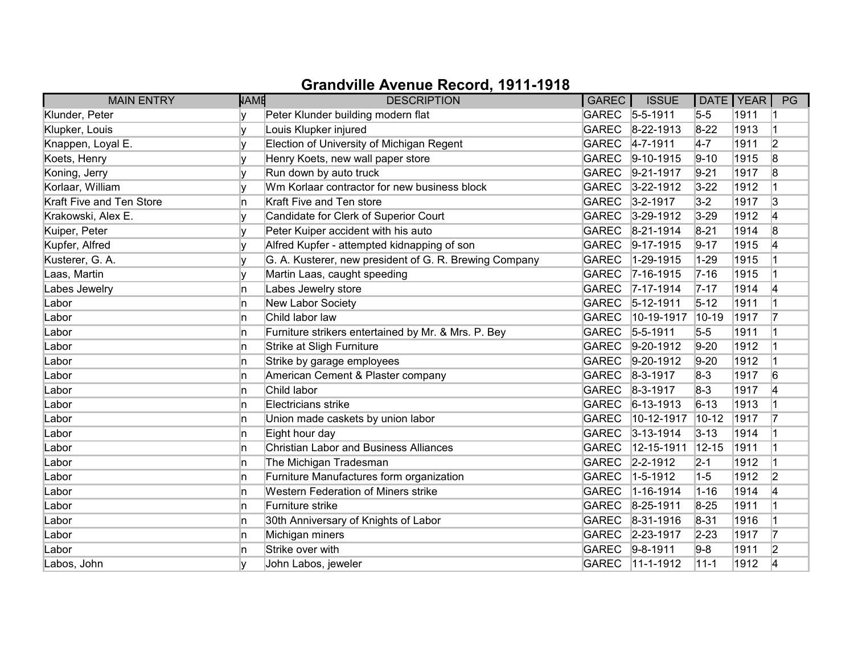| <b>MAIN ENTRY</b>        | <b>NAME</b> | <b>DESCRIPTION</b>                                     | GAREC        | <b>ISSUE</b>      |           | DATE   YEAR | PG             |
|--------------------------|-------------|--------------------------------------------------------|--------------|-------------------|-----------|-------------|----------------|
| Klunder, Peter           |             | Peter Klunder building modern flat                     |              | GAREC 5-5-1911    | $5-5$     | 1911        |                |
| Klupker, Louis           |             | Louis Klupker injured                                  | <b>GAREC</b> | $8-22-1913$       | $8 - 22$  | 1913        |                |
| Knappen, Loyal E.        |             | Election of University of Michigan Regent              | <b>GAREC</b> | $4 - 7 - 1911$    | $4-7$     | 1911        | $\overline{2}$ |
| Koets, Henry             |             | Henry Koets, new wall paper store                      | <b>GAREC</b> | $9-10-1915$       | $9 - 10$  | 1915        | 8              |
| Koning, Jerry            | v           | Run down by auto truck                                 | <b>GAREC</b> | $9-21-1917$       | $9 - 21$  | 1917        | 8              |
| Korlaar, William         |             | Wm Korlaar contractor for new business block           | <b>GAREC</b> | $3 - 22 - 1912$   | $3 - 22$  | 1912        |                |
| Kraft Five and Ten Store | n           | Kraft Five and Ten store                               | <b>GAREC</b> | $3 - 2 - 1917$    | $3-2$     | 1917        | 3              |
| Krakowski, Alex E.       |             | Candidate for Clerk of Superior Court                  | <b>GAREC</b> | $3-29-1912$       | $3 - 29$  | 1912        | 4              |
| Kuiper, Peter            |             | Peter Kuiper accident with his auto                    | <b>GAREC</b> | $8-21-1914$       | $8 - 21$  | 1914        | 8              |
| Kupfer, Alfred           |             | Alfred Kupfer - attempted kidnapping of son            | <b>GAREC</b> | $9-17-1915$       | $9 - 17$  | 1915        | 4              |
| Kusterer, G. A.          |             | G. A. Kusterer, new president of G. R. Brewing Company | <b>GAREC</b> | 1-29-1915         | $1 - 29$  | 1915        |                |
| Laas, Martin             | v           | Martin Laas, caught speeding                           | <b>GAREC</b> | $7 - 16 - 1915$   | $7 - 16$  | 1915        |                |
| Labes Jewelry            | n           | Labes Jewelry store                                    | <b>GAREC</b> | $7 - 17 - 1914$   | $7 - 17$  | 1914        | 14             |
| Labor                    | n           | New Labor Society                                      | <b>GAREC</b> | $5-12-1911$       | $5 - 12$  | 1911        |                |
| Labor                    | n           | Child labor law                                        | <b>GAREC</b> | 10-19-1917        | 10-19     | 1917        |                |
| Labor                    | n           | Furniture strikers entertained by Mr. & Mrs. P. Bey    | <b>GAREC</b> | $5 - 5 - 1911$    | $5-5$     | 1911        |                |
| Labor                    | n           | Strike at Sligh Furniture                              | <b>GAREC</b> | $9-20-1912$       | $9-20$    | 1912        |                |
| Labor                    | n           | Strike by garage employees                             | <b>GAREC</b> | $9-20-1912$       | $9-20$    | 1912        |                |
| Labor                    | n           | American Cement & Plaster company                      | <b>GAREC</b> | $ 8-3-1917$       | $8-3$     | 1917        | 6              |
| Labor                    | n.          | Child labor                                            | <b>GAREC</b> | $8 - 3 - 1917$    | $8-3$     | 1917        | 4              |
| Labor                    | In.         | Electricians strike                                    | <b>GAREC</b> | $ 6 - 13 - 1913 $ | $6 - 13$  | 1913        |                |
| Labor                    | n           | Union made caskets by union labor                      | <b>GAREC</b> | 10-12-1917        | $10 - 12$ | 1917        | 17             |
| Labor                    | In.         | Eight hour day                                         | <b>GAREC</b> | $3 - 13 - 1914$   | $3 - 13$  | 1914        |                |
| Labor                    | In.         | <b>Christian Labor and Business Alliances</b>          | <b>GAREC</b> | 12-15-1911        | $12 - 15$ | 1911        |                |
| Labor                    | 'n          | The Michigan Tradesman                                 | <b>GAREC</b> | $2 - 2 - 1912$    | $2 - 1$   | 1912        |                |
| Labor                    | 'n          | Furniture Manufactures form organization               | <b>GAREC</b> | $1-5-1912$        | $1-5$     | 1912        | 2              |
| Labor                    | n.          | Western Federation of Miners strike                    | <b>GAREC</b> | 1-16-1914         | $1 - 16$  | 1914        | 4              |
| Labor                    | In.         | Furniture strike                                       | <b>GAREC</b> | 8-25-1911         | $8 - 25$  | 1911        |                |
| Labor                    | 'n          | 30th Anniversary of Knights of Labor                   | <b>GAREC</b> | 8-31-1916         | $8 - 31$  | 1916        |                |
| Labor                    | 'n          | Michigan miners                                        | <b>GAREC</b> | $ 2 - 23 - 1917$  | $2 - 23$  | 1917        | 17             |
| Labor                    | 'n          | Strike over with                                       | <b>GAREC</b> | $9-8-1911$        | $9-8$     | 1911        | $\overline{2}$ |
| Labos, John              |             | John Labos, jeweler                                    | <b>GAREC</b> | $ 11 - 1 - 1912 $ | $11 - 1$  | 1912        | 4              |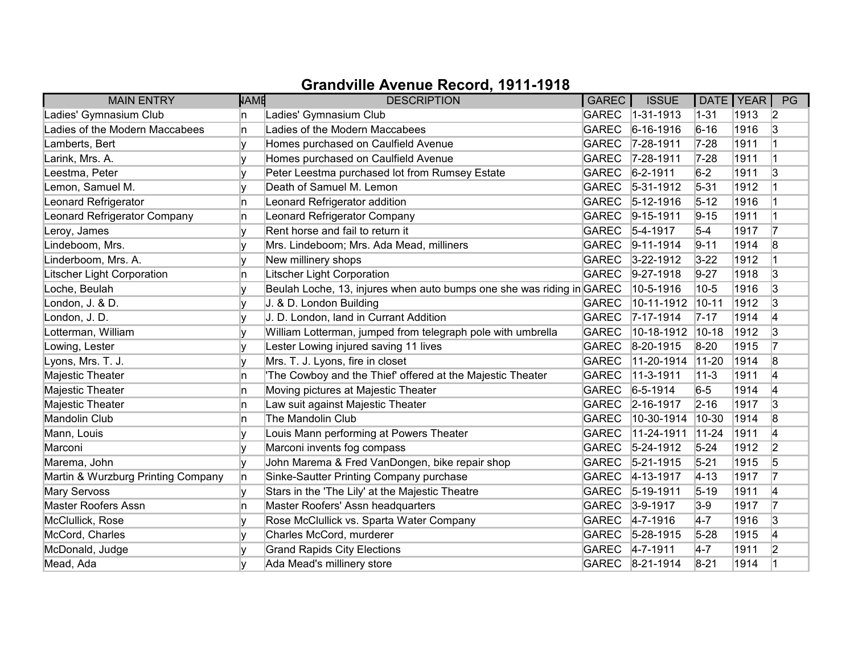| <b>MAIN ENTRY</b>                  | <b>NAME</b> | <b>DESCRIPTION</b>                                                    | GAREC        | <b>ISSUE</b>      | DATE   YEAR |      | PG             |
|------------------------------------|-------------|-----------------------------------------------------------------------|--------------|-------------------|-------------|------|----------------|
| Ladies' Gymnasium Club             | n           | Ladies' Gymnasium Club                                                | <b>GAREC</b> | $ 1 - 31 - 1913 $ | $1 - 31$    | 1913 | $\vert$ 2      |
| Ladies of the Modern Maccabees     | n           | Ladies of the Modern Maccabees                                        | <b>GAREC</b> | $ 6 - 16 - 1916 $ | $6 - 16$    | 1916 | 3              |
| Lamberts, Bert                     |             | Homes purchased on Caulfield Avenue                                   |              | GAREC 7-28-1911   | $7 - 28$    | 1911 |                |
| Larink, Mrs. A.                    | ١v          | Homes purchased on Caulfield Avenue                                   | <b>GAREC</b> | $7 - 28 - 1911$   | $7 - 28$    | 1911 |                |
| Leestma, Peter                     |             | Peter Leestma purchased lot from Rumsey Estate                        | <b>GAREC</b> | $6 - 2 - 1911$    | $6-2$       | 1911 | 3              |
| Lemon, Samuel M.                   |             | Death of Samuel M. Lemon                                              | <b>GAREC</b> | $ 5-31-1912 $     | $5 - 31$    | 1912 |                |
| Leonard Refrigerator               | n           | Leonard Refrigerator addition                                         | <b>GAREC</b> | $5 - 12 - 1916$   | $5 - 12$    | 1916 |                |
| Leonard Refrigerator Company       | n           | Leonard Refrigerator Company                                          | <b>GAREC</b> | $ 9 - 15 - 1911$  | $9 - 15$    | 1911 |                |
| Leroy, James                       |             | Rent horse and fail to return it                                      | <b>GAREC</b> | $5-4-1917$        | $5-4$       | 1917 | 17             |
| Lindeboom, Mrs.                    |             | Mrs. Lindeboom; Mrs. Ada Mead, milliners                              | <b>GAREC</b> | $9 - 11 - 1914$   | $9 - 11$    | 1914 | 8              |
| Linderboom, Mrs. A.                |             | New millinery shops                                                   | <b>GAREC</b> | $3 - 22 - 1912$   | $3 - 22$    | 1912 |                |
| <b>Litscher Light Corporation</b>  | n           | Litscher Light Corporation                                            | <b>GAREC</b> | $9-27-1918$       | $9 - 27$    | 1918 | 3              |
| Loche, Beulah                      |             | Beulah Loche, 13, injures when auto bumps one she was riding in GAREC |              | 10-5-1916         | $10-5$      | 1916 | 3              |
| London, J. & D.                    |             | J. & D. London Building                                               | <b>GAREC</b> | 10-11-1912        | $ 10 - 11$  | 1912 | 3              |
| London, J. D.                      |             | J. D. London, land in Currant Addition                                | <b>GAREC</b> | $7 - 17 - 1914$   | $7 - 17$    | 1914 | 4              |
| Lotterman, William                 |             | William Lotterman, jumped from telegraph pole with umbrella           | <b>GAREC</b> | 10-18-1912        | $10 - 18$   | 1912 | 3              |
| Lowing, Lester                     |             | Lester Lowing injured saving 11 lives                                 | <b>GAREC</b> | 8-20-1915         | $8 - 20$    | 1915 |                |
| Lyons, Mrs. T. J.                  |             | Mrs. T. J. Lyons, fire in closet                                      | <b>GAREC</b> | 11-20-1914        | $11-20$     | 1914 | 8              |
| Majestic Theater                   | n           | 'The Cowboy and the Thief' offered at the Majestic Theater            | <b>GAREC</b> | 11-3-1911         | $11 - 3$    | 1911 | 14             |
| Majestic Theater                   | n           | Moving pictures at Majestic Theater                                   | <b>GAREC</b> | $6 - 5 - 1914$    | $6-5$       | 1914 | 4              |
| Majestic Theater                   | In.         | Law suit against Majestic Theater                                     | <b>GAREC</b> | $2 - 16 - 1917$   | $2 - 16$    | 1917 | 3              |
| Mandolin Club                      | n           | The Mandolin Club                                                     | <b>GAREC</b> | 10-30-1914        | $ 10-30 $   | 1914 | 8              |
| Mann, Louis                        | ۷           | Louis Mann performing at Powers Theater                               | <b>GAREC</b> | 11-24-1911        | $ 11 - 24 $ | 1911 | 4              |
| Marconi                            |             | Marconi invents fog compass                                           | <b>GAREC</b> | $5-24-1912$       | $5 - 24$    | 1912 | $\overline{2}$ |
| Marema, John                       | v           | John Marema & Fred VanDongen, bike repair shop                        | <b>GAREC</b> | $5 - 21 - 1915$   | $5 - 21$    | 1915 | 5              |
| Martin & Wurzburg Printing Company | n           | Sinke-Sautter Printing Company purchase                               | <b>GAREC</b> | $ 4 - 13 - 1917$  | $ 4 - 13$   | 1917 | 17             |
| <b>Mary Servoss</b>                | ٧           | Stars in the 'The Lily' at the Majestic Theatre                       | <b>GAREC</b> | $ 5 - 19 - 1911$  | $5 - 19$    | 1911 | 4              |
| <b>Master Roofers Assn</b>         | In.         | Master Roofers' Assn headquarters                                     | <b>GAREC</b> | $3-9-1917$        | $3-9$       | 1917 | 17             |
| McClullick, Rose                   |             | Rose McClullick vs. Sparta Water Company                              | <b>GAREC</b> | $ 4 - 7 - 1916 $  | $4-7$       | 1916 | 3              |
| McCord, Charles                    |             | Charles McCord, murderer                                              | <b>GAREC</b> | $5 - 28 - 1915$   | $5 - 28$    | 1915 | 4              |
| McDonald, Judge                    |             | <b>Grand Rapids City Elections</b>                                    |              | GAREC 4-7-1911    | $4-7$       | 1911 | $\overline{2}$ |
| Mead, Ada                          |             | Ada Mead's millinery store                                            |              | GAREC 8-21-1914   | $8 - 21$    | 1914 |                |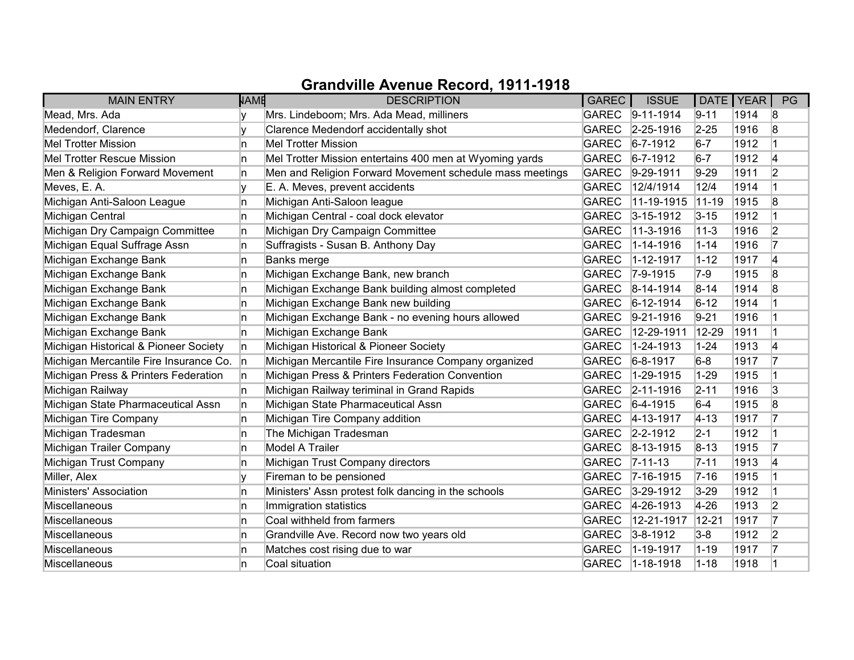| <b>MAIN ENTRY</b>                      | <b>NAME</b> | <b>DESCRIPTION</b>                                       | <b>GAREC</b> | <b>ISSUE</b>      |           | DATE   YEAR | PG             |
|----------------------------------------|-------------|----------------------------------------------------------|--------------|-------------------|-----------|-------------|----------------|
| Mead, Mrs. Ada                         |             | Mrs. Lindeboom; Mrs. Ada Mead, milliners                 |              | GAREC 9-11-1914   | $9 - 11$  | 1914        | 8              |
| Medendorf, Clarence                    | v           | Clarence Medendorf accidentally shot                     | <b>GAREC</b> | 2-25-1916         | $2 - 25$  | 1916        | 8              |
| <b>Mel Trotter Mission</b>             | ln.         | <b>Mel Trotter Mission</b>                               | <b>GAREC</b> | $6 - 7 - 1912$    | $6 - 7$   | 1912        | 1              |
| <b>Mel Trotter Rescue Mission</b>      | In.         | Mel Trotter Mission entertains 400 men at Wyoming yards  | <b>GAREC</b> | $6 - 7 - 1912$    | $6 - 7$   | 1912        | 4              |
| Men & Religion Forward Movement        | ln.         | Men and Religion Forward Movement schedule mass meetings | <b>GAREC</b> | $ 9-29-1911$      | $9 - 29$  | 1911        | $\overline{2}$ |
| Meves, E. A.                           | IV.         | E. A. Meves, prevent accidents                           | <b>GAREC</b> | 12/4/1914         | 12/4      | 1914        |                |
| Michigan Anti-Saloon League            | In.         | Michigan Anti-Saloon league                              | <b>GAREC</b> | 11-19-1915        | $11-19$   | 1915        | 8              |
| Michigan Central                       | In.         | Michigan Central - coal dock elevator                    | <b>GAREC</b> | $3-15-1912$       | $3 - 15$  | 1912        |                |
| Michigan Dry Campaign Committee        | ln.         | Michigan Dry Campaign Committee                          | <b>GAREC</b> | 11-3-1916         | $11 - 3$  | 1916        | 2              |
| Michigan Equal Suffrage Assn           | n.          | Suffragists - Susan B. Anthony Day                       | <b>GAREC</b> | 1-14-1916         | $1 - 14$  | 1916        | 17             |
| Michigan Exchange Bank                 | In.         | <b>Banks merge</b>                                       | <b>GAREC</b> | 1-12-1917         | $1 - 12$  | 1917        | 4              |
| Michigan Exchange Bank                 | In.         | Michigan Exchange Bank, new branch                       | <b>GAREC</b> | $7-9-1915$        | $7-9$     | 1915        | 8              |
| Michigan Exchange Bank                 | In.         | Michigan Exchange Bank building almost completed         | <b>GAREC</b> | 8-14-1914         | $8 - 14$  | 1914        | 8              |
| Michigan Exchange Bank                 | In.         | Michigan Exchange Bank new building                      | <b>GAREC</b> | $6-12-1914$       | $6 - 12$  | 1914        |                |
| Michigan Exchange Bank                 | In.         | Michigan Exchange Bank - no evening hours allowed        | <b>GAREC</b> | $9-21-1916$       | $9 - 21$  | 1916        |                |
| Michigan Exchange Bank                 | In.         | Michigan Exchange Bank                                   | <b>GAREC</b> | 12-29-1911        | 12-29     | 1911        |                |
| Michigan Historical & Pioneer Society  | ln.         | Michigan Historical & Pioneer Society                    | <b>GAREC</b> | 1-24-1913         | $1 - 24$  | 1913        | 4              |
| Michigan Mercantile Fire Insurance Co. | In.         | Michigan Mercantile Fire Insurance Company organized     | <b>GAREC</b> | $6 - 8 - 1917$    | $6-8$     | 1917        | 17             |
| Michigan Press & Printers Federation   | n           | Michigan Press & Printers Federation Convention          | <b>GAREC</b> | 1-29-1915         | $1 - 29$  | 1915        |                |
| Michigan Railway                       | ln.         | Michigan Railway teriminal in Grand Rapids               | <b>GAREC</b> | $ 2 - 11 - 1916 $ | $2 - 11$  | 1916        | 3              |
| Michigan State Pharmaceutical Assn     | In.         | Michigan State Pharmaceutical Assn                       | <b>GAREC</b> | $6-4-1915$        | $6-4$     | 1915        | 8              |
| Michigan Tire Company                  | ln.         | Michigan Tire Company addition                           | <b>GAREC</b> | $ 4 - 13 - 1917$  | $ 4 - 13$ | 1917        | 17             |
| Michigan Tradesman                     | In.         | The Michigan Tradesman                                   | <b>GAREC</b> | $ 2 - 2 - 1912 $  | $2 - 1$   | 1912        |                |
| Michigan Trailer Company               | In.         | Model A Trailer                                          | <b>GAREC</b> | 8-13-1915         | $8 - 13$  | 1915        | 7              |
| Michigan Trust Company                 | ln.         | Michigan Trust Company directors                         | <b>GAREC</b> | $ 7 - 11 - 13$    | $7 - 11$  | 1913        | 4              |
| Miller, Alex                           |             | Fireman to be pensioned                                  | <b>GAREC</b> | $ 7 - 16 - 1915$  | $7 - 16$  | 1915        |                |
| Ministers' Association                 | ln.         | Ministers' Assn protest folk dancing in the schools      | <b>GAREC</b> | $ 3-29-1912 $     | $3 - 29$  | 1912        |                |
| Miscellaneous                          | In.         | Immigration statistics                                   | <b>GAREC</b> | 4-26-1913         | $4 - 26$  | 1913        | 2              |
| Miscellaneous                          | ln.         | Coal withheld from farmers                               | <b>GAREC</b> | 12-21-1917        | $12 - 21$ | 1917        | 17             |
| Miscellaneous                          | In.         | Grandville Ave. Record now two years old                 | <b>GAREC</b> | $3 - 8 - 1912$    | $3-8$     | 1912        | $\overline{2}$ |
| Miscellaneous                          | ln.         | Matches cost rising due to war                           | <b>GAREC</b> | 1-19-1917         | $1 - 19$  | 1917        | 17             |
| Miscellaneous                          | ln.         | Coal situation                                           | <b>GAREC</b> | $1 - 18 - 1918$   | $1 - 18$  | 1918        |                |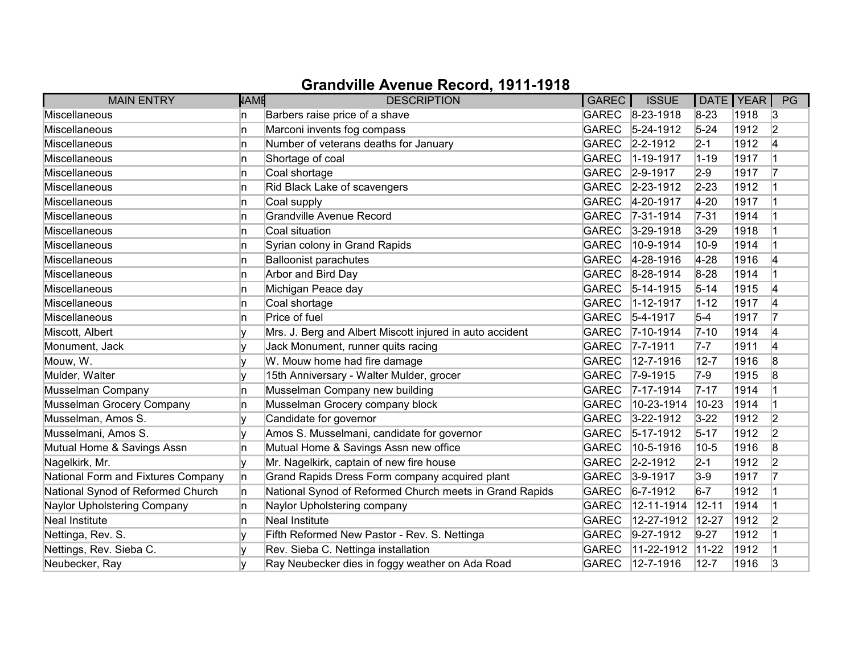| <b>MAIN ENTRY</b>                  | <b>NAME</b> | <b>DESCRIPTION</b>                                       | <b>GAREC</b> | <b>ISSUE</b>      | DATE   YEAR |      | PG             |
|------------------------------------|-------------|----------------------------------------------------------|--------------|-------------------|-------------|------|----------------|
| Miscellaneous                      | n           | Barbers raise price of a shave                           |              | GAREC 8-23-1918   | $8 - 23$    | 1918 | 3              |
| Miscellaneous                      | n           | Marconi invents fog compass                              | <b>GAREC</b> | $5 - 24 - 1912$   | $5 - 24$    | 1912 | 2              |
| Miscellaneous                      | 'n          | Number of veterans deaths for January                    | <b>GAREC</b> | $2 - 2 - 1912$    | $2 - 1$     | 1912 | 4              |
| Miscellaneous                      | n           | Shortage of coal                                         | <b>GAREC</b> | 1-19-1917         | $1 - 19$    | 1917 |                |
| Miscellaneous                      | In.         | Coal shortage                                            | <b>GAREC</b> | $ 2 - 9 - 1917$   | $2-9$       | 1917 | 17             |
| Miscellaneous                      | 'n          | Rid Black Lake of scavengers                             | <b>GAREC</b> | $ 2 - 23 - 1912 $ | $2 - 23$    | 1912 |                |
| Miscellaneous                      | In.         | Coal supply                                              | <b>GAREC</b> | 4-20-1917         | $4 - 20$    | 1917 |                |
| Miscellaneous                      | n           | Grandville Avenue Record                                 | <b>GAREC</b> | $7 - 31 - 1914$   | $7-31$      | 1914 |                |
| Miscellaneous                      | n           | Coal situation                                           | <b>GAREC</b> | $3 - 29 - 1918$   | $3 - 29$    | 1918 |                |
| Miscellaneous                      | 'n          | Syrian colony in Grand Rapids                            | <b>GAREC</b> | 10-9-1914         | $10-9$      | 1914 |                |
| Miscellaneous                      | n           | <b>Balloonist parachutes</b>                             | <b>GAREC</b> | 4-28-1916         | $4 - 28$    | 1916 | 4              |
| Miscellaneous                      | n           | Arbor and Bird Day                                       | <b>GAREC</b> | 8-28-1914         | $8-28$      | 1914 |                |
| Miscellaneous                      | 'n          | Michigan Peace day                                       | <b>GAREC</b> | $5 - 14 - 1915$   | $5 - 14$    | 1915 | 4              |
| Miscellaneous                      | 'n          | Coal shortage                                            | <b>GAREC</b> | 1-12-1917         | $1 - 12$    | 1917 | 14             |
| Miscellaneous                      | n           | Price of fuel                                            | <b>GAREC</b> | $5-4-1917$        | $5-4$       | 1917 | 17             |
| Miscott, Albert                    | v           | Mrs. J. Berg and Albert Miscott injured in auto accident | <b>GAREC</b> | 7-10-1914         | $7 - 10$    | 1914 | 4              |
| Monument, Jack                     | v           | Jack Monument, runner quits racing                       | <b>GAREC</b> | $7 - 7 - 1911$    | $7 - 7$     | 1911 | 4              |
| Mouw, W.                           |             | W. Mouw home had fire damage                             | <b>GAREC</b> | 12-7-1916         | $12 - 7$    | 1916 | 8              |
| Mulder, Walter                     | v           | 15th Anniversary - Walter Mulder, grocer                 | <b>GAREC</b> | $7 - 9 - 1915$    | $7-9$       | 1915 | 8              |
| Musselman Company                  | n           | Musselman Company new building                           | <b>GAREC</b> | $7 - 17 - 1914$   | $7 - 17$    | 1914 |                |
| Musselman Grocery Company          | 'n          | Musselman Grocery company block                          | <b>GAREC</b> | 10-23-1914        | $10 - 23$   | 1914 |                |
| Musselman, Amos S.                 |             | Candidate for governor                                   | <b>GAREC</b> | $3 - 22 - 1912$   | $3 - 22$    | 1912 | 2              |
| Musselmani, Amos S.                | V           | Amos S. Musselmani, candidate for governor               | <b>GAREC</b> | $ 5 - 17 - 1912 $ | $5 - 17$    | 1912 | $\overline{2}$ |
| Mutual Home & Savings Assn         | n           | Mutual Home & Savings Assn new office                    | <b>GAREC</b> | 10-5-1916         | $10-5$      | 1916 | 8              |
| Nagelkirk, Mr.                     | v           | Mr. Nagelkirk, captain of new fire house                 | <b>GAREC</b> | $2 - 2 - 1912$    | $2 - 1$     | 1912 | 2              |
| National Form and Fixtures Company | n.          | Grand Rapids Dress Form company acquired plant           | <b>GAREC</b> | $3-9-1917$        | $3-9$       | 1917 | 17             |
| National Synod of Reformed Church  | n.          | National Synod of Reformed Church meets in Grand Rapids  | <b>GAREC</b> | $6 - 7 - 1912$    | $6-7$       | 1912 |                |
| Naylor Upholstering Company        | 'n          | Naylor Upholstering company                              | <b>GAREC</b> | 12-11-1914        | $12 - 11$   | 1914 | 1              |
| Neal Institute                     | 'n          | Neal Institute                                           | <b>GAREC</b> | 12-27-1912        | $12 - 27$   | 1912 | $\overline{2}$ |
| Nettinga, Rev. S.                  |             | Fifth Reformed New Pastor - Rev. S. Nettinga             | <b>GAREC</b> | $9-27-1912$       | $9-27$      | 1912 |                |
| Nettings, Rev. Sieba C.            |             | Rev. Sieba C. Nettinga installation                      | <b>GAREC</b> | 11-22-1912        | $11-22$     | 1912 |                |
| Neubecker, Ray                     |             | Ray Neubecker dies in foggy weather on Ada Road          | <b>GAREC</b> | 12-7-1916         | $12 - 7$    | 1916 | 3              |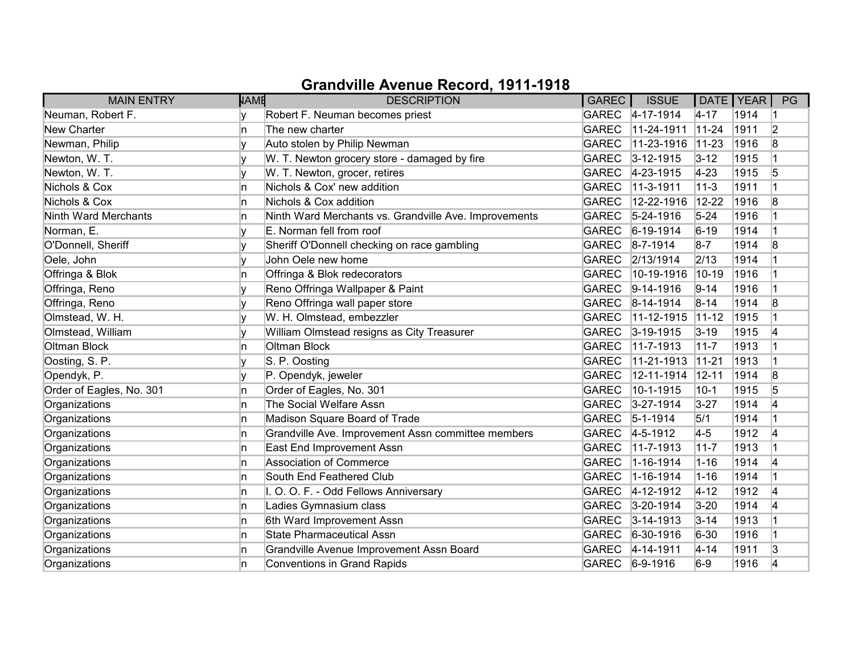| <b>MAIN ENTRY</b>           | <b>NAME</b> | <b>DESCRIPTION</b>                                    | <b>GAREC</b> | <b>ISSUE</b>      | DATE   YEAR |      | PG             |
|-----------------------------|-------------|-------------------------------------------------------|--------------|-------------------|-------------|------|----------------|
| Neuman, Robert F.           | ۷           | Robert F. Neuman becomes priest                       |              | GAREC 4-17-1914   | $4 - 17$    | 1914 |                |
| <b>New Charter</b>          | ln.         | The new charter                                       | <b>GAREC</b> | 11-24-1911        | $11 - 24$   | 1911 | $\overline{2}$ |
| Newman, Philip              |             | Auto stolen by Philip Newman                          | <b>GAREC</b> | 11-23-1916        | $11-23$     | 1916 | 8              |
| Newton, W. T.               | V           | W. T. Newton grocery store - damaged by fire          | <b>GAREC</b> | $3 - 12 - 1915$   | $3 - 12$    | 1915 |                |
| Newton, W. T.               | V           | W. T. Newton, grocer, retires                         | <b>GAREC</b> | 4-23-1915         | $ 4-23 $    | 1915 | 5              |
| Nichols & Cox               | In.         | Nichols & Cox' new addition                           | <b>GAREC</b> | 11-3-1911         | $11 - 3$    | 1911 |                |
| Nichols & Cox               | In.         | Nichols & Cox addition                                | <b>GAREC</b> | 12-22-1916        | $12 - 22$   | 1916 | 8              |
| <b>Ninth Ward Merchants</b> | In.         | Ninth Ward Merchants vs. Grandville Ave. Improvements | <b>GAREC</b> | $ 5 - 24 - 1916$  | $5 - 24$    | 1916 |                |
| Norman, E.                  | V           | E. Norman fell from roof                              | <b>GAREC</b> | $6-19-1914$       | $6 - 19$    | 1914 |                |
| O'Donnell, Sheriff          | V           | Sheriff O'Donnell checking on race gambling           | <b>GAREC</b> | $ 8 - 7 - 1914 $  | $8-7$       | 1914 | 8              |
| Oele, John                  |             | John Oele new home                                    | <b>GAREC</b> | 2/13/1914         | 2/13        | 1914 |                |
| Offringa & Blok             | ln.         | Offringa & Blok redecorators                          | <b>GAREC</b> | 10-19-1916        | $10-19$     | 1916 |                |
| Offringa, Reno              | v           | Reno Offringa Wallpaper & Paint                       | <b>GAREC</b> | $9-14-1916$       | $9 - 14$    | 1916 |                |
| Offringa, Reno              | v           | Reno Offringa wall paper store                        | <b>GAREC</b> | $8-14-1914$       | $8 - 14$    | 1914 | 8              |
| Olmstead, W. H.             | v           | W. H. Olmstead, embezzler                             | <b>GAREC</b> | 11-12-1915        | $11-12$     | 1915 |                |
| Olmstead, William           | v           | William Olmstead resigns as City Treasurer            | <b>GAREC</b> | $3 - 19 - 1915$   | $3 - 19$    | 1915 | 4              |
| <b>Oltman Block</b>         | ln.         | Oltman Block                                          | <b>GAREC</b> | 11-7-1913         | $11 - 7$    | 1913 |                |
| Oosting, S. P.              |             | S. P. Oosting                                         | <b>GAREC</b> | 11-21-1913        | $11 - 21$   | 1913 |                |
| Opendyk, P.                 | v           | P. Opendyk, jeweler                                   | <b>GAREC</b> | 12-11-1914        | $12 - 11$   | 1914 | 8              |
| Order of Eagles, No. 301    | In.         | Order of Eagles, No. 301                              | <b>GAREC</b> | 10-1-1915         | $10-1$      | 1915 | 5              |
| Organizations               | In.         | The Social Welfare Assn                               | <b>GAREC</b> | $3 - 27 - 1914$   | $3 - 27$    | 1914 | 4              |
| Organizations               | In.         | Madison Square Board of Trade                         | <b>GAREC</b> | $ 5 - 1 - 1914$   | 5/1         | 1914 |                |
| Organizations               | In.         | Grandville Ave. Improvement Assn committee members    | <b>GAREC</b> | $4 - 5 - 1912$    | $4-5$       | 1912 | 14             |
| Organizations               | In.         | East End Improvement Assn                             | <b>GAREC</b> | 11-7-1913         | $11 - 7$    | 1913 |                |
| Organizations               | In.         | Association of Commerce                               | <b>GAREC</b> | 1-16-1914         | $1 - 16$    | 1914 | 14             |
| Organizations               | ln.         | South End Feathered Club                              | <b>GAREC</b> | 1-16-1914         | $1 - 16$    | 1914 |                |
| Organizations               | In.         | I. O. O. F. - Odd Fellows Anniversary                 | <b>GAREC</b> | 4-12-1912         | $4 - 12$    | 1912 | 4              |
| Organizations               | In.         | Ladies Gymnasium class                                | <b>GAREC</b> | 3-20-1914         | $3 - 20$    | 1914 | 4              |
| Organizations               | In.         | 6th Ward Improvement Assn                             | <b>GAREC</b> | $ 3 - 14 - 1913 $ | $3 - 14$    | 1913 |                |
| Organizations               | In.         | <b>State Pharmaceutical Assn</b>                      | <b>GAREC</b> | 6-30-1916         | $6 - 30$    | 1916 |                |
| Organizations               | In.         | Grandville Avenue Improvement Assn Board              | <b>GAREC</b> | $ 4 - 14 - 1911$  | $4 - 14$    | 1911 | 3              |
| Organizations               | ln.         | <b>Conventions in Grand Rapids</b>                    | <b>GAREC</b> | $6-9-1916$        | $6-9$       | 1916 | 4              |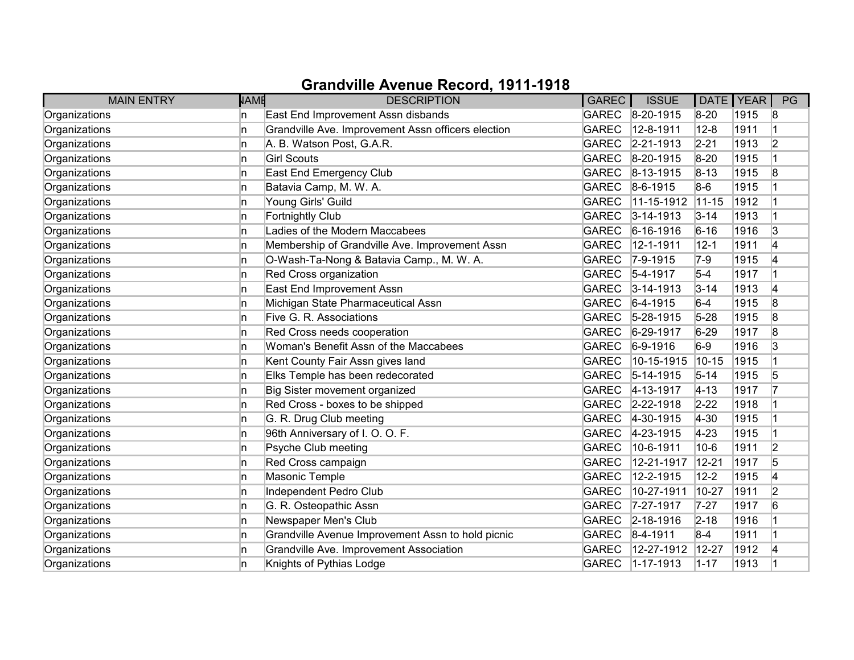| <b>MAIN ENTRY</b> | <b>NAME</b> | <b>DESCRIPTION</b>                                 | <b>GAREC</b> | <b>ISSUE</b>    |            | DATE   YEAR | PG             |
|-------------------|-------------|----------------------------------------------------|--------------|-----------------|------------|-------------|----------------|
| Organizations     | n           | East End Improvement Assn disbands                 | <b>GAREC</b> | $8-20-1915$     | $8 - 20$   | 1915        | 8              |
| Organizations     | ln.         | Grandville Ave. Improvement Assn officers election | <b>GAREC</b> | 12-8-1911       | $12 - 8$   | 1911        |                |
| Organizations     | n           | A. B. Watson Post, G.A.R.                          | <b>GAREC</b> | $2 - 21 - 1913$ | $2 - 21$   | 1913        | $\overline{2}$ |
| Organizations     | In.         | <b>Girl Scouts</b>                                 | <b>GAREC</b> | 8-20-1915       | $8-20$     | 1915        |                |
| Organizations     | In.         | East End Emergency Club                            | <b>GAREC</b> | 8-13-1915       | $8 - 13$   | 1915        | 8              |
| Organizations     | In.         | Batavia Camp, M. W. A.                             | <b>GAREC</b> | $8-6-1915$      | $8-6$      | 1915        |                |
| Organizations     | In.         | Young Girls' Guild                                 | <b>GAREC</b> | 11-15-1912      | $11 - 15$  | 1912        |                |
| Organizations     | In.         | <b>Fortnightly Club</b>                            | <b>GAREC</b> | $3 - 14 - 1913$ | $3 - 14$   | 1913        |                |
| Organizations     | ln.         | Ladies of the Modern Maccabees                     | <b>GAREC</b> | $6 - 16 - 1916$ | $6 - 16$   | 1916        | 3              |
| Organizations     | ln.         | Membership of Grandville Ave. Improvement Assn     | <b>GAREC</b> | 12-1-1911       | $12 - 1$   | 1911        | 4              |
| Organizations     | ln.         | O-Wash-Ta-Nong & Batavia Camp., M. W. A.           | <b>GAREC</b> | $7 - 9 - 1915$  | $7-9$      | 1915        | 14             |
| Organizations     | In.         | Red Cross organization                             | <b>GAREC</b> | $5 - 4 - 1917$  | $5-4$      | 1917        |                |
| Organizations     | ln.         | East End Improvement Assn                          | <b>GAREC</b> | $3 - 14 - 1913$ | $3 - 14$   | 1913        | 4              |
| Organizations     | In.         | Michigan State Pharmaceutical Assn                 | <b>GAREC</b> | $6-4-1915$      | $6-4$      | 1915        | 8              |
| Organizations     | In.         | Five G. R. Associations                            | <b>GAREC</b> | $5-28-1915$     | $5 - 28$   | 1915        | 8              |
| Organizations     | n           | Red Cross needs cooperation                        | <b>GAREC</b> | $6 - 29 - 1917$ | $6 - 29$   | 1917        | 8              |
| Organizations     | ln.         | Woman's Benefit Assn of the Maccabees              | <b>GAREC</b> | $6-9-1916$      | $6-9$      | 1916        | 3              |
| Organizations     | n           | Kent County Fair Assn gives land                   | <b>GAREC</b> | 10-15-1915      | 10-15      | 1915        |                |
| Organizations     | ln.         | Elks Temple has been redecorated                   | <b>GAREC</b> | 5-14-1915       | $5 - 14$   | 1915        | 5              |
| Organizations     | ln.         | Big Sister movement organized                      | <b>GAREC</b> | 4-13-1917       | $4 - 13$   | 1917        | 17             |
| Organizations     | ln.         | Red Cross - boxes to be shipped                    | <b>GAREC</b> | 2-22-1918       | $2 - 22$   | 1918        |                |
| Organizations     | ln.         | G. R. Drug Club meeting                            | <b>GAREC</b> | 4-30-1915       | $ 4 - 30 $ | 1915        |                |
| Organizations     | In.         | 96th Anniversary of I. O. O. F.                    | <b>GAREC</b> | 4-23-1915       | $4 - 23$   | 1915        |                |
| Organizations     | ln.         | Psyche Club meeting                                | <b>GAREC</b> | 10-6-1911       | $10-6$     | 1911        | $\overline{2}$ |
| Organizations     | ln.         | Red Cross campaign                                 | <b>GAREC</b> | 12-21-1917      | $12 - 21$  | 1917        | 5              |
| Organizations     | n           | Masonic Temple                                     | <b>GAREC</b> | 12-2-1915       | $12 - 2$   | 1915        | 4              |
| Organizations     | ln.         | Independent Pedro Club                             | <b>GAREC</b> | 10-27-1911      | 10-27      | 1911        | $\overline{2}$ |
| Organizations     | ln.         | G. R. Osteopathic Assn                             | <b>GAREC</b> | 7-27-1917       | $7 - 27$   | 1917        | 6              |
| Organizations     | In.         | Newspaper Men's Club                               | <b>GAREC</b> | $2 - 18 - 1916$ | $2 - 18$   | 1916        |                |
| Organizations     | ln.         | Grandville Avenue Improvement Assn to hold picnic  | <b>GAREC</b> | $8-4-1911$      | $8-4$      | 1911        |                |
| Organizations     | In.         | Grandville Ave. Improvement Association            | <b>GAREC</b> | 12-27-1912      | 12-27      | 1912        | 4              |
| Organizations     | n           | Knights of Pythias Lodge                           | <b>GAREC</b> | 1-17-1913       | $1 - 17$   | 1913        |                |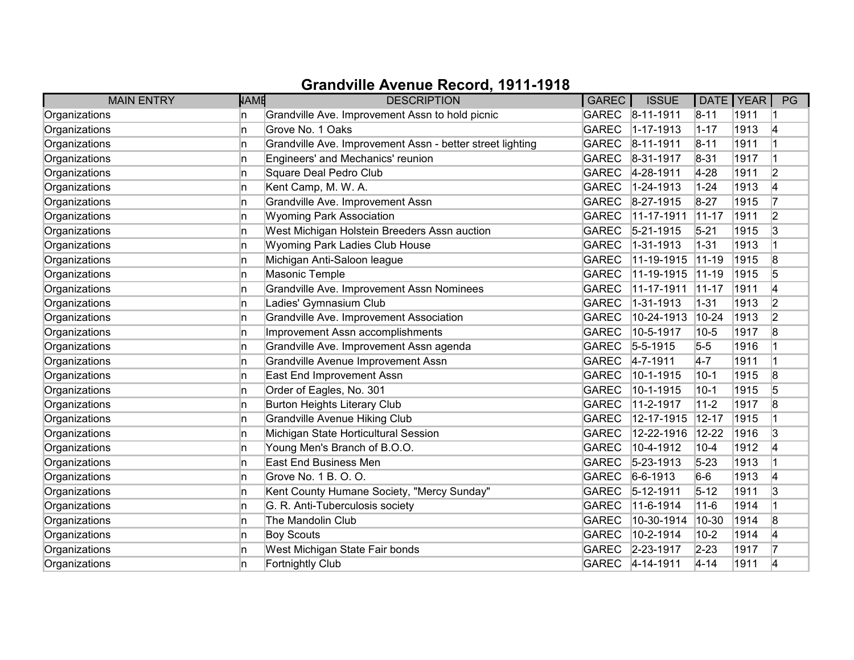| <b>MAIN ENTRY</b> | <b>NAME</b> | <b>DESCRIPTION</b>                                        | <b>GAREC</b> | <b>ISSUE</b>     | DATE   YEAR |      | PG             |
|-------------------|-------------|-----------------------------------------------------------|--------------|------------------|-------------|------|----------------|
| Organizations     | n           | Grandville Ave. Improvement Assn to hold picnic           | <b>GAREC</b> | 8-11-1911        | $8 - 11$    | 1911 |                |
| Organizations     | n           | Grove No. 1 Oaks                                          | <b>GAREC</b> | 1-17-1913        | $1 - 17$    | 1913 | 4              |
| Organizations     | n           | Grandville Ave. Improvement Assn - better street lighting | <b>GAREC</b> | 8-11-1911        | $8 - 11$    | 1911 |                |
| Organizations     | In.         | Engineers' and Mechanics' reunion                         | <b>GAREC</b> | 8-31-1917        | $8 - 31$    | 1917 |                |
| Organizations     | ln.         | Square Deal Pedro Club                                    | <b>GAREC</b> | 4-28-1911        | $4 - 28$    | 1911 | $\overline{2}$ |
| Organizations     | In.         | Kent Camp, M. W. A.                                       | <b>GAREC</b> | 1-24-1913        | $1 - 24$    | 1913 | 4              |
| Organizations     | n           | Grandville Ave. Improvement Assn                          | <b>GAREC</b> | 8-27-1915        | $8 - 27$    | 1915 |                |
| Organizations     | ln.         | <b>Wyoming Park Association</b>                           | <b>GAREC</b> | 11-17-1911       | $11 - 17$   | 1911 | $\overline{2}$ |
| Organizations     | ln.         | West Michigan Holstein Breeders Assn auction              | <b>GAREC</b> | $5 - 21 - 1915$  | $5 - 21$    | 1915 | 3              |
| Organizations     | ln.         | Wyoming Park Ladies Club House                            | <b>GAREC</b> | 1-31-1913        | $1 - 31$    | 1913 |                |
| Organizations     | ln.         | Michigan Anti-Saloon league                               | <b>GAREC</b> | 11-19-1915       | $11-19$     | 1915 | 8              |
| Organizations     | In.         | Masonic Temple                                            | <b>GAREC</b> | 11-19-1915       | $11-19$     | 1915 | 5              |
| Organizations     | ln.         | Grandville Ave. Improvement Assn Nominees                 | <b>GAREC</b> | 11-17-1911       | $11-17$     | 1911 | 4              |
| Organizations     | ln.         | Ladies' Gymnasium Club                                    | <b>GAREC</b> | 1-31-1913        | $1 - 31$    | 1913 | 2              |
| Organizations     | In.         | Grandville Ave. Improvement Association                   | <b>GAREC</b> | 10-24-1913       | $10 - 24$   | 1913 | $\overline{2}$ |
| Organizations     | ln.         | Improvement Assn accomplishments                          | <b>GAREC</b> | 10-5-1917        | $10 - 5$    | 1917 | 8              |
| Organizations     | ln.         | Grandville Ave. Improvement Assn agenda                   | <b>GAREC</b> | $5 - 5 - 1915$   | $5-5$       | 1916 |                |
| Organizations     | n           | Grandville Avenue Improvement Assn                        | <b>GAREC</b> | $4 - 7 - 1911$   | $4-7$       | 1911 | 1              |
| Organizations     | In.         | East End Improvement Assn                                 | <b>GAREC</b> | 10-1-1915        | $10 - 1$    | 1915 | 8              |
| Organizations     | ln.         | Order of Eagles, No. 301                                  | <b>GAREC</b> | 10-1-1915        | $10-1$      | 1915 | 5              |
| Organizations     | ln.         | <b>Burton Heights Literary Club</b>                       | <b>GAREC</b> | 11-2-1917        | $11 - 2$    | 1917 | 8              |
| Organizations     | n           | <b>Grandville Avenue Hiking Club</b>                      | <b>GAREC</b> | 12-17-1915       | $12 - 17$   | 1915 |                |
| Organizations     | In.         | Michigan State Horticultural Session                      | <b>GAREC</b> | 12-22-1916       | $12 - 22$   | 1916 | 3              |
| Organizations     | ln.         | Young Men's Branch of B.O.O.                              | <b>GAREC</b> | 10-4-1912        | $10 - 4$    | 1912 | 4              |
| Organizations     | n           | <b>East End Business Men</b>                              | <b>GAREC</b> | $5 - 23 - 1913$  | $5 - 23$    | 1913 |                |
| Organizations     | n           | Grove No. 1 B. O. O.                                      | <b>GAREC</b> | $6 - 6 - 1913$   | $6-6$       | 1913 | 4              |
| Organizations     | In.         | Kent County Humane Society, "Mercy Sunday"                | <b>GAREC</b> | 5-12-1911        | $5 - 12$    | 1911 | 3              |
| Organizations     | ln.         | G. R. Anti-Tuberculosis society                           | <b>GAREC</b> | 11-6-1914        | $11 - 6$    | 1914 | 1              |
| Organizations     | In.         | The Mandolin Club                                         | <b>GAREC</b> | 10-30-1914       | 10-30       | 1914 | 8              |
| Organizations     | In.         | <b>Boy Scouts</b>                                         | <b>GAREC</b> | 10-2-1914        | $10-2$      | 1914 | 4              |
| Organizations     | In.         | West Michigan State Fair bonds                            | <b>GAREC</b> | $ 2 - 23 - 1917$ | $2 - 23$    | 1917 | 17             |
| Organizations     | n           | Fortnightly Club                                          | <b>GAREC</b> | $ 4 - 14 - 1911$ | $4 - 14$    | 1911 | 4              |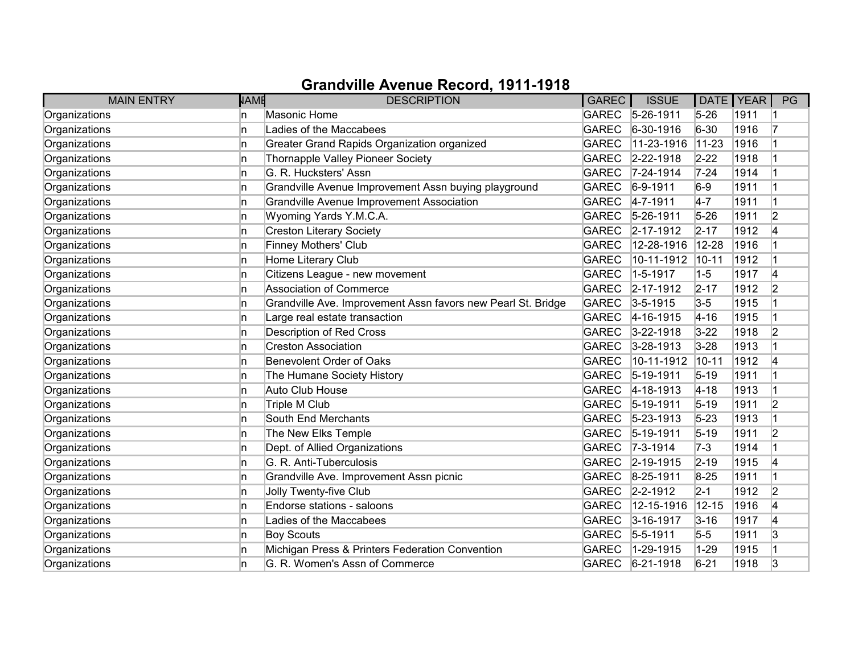| <b>MAIN ENTRY</b> | <b>NAME</b> | <b>DESCRIPTION</b>                                           | <b>GAREC</b> | <b>ISSUE</b>     | DATE   YEAR |      | PG             |
|-------------------|-------------|--------------------------------------------------------------|--------------|------------------|-------------|------|----------------|
| Organizations     | ln.         | <b>Masonic Home</b>                                          | <b>GAREC</b> | $5-26-1911$      | $5 - 26$    | 1911 |                |
| Organizations     | ln.         | Ladies of the Maccabees                                      | <b>GAREC</b> | 6-30-1916        | $6 - 30$    | 1916 | 17             |
| Organizations     | ln.         | Greater Grand Rapids Organization organized                  | <b>GAREC</b> | 11-23-1916       | $11 - 23$   | 1916 |                |
| Organizations     | ln.         | Thornapple Valley Pioneer Society                            | <b>GAREC</b> | 2-22-1918        | $2 - 22$    | 1918 |                |
| Organizations     | In.         | G. R. Hucksters' Assn                                        | <b>GAREC</b> | $7 - 24 - 1914$  | $7 - 24$    | 1914 |                |
| Organizations     | In.         | Grandville Avenue Improvement Assn buying playground         | <b>GAREC</b> | $6-9-1911$       | $6-9$       | 1911 |                |
| Organizations     | In.         | <b>Grandville Avenue Improvement Association</b>             | <b>GAREC</b> | $4 - 7 - 1911$   | $4-7$       | 1911 | $\overline{1}$ |
| Organizations     | In.         | Wyoming Yards Y.M.C.A.                                       | <b>GAREC</b> | $5 - 26 - 1911$  | $5 - 26$    | 1911 | $\overline{2}$ |
| Organizations     | In.         | Creston Literary Society                                     | <b>GAREC</b> | 2-17-1912        | $2 - 17$    | 1912 | 4              |
| Organizations     | In.         | <b>Finney Mothers' Club</b>                                  | <b>GAREC</b> | 12-28-1916       | $12 - 28$   | 1916 |                |
| Organizations     | In.         | Home Literary Club                                           | <b>GAREC</b> | 10-11-1912       | $10 - 11$   | 1912 |                |
| Organizations     | In.         | Citizens League - new movement                               | <b>GAREC</b> | 1-5-1917         | $1 - 5$     | 1917 | 4              |
| Organizations     | In.         | Association of Commerce                                      | <b>GAREC</b> | 2-17-1912        | $2 - 17$    | 1912 | $\overline{2}$ |
| Organizations     | In.         | Grandville Ave. Improvement Assn favors new Pearl St. Bridge | <b>GAREC</b> | $3 - 5 - 1915$   | $3-5$       | 1915 |                |
| Organizations     | In.         | Large real estate transaction                                | <b>GAREC</b> | 4-16-1915        | $4 - 16$    | 1915 |                |
| Organizations     | In.         | <b>Description of Red Cross</b>                              | <b>GAREC</b> | $3 - 22 - 1918$  | $3 - 22$    | 1918 | 2              |
| Organizations     | In.         | <b>Creston Association</b>                                   | <b>GAREC</b> | $3 - 28 - 1913$  | $3 - 28$    | 1913 |                |
| Organizations     | In.         | Benevolent Order of Oaks                                     | <b>GAREC</b> | 10-11-1912       | $10 - 11$   | 1912 | 4              |
| Organizations     | ln.         | The Humane Society History                                   | <b>GAREC</b> | $5 - 19 - 1911$  | $5 - 19$    | 1911 |                |
| Organizations     | In.         | Auto Club House                                              | <b>GAREC</b> | 4-18-1913        | $4 - 18$    | 1913 |                |
| Organizations     | In.         | Triple M Club                                                | <b>GAREC</b> | $5 - 19 - 1911$  | $5 - 19$    | 1911 | $\overline{2}$ |
| Organizations     | ln.         | South End Merchants                                          | <b>GAREC</b> | $5 - 23 - 1913$  | $5 - 23$    | 1913 |                |
| Organizations     | ln.         | The New Elks Temple                                          | <b>GAREC</b> | $ 5 - 19 - 1911$ | $5 - 19$    | 1911 | $\overline{2}$ |
| Organizations     | In.         | Dept. of Allied Organizations                                | <b>GAREC</b> | $7 - 3 - 1914$   | $7-3$       | 1914 |                |
| Organizations     | In.         | G. R. Anti-Tuberculosis                                      | <b>GAREC</b> | 2-19-1915        | $2 - 19$    | 1915 | 4              |
| Organizations     | In.         | Grandville Ave. Improvement Assn picnic                      | <b>GAREC</b> | 8-25-1911        | $8 - 25$    | 1911 |                |
| Organizations     | In.         | Jolly Twenty-five Club                                       | <b>GAREC</b> | 2-2-1912         | $2 - 1$     | 1912 | $\overline{2}$ |
| Organizations     | In.         | Endorse stations - saloons                                   | <b>GAREC</b> | 12-15-1916       | $12 - 15$   | 1916 | 4              |
| Organizations     | In.         | Ladies of the Maccabees                                      | <b>GAREC</b> | 3-16-1917        | $3 - 16$    | 1917 | 4              |
| Organizations     | In.         | <b>Boy Scouts</b>                                            | <b>GAREC</b> | $5 - 5 - 1911$   | $5-5$       | 1911 | 3              |
| Organizations     | In.         | Michigan Press & Printers Federation Convention              | <b>GAREC</b> | 1-29-1915        | $1 - 29$    | 1915 |                |
| Organizations     | ln.         | G. R. Women's Assn of Commerce                               | <b>GAREC</b> | $6 - 21 - 1918$  | $6 - 21$    | 1918 | 3              |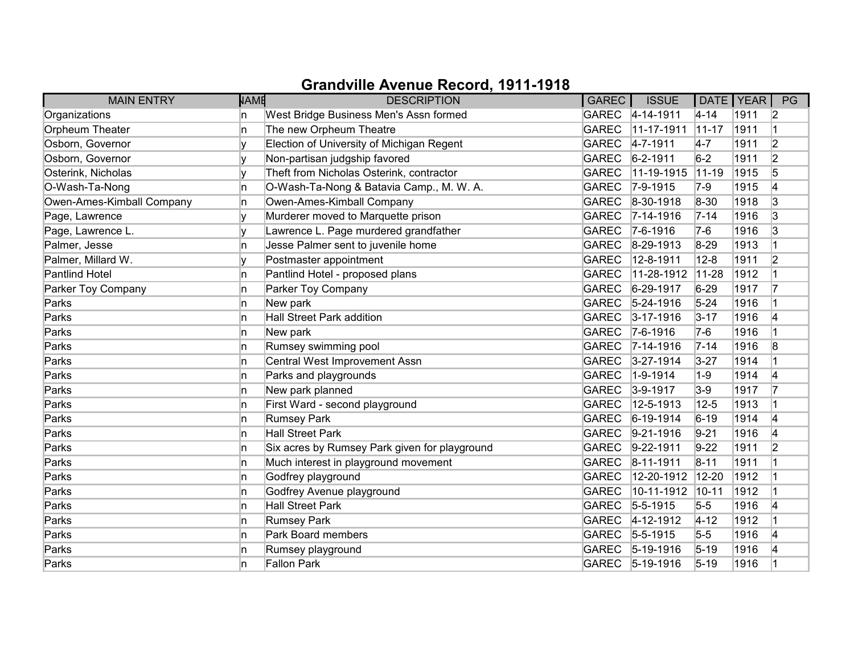| <b>MAIN ENTRY</b>         | <b>NAME</b> | <b>DESCRIPTION</b>                            | GAREC        | <b>ISSUE</b>      | DATE   YEAR |      | PG             |
|---------------------------|-------------|-----------------------------------------------|--------------|-------------------|-------------|------|----------------|
| Organizations             | n           | West Bridge Business Men's Assn formed        |              | GAREC 4-14-1911   | $4 - 14$    | 1911 | 2              |
| Orpheum Theater           | n           | The new Orpheum Theatre                       | <b>GAREC</b> | $11-17-1911$      | $11-17$     | 1911 |                |
| Osborn, Governor          |             | Election of University of Michigan Regent     | <b>GAREC</b> | $4 - 7 - 1911$    | $4-7$       | 1911 | $\overline{2}$ |
| Osborn, Governor          | v           | Non-partisan judgship favored                 | <b>GAREC</b> | $6 - 2 - 1911$    | $6-2$       | 1911 | $\overline{2}$ |
| Osterink, Nicholas        | ١v          | Theft from Nicholas Osterink, contractor      | <b>GAREC</b> | 11-19-1915        | $ 11 - 19 $ | 1915 | 5              |
| O-Wash-Ta-Nong            | n.          | O-Wash-Ta-Nong & Batavia Camp., M. W. A.      | <b>GAREC</b> | $ 7 - 9 - 1915$   | $7-9$       | 1915 | 4              |
| Owen-Ames-Kimball Company | n.          | Owen-Ames-Kimball Company                     | <b>GAREC</b> | $ 8-30-1918 $     | 8-30        | 1918 | 3              |
| Page, Lawrence            |             | Murderer moved to Marquette prison            | <b>GAREC</b> | $7 - 14 - 1916$   | $7 - 14$    | 1916 | 3              |
| Page, Lawrence L.         |             | Lawrence L. Page murdered grandfather         | <b>GAREC</b> | $7-6-1916$        | $7-6$       | 1916 | 3              |
| Palmer, Jesse             | n           | Jesse Palmer sent to juvenile home            | <b>GAREC</b> | $8-29-1913$       | $8 - 29$    | 1913 |                |
| Palmer, Millard W.        |             | Postmaster appointment                        | <b>GAREC</b> | 12-8-1911         | $12 - 8$    | 1911 | $\overline{2}$ |
| <b>Pantlind Hotel</b>     | n           | Pantlind Hotel - proposed plans               | <b>GAREC</b> | 11-28-1912        | $11 - 28$   | 1912 |                |
| Parker Toy Company        | In.         | Parker Toy Company                            | <b>GAREC</b> | 6-29-1917         | $6 - 29$    | 1917 | 17             |
| Parks                     | n           | New park                                      | <b>GAREC</b> | $5 - 24 - 1916$   | $5 - 24$    | 1916 |                |
| Parks                     | n.          | Hall Street Park addition                     | <b>GAREC</b> | $3 - 17 - 1916$   | $3 - 17$    | 1916 | 4              |
| Parks                     | n           | New park                                      | <b>GAREC</b> | $ 7-6-1916 $      | $7-6$       | 1916 |                |
| Parks                     | n.          | Rumsey swimming pool                          | <b>GAREC</b> | $7 - 14 - 1916$   | $7 - 14$    | 1916 | 8              |
| Parks                     | n           | Central West Improvement Assn                 | <b>GAREC</b> | $3 - 27 - 1914$   | $3 - 27$    | 1914 |                |
| Parks                     | n           | Parks and playgrounds                         | <b>GAREC</b> | $1 - 9 - 1914$    | $1-9$       | 1914 | 4              |
| Parks                     | In.         | New park planned                              | <b>GAREC</b> | $3-9-1917$        | $3-9$       | 1917 | 17             |
| Parks                     | n.          | First Ward - second playground                | <b>GAREC</b> | 12-5-1913         | $12 - 5$    | 1913 |                |
| Parks                     | n           | <b>Rumsey Park</b>                            | <b>GAREC</b> | $6-19-1914$       | $6 - 19$    | 1914 | 4              |
| Parks                     | n           | <b>Hall Street Park</b>                       | <b>GAREC</b> | $9-21-1916$       | $9 - 21$    | 1916 | 4              |
| Parks                     | n           | Six acres by Rumsey Park given for playground | <b>GAREC</b> | $9-22-1911$       | $9-22$      | 1911 | 2              |
| Parks                     | n.          | Much interest in playground movement          | <b>GAREC</b> | $ 8 - 11 - 1911$  | $8 - 11$    | 1911 |                |
| Parks                     | n           | Godfrey playground                            | <b>GAREC</b> | 12-20-1912        | $12 - 20$   | 1912 |                |
| Parks                     | n           | Godfrey Avenue playground                     | <b>GAREC</b> | 10-11-1912        | $ 10 - 11 $ | 1912 |                |
| Parks                     | In.         | <b>Hall Street Park</b>                       | <b>GAREC</b> | $5 - 5 - 1915$    | $5-5$       | 1916 | 4              |
| Parks                     | n.          | <b>Rumsey Park</b>                            | <b>GAREC</b> | $4 - 12 - 1912$   | $ 4 - 12 $  | 1912 |                |
| Parks                     | n.          | Park Board members                            | <b>GAREC</b> | $5 - 5 - 1915$    | $5-5$       | 1916 | 4              |
| Parks                     | n           | Rumsey playground                             | <b>GAREC</b> | $ 5 - 19 - 1916 $ | $5 - 19$    | 1916 | 14             |
| Parks                     | n           | Fallon Park                                   | <b>GAREC</b> | $5 - 19 - 1916$   | $5 - 19$    | 1916 |                |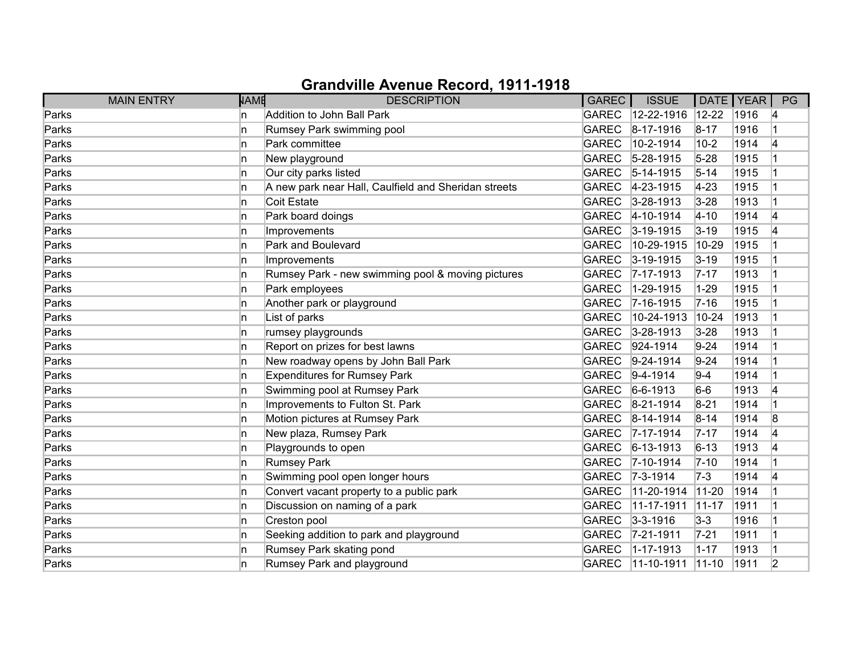| <b>MAIN ENTRY</b> | <b>NAME</b> | <b>DESCRIPTION</b>                                   | <b>GAREC</b> | <b>ISSUE</b>       |             | DATE   YEAR | PG |
|-------------------|-------------|------------------------------------------------------|--------------|--------------------|-------------|-------------|----|
| Parks             | ln.         | Addition to John Ball Park                           | GAREC        | $12 - 22 - 1916$   | $12 - 22$   | 1916        | 14 |
| Parks             | ln.         | Rumsey Park swimming pool                            | <b>GAREC</b> | $ 8 - 17 - 1916 $  | $8 - 17$    | 1916        |    |
| Parks             | ln.         | Park committee                                       | <b>GAREC</b> | 10-2-1914          | $10-2$      | 1914        | 14 |
| Parks             | ln.         | New playground                                       | <b>GAREC</b> | $5 - 28 - 1915$    | $5 - 28$    | 1915        |    |
| Parks             | ln.         | Our city parks listed                                | <b>GAREC</b> | $5-14-1915$        | $5 - 14$    | 1915        |    |
| Parks             | In.         | A new park near Hall, Caulfield and Sheridan streets | <b>GAREC</b> | $4 - 23 - 1915$    | $4 - 23$    | 1915        |    |
| Parks             | ln.         | Coit Estate                                          |              | GAREC 3-28-1913    | $3 - 28$    | 1913        |    |
| Parks             | ln.         | Park board doings                                    |              | GAREC 4-10-1914    | $4 - 10$    | 1914        | 4  |
| Parks             | n           | Improvements                                         | GAREC        | $3 - 19 - 1915$    | $3 - 19$    | 1915        | 4  |
| Parks             | ln.         | Park and Boulevard                                   | <b>GAREC</b> | 10-29-1915         | 10-29       | 1915        |    |
| Parks             | ln.         | Improvements                                         | GAREC        | $3 - 19 - 1915$    | $3 - 19$    | 1915        |    |
| Parks             | ln.         | Rumsey Park - new swimming pool & moving pictures    | <b>GAREC</b> | $ 7 - 17 - 1913$   | $7 - 17$    | 1913        |    |
| Parks             | ln.         | Park employees                                       | <b>GAREC</b> | 1-29-1915          | $1 - 29$    | 1915        |    |
| Parks             | ln.         | Another park or playground                           | <b>GAREC</b> | $7 - 16 - 1915$    | $7 - 16$    | 1915        |    |
| Parks             | ln.         | List of parks                                        | <b>GAREC</b> | 10-24-1913         | $10 - 24$   | 1913        |    |
| Parks             | ln.         | rumsey playgrounds                                   | GAREC        | $3 - 28 - 1913$    | $3 - 28$    | 1913        |    |
| Parks             | ln.         | Report on prizes for best lawns                      | <b>GAREC</b> | 924-1914           | $9 - 24$    | 1914        |    |
| Parks             | ln.         | New roadway opens by John Ball Park                  | <b>GAREC</b> | $9-24-1914$        | $9 - 24$    | 1914        |    |
| Parks             | ln.         | <b>Expenditures for Rumsey Park</b>                  | <b>GAREC</b> | $9-4-1914$         | $9-4$       | 1914        |    |
| Parks             | ln.         | Swimming pool at Rumsey Park                         | <b>GAREC</b> | $6-6-1913$         | $6-6$       | 1913        | 4  |
| Parks             | ln.         | Improvements to Fulton St. Park                      | <b>GAREC</b> | $ 8-21-1914 $      | $8 - 21$    | 1914        |    |
| Parks             | ln.         | Motion pictures at Rumsey Park                       | GAREC        | $8-14-1914$        | $8 - 14$    | 1914        | 8  |
| Parks             | ln.         | New plaza, Rumsey Park                               | GAREC        | $ 7 - 17 - 1914 $  | $7 - 17$    | 1914        | 4  |
| Parks             | ln.         | Playgrounds to open                                  | GAREC        | $ 6 - 13 - 1913 $  | $6 - 13$    | 1913        | 4  |
| Parks             | ln.         | <b>Rumsey Park</b>                                   | <b>GAREC</b> | $7 - 10 - 1914$    | $7 - 10$    | 1914        |    |
| Parks             | ln.         | Swimming pool open longer hours                      | GAREC        | $ 7-3-1914 $       | $7-3$       | 1914        | 14 |
| Parks             | ln.         | Convert vacant property to a public park             | <b>GAREC</b> | 11-20-1914         | $11 - 20$   | 1914        |    |
| Parks             | ln.         | Discussion on naming of a park                       | <b>GAREC</b> | 11-17-1911         | $11 - 17$   | 1911        |    |
| Parks             | ln.         | Creston pool                                         | <b>GAREC</b> | $3 - 3 - 1916$     | $3-3$       | 1916        |    |
| Parks             | ln.         | Seeking addition to park and playground              | GAREC        | $ 7 - 21 - 1911$   | $7 - 21$    | 1911        |    |
| Parks             | ln.         | Rumsey Park skating pond                             | <b>GAREC</b> | $1 - 17 - 1913$    | $1 - 17$    | 1913        |    |
| Parks             | ln.         | Rumsey Park and playground                           | GAREC        | $ 11 - 10 - 1911 $ | $ 11 - 10 $ | 1911        | 2  |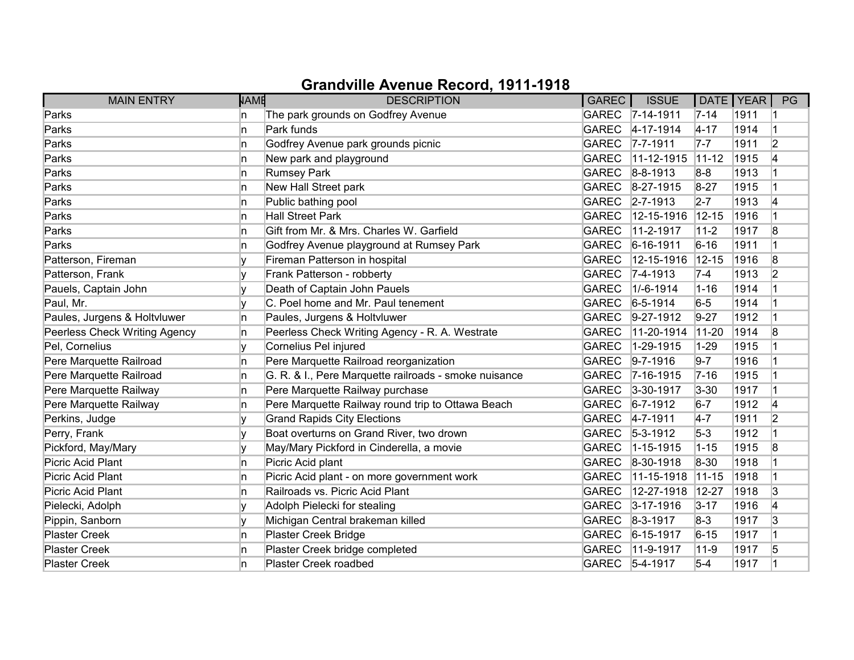| <b>MAIN ENTRY</b>             | <b>NAME</b> | <b>DESCRIPTION</b>                                    | GAREC        | <b>ISSUE</b>     | DATE   YEAR |      | PG             |
|-------------------------------|-------------|-------------------------------------------------------|--------------|------------------|-------------|------|----------------|
| Parks                         | n.          | The park grounds on Godfrey Avenue                    |              | GAREC 7-14-1911  | $7 - 14$    | 1911 |                |
| Parks                         | n           | Park funds                                            | <b>GAREC</b> | $4 - 17 - 1914$  | $4 - 17$    | 1914 |                |
| Parks                         | n           | Godfrey Avenue park grounds picnic                    | <b>GAREC</b> | $7 - 7 - 1911$   | $7-7$       | 1911 | $\overline{2}$ |
| Parks                         | n           | New park and playground                               | <b>GAREC</b> | 11-12-1915       | $11-12$     | 1915 | 4              |
| Parks                         | 'n          | Rumsey Park                                           | <b>GAREC</b> | $8 - 8 - 1913$   | $8-8$       | 1913 |                |
| Parks                         | n           | New Hall Street park                                  | <b>GAREC</b> | $8-27-1915$      | $8-27$      | 1915 |                |
| Parks                         | n           | Public bathing pool                                   | <b>GAREC</b> | $ 2 - 7 - 1913 $ | $2 - 7$     | 1913 | 14             |
| Parks                         | n           | <b>Hall Street Park</b>                               | <b>GAREC</b> | 12-15-1916       | $12 - 15$   | 1916 |                |
| Parks                         | n           | Gift from Mr. & Mrs. Charles W. Garfield              | <b>GAREC</b> | 11-2-1917        | $11 - 2$    | 1917 | 8              |
| Parks                         | n           | Godfrey Avenue playground at Rumsey Park              | <b>GAREC</b> | $6 - 16 - 1911$  | $6 - 16$    | 1911 |                |
| Patterson, Fireman            |             | Fireman Patterson in hospital                         | <b>GAREC</b> | 12-15-1916       | $12 - 15$   | 1916 | 8              |
| Patterson, Frank              |             | Frank Patterson - robberty                            | <b>GAREC</b> | 7-4-1913         | $7-4$       | 1913 | $\overline{2}$ |
| Pauels, Captain John          | v           | Death of Captain John Pauels                          | <b>GAREC</b> | 1/-6-1914        | $1 - 16$    | 1914 |                |
| Paul, Mr.                     |             | C. Poel home and Mr. Paul tenement                    | <b>GAREC</b> | $6-5-1914$       | $6-5$       | 1914 |                |
| Paules, Jurgens & Holtvluwer  | n           | Paules, Jurgens & Holtvluwer                          | <b>GAREC</b> | $9-27-1912$      | $9 - 27$    | 1912 |                |
| Peerless Check Writing Agency | n           | Peerless Check Writing Agency - R. A. Westrate        | <b>GAREC</b> | 11-20-1914       | $11 - 20$   | 1914 | 8              |
| Pel, Cornelius                | v           | Cornelius Pel injured                                 | <b>GAREC</b> | 1-29-1915        | $1 - 29$    | 1915 |                |
| Pere Marquette Railroad       | n           | Pere Marquette Railroad reorganization                | <b>GAREC</b> | $9 - 7 - 1916$   | $9 - 7$     | 1916 |                |
| Pere Marquette Railroad       | n           | G. R. & I., Pere Marquette railroads - smoke nuisance | <b>GAREC</b> | $7 - 16 - 1915$  | $7 - 16$    | 1915 |                |
| Pere Marquette Railway        | n.          | Pere Marquette Railway purchase                       | <b>GAREC</b> | $3 - 30 - 1917$  | $3 - 30$    | 1917 |                |
| Pere Marquette Railway        | 'n          | Pere Marquette Railway round trip to Ottawa Beach     | <b>GAREC</b> | $6 - 7 - 1912$   | $6-7$       | 1912 | 14             |
| Perkins, Judge                |             | <b>Grand Rapids City Elections</b>                    | <b>GAREC</b> | $4 - 7 - 1911$   | $4-7$       | 1911 | $\overline{2}$ |
| Perry, Frank                  | ٧           | Boat overturns on Grand River, two drown              | <b>GAREC</b> | $5 - 3 - 1912$   | $5-3$       | 1912 |                |
| Pickford, May/Mary            |             | May/Mary Pickford in Cinderella, a movie              | <b>GAREC</b> | $1 - 15 - 1915$  | $1 - 15$    | 1915 | 8              |
| Picric Acid Plant             | 'n          | Picric Acid plant                                     | <b>GAREC</b> | 8-30-1918        | 8-30        | 1918 |                |
| <b>Picric Acid Plant</b>      | n           | Picric Acid plant - on more government work           | <b>GAREC</b> | 11-15-1918       | $11-15$     | 1918 |                |
| Picric Acid Plant             | n           | Railroads vs. Picric Acid Plant                       | <b>GAREC</b> | 12-27-1918       | 12-27       | 1918 | 3              |
| Pielecki, Adolph              |             | Adolph Pielecki for stealing                          | <b>GAREC</b> | $3 - 17 - 1916$  | $3 - 17$    | 1916 | 4              |
| Pippin, Sanborn               | v           | Michigan Central brakeman killed                      | <b>GAREC</b> | $ 8-3-1917$      | $8-3$       | 1917 | 3              |
| <b>Plaster Creek</b>          | 'n          | Plaster Creek Bridge                                  | <b>GAREC</b> | $6 - 15 - 1917$  | $6 - 15$    | 1917 | 1              |
| <b>Plaster Creek</b>          | n           | Plaster Creek bridge completed                        | <b>GAREC</b> | 11-9-1917        | $11 - 9$    | 1917 | 5              |
| <b>Plaster Creek</b>          | n           | Plaster Creek roadbed                                 | <b>GAREC</b> | $5 - 4 - 1917$   | $5-4$       | 1917 |                |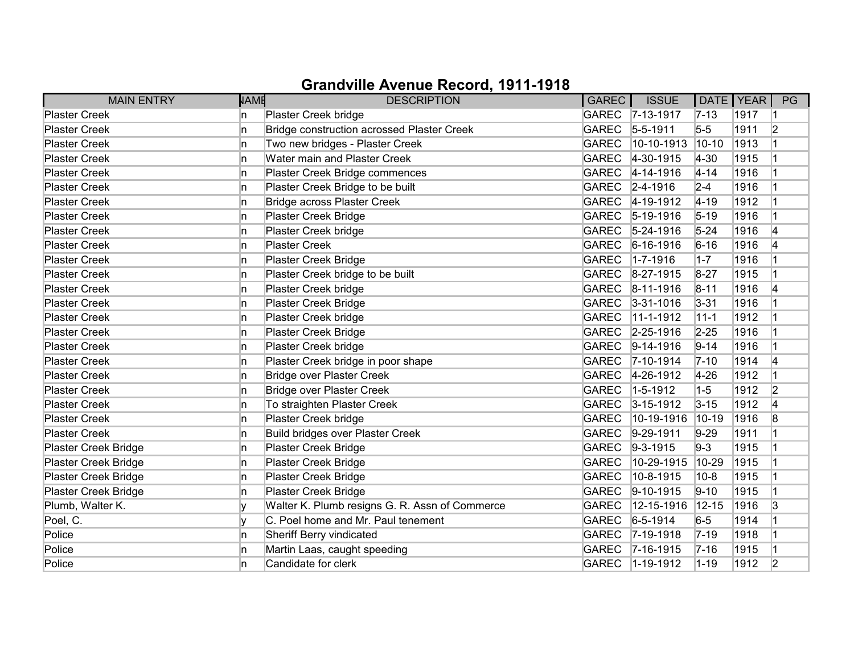| <b>MAIN ENTRY</b>           | <b>NAME</b> | <b>DESCRIPTION</b>                                | <b>GAREC</b> | <b>ISSUE</b>     | DATE   YEAR |      | PG |
|-----------------------------|-------------|---------------------------------------------------|--------------|------------------|-------------|------|----|
| <b>Plaster Creek</b>        | ln.         | Plaster Creek bridge                              |              | GAREC 7-13-1917  | $ 7 - 13 $  | 1917 |    |
| <b>Plaster Creek</b>        | ln.         | <b>Bridge construction acrossed Plaster Creek</b> | <b>GAREC</b> | $5 - 5 - 1911$   | $5-5$       | 1911 | 2  |
| <b>Plaster Creek</b>        | ln.         | Two new bridges - Plaster Creek                   | <b>GAREC</b> | 10-10-1913       | $10 - 10$   | 1913 |    |
| <b>Plaster Creek</b>        | ln.         | Water main and Plaster Creek                      | <b>GAREC</b> | 4-30-1915        | $4 - 30$    | 1915 |    |
| <b>Plaster Creek</b>        | ln.         | Plaster Creek Bridge commences                    | <b>GAREC</b> | $4 - 14 - 1916$  | $4 - 14$    | 1916 |    |
| <b>Plaster Creek</b>        | In.         | Plaster Creek Bridge to be built                  | <b>GAREC</b> | $2 - 4 - 1916$   | $2 - 4$     | 1916 |    |
| <b>Plaster Creek</b>        | ln.         | <b>Bridge across Plaster Creek</b>                | <b>GAREC</b> | $4 - 19 - 1912$  | $4 - 19$    | 1912 |    |
| <b>Plaster Creek</b>        | In.         | <b>Plaster Creek Bridge</b>                       | <b>GAREC</b> | $5-19-1916$      | $5 - 19$    | 1916 |    |
| <b>Plaster Creek</b>        | In.         | Plaster Creek bridge                              | <b>GAREC</b> | $5 - 24 - 1916$  | $5 - 24$    | 1916 | 4  |
| <b>Plaster Creek</b>        | ln.         | <b>Plaster Creek</b>                              | <b>GAREC</b> | $6-16-1916$      | $6 - 16$    | 1916 | 4  |
| <b>Plaster Creek</b>        | ln.         | Plaster Creek Bridge                              | <b>GAREC</b> | 1-7-1916         | $1-7$       | 1916 |    |
| <b>Plaster Creek</b>        | In.         | Plaster Creek bridge to be built                  | <b>GAREC</b> | 8-27-1915        | $8 - 27$    | 1915 |    |
| <b>Plaster Creek</b>        | ln.         | Plaster Creek bridge                              | <b>GAREC</b> | 8-11-1916        | $8 - 11$    | 1916 | 4  |
| <b>Plaster Creek</b>        | ln.         | <b>Plaster Creek Bridge</b>                       | <b>GAREC</b> | $3 - 31 - 1016$  | $3 - 31$    | 1916 |    |
| <b>Plaster Creek</b>        | ln.         | Plaster Creek bridge                              | <b>GAREC</b> | 11-1-1912        | $11 - 1$    | 1912 |    |
| <b>Plaster Creek</b>        | In.         | Plaster Creek Bridge                              |              | GAREC 2-25-1916  | $2 - 25$    | 1916 |    |
| <b>Plaster Creek</b>        | In.         | Plaster Creek bridge                              | <b>GAREC</b> | $9-14-1916$      | $9 - 14$    | 1916 |    |
| <b>Plaster Creek</b>        | In.         | Plaster Creek bridge in poor shape                | <b>GAREC</b> | $ 7 - 10 - 1914$ | $7 - 10$    | 1914 | 4  |
| <b>Plaster Creek</b>        | ln.         | <b>Bridge over Plaster Creek</b>                  | <b>GAREC</b> | 4-26-1912        | $4 - 26$    | 1912 |    |
| <b>Plaster Creek</b>        | ln.         | <b>Bridge over Plaster Creek</b>                  | <b>GAREC</b> | 1-5-1912         | $1-5$       | 1912 | 2  |
| <b>Plaster Creek</b>        | ln.         | To straighten Plaster Creek                       | <b>GAREC</b> | $3 - 15 - 1912$  | $3 - 15$    | 1912 | 4  |
| <b>Plaster Creek</b>        | In.         | Plaster Creek bridge                              | <b>GAREC</b> | 10-19-1916       | 10-19       | 1916 | 8  |
| <b>Plaster Creek</b>        | ln.         | <b>Build bridges over Plaster Creek</b>           | <b>GAREC</b> | $ 9-29-1911$     | $9 - 29$    | 1911 |    |
| <b>Plaster Creek Bridge</b> | In.         | Plaster Creek Bridge                              | <b>GAREC</b> | $9-3-1915$       | $9 - 3$     | 1915 |    |
| Plaster Creek Bridge        | ln.         | Plaster Creek Bridge                              | <b>GAREC</b> | 10-29-1915       | 10-29       | 1915 |    |
| Plaster Creek Bridge        | ln.         | <b>Plaster Creek Bridge</b>                       | <b>GAREC</b> | 10-8-1915        | $10 - 8$    | 1915 |    |
| Plaster Creek Bridge        | ln.         | <b>Plaster Creek Bridge</b>                       | <b>GAREC</b> | 9-10-1915        | $9 - 10$    | 1915 |    |
| Plumb, Walter K.            | v           | Walter K. Plumb resigns G. R. Assn of Commerce    | <b>GAREC</b> | 12-15-1916       | $12 - 15$   | 1916 | 3  |
| Poel, C.                    | v           | C. Poel home and Mr. Paul tenement                | <b>GAREC</b> | $6 - 5 - 1914$   | $6-5$       | 1914 |    |
| Police                      | ln.         | Sheriff Berry vindicated                          | <b>GAREC</b> | 7-19-1918        | $7 - 19$    | 1918 |    |
| Police                      | ln.         | Martin Laas, caught speeding                      | <b>GAREC</b> | $7 - 16 - 1915$  | $7 - 16$    | 1915 |    |
| Police                      | ln.         | Candidate for clerk                               | <b>GAREC</b> | $ 1 - 19 - 1912$ | $1 - 19$    | 1912 | 2  |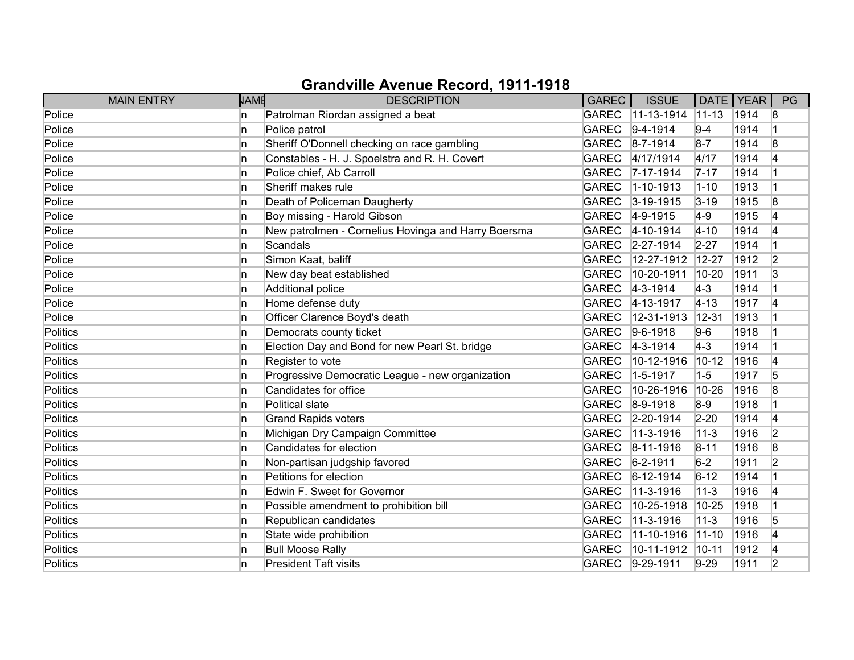| <b>MAIN ENTRY</b> | <b>NAME</b> | <b>DESCRIPTION</b>                                  | <b>GAREC</b> | <b>ISSUE</b>       | DATE   YEAR |      | PG        |
|-------------------|-------------|-----------------------------------------------------|--------------|--------------------|-------------|------|-----------|
| Police            | ln.         | Patrolman Riordan assigned a beat                   | <b>GAREC</b> | $ 11 - 13 - 1914 $ | $11 - 13$   | 1914 | 8         |
| Police            | ln.         | Police patrol                                       | <b>GAREC</b> | $9-4-1914$         | $9 - 4$     | 1914 | $\vert$ 1 |
| Police            | ln.         | Sheriff O'Donnell checking on race gambling         | GAREC        | $ 8 - 7 - 1914 $   | $8 - 7$     | 1914 | 8         |
| Police            | ln.         | Constables - H. J. Spoelstra and R. H. Covert       | <b>GAREC</b> | 4/17/1914          | 4/17        | 1914 | 4         |
| Police            | ln.         | Police chief, Ab Carroll                            | GAREC        | $7 - 17 - 1914$    | $7 - 17$    | 1914 | 1         |
| Police            | ln.         | Sheriff makes rule                                  | <b>GAREC</b> | $1 - 10 - 1913$    | $1 - 10$    | 1913 |           |
| Police            | ln.         | Death of Policeman Daugherty                        | GAREC        | $3 - 19 - 1915$    | $3 - 19$    | 1915 | 8         |
| Police            | ln.         | Boy missing - Harold Gibson                         |              | GAREC 4-9-1915     | $4-9$       | 1915 | 4         |
| Police            | ln.         | New patrolmen - Cornelius Hovinga and Harry Boersma | <b>GAREC</b> | $4 - 10 - 1914$    | $4 - 10$    | 1914 | 4         |
| Police            | ln.         | Scandals                                            | <b>GAREC</b> | $2 - 27 - 1914$    | $2 - 27$    | 1914 |           |
| Police            | ln.         | Simon Kaat, baliff                                  | <b>GAREC</b> | 12-27-1912         | $12 - 27$   | 1912 | 2         |
| Police            | ln.         | New day beat established                            | <b>GAREC</b> | 10-20-1911         | 10-20       | 1911 | 3         |
| Police            | ln.         | Additional police                                   | <b>GAREC</b> | $4 - 3 - 1914$     | $4-3$       | 1914 |           |
| Police            | ln.         | Home defense duty                                   | <b>GAREC</b> | $4 - 13 - 1917$    | $ 4 - 13$   | 1917 | 4         |
| Police            | ln.         | Officer Clarence Boyd's death                       | <b>GAREC</b> | 12-31-1913         | $12 - 31$   | 1913 |           |
| Politics          | ln.         | Democrats county ticket                             | <b>GAREC</b> | $9-6-1918$         | $9-6$       | 1918 |           |
| Politics          | ln.         | Election Day and Bond for new Pearl St. bridge      | <b>GAREC</b> | $ 4-3-1914 $       | $4-3$       | 1914 |           |
| Politics          | ln.         | Register to vote                                    | <b>GAREC</b> | 10-12-1916         | $10 - 12$   | 1916 | 4         |
| Politics          | ln.         | Progressive Democratic League - new organization    | <b>GAREC</b> | $1 - 5 - 1917$     | $1 - 5$     | 1917 | 5         |
| Politics          | ln.         | Candidates for office                               | <b>GAREC</b> | 10-26-1916         | 10-26       | 1916 | 8         |
| Politics          | ln.         | Political slate                                     | <b>GAREC</b> | $8-9-1918$         | $8-9$       | 1918 |           |
| Politics          | ln.         | <b>Grand Rapids voters</b>                          | GAREC        | $2-20-1914$        | $2 - 20$    | 1914 | 4         |
| Politics          | ln.         | Michigan Dry Campaign Committee                     | <b>GAREC</b> | 11-3-1916          | $11 - 3$    | 1916 | 2         |
| Politics          | ln.         | Candidates for election                             | GAREC        | $8 - 11 - 1916$    | $8 - 11$    | 1916 | 8         |
| Politics          | ln.         | Non-partisan judgship favored                       | <b>GAREC</b> | $6 - 2 - 1911$     | $6-2$       | 1911 | 2         |
| Politics          | ln.         | Petitions for election                              | <b>GAREC</b> | $6-12-1914$        | $6 - 12$    | 1914 |           |
| <b>Politics</b>   | ln.         | Edwin F. Sweet for Governor                         | <b>GAREC</b> | 11-3-1916          | $11 - 3$    | 1916 | 4         |
| Politics          | ln.         | Possible amendment to prohibition bill              | <b>GAREC</b> | 10-25-1918         | 10-25       | 1918 |           |
| Politics          | ln.         | Republican candidates                               | <b>GAREC</b> | 11-3-1916          | $11 - 3$    | 1916 | 5         |
| Politics          | In.         | State wide prohibition                              | <b>GAREC</b> | 11-10-1916         | $11 - 10$   | 1916 | 4         |
| Politics          | ln.         | <b>Bull Moose Rally</b>                             | <b>GAREC</b> | 10-11-1912         | $10 - 11$   | 1912 | 4         |
| Politics          | ln.         | <b>President Taft visits</b>                        | GAREC        | $ 9-29-1911$       | $9-29$      | 1911 | 2         |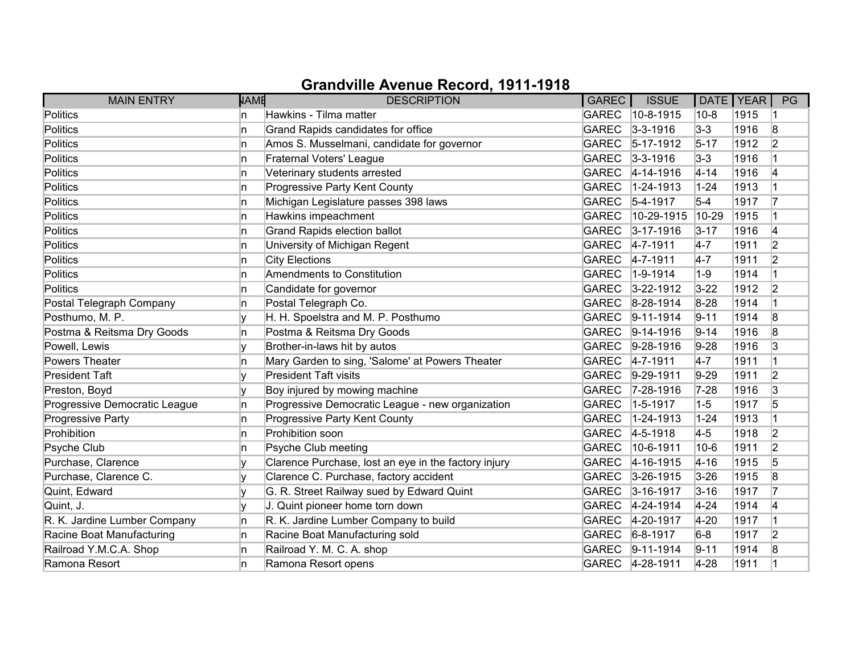| <b>MAIN ENTRY</b>             | <b>NAME</b> | <b>DESCRIPTION</b>                                   | GAREC        | <b>ISSUE</b>       | DATE   YEAR |      | PG             |
|-------------------------------|-------------|------------------------------------------------------|--------------|--------------------|-------------|------|----------------|
| Politics                      | n           | Hawkins - Tilma matter                               | <b>GAREC</b> | $10 - 8 - 1915$    | $10 - 8$    | 1915 |                |
| Politics                      | n           | Grand Rapids candidates for office                   | <b>GAREC</b> | $3 - 3 - 1916$     | $3 - 3$     | 1916 | 8              |
| Politics                      | n           | Amos S. Musselmani, candidate for governor           | <b>GAREC</b> | $5-17-1912$        | $5 - 17$    | 1912 | $\overline{2}$ |
| <b>Politics</b>               | n           | Fraternal Voters' League                             | <b>GAREC</b> | $ 3-3-1916 $       | $3 - 3$     | 1916 |                |
| Politics                      | n           | Veterinary students arrested                         | <b>GAREC</b> | $4 - 14 - 1916$    | $4 - 14$    | 1916 | 4              |
| Politics                      | In.         | Progressive Party Kent County                        | <b>GAREC</b> | $1 - 24 - 1913$    | $1 - 24$    | 1913 |                |
| Politics                      | n           | Michigan Legislature passes 398 laws                 | <b>GAREC</b> | $5-4-1917$         | $5-4$       | 1917 | 17             |
| Politics                      | n           | Hawkins impeachment                                  | <b>GAREC</b> | $ 10 - 29 - 1915 $ | 10-29       | 1915 |                |
| Politics                      | In.         | <b>Grand Rapids election ballot</b>                  | <b>GAREC</b> | $3 - 17 - 1916$    | $3 - 17$    | 1916 | 4              |
| Politics                      | n.          | University of Michigan Regent                        | <b>GAREC</b> | $4 - 7 - 1911$     | $4-7$       | 1911 | 2              |
| Politics                      | n           | <b>City Elections</b>                                | <b>GAREC</b> | $4 - 7 - 1911$     | $4 - 7$     | 1911 | $\overline{2}$ |
| <b>Politics</b>               | n           | Amendments to Constitution                           | <b>GAREC</b> | $1 - 9 - 1914$     | $1 - 9$     | 1914 |                |
| Politics                      | n.          | Candidate for governor                               | <b>GAREC</b> | $3 - 22 - 1912$    | $3 - 22$    | 1912 | 2              |
| Postal Telegraph Company      | n.          | Postal Telegraph Co.                                 | <b>GAREC</b> | $8-28-1914$        | 8-28        | 1914 |                |
| Posthumo, M. P.               |             | H. H. Spoelstra and M. P. Posthumo                   | <b>GAREC</b> | $9-11-1914$        | $9 - 11$    | 1914 | 8              |
| Postma & Reitsma Dry Goods    | n           | Postma & Reitsma Dry Goods                           | <b>GAREC</b> | $9-14-1916$        | $9 - 14$    | 1916 | 8              |
| Powell, Lewis                 | ΙV          | Brother-in-laws hit by autos                         | <b>GAREC</b> | $9-28-1916$        | $9-28$      | 1916 | 3              |
| Powers Theater                | n           | Mary Garden to sing, 'Salome' at Powers Theater      | <b>GAREC</b> | $4 - 7 - 1911$     | $4-7$       | 1911 |                |
| <b>President Taft</b>         |             | <b>President Taft visits</b>                         | <b>GAREC</b> | $ 9-29-1911$       | $9-29$      | 1911 | $\overline{2}$ |
| Preston, Boyd                 |             | Boy injured by mowing machine                        | <b>GAREC</b> | $ 7-28-1916$       | $7 - 28$    | 1916 | 3              |
| Progressive Democratic League | In.         | Progressive Democratic League - new organization     | <b>GAREC</b> | $1 - 5 - 1917$     | $1-5$       | 1917 | 5              |
| Progressive Party             | n           | Progressive Party Kent County                        | <b>GAREC</b> | 1-24-1913          | $1 - 24$    | 1913 |                |
| Prohibition                   | n           | Prohibition soon                                     | <b>GAREC</b> | $ 4-5-1918$        | $4 - 5$     | 1918 | 2              |
| Psyche Club                   | n           | Psyche Club meeting                                  | <b>GAREC</b> | 10-6-1911          | $10 - 6$    | 1911 | $\overline{2}$ |
| Purchase, Clarence            | v           | Clarence Purchase, lost an eye in the factory injury | <b>GAREC</b> | 4-16-1915          | $4 - 16$    | 1915 | 5              |
| Purchase, Clarence C.         |             | Clarence C. Purchase, factory accident               | <b>GAREC</b> | $3 - 26 - 1915$    | $3 - 26$    | 1915 | 8              |
| Quint, Edward                 |             | G. R. Street Railway sued by Edward Quint            | <b>GAREC</b> | $3 - 16 - 1917$    | $3 - 16$    | 1917 | 17             |
| Quint, J.                     | v           | J. Quint pioneer home torn down                      | <b>GAREC</b> | 4-24-1914          | $4 - 24$    | 1914 | 4              |
| R. K. Jardine Lumber Company  | n.          | R. K. Jardine Lumber Company to build                | <b>GAREC</b> | 4-20-1917          | $4 - 20$    | 1917 |                |
| Racine Boat Manufacturing     | n           | Racine Boat Manufacturing sold                       | <b>GAREC</b> | $ 6 - 8 - 1917$    | $6-8$       | 1917 | $\overline{2}$ |
| Railroad Y.M.C.A. Shop        | n           | Railroad Y. M. C. A. shop                            | <b>GAREC</b> | $ 9-11-1914$       | $9 - 11$    | 1914 | 8              |
| Ramona Resort                 | n           | Ramona Resort opens                                  |              | GAREC 4-28-1911    | $4 - 28$    | 1911 |                |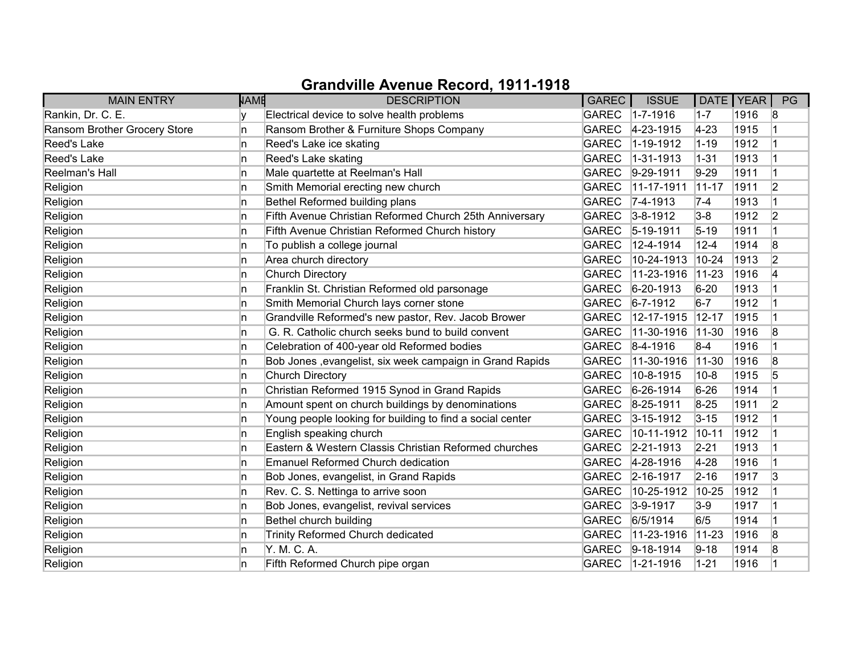| <b>MAIN ENTRY</b>            | <b>NAME</b> | <b>DESCRIPTION</b>                                        | <b>GAREC</b> | <b>ISSUE</b>      |             | DATE   YEAR | PG                      |
|------------------------------|-------------|-----------------------------------------------------------|--------------|-------------------|-------------|-------------|-------------------------|
| Rankin, Dr. C. E.            |             | Electrical device to solve health problems                | GAREC        | $1 - 7 - 1916$    | $1 - 7$     | 1916        | 8                       |
| Ransom Brother Grocery Store | 'n          | Ransom Brother & Furniture Shops Company                  | <b>GAREC</b> | 4-23-1915         | $4 - 23$    | 1915        |                         |
| Reed's Lake                  | 'n          | Reed's Lake ice skating                                   | <b>GAREC</b> | $1 - 19 - 1912$   | $1 - 19$    | 1912        |                         |
| Reed's Lake                  | n           | Reed's Lake skating                                       | <b>GAREC</b> | $1 - 31 - 1913$   | $1 - 31$    | 1913        |                         |
| Reelman's Hall               | 'n          | Male quartette at Reelman's Hall                          | <b>GAREC</b> | $9-29-1911$       | $9-29$      | 1911        | $\overline{\mathbf{1}}$ |
| Religion                     | 'n          | Smith Memorial erecting new church                        | <b>GAREC</b> | 11-17-1911        | $11-17$     | 1911        | $\overline{2}$          |
| Religion                     | 'n          | Bethel Reformed building plans                            | <b>GAREC</b> | $7-4-1913$        | $7-4$       | 1913        |                         |
| Religion                     | n           | Fifth Avenue Christian Reformed Church 25th Anniversary   | GAREC        | $3 - 8 - 1912$    | $3-8$       | 1912        | $\overline{2}$          |
| Religion                     | ln.         | Fifth Avenue Christian Reformed Church history            | <b>GAREC</b> | $ 5 - 19 - 1911$  | $5 - 19$    | 1911        |                         |
| Religion                     | 'n          | To publish a college journal                              | <b>GAREC</b> | 12-4-1914         | $12 - 4$    | 1914        | 8                       |
| Religion                     | n           | Area church directory                                     | <b>GAREC</b> | 10-24-1913        | $10 - 24$   | 1913        | $\overline{2}$          |
| Religion                     | 'n          | Church Directory                                          | <b>GAREC</b> | 11-23-1916        | $11 - 23$   | 1916        | 4                       |
| Religion                     | ln.         | Franklin St. Christian Reformed old parsonage             | <b>GAREC</b> | $6 - 20 - 1913$   | $6 - 20$    | 1913        |                         |
| Religion                     | In.         | Smith Memorial Church lays corner stone                   | <b>GAREC</b> | $6 - 7 - 1912$    | $6-7$       | 1912        |                         |
| Religion                     | In.         | Grandville Reformed's new pastor, Rev. Jacob Brower       | <b>GAREC</b> | 12-17-1915        | $12 - 17$   | 1915        |                         |
| Religion                     | In.         | G. R. Catholic church seeks bund to build convent         | <b>GAREC</b> | 11-30-1916        | $ 11 - 30 $ | 1916        | 8                       |
| Religion                     | ln.         | Celebration of 400-year old Reformed bodies               | <b>GAREC</b> | $ 8-4-1916$       | $8-4$       | 1916        |                         |
| Religion                     | 'n          | Bob Jones , evangelist, six week campaign in Grand Rapids | <b>GAREC</b> | 11-30-1916        | $ 11 - 30 $ | 1916        | 8                       |
| Religion                     | 'n          | <b>Church Directory</b>                                   | <b>GAREC</b> | 10-8-1915         | $10 - 8$    | 1915        | 5                       |
| Religion                     | ln.         | Christian Reformed 1915 Synod in Grand Rapids             | <b>GAREC</b> | $6-26-1914$       | $6 - 26$    | 1914        |                         |
| Religion                     | ln.         | Amount spent on church buildings by denominations         | <b>GAREC</b> | 8-25-1911         | $8 - 25$    | 1911        | 2                       |
| Religion                     | 'n          | Young people looking for building to find a social center | GAREC        | $3 - 15 - 1912$   | $3 - 15$    | 1912        |                         |
| Religion                     | In.         | English speaking church                                   | <b>GAREC</b> | 10-11-1912        | $10 - 11$   | 1912        |                         |
| Religion                     | 'n          | Eastern & Western Classis Christian Reformed churches     | <b>GAREC</b> | $ 2 - 21 - 1913 $ | $2 - 21$    | 1913        |                         |
| Religion                     | 'n          | Emanuel Reformed Church dedication                        | <b>GAREC</b> | 4-28-1916         | $4 - 28$    | 1916        |                         |
| Religion                     | n           | Bob Jones, evangelist, in Grand Rapids                    | GAREC        | $2 - 16 - 1917$   | $2 - 16$    | 1917        | 3                       |
| Religion                     | 'n          | Rev. C. S. Nettinga to arrive soon                        | <b>GAREC</b> | 10-25-1912        | 10-25       | 1912        |                         |
| Religion                     | 'n          | Bob Jones, evangelist, revival services                   | <b>GAREC</b> | $3-9-1917$        | $3-9$       | 1917        |                         |
| Religion                     | 'n          | Bethel church building                                    | <b>GAREC</b> | 6/5/1914          | 6/5         | 1914        |                         |
| Religion                     | 'n          | Trinity Reformed Church dedicated                         | <b>GAREC</b> | 11-23-1916        | $11 - 23$   | 1916        | 8                       |
| Religion                     | ln.         | Y. M. C. A.                                               | GAREC        | $9-18-1914$       | $9 - 18$    | 1914        | 8                       |
| Religion                     | n           | Fifth Reformed Church pipe organ                          | <b>GAREC</b> | $1 - 21 - 1916$   | $1 - 21$    | 1916        |                         |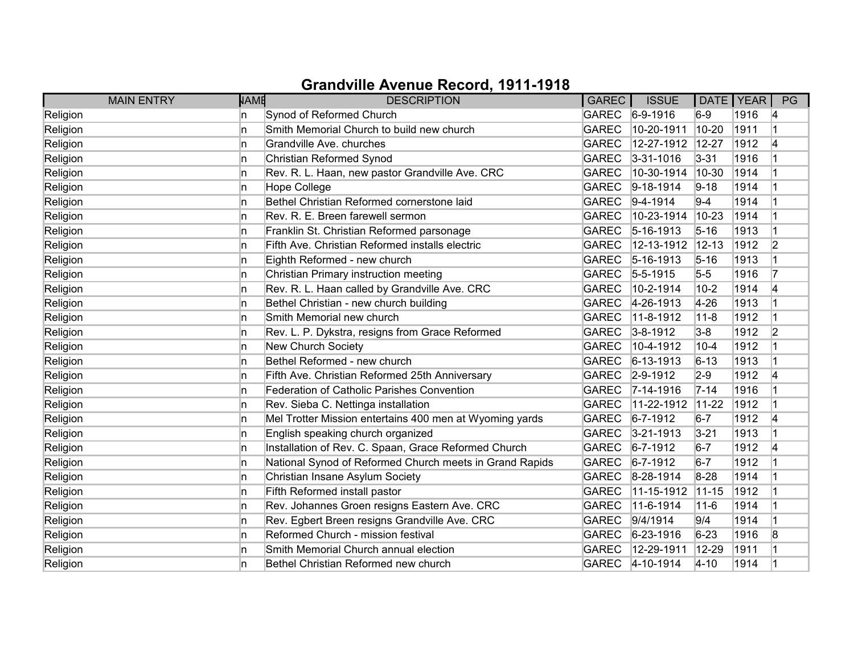| <b>MAIN ENTRY</b> | NAME | <b>DESCRIPTION</b>                                      | <b>GAREC</b> | <b>ISSUE</b>      |           | DATE   YEAR | PG             |
|-------------------|------|---------------------------------------------------------|--------------|-------------------|-----------|-------------|----------------|
| Religion          | ln.  | Synod of Reformed Church                                |              | GAREC 6-9-1916    | $6-9$     | 1916        | 14             |
| Religion          | In   | Smith Memorial Church to build new church               | <b>GAREC</b> | 10-20-1911        | $10 - 20$ | 1911        |                |
| Religion          | ln.  | Grandville Ave. churches                                | <b>GAREC</b> | 12-27-1912        | 12-27     | 1912        | 14             |
| Religion          | ln.  | Christian Reformed Synod                                | <b>GAREC</b> | $3 - 31 - 1016$   | $3 - 31$  | 1916        |                |
| Religion          | ln.  | Rev. R. L. Haan, new pastor Grandville Ave. CRC         | <b>GAREC</b> | 10-30-1914        | 10-30     | 1914        |                |
| Religion          | ln.  | Hope College                                            | <b>GAREC</b> | $9-18-1914$       | $9 - 18$  | 1914        |                |
| Religion          | ln.  | Bethel Christian Reformed cornerstone laid              | GAREC        | $ 9-4-1914 $      | $9-4$     | 1914        |                |
| Religion          | ln.  | Rev. R. E. Breen farewell sermon                        | <b>GAREC</b> | 10-23-1914        | $10 - 23$ | 1914        |                |
| Religion          | ln.  | Franklin St. Christian Reformed parsonage               | <b>GAREC</b> | $5-16-1913$       | $5 - 16$  | 1913        |                |
| Religion          | ln.  | Fifth Ave. Christian Reformed installs electric         | <b>GAREC</b> | 12-13-1912        | $12 - 13$ | 1912        | $\overline{2}$ |
| Religion          | ln.  | Eighth Reformed - new church                            | GAREC        | $ 5 - 16 - 1913 $ | $5 - 16$  | 1913        |                |
| Religion          | ln.  | Christian Primary instruction meeting                   | <b>GAREC</b> | $5-5-1915$        | $5-5$     | 1916        | 17             |
| Religion          | ln.  | Rev. R. L. Haan called by Grandville Ave. CRC           | <b>GAREC</b> | 10-2-1914         | $10 - 2$  | 1914        | 4              |
| Religion          | ln.  | Bethel Christian - new church building                  | <b>GAREC</b> | 4-26-1913         | $4 - 26$  | 1913        |                |
| Religion          | ln.  | Smith Memorial new church                               | <b>GAREC</b> | 11-8-1912         | $11-8$    | 1912        |                |
| Religion          | ln.  | Rev. L. P. Dykstra, resigns from Grace Reformed         | GAREC        | $3 - 8 - 1912$    | $3-8$     | 1912        | 2              |
| Religion          | ln.  | New Church Society                                      | <b>GAREC</b> | 10-4-1912         | $10 - 4$  | 1912        |                |
| Religion          | ln.  | Bethel Reformed - new church                            | <b>GAREC</b> | $6 - 13 - 1913$   | $6 - 13$  | 1913        |                |
| Religion          | ln.  | Fifth Ave. Christian Reformed 25th Anniversary          | <b>GAREC</b> | $2 - 9 - 1912$    | $2-9$     | 1912        | 4              |
| Religion          | ln.  | <b>Federation of Catholic Parishes Convention</b>       | <b>GAREC</b> | $7 - 14 - 1916$   | $7 - 14$  | 1916        |                |
| Religion          | ln.  | Rev. Sieba C. Nettinga installation                     | <b>GAREC</b> | 11-22-1912        | $11-22$   | 1912        |                |
| Religion          | ln.  | Mel Trotter Mission entertains 400 men at Wyoming yards | <b>GAREC</b> | $6 - 7 - 1912$    | $6-7$     | 1912        | 14             |
| Religion          | ln.  | English speaking church organized                       | <b>GAREC</b> | $3 - 21 - 1913$   | $3 - 21$  | 1913        |                |
| Religion          | ln.  | Installation of Rev. C. Spaan, Grace Reformed Church    | <b>GAREC</b> | $ 6 - 7 - 1912 $  | $6-7$     | 1912        | 4              |
| Religion          | In   | National Synod of Reformed Church meets in Grand Rapids | <b>GAREC</b> | $6 - 7 - 1912$    | $6-7$     | 1912        |                |
| Religion          | ln.  | Christian Insane Asylum Society                         | <b>GAREC</b> | 8-28-1914         | $8 - 28$  | 1914        |                |
| Religion          | ln.  | Fifth Reformed install pastor                           | <b>GAREC</b> | 11-15-1912        | $11 - 15$ | 1912        |                |
| Religion          | ln.  | Rev. Johannes Groen resigns Eastern Ave. CRC            | <b>GAREC</b> | 11-6-1914         | $11 - 6$  | 1914        |                |
| Religion          | n    | Rev. Egbert Breen resigns Grandville Ave. CRC           | <b>GAREC</b> | 9/4/1914          | 9/4       | 1914        |                |
| Religion          | ln.  | Reformed Church - mission festival                      | <b>GAREC</b> | $ 6-23-1916$      | $6 - 23$  | 1916        | 8              |
| Religion          | ln.  | Smith Memorial Church annual election                   | <b>GAREC</b> | 12-29-1911        | 12-29     | 1911        |                |
| Religion          | ln.  | Bethel Christian Reformed new church                    | GAREC        | $4 - 10 - 1914$   | $4 - 10$  | 1914        |                |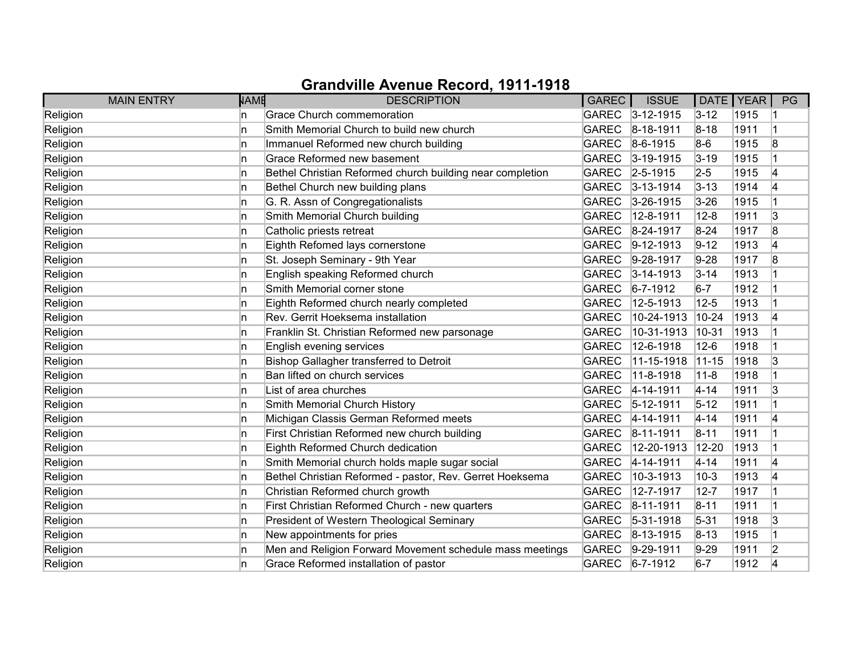| <b>MAIN ENTRY</b> | NAME | <b>DESCRIPTION</b>                                        | <b>GAREC</b> | <b>ISSUE</b>      |           | DATE   YEAR | PG             |
|-------------------|------|-----------------------------------------------------------|--------------|-------------------|-----------|-------------|----------------|
| Religion          | In.  | <b>Grace Church commemoration</b>                         |              | GAREC 3-12-1915   | $3 - 12$  | 1915        |                |
| Religion          | In   | Smith Memorial Church to build new church                 | <b>GAREC</b> | 8-18-1911         | $8 - 18$  | 1911        |                |
| Religion          | ln.  | Immanuel Reformed new church building                     | <b>GAREC</b> | $ 8-6-1915$       | $8-6$     | 1915        | 8              |
| Religion          | ln.  | Grace Reformed new basement                               | <b>GAREC</b> | $3-19-1915$       | $3 - 19$  | 1915        |                |
| Religion          | n    | Bethel Christian Reformed church building near completion | GAREC        | $ 2 - 5 - 1915$   | $2 - 5$   | 1915        | 4              |
| Religion          | ln.  | Bethel Church new building plans                          | <b>GAREC</b> | $3 - 13 - 1914$   | $3 - 13$  | 1914        | 14             |
| Religion          | ln.  | G. R. Assn of Congregationalists                          | GAREC        | $3 - 26 - 1915$   | $3 - 26$  | 1915        |                |
| Religion          | n    | Smith Memorial Church building                            | <b>GAREC</b> | 12-8-1911         | $12 - 8$  | 1911        | 3              |
| Religion          | ln.  | Catholic priests retreat                                  | <b>GAREC</b> | 8-24-1917         | $8 - 24$  | 1917        | 8              |
| Religion          | ln.  | Eighth Refomed lays cornerstone                           | <b>GAREC</b> | $9-12-1913$       | $9 - 12$  | 1913        | 4              |
| Religion          | In   | St. Joseph Seminary - 9th Year                            | <b>GAREC</b> | $9-28-1917$       | $9 - 28$  | 1917        | 8              |
| Religion          | ln.  | English speaking Reformed church                          | <b>GAREC</b> | $3 - 14 - 1913$   | $3 - 14$  | 1913        |                |
| Religion          | ln.  | Smith Memorial corner stone                               | <b>GAREC</b> | $ 6 - 7 - 1912 $  | $6-7$     | 1912        |                |
| Religion          | ln.  | Eighth Reformed church nearly completed                   | <b>GAREC</b> | 12-5-1913         | $12 - 5$  | 1913        |                |
| Religion          | ln.  | Rev. Gerrit Hoeksema installation                         | <b>GAREC</b> | 10-24-1913        | $10-24$   | 1913        | 4              |
| Religion          | ln.  | Franklin St. Christian Reformed new parsonage             | <b>GAREC</b> | 10-31-1913        | $10 - 31$ | 1913        |                |
| Religion          | n    | English evening services                                  | <b>GAREC</b> | 12-6-1918         | $12-6$    | 1918        |                |
| Religion          | ln.  | Bishop Gallagher transferred to Detroit                   | <b>GAREC</b> | 11-15-1918        | $11-15$   | 1918        | 3              |
| Religion          | In   | Ban lifted on church services                             | <b>GAREC</b> | 11-8-1918         | $11 - 8$  | 1918        |                |
| Religion          | ln.  | List of area churches                                     | <b>GAREC</b> | $4 - 14 - 1911$   | $4 - 14$  | 1911        | 3              |
| Religion          | ln.  | Smith Memorial Church History                             | <b>GAREC</b> | $ 5 - 12 - 1911 $ | $5 - 12$  | 1911        |                |
| Religion          | ln.  | Michigan Classis German Reformed meets                    | <b>GAREC</b> | $ 4 - 14 - 1911$  | $4 - 14$  | 1911        | 14             |
| Religion          | ln.  | First Christian Reformed new church building              | <b>GAREC</b> | $ 8 - 11 - 1911$  | $8 - 11$  | 1911        |                |
| Religion          | ln.  | Eighth Reformed Church dedication                         | <b>GAREC</b> | 12-20-1913        | 12-20     | 1913        |                |
| Religion          | In   | Smith Memorial church holds maple sugar social            | <b>GAREC</b> | 4-14-1911         | $4 - 14$  | 1911        | 14             |
| Religion          | ln.  | Bethel Christian Reformed - pastor, Rev. Gerret Hoeksema  | <b>GAREC</b> | 10-3-1913         | $10-3$    | 1913        | 14             |
| Religion          | In   | Christian Reformed church growth                          | <b>GAREC</b> | 12-7-1917         | $12 - 7$  | 1917        |                |
| Religion          | ln.  | First Christian Reformed Church - new quarters            | <b>GAREC</b> | $ 8 - 11 - 1911$  | $8 - 11$  | 1911        |                |
| Religion          | n    | President of Western Theological Seminary                 | <b>GAREC</b> | $5-31-1918$       | $5 - 31$  | 1918        | 3              |
| Religion          | ln.  | New appointments for pries                                | <b>GAREC</b> | $ 8 - 13 - 1915$  | $8 - 13$  | 1915        |                |
| Religion          | ln.  | Men and Religion Forward Movement schedule mass meetings  | <b>GAREC</b> | $ 9-29-1911$      | $9-29$    | 1911        | $\overline{2}$ |
| Religion          | ln.  | Grace Reformed installation of pastor                     | GAREC        | $6 - 7 - 1912$    | $6-7$     | 1912        | 4              |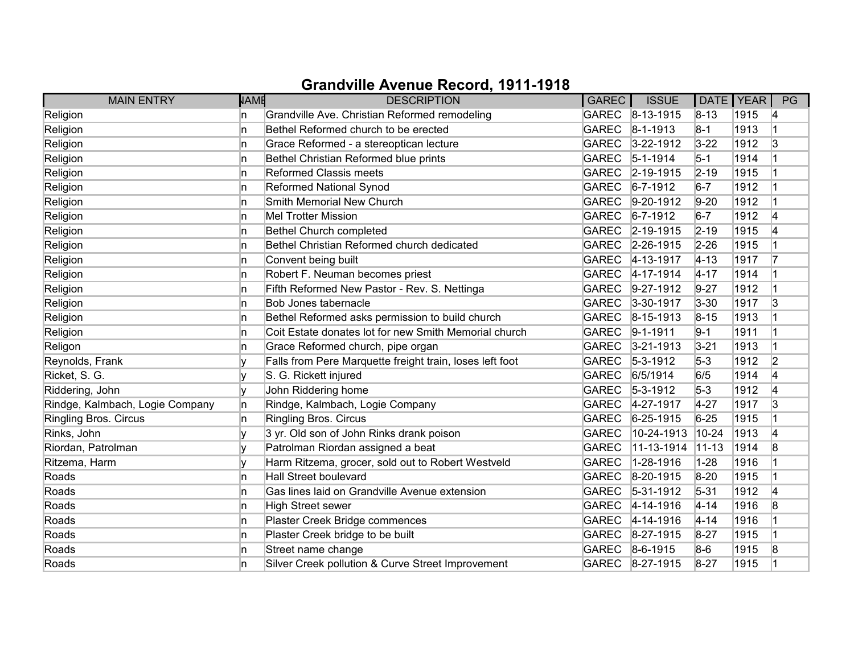| <b>MAIN ENTRY</b>               | <b>NAME</b> | <b>DESCRIPTION</b>                                       | GAREC        | <b>ISSUE</b>      |           | DATE   YEAR | PG |
|---------------------------------|-------------|----------------------------------------------------------|--------------|-------------------|-----------|-------------|----|
| Religion                        | In.         | Grandville Ave. Christian Reformed remodeling            |              | GAREC 8-13-1915   | $8 - 13$  | 1915        | 14 |
| Religion                        | 'n          | Bethel Reformed church to be erected                     | <b>GAREC</b> | $ 8 - 1 - 1913 $  | $8-1$     | 1913        |    |
| Religion                        | 'n          | Grace Reformed - a stereoptican lecture                  | <b>GAREC</b> | $3 - 22 - 1912$   | $3 - 22$  | 1912        | 3  |
| Religion                        | 'n          | Bethel Christian Reformed blue prints                    | GAREC        | $ 5 - 1 - 1914 $  | $5-1$     | 1914        |    |
| Religion                        | 'n          | Reformed Classis meets                                   | GAREC        | $2 - 19 - 1915$   | $2 - 19$  | 1915        |    |
| Religion                        | 'n          | <b>Reformed National Synod</b>                           | <b>GAREC</b> | $6 - 7 - 1912$    | $6-7$     | 1912        |    |
| Religion                        | 'n          | Smith Memorial New Church                                | <b>GAREC</b> | $9-20-1912$       | $9-20$    | 1912        |    |
| Religion                        | ln.         | <b>Mel Trotter Mission</b>                               | GAREC        | $6 - 7 - 1912$    | $6-7$     | 1912        | 4  |
| Religion                        | ln.         | Bethel Church completed                                  | <b>GAREC</b> | $ 2 - 19 - 1915 $ | $2 - 19$  | 1915        | 4  |
| Religion                        | 'n          | Bethel Christian Reformed church dedicated               | <b>GAREC</b> | $2 - 26 - 1915$   | $2 - 26$  | 1915        |    |
| Religion                        | 'n          | Convent being built                                      | <b>GAREC</b> | 4-13-1917         | $4 - 13$  | 1917        |    |
| Religion                        | 'n          | Robert F. Neuman becomes priest                          | <b>GAREC</b> | $4 - 17 - 1914$   | $4 - 17$  | 1914        |    |
| Religion                        | ln.         | Fifth Reformed New Pastor - Rev. S. Nettinga             | <b>GAREC</b> | $9-27-1912$       | $9 - 27$  | 1912        |    |
| Religion                        | ln.         | <b>Bob Jones tabernacle</b>                              | <b>GAREC</b> | $3 - 30 - 1917$   | $3 - 30$  | 1917        | 3  |
| Religion                        | ln.         | Bethel Reformed asks permission to build church          | GAREC        | $ 8 - 15 - 1913 $ | $8 - 15$  | 1913        |    |
| Religion                        | 'n          | Coit Estate donates lot for new Smith Memorial church    | GAREC        | $9 - 1 - 1911$    | $9-1$     | 1911        |    |
| Religon                         | ln.         | Grace Reformed church, pipe organ                        | <b>GAREC</b> | $3 - 21 - 1913$   | $3 - 21$  | 1913        |    |
| Reynolds, Frank                 |             | Falls from Pere Marquette freight train, loses left foot | <b>GAREC</b> | $5 - 3 - 1912$    | $5-3$     | 1912        | 2  |
| Ricket, S. G.                   | V           | S. G. Rickett injured                                    | <b>GAREC</b> | 6/5/1914          | 6/5       | 1914        | 4  |
| Riddering, John                 | v           | John Riddering home                                      | GAREC        | $5 - 3 - 1912$    | $5-3$     | 1912        | 4  |
| Rindge, Kalmbach, Logie Company | ln.         | Rindge, Kalmbach, Logie Company                          | <b>GAREC</b> | 4-27-1917         | $4 - 27$  | 1917        | 3  |
| Ringling Bros. Circus           | In.         | Ringling Bros. Circus                                    | GAREC        | $6 - 25 - 1915$   | $6 - 25$  | 1915        |    |
| Rinks, John                     | V           | 3 yr. Old son of John Rinks drank poison                 | <b>GAREC</b> | 10-24-1913        | $10-24$   | 1913        | 14 |
| Riordan, Patrolman              | ١v          | Patrolman Riordan assigned a beat                        | <b>GAREC</b> | 11-13-1914        | $11 - 13$ | 1914        | 8  |
| Ritzema, Harm                   | V           | Harm Ritzema, grocer, sold out to Robert Westveld        | <b>GAREC</b> | 1-28-1916         | $1 - 28$  | 1916        |    |
| Roads                           | 'n          | <b>Hall Street boulevard</b>                             | <b>GAREC</b> | $8-20-1915$       | $8 - 20$  | 1915        |    |
| Roads                           | 'n          | Gas lines laid on Grandville Avenue extension            | <b>GAREC</b> | $ 5-31-1912$      | $5 - 31$  | 1912        | 4  |
| Roads                           | 'n          | <b>High Street sewer</b>                                 | GAREC        | $4 - 14 - 1916$   | $4 - 14$  | 1916        | 8  |
| Roads                           | 'n          | Plaster Creek Bridge commences                           | <b>GAREC</b> | $4 - 14 - 1916$   | $4 - 14$  | 1916        |    |
| Roads                           | 'n          | Plaster Creek bridge to be built                         | GAREC        | $8 - 27 - 1915$   | 8-27      | 1915        |    |
| Roads                           | 'n          | Street name change                                       | GAREC        | $8-6-1915$        | $8-6$     | 1915        | 8  |
| Roads                           | n           | Silver Creek pollution & Curve Street Improvement        |              | GAREC 8-27-1915   | $8 - 27$  | 1915        |    |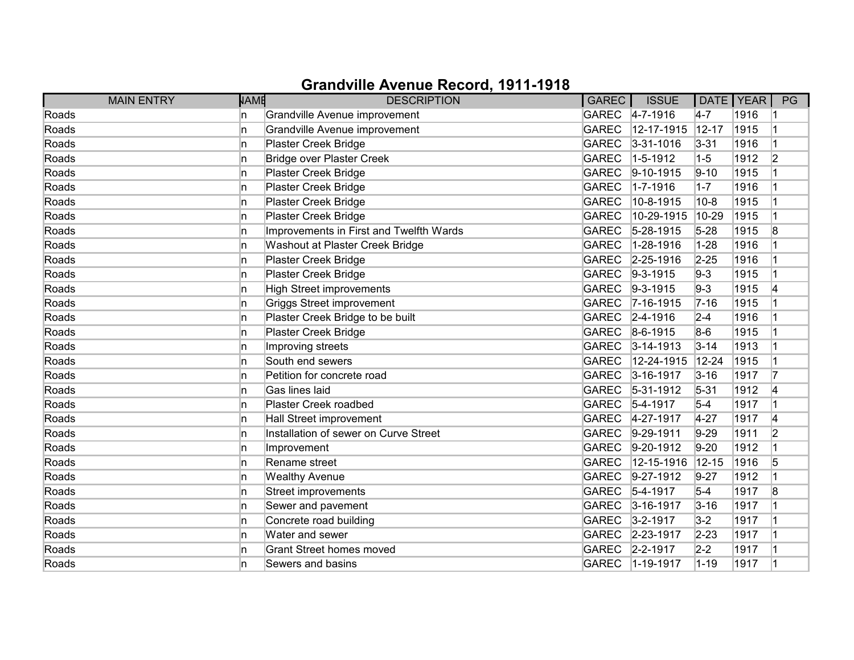|       | <b>MAIN ENTRY</b> | <b>NAME</b> | <b>DESCRIPTION</b>                      | GAREC        | <b>ISSUE</b>      | DATE   YEAR |      | PG             |
|-------|-------------------|-------------|-----------------------------------------|--------------|-------------------|-------------|------|----------------|
| Roads |                   | In.         | Grandville Avenue improvement           |              | GAREC 4-7-1916    | $4-7$       | 1916 |                |
| Roads |                   | 'n          | Grandville Avenue improvement           | <b>GAREC</b> | 12-17-1915        | $12 - 17$   | 1915 |                |
| Roads |                   | 'n          | Plaster Creek Bridge                    | <b>GAREC</b> | $3 - 31 - 1016$   | $3 - 31$    | 1916 |                |
| Roads |                   | ln.         | <b>Bridge over Plaster Creek</b>        | <b>GAREC</b> | $1-5-1912$        | $1 - 5$     | 1912 | $\overline{2}$ |
| Roads |                   | ln.         | Plaster Creek Bridge                    | <b>GAREC</b> | $ 9 - 10 - 1915$  | $9 - 10$    | 1915 |                |
| Roads |                   | ln.         | Plaster Creek Bridge                    | <b>GAREC</b> | $1 - 7 - 1916$    | $1 - 7$     | 1916 |                |
| Roads |                   | 'n          | Plaster Creek Bridge                    | <b>GAREC</b> | 10-8-1915         | $10 - 8$    | 1915 |                |
| Roads |                   | 'n          | Plaster Creek Bridge                    | <b>GAREC</b> | 10-29-1915        | 10-29       | 1915 |                |
| Roads |                   | 'n          | Improvements in First and Twelfth Wards | GAREC        | $5-28-1915$       | $5 - 28$    | 1915 | 8              |
| Roads |                   | ln.         | Washout at Plaster Creek Bridge         | <b>GAREC</b> | $1 - 28 - 1916$   | $1 - 28$    | 1916 |                |
| Roads |                   | 'n          | Plaster Creek Bridge                    | GAREC        | $2 - 25 - 1916$   | $2 - 25$    | 1916 |                |
| Roads |                   | n           | Plaster Creek Bridge                    | <b>GAREC</b> | $ 9-3-1915$       | $9-3$       | 1915 |                |
| Roads |                   | 'n          | <b>High Street improvements</b>         | <b>GAREC</b> | $ 9-3-1915$       | $9-3$       | 1915 | 14             |
| Roads |                   | 'n          | <b>Griggs Street improvement</b>        | <b>GAREC</b> | $7 - 16 - 1915$   | $7 - 16$    | 1915 |                |
| Roads |                   | 'n          | Plaster Creek Bridge to be built        |              | GAREC 2-4-1916    | $2 - 4$     | 1916 |                |
| Roads |                   | n           | Plaster Creek Bridge                    |              | GAREC 8-6-1915    | $8-6$       | 1915 |                |
| Roads |                   | 'n          | Improving streets                       | GAREC        | $3 - 14 - 1913$   | $3 - 14$    | 1913 |                |
| Roads |                   | 'n          | South end sewers                        | <b>GAREC</b> | 12-24-1915        | 12-24       | 1915 |                |
| Roads |                   | n           | Petition for concrete road              | <b>GAREC</b> | $3 - 16 - 1917$   | $3 - 16$    | 1917 |                |
| Roads |                   | 'n          | Gas lines laid                          | <b>GAREC</b> | $ 5 - 31 - 1912 $ | $5 - 31$    | 1912 | 4              |
| Roads |                   | ln.         | Plaster Creek roadbed                   | GAREC        | $5-4-1917$        | $5-4$       | 1917 |                |
| Roads |                   | 'n          | Hall Street improvement                 | GAREC        | 4-27-1917         | $4 - 27$    | 1917 | 4              |
| Roads |                   | 'n          | Installation of sewer on Curve Street   | <b>GAREC</b> | $9-29-1911$       | $9-29$      | 1911 | 2              |
| Roads |                   | ln.         | Improvement                             | <b>GAREC</b> | $ 9-20-1912$      | $9-20$      | 1912 |                |
| Roads |                   | ln.         | Rename street                           | <b>GAREC</b> | 12-15-1916        | 12-15       | 1916 | 5              |
| Roads |                   | 'n          | <b>Wealthy Avenue</b>                   | <b>GAREC</b> | $ 9-27-1912$      | $9 - 27$    | 1912 |                |
| Roads |                   | 'n          | Street improvements                     | <b>GAREC</b> | $5-4-1917$        | $5 - 4$     | 1917 | 8              |
| Roads |                   | 'n          | Sewer and pavement                      | <b>GAREC</b> | $3 - 16 - 1917$   | $3 - 16$    | 1917 |                |
| Roads |                   | ln.         | Concrete road building                  | <b>GAREC</b> | $3 - 2 - 1917$    | $3-2$       | 1917 |                |
| Roads |                   | ln.         | Water and sewer                         | <b>GAREC</b> | 2-23-1917         | $2 - 23$    | 1917 |                |
| Roads |                   | 'n          | <b>Grant Street homes moved</b>         | GAREC        | $2 - 2 - 1917$    | $2 - 2$     | 1917 |                |
| Roads |                   | 'n          | Sewers and basins                       |              | GAREC 1-19-1917   | $1 - 19$    | 1917 |                |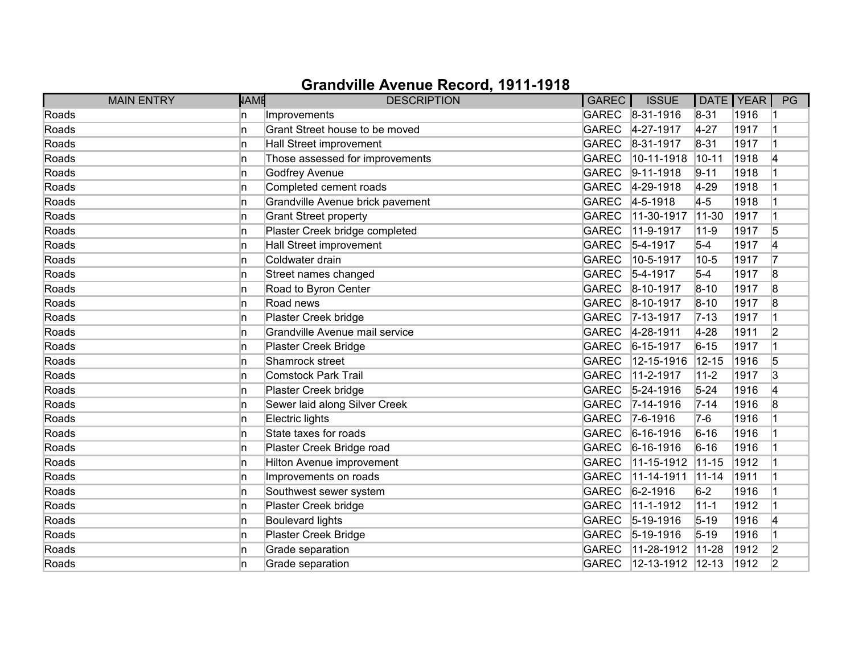| <b>MAIN ENTRY</b> | <b>NAME</b> | <b>DESCRIPTION</b>               | <b>GAREC</b> | <b>ISSUE</b>      |           | DATE   YEAR | PG             |
|-------------------|-------------|----------------------------------|--------------|-------------------|-----------|-------------|----------------|
| Roads             | In.         | Improvements                     |              | GAREC 8-31-1916   | $8 - 31$  | 1916        |                |
| Roads             | 'n          | Grant Street house to be moved   | <b>GAREC</b> | 4-27-1917         | $4 - 27$  | 1917        |                |
| Roads             | 'n          | Hall Street improvement          | <b>GAREC</b> | 8-31-1917         | $8 - 31$  | 1917        |                |
| Roads             | 'n          | Those assessed for improvements  | <b>GAREC</b> | 10-11-1918        | $10 - 11$ | 1918        | 4              |
| Roads             | 'n          | <b>Godfrey Avenue</b>            | <b>GAREC</b> | $ 9-11-1918$      | $9 - 11$  | 1918        |                |
| Roads             | 'n          | Completed cement roads           | <b>GAREC</b> | 4-29-1918         | $4 - 29$  | 1918        |                |
| Roads             | 'n          | Grandville Avenue brick pavement | <b>GAREC</b> | $4 - 5 - 1918$    | $4-5$     | 1918        |                |
| Roads             | 'n          | <b>Grant Street property</b>     | <b>GAREC</b> | 11-30-1917        | $11 - 30$ | 1917        |                |
| Roads             | 'n          | Plaster Creek bridge completed   | <b>GAREC</b> | 11-9-1917         | $11 - 9$  | 1917        | 5              |
| Roads             | 'n          | Hall Street improvement          | <b>GAREC</b> | $5-4-1917$        | $5-4$     | 1917        | 4              |
| Roads             | 'n          | Coldwater drain                  | <b>GAREC</b> | 10-5-1917         | $10-5$    | 1917        | 17             |
| Roads             | 'n          | Street names changed             | <b>GAREC</b> | $5-4-1917$        | $5-4$     | 1917        | 8              |
| Roads             | ln.         | Road to Byron Center             | <b>GAREC</b> | $ 8 - 10 - 1917$  | $8 - 10$  | 1917        | 8              |
| Roads             | ln.         | Road news                        | <b>GAREC</b> | $ 8 - 10 - 1917$  | $8 - 10$  | 1917        | 8              |
| Roads             | 'n          | Plaster Creek bridge             | <b>GAREC</b> | $7 - 13 - 1917$   | $ 7-13 $  | 1917        |                |
| Roads             | 'n          | Grandville Avenue mail service   | GAREC        | 4-28-1911         | $4 - 28$  | 1911        | $\overline{2}$ |
| Roads             | ln.         | Plaster Creek Bridge             | <b>GAREC</b> | $6 - 15 - 1917$   | $6 - 15$  | 1917        |                |
| Roads             | 'n          | Shamrock street                  | <b>GAREC</b> | 12-15-1916        | 12-15     | 1916        | 5              |
| Roads             | 'n          | <b>Comstock Park Trail</b>       | <b>GAREC</b> | 11-2-1917         | $11 - 2$  | 1917        | 3              |
| Roads             | ln.         | Plaster Creek bridge             | <b>GAREC</b> | $5 - 24 - 1916$   | $5 - 24$  | 1916        | 4              |
| Roads             | ln.         | Sewer laid along Silver Creek    | <b>GAREC</b> | $7 - 14 - 1916$   | $7 - 14$  | 1916        | 8              |
| Roads             | 'n          | Electric lights                  | <b>GAREC</b> | $ 7 - 6 - 1916 $  | $7-6$     | 1916        |                |
| Roads             | 'n          | State taxes for roads            | GAREC        | $ 6 - 16 - 1916 $ | $6 - 16$  | 1916        |                |
| Roads             | 'n          | Plaster Creek Bridge road        | <b>GAREC</b> | $6 - 16 - 1916$   | $6 - 16$  | 1916        |                |
| Roads             | 'n          | Hilton Avenue improvement        | <b>GAREC</b> | 11-15-1912        | $11 - 15$ | 1912        |                |
| Roads             | 'n          | Improvements on roads            | <b>GAREC</b> | 11-14-1911        | $11 - 14$ | 1911        |                |
| Roads             | 'n          | Southwest sewer system           | <b>GAREC</b> | $6 - 2 - 1916$    | $6-2$     | 1916        |                |
| Roads             | 'n          | Plaster Creek bridge             | <b>GAREC</b> | 11-1-1912         | $11 - 1$  | 1912        |                |
| Roads             | 'n          | <b>Boulevard lights</b>          | <b>GAREC</b> | $ 5 - 19 - 1916 $ | $5 - 19$  | 1916        | 4              |
| Roads             | 'n          | Plaster Creek Bridge             | <b>GAREC</b> | $ 5 - 19 - 1916$  | $5 - 19$  | 1916        |                |
| Roads             | 'n          | Grade separation                 | <b>GAREC</b> | 11-28-1912        | $11-28$   | 1912        | 2              |
| Roads             | n           | Grade separation                 | <b>GAREC</b> | 12-13-1912 12-13  |           | 1912        | $\overline{2}$ |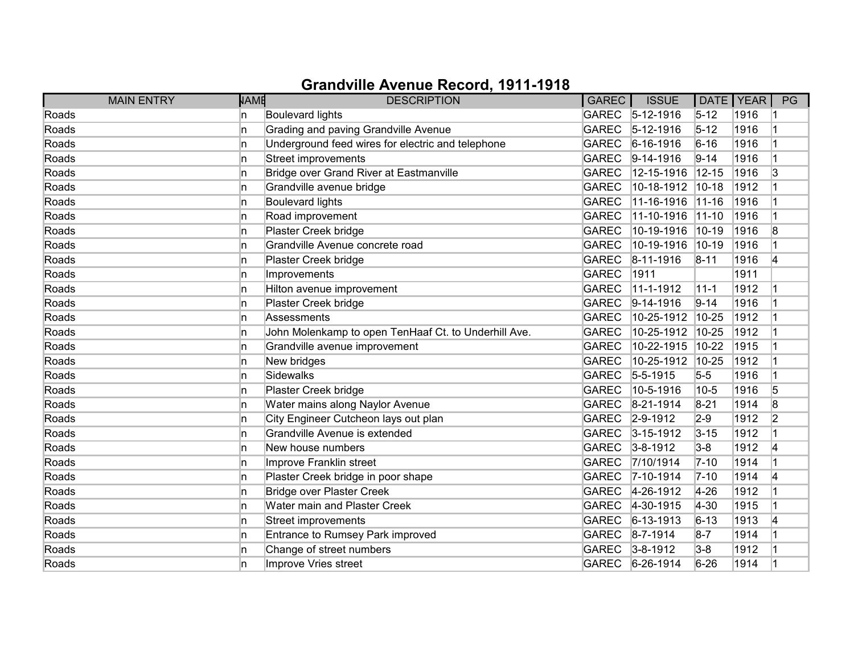| <b>MAIN ENTRY</b> | <b>NAME</b> | <b>DESCRIPTION</b>                                   | <b>GAREC</b> | <b>ISSUE</b>      | DATE   YEAR |      | PG             |
|-------------------|-------------|------------------------------------------------------|--------------|-------------------|-------------|------|----------------|
| Roads             | In.         | <b>Boulevard lights</b>                              |              | GAREC 5-12-1916   | $5 - 12$    | 1916 |                |
| Roads             | 'n          | Grading and paving Grandville Avenue                 | <b>GAREC</b> | $5 - 12 - 1916$   | $5 - 12$    | 1916 |                |
| Roads             | 'n          | Underground feed wires for electric and telephone    | <b>GAREC</b> | $6 - 16 - 1916$   | $6 - 16$    | 1916 |                |
| Roads             | In.         | Street improvements                                  | <b>GAREC</b> | $ 9-14-1916$      | $9 - 14$    | 1916 |                |
| Roads             | 'n          | Bridge over Grand River at Eastmanville              | <b>GAREC</b> | 12-15-1916        | $12 - 15$   | 1916 | 3              |
| Roads             | 'n          | Grandville avenue bridge                             | <b>GAREC</b> | 10-18-1912        | $10 - 18$   | 1912 |                |
| Roads             | 'n          | <b>Boulevard lights</b>                              | <b>GAREC</b> | 11-16-1916        | $11 - 16$   | 1916 |                |
| Roads             | In.         | Road improvement                                     | <b>GAREC</b> | 11-10-1916        | $ 11 - 10 $ | 1916 |                |
| Roads             | 'n          | Plaster Creek bridge                                 | <b>GAREC</b> | 10-19-1916        | $10-19$     | 1916 | 8              |
| Roads             | 'n          | Grandville Avenue concrete road                      | <b>GAREC</b> | 10-19-1916        | $10-19$     | 1916 |                |
| Roads             | 'n          | Plaster Creek bridge                                 | <b>GAREC</b> | $ 8-11-1916$      | $8 - 11$    | 1916 | 4              |
| Roads             | n           | Improvements                                         | <b>GAREC</b> | 1911              |             | 1911 |                |
| Roads             | ln.         | Hilton avenue improvement                            | <b>GAREC</b> | 11-1-1912         | $11 - 1$    | 1912 |                |
| Roads             | ln.         | Plaster Creek bridge                                 | <b>GAREC</b> | $9-14-1916$       | $9 - 14$    | 1916 |                |
| Roads             | 'n          | Assessments                                          | <b>GAREC</b> | 10-25-1912        | 10-25       | 1912 |                |
| Roads             | n.          | John Molenkamp to open TenHaaf Ct. to Underhill Ave. | <b>GAREC</b> | 10-25-1912        | 10-25       | 1912 |                |
| Roads             | 'n          | Grandville avenue improvement                        | <b>GAREC</b> | 10-22-1915        | 10-22       | 1915 |                |
| Roads             | 'n          | New bridges                                          | <b>GAREC</b> | 10-25-1912        | 10-25       | 1912 |                |
| Roads             | In.         | Sidewalks                                            | <b>GAREC</b> | $5 - 5 - 1915$    | $5-5$       | 1916 |                |
| Roads             | In.         | Plaster Creek bridge                                 | <b>GAREC</b> | 10-5-1916         | 10-5        | 1916 | 5              |
| Roads             | ln.         | Water mains along Naylor Avenue                      | <b>GAREC</b> | $ 8-21-1914$      | $8 - 21$    | 1914 | 8              |
| Roads             | In.         | City Engineer Cutcheon lays out plan                 | <b>GAREC</b> | $2 - 9 - 1912$    | $2-9$       | 1912 | $\overline{2}$ |
| Roads             | In.         | Grandville Avenue is extended                        | <b>GAREC</b> | $3 - 15 - 1912$   | $3 - 15$    | 1912 |                |
| Roads             | ln.         | New house numbers                                    | GAREC        | $3 - 8 - 1912$    | $3-8$       | 1912 | 4              |
| Roads             | ln.         | Improve Franklin street                              | <b>GAREC</b> | 7/10/1914         | $7 - 10$    | 1914 |                |
| Roads             | 'n          | Plaster Creek bridge in poor shape                   | <b>GAREC</b> | $7 - 10 - 1914$   | $7 - 10$    | 1914 | 14             |
| Roads             | ln.         | <b>Bridge over Plaster Creek</b>                     | <b>GAREC</b> | 4-26-1912         | $4 - 26$    | 1912 |                |
| Roads             | ln.         | Water main and Plaster Creek                         | <b>GAREC</b> | $4-30-1915$       | $4 - 30$    | 1915 |                |
| Roads             | ln.         | Street improvements                                  | <b>GAREC</b> | $ 6 - 13 - 1913 $ | $6 - 13$    | 1913 | 14             |
| Roads             | 'n          | Entrance to Rumsey Park improved                     | GAREC        | $ 8 - 7 - 1914 $  | $8-7$       | 1914 |                |
| Roads             | 'n          | Change of street numbers                             | <b>GAREC</b> | $3 - 8 - 1912$    | $3-8$       | 1912 |                |
| Roads             | n           | Improve Vries street                                 | GAREC        | $6 - 26 - 1914$   | $6 - 26$    | 1914 |                |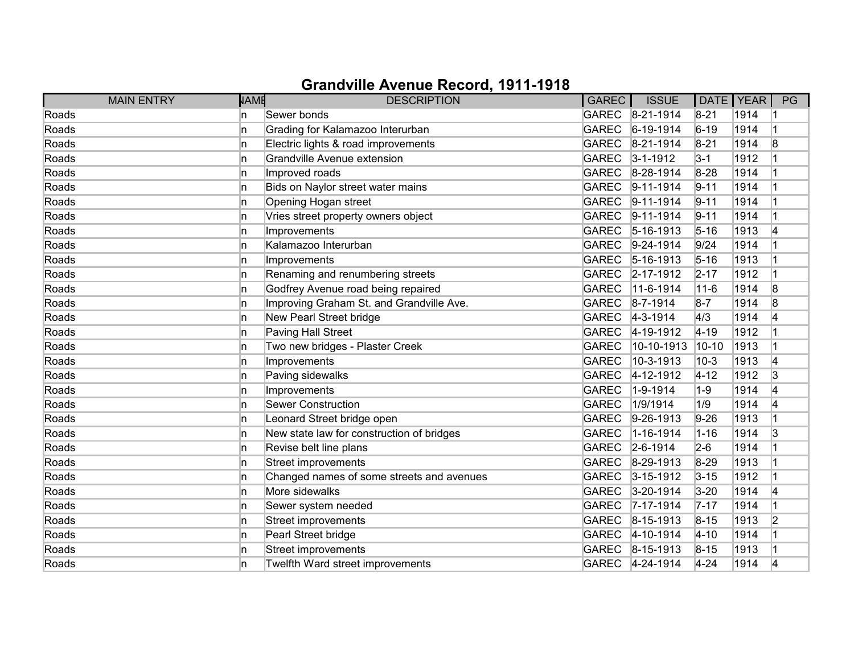| <b>MAIN ENTRY</b> | NAME | <b>DESCRIPTION</b>                        | <b>GAREC</b> | <b>ISSUE</b>     | DATE   YEAR |      | PG             |
|-------------------|------|-------------------------------------------|--------------|------------------|-------------|------|----------------|
| Roads             | In.  | Sewer bonds                               |              | GAREC 8-21-1914  | $8 - 21$    | 1914 |                |
| Roads             | In   | Grading for Kalamazoo Interurban          | <b>GAREC</b> | $ 6-19-1914$     | $6 - 19$    | 1914 |                |
| Roads             | ln.  | Electric lights & road improvements       | <b>GAREC</b> | $8-21-1914$      | $8 - 21$    | 1914 | 8              |
| Roads             | ln.  | Grandville Avenue extension               | GAREC        | $3 - 1 - 1912$   | $3 - 1$     | 1912 |                |
| Roads             | ln.  | Improved roads                            | GAREC        | $8-28-1914$      | $8-28$      | 1914 |                |
| Roads             | ln.  | Bids on Naylor street water mains         | <b>GAREC</b> | $9 - 11 - 1914$  | $9 - 11$    | 1914 |                |
| Roads             | ln.  | Opening Hogan street                      | GAREC        | $9-11-1914$      | $9 - 11$    | 1914 |                |
| Roads             | ln.  | Vries street property owners object       |              | GAREC 9-11-1914  | $9 - 11$    | 1914 |                |
| Roads             | ln.  | Improvements                              | <b>GAREC</b> | $5 - 16 - 1913$  | $5 - 16$    | 1913 | 14             |
| Roads             | In   | Kalamazoo Interurban                      | <b>GAREC</b> | $9-24-1914$      | 9/24        | 1914 |                |
| Roads             | ln.  | Improvements                              | GAREC        | $5 - 16 - 1913$  | $5 - 16$    | 1913 |                |
| Roads             | ln.  | Renaming and renumbering streets          | <b>GAREC</b> | $2 - 17 - 1912$  | $2 - 17$    | 1912 |                |
| Roads             | ln.  | Godfrey Avenue road being repaired        | <b>GAREC</b> | 11-6-1914        | $11 - 6$    | 1914 | 8              |
| Roads             | ln.  | Improving Graham St. and Grandville Ave.  | GAREC        | $8 - 7 - 1914$   | $8-7$       | 1914 | 8              |
| Roads             | ln.  | New Pearl Street bridge                   |              | GAREC 4-3-1914   | 4/3         | 1914 | 14             |
| Roads             | ln.  | Paving Hall Street                        | GAREC        | $4 - 19 - 1912$  | $4 - 19$    | 1912 |                |
| Roads             | In   | Two new bridges - Plaster Creek           | <b>GAREC</b> | 10-10-1913       | $10 - 10$   | 1913 |                |
| Roads             | ln.  | Improvements                              | <b>GAREC</b> | 10-3-1913        | $10-3$      | 1913 | 14             |
| Roads             | ln.  | Paving sidewalks                          | <b>GAREC</b> | 4-12-1912        | $4 - 12$    | 1912 | 3              |
| Roads             | ln.  | Improvements                              | <b>GAREC</b> | 1-9-1914         | $1-9$       | 1914 | 4              |
| Roads             | In   | <b>Sewer Construction</b>                 | <b>GAREC</b> | 1/9/1914         | 1/9         | 1914 | 14             |
| Roads             | ln.  | Leonard Street bridge open                | <b>GAREC</b> | $ 9-26-1913 $    | $9 - 26$    | 1913 |                |
| Roads             | ln.  | New state law for construction of bridges | <b>GAREC</b> | $1 - 16 - 1914$  | $1 - 16$    | 1914 | 3              |
| Roads             | ln.  | Revise belt line plans                    | GAREC        | $2 - 6 - 1914$   | $2-6$       | 1914 |                |
| Roads             | In   | Street improvements                       | <b>GAREC</b> | 8-29-1913        | 8-29        | 1913 |                |
| Roads             | In   | Changed names of some streets and avenues | <b>GAREC</b> | $3 - 15 - 1912$  | $3 - 15$    | 1912 |                |
| Roads             | ln.  | More sidewalks                            | <b>GAREC</b> | $3 - 20 - 1914$  | $3 - 20$    | 1914 | 4              |
| Roads             | ln.  | Sewer system needed                       | <b>GAREC</b> | 7-17-1914        | $7 - 17$    | 1914 |                |
| Roads             | ln.  | Street improvements                       | <b>GAREC</b> | $ 8 - 15 - 1913$ | $8 - 15$    | 1913 | $\overline{2}$ |
| Roads             | ln.  | Pearl Street bridge                       | GAREC        | 4-10-1914        | $4 - 10$    | 1914 |                |
| Roads             | ln.  | Street improvements                       |              | GAREC 8-15-1913  | $8 - 15$    | 1913 |                |
| Roads             | ln.  | Twelfth Ward street improvements          |              | GAREC 4-24-1914  | $4 - 24$    | 1914 | 4              |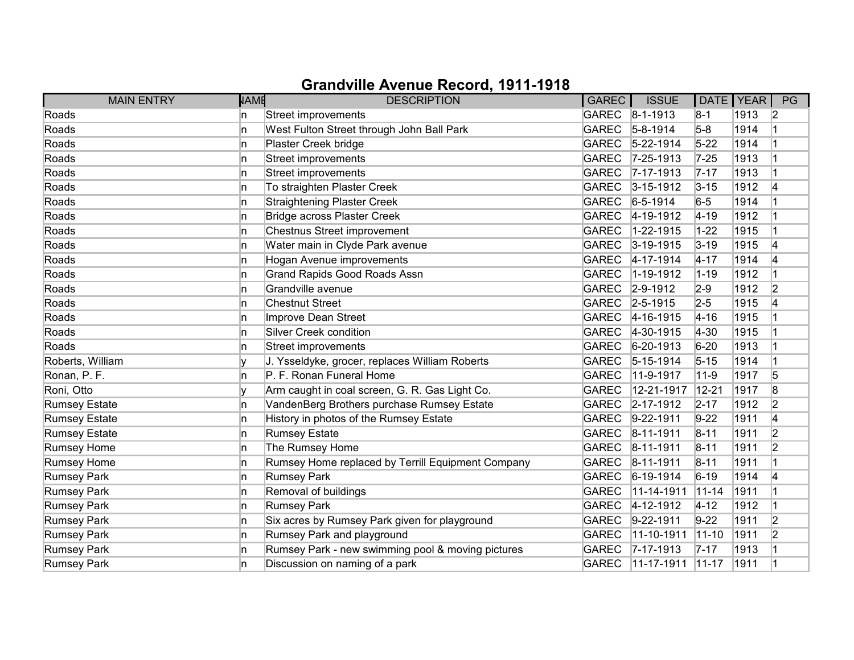| <b>MAIN ENTRY</b>    | <b>NAME</b> | <b>DESCRIPTION</b>                                | GAREC        | <b>ISSUE</b>      | DATE   YEAR |      | PG             |
|----------------------|-------------|---------------------------------------------------|--------------|-------------------|-------------|------|----------------|
| Roads                | n           | Street improvements                               |              | GAREC 8-1-1913    | $8-1$       | 1913 | $\vert$ 2      |
| Roads                | In.         | West Fulton Street through John Ball Park         | <b>GAREC</b> | $5 - 8 - 1914$    | $5-8$       | 1914 |                |
| Roads                | n           | Plaster Creek bridge                              | <b>GAREC</b> | $5 - 22 - 1914$   | $5 - 22$    | 1914 |                |
| Roads                | n           | <b>Street improvements</b>                        | <b>GAREC</b> | $ 7 - 25 - 1913$  | $7 - 25$    | 1913 |                |
| Roads                | n           | Street improvements                               | <b>GAREC</b> | $7 - 17 - 1913$   | $7 - 17$    | 1913 |                |
| Roads                | n.          | To straighten Plaster Creek                       | <b>GAREC</b> | $3 - 15 - 1912$   | $3 - 15$    | 1912 | 4              |
| Roads                | n           | <b>Straightening Plaster Creek</b>                | <b>GAREC</b> | $6 - 5 - 1914$    | $6-5$       | 1914 |                |
| Roads                | n           | <b>Bridge across Plaster Creek</b>                |              | GAREC 4-19-1912   | $4 - 19$    | 1912 |                |
| Roads                | In.         | Chestnus Street improvement                       | <b>GAREC</b> | $1 - 22 - 1915$   | $1 - 22$    | 1915 |                |
| Roads                | In.         | Water main in Clyde Park avenue                   | <b>GAREC</b> | $3 - 19 - 1915$   | $3 - 19$    | 1915 | 14             |
| Roads                | n           | Hogan Avenue improvements                         | <b>GAREC</b> | $4 - 17 - 1914$   | $4 - 17$    | 1914 | 4              |
| Roads                | n           | <b>Grand Rapids Good Roads Assn</b>               | <b>GAREC</b> | 1-19-1912         | $1 - 19$    | 1912 |                |
| Roads                | In.         | Grandville avenue                                 | <b>GAREC</b> | $2 - 9 - 1912$    | $2-9$       | 1912 | $\overline{2}$ |
| Roads                | n.          | <b>Chestnut Street</b>                            | <b>GAREC</b> | $2 - 5 - 1915$    | $2 - 5$     | 1915 | 4              |
| Roads                | n.          | Improve Dean Street                               |              | GAREC 4-16-1915   | $4 - 16$    | 1915 |                |
| Roads                | n           | Silver Creek condition                            |              | GAREC 4-30-1915   | $4 - 30$    | 1915 |                |
| Roads                | n           | Street improvements                               | <b>GAREC</b> | $6 - 20 - 1913$   | $6 - 20$    | 1913 |                |
| Roberts, William     |             | J. Ysseldyke, grocer, replaces William Roberts    | <b>GAREC</b> | $ 5 - 15 - 1914$  | $5 - 15$    | 1914 |                |
| Ronan, P. F.         | n           | P. F. Ronan Funeral Home                          | <b>GAREC</b> | 11-9-1917         | $11 - 9$    | 1917 | 5              |
| Roni, Otto           |             | Arm caught in coal screen, G. R. Gas Light Co.    | <b>GAREC</b> | 12-21-1917        | 12-21       | 1917 | 8              |
| <b>Rumsey Estate</b> | n.          | VandenBerg Brothers purchase Rumsey Estate        | <b>GAREC</b> | $2 - 17 - 1912$   | $2 - 17$    | 1912 | $\overline{2}$ |
| <b>Rumsey Estate</b> | n.          | History in photos of the Rumsey Estate            | <b>GAREC</b> | $9-22-1911$       | $9-22$      | 1911 | 4              |
| Rumsey Estate        | n           | <b>Rumsey Estate</b>                              | <b>GAREC</b> | $ 8 - 11 - 1911 $ | $8 - 11$    | 1911 | $\overline{2}$ |
| <b>Rumsey Home</b>   | n           | The Rumsey Home                                   | <b>GAREC</b> | $ 8 - 11 - 1911$  | $8 - 11$    | 1911 | $\overline{2}$ |
| <b>Rumsey Home</b>   | In.         | Rumsey Home replaced by Terrill Equipment Company | <b>GAREC</b> | $ 8 - 11 - 1911 $ | $8 - 11$    | 1911 |                |
| <b>Rumsey Park</b>   | n.          | <b>Rumsey Park</b>                                | <b>GAREC</b> | $ 6-19-1914$      | $6-19$      | 1914 | 14             |
| <b>Rumsey Park</b>   | n           | Removal of buildings                              | <b>GAREC</b> | 11-14-1911        | $11 - 14$   | 1911 |                |
| <b>Rumsey Park</b>   | n           | <b>Rumsey Park</b>                                | <b>GAREC</b> | $ 4 - 12 - 1912 $ | $4 - 12$    | 1912 |                |
| <b>Rumsey Park</b>   | n.          | Six acres by Rumsey Park given for playground     | <b>GAREC</b> | $9 - 22 - 1911$   | $9 - 22$    | 1911 | $\overline{2}$ |
| <b>Rumsey Park</b>   | n           | Rumsey Park and playground                        | <b>GAREC</b> | 11-10-1911        | $ 11 - 10$  | 1911 | $\overline{2}$ |
| <b>Rumsey Park</b>   | n.          | Rumsey Park - new swimming pool & moving pictures | <b>GAREC</b> | $ 7 - 17 - 1913 $ | $7 - 17$    | 1913 |                |
| <b>Rumsey Park</b>   | n           | Discussion on naming of a park                    | <b>GAREC</b> | $11 - 17 - 1911$  | $ 11 - 17$  | 1911 |                |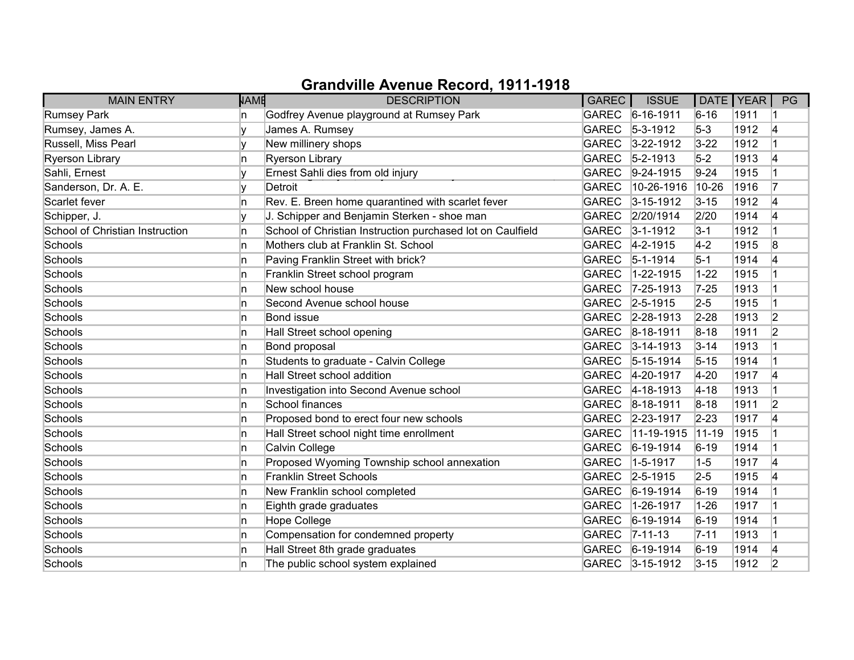| <b>MAIN ENTRY</b>               | <b>NAME</b> | <b>DESCRIPTION</b>                                         | GAREC        | <b>ISSUE</b>     | DATE   YEAR |      | PG             |
|---------------------------------|-------------|------------------------------------------------------------|--------------|------------------|-------------|------|----------------|
| Rumsey Park                     | 'n          | Godfrey Avenue playground at Rumsey Park                   |              | GAREC 6-16-1911  | $6 - 16$    | 1911 |                |
| Rumsey, James A.                | v           | James A. Rumsey                                            | <b>GAREC</b> | $5 - 3 - 1912$   | $5-3$       | 1912 | 4              |
| Russell, Miss Pearl             |             | New millinery shops                                        | GAREC        | $3 - 22 - 1912$  | $3 - 22$    | 1912 |                |
| <b>Ryerson Library</b>          | 'n          | <b>Ryerson Library</b>                                     | GAREC        | $5 - 2 - 1913$   | $5-2$       | 1913 | 14             |
| Sahli, Ernest                   |             | Ernest Sahli dies from old injury                          | GAREC        | $9-24-1915$      | $9 - 24$    | 1915 |                |
| Sanderson, Dr. A. E.            | lv          | Detroit                                                    | <b>GAREC</b> | 10-26-1916       | 10-26       | 1916 |                |
| Scarlet fever                   | 'n          | Rev. E. Breen home quarantined with scarlet fever          |              | GAREC 3-15-1912  | $3 - 15$    | 1912 | 4              |
| Schipper, J.                    | v           | J. Schipper and Benjamin Sterken - shoe man                |              | GAREC 2/20/1914  | 2/20        | 1914 | 4              |
| School of Christian Instruction | 'n          | School of Christian Instruction purchased lot on Caulfield |              | GAREC 3-1-1912   | $3-1$       | 1912 |                |
| Schools                         | ln.         | Mothers club at Franklin St. School                        | <b>GAREC</b> | $4 - 2 - 1915$   | $ 4-2 $     | 1915 | 8              |
| Schools                         | n           | Paving Franklin Street with brick?                         | <b>GAREC</b> | $ 5 - 1 - 1914 $ | $5-1$       | 1914 | 4              |
| Schools                         | n           | Franklin Street school program                             | <b>GAREC</b> | 1-22-1915        | $1 - 22$    | 1915 |                |
| Schools                         | ln.         | New school house                                           | <b>GAREC</b> | $7 - 25 - 1913$  | $7 - 25$    | 1913 |                |
| Schools                         | 'n          | Second Avenue school house                                 | <b>GAREC</b> | $2 - 5 - 1915$   | $2-5$       | 1915 |                |
| Schools                         | In.         | <b>Bond issue</b>                                          |              | GAREC 2-28-1913  | $2 - 28$    | 1913 | $\overline{2}$ |
| Schools                         | n           | Hall Street school opening                                 |              | GAREC 8-18-1911  | $8 - 18$    | 1911 | 2              |
| Schools                         | ln.         | Bond proposal                                              | <b>GAREC</b> | $3 - 14 - 1913$  | $3 - 14$    | 1913 |                |
| Schools                         | 'n          | Students to graduate - Calvin College                      | <b>GAREC</b> | $5 - 15 - 1914$  | $5 - 15$    | 1914 |                |
| Schools                         | In.         | Hall Street school addition                                | <b>GAREC</b> | $4 - 20 - 1917$  | $4 - 20$    | 1917 | 4              |
| Schools                         | 'n          | Investigation into Second Avenue school                    |              | GAREC 4-18-1913  | $4 - 18$    | 1913 |                |
| Schools                         | ln.         | School finances                                            | GAREC        | $8-18-1911$      | $8 - 18$    | 1911 | $\overline{2}$ |
| Schools                         | In.         | Proposed bond to erect four new schools                    | GAREC        | 2-23-1917        | $2 - 23$    | 1917 | 14             |
| Schools                         | ln.         | Hall Street school night time enrollment                   | <b>GAREC</b> | 11-19-1915       | $11-19$     | 1915 |                |
| Schools                         | ln.         | Calvin College                                             | GAREC        | $6 - 19 - 1914$  | $6 - 19$    | 1914 |                |
| Schools                         | ln.         | Proposed Wyoming Township school annexation                | <b>GAREC</b> | $1-5-1917$       | $1-5$       | 1917 | 14             |
| Schools                         | 'n          | <b>Franklin Street Schools</b>                             | GAREC        | $ 2 - 5 - 1915 $ | $2-5$       | 1915 | 14             |
| Schools                         | 'n          | New Franklin school completed                              | GAREC        | $ 6 - 19 - 1914$ | $6 - 19$    | 1914 |                |
| Schools                         | ln.         | Eighth grade graduates                                     | <b>GAREC</b> | 1-26-1917        | $1 - 26$    | 1917 |                |
| Schools                         | ln.         | <b>Hope College</b>                                        | <b>GAREC</b> | $ 6-19-1914 $    | $6 - 19$    | 1914 |                |
| Schools                         | 'n          | Compensation for condemned property                        | GAREC        | $ 7 - 11 - 13 $  | $7 - 11$    | 1913 |                |
| Schools                         | In.         | Hall Street 8th grade graduates                            |              | GAREC 6-19-1914  | $6 - 19$    | 1914 | 14             |
| Schools                         | 'n          | The public school system explained                         |              | GAREC 3-15-1912  | $3 - 15$    | 1912 | $\overline{2}$ |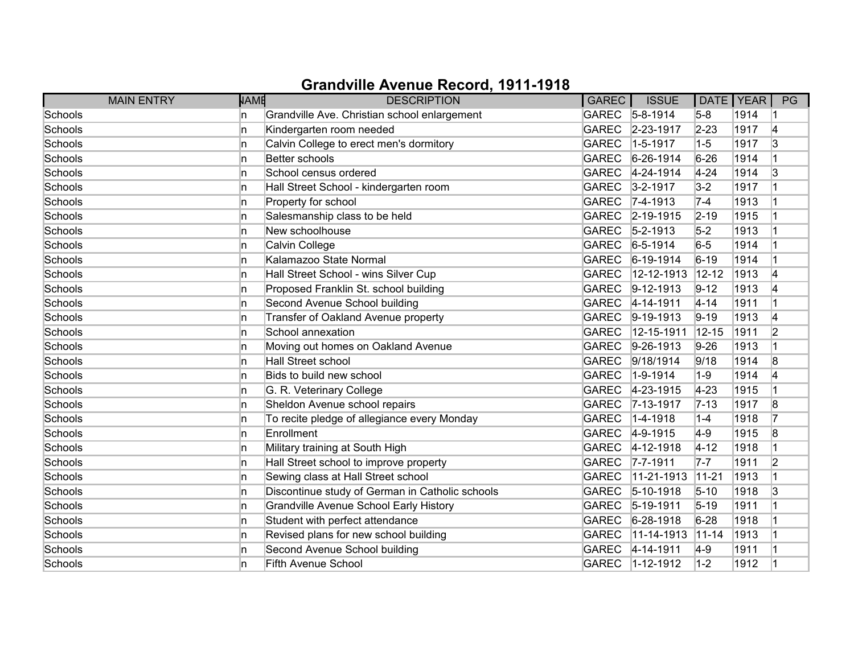| <b>MAIN ENTRY</b> | <b>NAME</b> | <b>DESCRIPTION</b>                              | GAREC        | <b>ISSUE</b>      |           | DATE YEAR | PG             |
|-------------------|-------------|-------------------------------------------------|--------------|-------------------|-----------|-----------|----------------|
| Schools           | ln.         | Grandville Ave. Christian school enlargement    |              | GAREC 5-8-1914    | $5-8$     | 1914      |                |
| Schools           | ln.         | Kindergarten room needed                        | <b>GAREC</b> | 2-23-1917         | $2 - 23$  | 1917      | 4              |
| Schools           | ln.         | Calvin College to erect men's dormitory         | <b>GAREC</b> | $1 - 5 - 1917$    | $1-5$     | 1917      | 3              |
| Schools           | ln.         | Better schools                                  | <b>GAREC</b> | $6 - 26 - 1914$   | $6 - 26$  | 1914      |                |
| Schools           | ln.         | School census ordered                           | <b>GAREC</b> | 4-24-1914         | $4 - 24$  | 1914      | 3              |
| Schools           | ln.         | Hall Street School - kindergarten room          | <b>GAREC</b> | $3 - 2 - 1917$    | $3-2$     | 1917      |                |
| Schools           | ln.         | Property for school                             |              | GAREC 7-4-1913    | $7-4$     | 1913      |                |
| Schools           | ln.         | Salesmanship class to be held                   |              | GAREC 2-19-1915   | $2 - 19$  | 1915      |                |
| Schools           | ln.         | New schoolhouse                                 | <b>GAREC</b> | $ 5 - 2 - 1913 $  | $5-2$     | 1913      |                |
| Schools           | n           | Calvin College                                  | <b>GAREC</b> | $6 - 5 - 1914$    | $6-5$     | 1914      |                |
| Schools           | ln.         | Kalamazoo State Normal                          | <b>GAREC</b> | $ 6-19-1914$      | $ 6-19 $  | 1914      |                |
| Schools           | ln.         | Hall Street School - wins Silver Cup            | <b>GAREC</b> | 12-12-1913        | $12 - 12$ | 1913      | 4              |
| Schools           | ln.         | Proposed Franklin St. school building           | <b>GAREC</b> | $ 9-12-1913$      | $9 - 12$  | 1913      | 4              |
| Schools           | ln.         | Second Avenue School building                   | <b>GAREC</b> | $4 - 14 - 1911$   | $4 - 14$  | 1911      | 1              |
| Schools           | ln.         | Transfer of Oakland Avenue property             | <b>GAREC</b> | $ 9-19-1913$      | $9 - 19$  | 1913      | 4              |
| Schools           | ln.         | School annexation                               | <b>GAREC</b> | 12-15-1911        | $12 - 15$ | 1911      | 2              |
| Schools           | ln.         | Moving out homes on Oakland Avenue              | <b>GAREC</b> | $ 9-26-1913 $     | $9 - 26$  | 1913      |                |
| Schools           | ln.         | Hall Street school                              | <b>GAREC</b> | 9/18/1914         | 9/18      | 1914      | 8              |
| Schools           | ln.         | Bids to build new school                        | <b>GAREC</b> | $1 - 9 - 1914$    | $1 - 9$   | 1914      | 4              |
| Schools           | ln.         | G. R. Veterinary College                        |              | GAREC 4-23-1915   | $4 - 23$  | 1915      | 1              |
| Schools           | ln.         | Sheldon Avenue school repairs                   | <b>GAREC</b> | $ 7 - 13 - 1917$  | $7 - 13$  | 1917      | 8              |
| Schools           | ln.         | To recite pledge of allegiance every Monday     | <b>GAREC</b> | $1 - 4 - 1918$    | $1-4$     | 1918      |                |
| Schools           | ln.         | Enrollment                                      | GAREC        | 4-9-1915          | $ 4-9 $   | 1915      | 8              |
| Schools           | ln.         | Military training at South High                 |              | GAREC 4-12-1918   | $4 - 12$  | 1918      | 1              |
| Schools           | ln.         | Hall Street school to improve property          | <b>GAREC</b> | $7 - 7 - 1911$    | $7 - 7$   | 1911      | 2              |
| Schools           | ln.         | Sewing class at Hall Street school              | <b>GAREC</b> | 11-21-1913        | $11 - 21$ | 1913      | $\vert$ 1      |
| Schools           | ln.         | Discontinue study of German in Catholic schools | <b>GAREC</b> | $ 5 - 10 - 1918$  | $5 - 10$  | 1918      | 3              |
| Schools           | n           | <b>Grandville Avenue School Early History</b>   | <b>GAREC</b> | $ 5 - 19 - 1911$  | $5 - 19$  | 1911      | $\overline{1}$ |
| Schools           | ln.         | Student with perfect attendance                 | <b>GAREC</b> | $6 - 28 - 1918$   | $6 - 28$  | 1918      | 1              |
| Schools           | ln.         | Revised plans for new school building           | <b>GAREC</b> | 11-14-1913        | $11 - 14$ | 1913      |                |
| Schools           | 'n          | Second Avenue School building                   | GAREC        | $ 4 - 14 - 1911$  | $ 4-9 $   | 1911      |                |
| Schools           | ln.         | <b>Fifth Avenue School</b>                      |              | GAREC   1-12-1912 | $1-2$     | 1912      | 1              |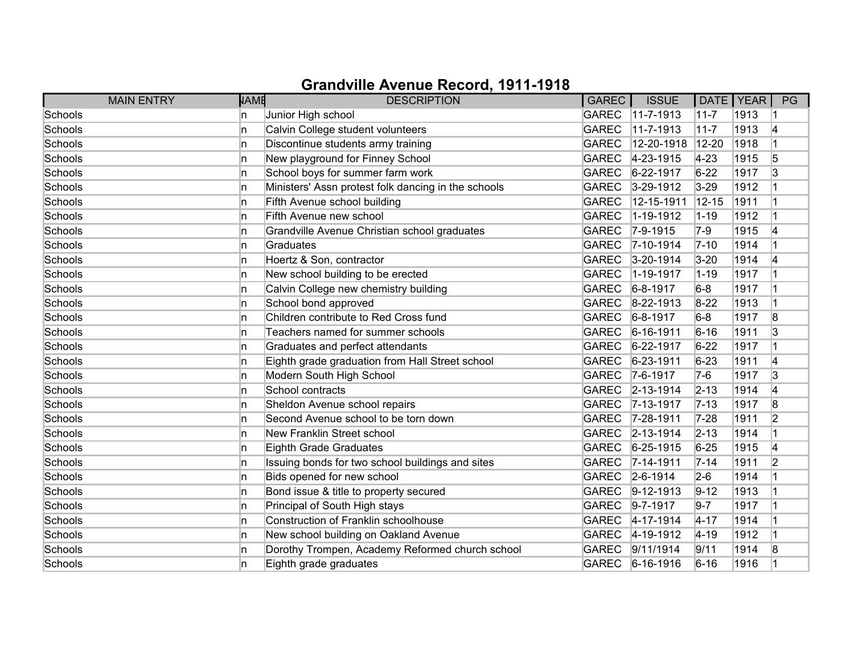| <b>MAIN ENTRY</b> | NAME | <b>DESCRIPTION</b>                                  | GAREC        | <b>ISSUE</b>      | DATE   YEAR |      | PG             |
|-------------------|------|-----------------------------------------------------|--------------|-------------------|-------------|------|----------------|
| Schools           | ln.  | Junior High school                                  | <b>GAREC</b> | $11 - 7 - 1913$   | $11-7$      | 1913 |                |
| Schools           | In   | Calvin College student volunteers                   | <b>GAREC</b> | $11 - 7 - 1913$   | $11 - 7$    | 1913 | 4              |
| Schools           | ln.  | Discontinue students army training                  | <b>GAREC</b> | 12-20-1918        | $12 - 20$   | 1918 |                |
| Schools           | ln.  | New playground for Finney School                    | <b>GAREC</b> | 4-23-1915         | $4 - 23$    | 1915 | 5              |
| Schools           | ln.  | School boys for summer farm work                    | <b>GAREC</b> | 6-22-1917         | $6 - 22$    | 1917 | 3              |
| Schools           | ln.  | Ministers' Assn protest folk dancing in the schools | <b>GAREC</b> | $3-29-1912$       | $3 - 29$    | 1912 |                |
| Schools           | ln.  | Fifth Avenue school building                        | <b>GAREC</b> | 12-15-1911        | $12 - 15$   | 1911 |                |
| Schools           | ln.  | Fifth Avenue new school                             | <b>GAREC</b> | 1-19-1912         | $1 - 19$    | 1912 |                |
| Schools           | In   | Grandville Avenue Christian school graduates        | <b>GAREC</b> | $7-9-1915$        | $7-9$       | 1915 | 4              |
| Schools           | ln.  | Graduates                                           | <b>GAREC</b> | 7-10-1914         | $7 - 10$    | 1914 |                |
| Schools           | ln.  | Hoertz & Son, contractor                            | <b>GAREC</b> | $3 - 20 - 1914$   | $3 - 20$    | 1914 | 14             |
| Schools           | ln.  | New school building to be erected                   | <b>GAREC</b> | 1-19-1917         | $1 - 19$    | 1917 |                |
| Schools           | ln.  | Calvin College new chemistry building               | <b>GAREC</b> | $6 - 8 - 1917$    | $6-8$       | 1917 |                |
| Schools           | ln.  | School bond approved                                | <b>GAREC</b> | $8 - 22 - 1913$   | $8 - 22$    | 1913 |                |
| Schools           | ln.  | Children contribute to Red Cross fund               | <b>GAREC</b> | $6 - 8 - 1917$    | $6-8$       | 1917 | 8              |
| Schools           | ln.  | Teachers named for summer schools                   | <b>GAREC</b> | $6 - 16 - 1911$   | $6 - 16$    | 1911 | 3              |
| Schools           | ln.  | Graduates and perfect attendants                    | <b>GAREC</b> | 6-22-1917         | $6 - 22$    | 1917 |                |
| Schools           | ln.  | Eighth grade graduation from Hall Street school     | <b>GAREC</b> | $6 - 23 - 1911$   | $6 - 23$    | 1911 | 14             |
| Schools           | In   | Modern South High School                            | <b>GAREC</b> | $ 7-6-1917$       | $7-6$       | 1917 | 3              |
| Schools           | ln.  | School contracts                                    |              | GAREC 2-13-1914   | $2 - 13$    | 1914 | 4              |
| Schools           | ln.  | Sheldon Avenue school repairs                       | GAREC        | $ 7 - 13 - 1917$  | $7 - 13$    | 1917 | 8              |
| Schools           | ln.  | Second Avenue school to be torn down                | <b>GAREC</b> | 7-28-1911         | $7 - 28$    | 1911 | $\overline{2}$ |
| Schools           | ln.  | New Franklin Street school                          |              | GAREC 2-13-1914   | $2 - 13$    | 1914 |                |
| Schools           | ln.  | Eighth Grade Graduates                              | GAREC        | $6 - 25 - 1915$   | $6 - 25$    | 1915 | 4              |
| Schools           | ln.  | Issuing bonds for two school buildings and sites    | <b>GAREC</b> | $7 - 14 - 1911$   | $7 - 14$    | 1911 | $\overline{2}$ |
| Schools           | ln.  | Bids opened for new school                          | GAREC        | $2 - 6 - 1914$    | $2-6$       | 1914 |                |
| Schools           | In   | Bond issue & title to property secured              | GAREC        | $ 9-12-1913$      | $9 - 12$    | 1913 |                |
| Schools           | ln.  | Principal of South High stays                       | GAREC        | $9 - 7 - 1917$    | $9-7$       | 1917 |                |
| Schools           | ln.  | Construction of Franklin schoolhouse                | <b>GAREC</b> | $ 4 - 17 - 1914 $ | $4 - 17$    | 1914 |                |
| Schools           | ln.  | New school building on Oakland Avenue               | GAREC        | $4 - 19 - 1912$   | $4 - 19$    | 1912 |                |
| Schools           | ln.  | Dorothy Trompen, Academy Reformed church school     | <b>GAREC</b> | 9/11/1914         | 9/11        | 1914 | 8              |
| Schools           | ln.  | Eighth grade graduates                              |              | GAREC 6-16-1916   | $6 - 16$    | 1916 |                |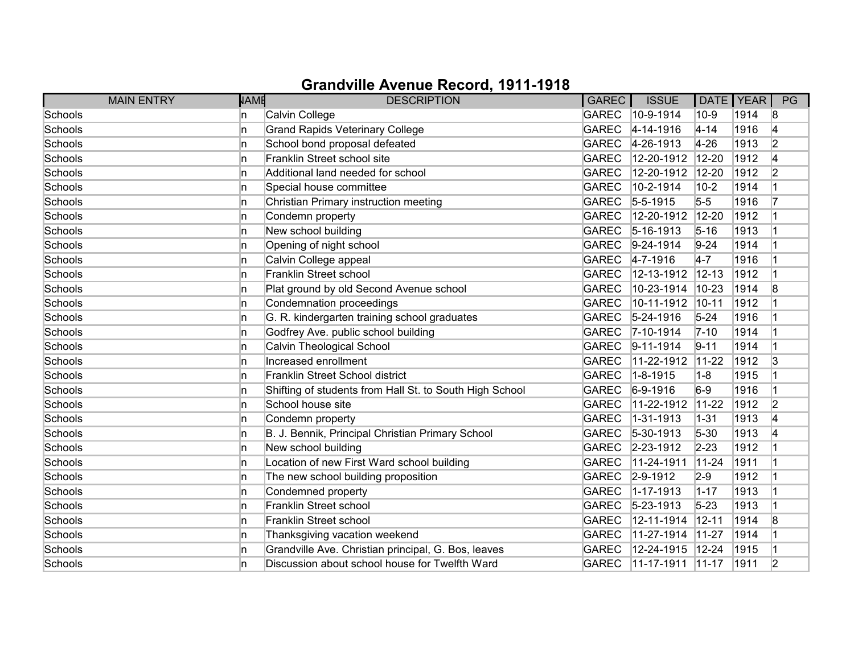| <b>MAIN ENTRY</b> | <b>NAME</b> | <b>DESCRIPTION</b>                                      | <b>GAREC</b> | <b>ISSUE</b>      | DATE   YEAR |      | PG             |
|-------------------|-------------|---------------------------------------------------------|--------------|-------------------|-------------|------|----------------|
| Schools           | 'n          | Calvin College                                          | <b>GAREC</b> | 10-9-1914         | $10-9$      | 1914 | 8              |
| Schools           | 'n          | <b>Grand Rapids Veterinary College</b>                  | <b>GAREC</b> | $4 - 14 - 1916$   | $4 - 14$    | 1916 | 4              |
| Schools           | 'n          | School bond proposal defeated                           | <b>GAREC</b> | 4-26-1913         | $4 - 26$    | 1913 | $\overline{2}$ |
| Schools           | 'n          | Franklin Street school site                             | <b>GAREC</b> | 12-20-1912        | 12-20       | 1912 | 4              |
| Schools           | 'n          | Additional land needed for school                       | <b>GAREC</b> | 12-20-1912        | 12-20       | 1912 | 2              |
| Schools           | n           | Special house committee                                 | <b>GAREC</b> | 10-2-1914         | $10 - 2$    | 1914 |                |
| Schools           | 'n          | Christian Primary instruction meeting                   | <b>GAREC</b> | $5 - 5 - 1915$    | $5-5$       | 1916 |                |
| Schools           | 'n          | Condemn property                                        | <b>GAREC</b> | 12-20-1912        | $12 - 20$   | 1912 |                |
| Schools           | 'n          | New school building                                     | <b>GAREC</b> | $ 5 - 16 - 1913 $ | $5 - 16$    | 1913 |                |
| Schools           | 'n          | Opening of night school                                 | <b>GAREC</b> | $ 9-24-1914$      | $9 - 24$    | 1914 |                |
| Schools           | 'n          | Calvin College appeal                                   | GAREC        | $ 4 - 7 - 1916 $  | $4 - 7$     | 1916 |                |
| Schools           | 'n          | Franklin Street school                                  | <b>GAREC</b> | 12-13-1912        | $12 - 13$   | 1912 |                |
| Schools           | 'n          | Plat ground by old Second Avenue school                 | <b>GAREC</b> | 10-23-1914        | $10 - 23$   | 1914 | 8              |
| Schools           | 'n          | Condemnation proceedings                                | <b>GAREC</b> | 10-11-1912        | $10 - 11$   | 1912 |                |
| Schools           | 'n          | G. R. kindergarten training school graduates            | <b>GAREC</b> | $ 5 - 24 - 1916 $ | $5 - 24$    | 1916 |                |
| Schools           | 'n          | Godfrey Ave. public school building                     | <b>GAREC</b> | $7 - 10 - 1914$   | $7 - 10$    | 1914 |                |
| Schools           | 'n          | Calvin Theological School                               | <b>GAREC</b> | $ 9 - 11 - 1914$  | $9 - 11$    | 1914 |                |
| Schools           | 'n          | Increased enrollment                                    | <b>GAREC</b> | 11-22-1912        | $11 - 22$   | 1912 | 3              |
| Schools           | n           | Franklin Street School district                         | <b>GAREC</b> | $1 - 8 - 1915$    | $1 - 8$     | 1915 |                |
| Schools           | 'n          | Shifting of students from Hall St. to South High School | <b>GAREC</b> | $6-9-1916$        | $6-9$       | 1916 |                |
| Schools           | 'n          | School house site                                       | <b>GAREC</b> | 11-22-1912        | $11 - 22$   | 1912 | 2              |
| Schools           | 'n          | Condemn property                                        | <b>GAREC</b> | $1 - 31 - 1913$   | $1 - 31$    | 1913 | 4              |
| Schools           | 'n          | B. J. Bennik, Principal Christian Primary School        | <b>GAREC</b> | $ 5 - 30 - 1913$  | $5 - 30$    | 1913 | 4              |
| Schools           | 'n          | New school building                                     | <b>GAREC</b> | $2 - 23 - 1912$   | $2 - 23$    | 1912 |                |
| Schools           | 'n          | Location of new First Ward school building              | <b>GAREC</b> | 11-24-1911        | $11 - 24$   | 1911 |                |
| Schools           | 'n          | The new school building proposition                     | <b>GAREC</b> | $2 - 9 - 1912$    | $2 - 9$     | 1912 |                |
| Schools           | 'n          | Condemned property                                      | <b>GAREC</b> | $1 - 17 - 1913$   | $1 - 17$    | 1913 |                |
| Schools           | 'n          | Franklin Street school                                  | <b>GAREC</b> | $ 5 - 23 - 1913$  | $5 - 23$    | 1913 |                |
| Schools           | 'n          | Franklin Street school                                  | <b>GAREC</b> | 12-11-1914        | $12 - 11$   | 1914 | 8              |
| Schools           | 'n          | Thanksgiving vacation weekend                           | <b>GAREC</b> | 11-27-1914        | $11-27$     | 1914 |                |
| Schools           | 'n          | Grandville Ave. Christian principal, G. Bos, leaves     | <b>GAREC</b> | 12-24-1915        | $12 - 24$   | 1915 |                |
| Schools           | 'n          | Discussion about school house for Twelfth Ward          | <b>GAREC</b> | 11-17-1911        | $ 11 - 17 $ | 1911 | 2              |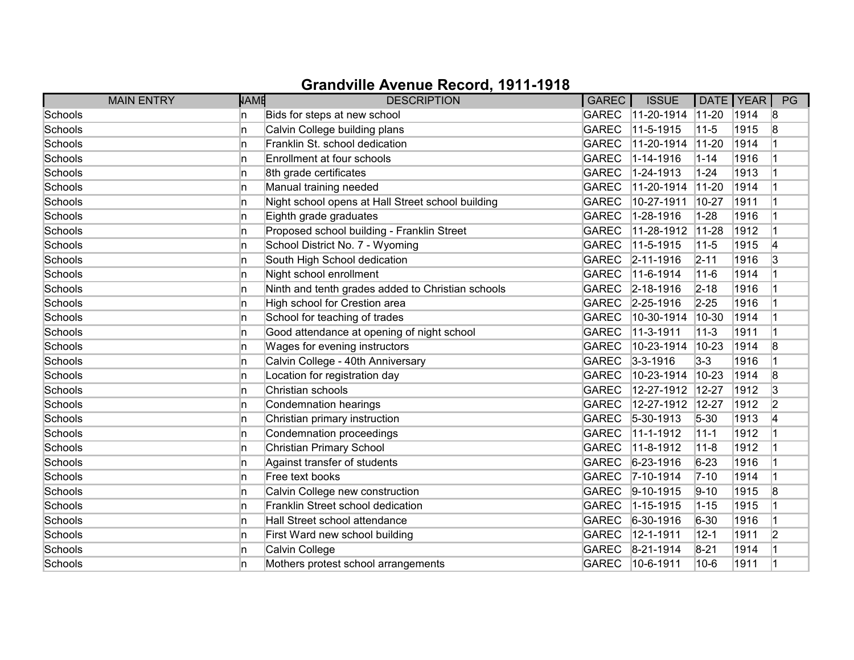| <b>MAIN ENTRY</b> | <b>NAME</b> | <b>DESCRIPTION</b>                                | <b>GAREC</b> | <b>ISSUE</b>      | DATE   YEAR |      | PG |
|-------------------|-------------|---------------------------------------------------|--------------|-------------------|-------------|------|----|
| Schools           | 'n          | Bids for steps at new school                      | <b>GAREC</b> | 11-20-1914        | $11-20$     | 1914 | 8  |
| Schools           | 'n          | Calvin College building plans                     | <b>GAREC</b> | 11-5-1915         | $11 - 5$    | 1915 | 8  |
| Schools           | 'n          | Franklin St. school dedication                    | <b>GAREC</b> | 11-20-1914        | $11 - 20$   | 1914 |    |
| Schools           | n           | Enrollment at four schools                        | <b>GAREC</b> | 1-14-1916         | $1 - 14$    | 1916 |    |
| Schools           | n           | 8th grade certificates                            | <b>GAREC</b> | 1-24-1913         | $1 - 24$    | 1913 |    |
| Schools           | 'n          | Manual training needed                            | <b>GAREC</b> | 11-20-1914        | $11 - 20$   | 1914 |    |
| Schools           | 'n          | Night school opens at Hall Street school building | <b>GAREC</b> | 10-27-1911        | $10 - 27$   | 1911 |    |
| Schools           | ln.         | Eighth grade graduates                            | <b>GAREC</b> | 1-28-1916         | $1 - 28$    | 1916 |    |
| Schools           | 'n          | Proposed school building - Franklin Street        | <b>GAREC</b> | 11-28-1912        | $11 - 28$   | 1912 |    |
| Schools           | n           | School District No. 7 - Wyoming                   | <b>GAREC</b> | 11-5-1915         | $11 - 5$    | 1915 | 4  |
| Schools           | 'n          | South High School dedication                      | <b>GAREC</b> | $ 2 - 11 - 1916$  | $2 - 11$    | 1916 | 3  |
| Schools           | 'n          | Night school enrollment                           | <b>GAREC</b> | 11-6-1914         | $11 - 6$    | 1914 |    |
| Schools           | ln.         | Ninth and tenth grades added to Christian schools | <b>GAREC</b> | $ 2 - 18 - 1916 $ | $2 - 18$    | 1916 |    |
| Schools           | ln.         | High school for Crestion area                     | <b>GAREC</b> | $2 - 25 - 1916$   | $2 - 25$    | 1916 |    |
| Schools           | In.         | School for teaching of trades                     | <b>GAREC</b> | 10-30-1914        | 10-30       | 1914 |    |
| Schools           | In.         | Good attendance at opening of night school        | <b>GAREC</b> | 11-3-1911         | $11 - 3$    | 1911 |    |
| Schools           | 'n          | Wages for evening instructors                     | <b>GAREC</b> | 10-23-1914        | $10 - 23$   | 1914 | 8  |
| Schools           | 'n          | Calvin College - 40th Anniversary                 | <b>GAREC</b> | $3 - 3 - 1916$    | $3 - 3$     | 1916 |    |
| Schools           | 'n          | Location for registration day                     | <b>GAREC</b> | 10-23-1914        | $10 - 23$   | 1914 | 8  |
| Schools           | 'n          | Christian schools                                 | <b>GAREC</b> | 12-27-1912        | $12 - 27$   | 1912 | 3  |
| Schools           | 'n          | <b>Condemnation hearings</b>                      | <b>GAREC</b> | 12-27-1912        | 12-27       | 1912 | 2  |
| Schools           | 'n          | Christian primary instruction                     | <b>GAREC</b> | $5 - 30 - 1913$   | $5 - 30$    | 1913 | 4  |
| Schools           | In.         | Condemnation proceedings                          | <b>GAREC</b> | 11-1-1912         | $11 - 1$    | 1912 |    |
| Schools           | 'n          | Christian Primary School                          | <b>GAREC</b> | 11-8-1912         | $11 - 8$    | 1912 |    |
| Schools           | 'n          | Against transfer of students                      | <b>GAREC</b> | $6 - 23 - 1916$   | $6 - 23$    | 1916 |    |
| Schools           | 'n          | Free text books                                   | <b>GAREC</b> | $ 7 - 10 - 1914$  | $7 - 10$    | 1914 |    |
| Schools           | n           | Calvin College new construction                   | <b>GAREC</b> | $ 9 - 10 - 1915$  | $9 - 10$    | 1915 | 8  |
| Schools           | ln.         | Franklin Street school dedication                 | <b>GAREC</b> | 1-15-1915         | $1 - 15$    | 1915 |    |
| Schools           | n           | Hall Street school attendance                     | <b>GAREC</b> | $ 6 - 30 - 1916 $ | $6 - 30$    | 1916 |    |
| Schools           | ln.         | First Ward new school building                    | <b>GAREC</b> | 12-1-1911         | $12 - 1$    | 1911 | 2  |
| Schools           | 'n          | Calvin College                                    | <b>GAREC</b> | $ 8-21-1914$      | $8 - 21$    | 1914 |    |
| Schools           | 'n          | Mothers protest school arrangements               | <b>GAREC</b> | 10-6-1911         | $10-6$      | 1911 | 1  |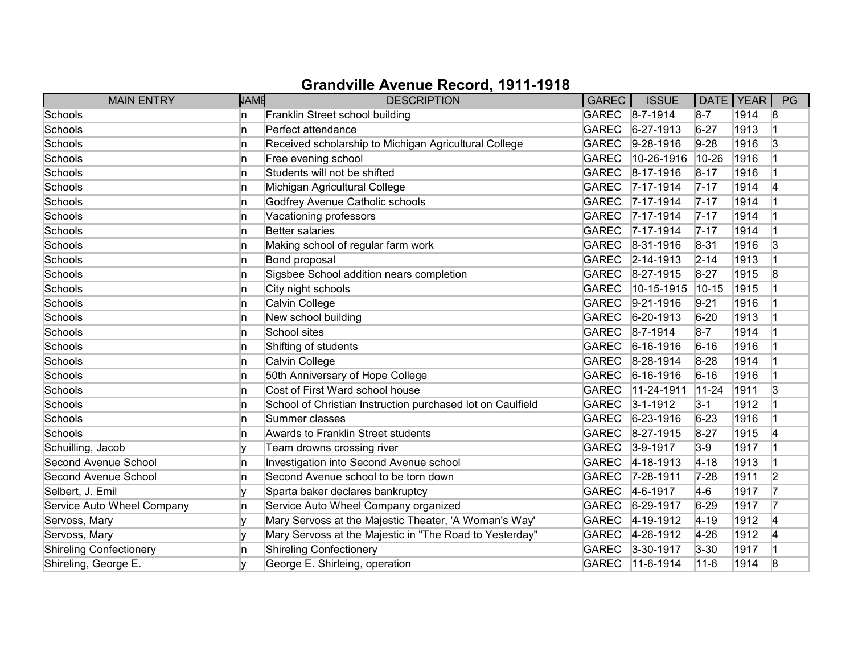| <b>MAIN ENTRY</b>              | <b>NAME</b> | <b>DESCRIPTION</b>                                         | <b>GAREC</b> | <b>ISSUE</b>      |           | DATE   YEAR | PG |
|--------------------------------|-------------|------------------------------------------------------------|--------------|-------------------|-----------|-------------|----|
| Schools                        | ln.         | Franklin Street school building                            |              | GAREC 8-7-1914    | $8-7$     | 1914        | 8  |
| Schools                        | ln.         | Perfect attendance                                         | <b>GAREC</b> | $ 6-27-1913 $     | $6 - 27$  | 1913        |    |
| Schools                        | ln.         | Received scholarship to Michigan Agricultural College      | <b>GAREC</b> | $9-28-1916$       | $9-28$    | 1916        | 3  |
| Schools                        | ln.         | Free evening school                                        | <b>GAREC</b> | 10-26-1916        | 10-26     | 1916        |    |
| Schools                        | ln.         | Students will not be shifted                               | GAREC        | $ 8-17-1916$      | $8 - 17$  | 1916        |    |
| Schools                        | In.         | Michigan Agricultural College                              | <b>GAREC</b> | $7 - 17 - 1914$   | $7 - 17$  | 1914        | 14 |
| Schools                        | ln.         | Godfrey Avenue Catholic schools                            |              | GAREC 7-17-1914   | $7 - 17$  | 1914        |    |
| Schools                        | ln.         | Vacationing professors                                     |              | GAREC 7-17-1914   | $7 - 17$  | 1914        |    |
| Schools                        | ln.         | Better salaries                                            |              | GAREC 7-17-1914   | $7 - 17$  | 1914        |    |
| Schools                        | In          | Making school of regular farm work                         | <b>GAREC</b> | $8-31-1916$       | $8 - 31$  | 1916        | 3  |
| Schools                        | ln.         | Bond proposal                                              |              | GAREC 2-14-1913   | $2 - 14$  | 1913        |    |
| Schools                        | In          | Sigsbee School addition nears completion                   | GAREC        | $8-27-1915$       | $8 - 27$  | 1915        | 8  |
| Schools                        | ln.         | City night schools                                         | <b>GAREC</b> | 10-15-1915        | $10 - 15$ | 1915        |    |
| Schools                        | ln.         | Calvin College                                             | <b>GAREC</b> | $9-21-1916$       | $9 - 21$  | 1916        |    |
| Schools                        | ln.         | New school building                                        | GAREC        | $ 6 - 20 - 1913 $ | $6 - 20$  | 1913        |    |
| Schools                        | In.         | School sites                                               |              | GAREC 8-7-1914    | $8-7$     | 1914        |    |
| Schools                        | ln.         | Shifting of students                                       | <b>GAREC</b> | $6 - 16 - 1916$   | $6 - 16$  | 1916        |    |
| Schools                        | ln.         | Calvin College                                             | <b>GAREC</b> | $8-28-1914$       | $8 - 28$  | 1914        |    |
| Schools                        | ln.         | 50th Anniversary of Hope College                           | <b>GAREC</b> | $ 6 - 16 - 1916$  | $6 - 16$  | 1916        |    |
| Schools                        | ln.         | Cost of First Ward school house                            | <b>GAREC</b> | 11-24-1911        | $11-24$   | 1911        | 3  |
| Schools                        | ln.         | School of Christian Instruction purchased lot on Caulfield | <b>GAREC</b> | $3 - 1 - 1912$    | $3 - 1$   | 1912        |    |
| Schools                        | ln.         | Summer classes                                             | <b>GAREC</b> | $6 - 23 - 1916$   | $6 - 23$  | 1916        |    |
| Schools                        | In          | Awards to Franklin Street students                         | GAREC        | $8 - 27 - 1915$   | $8 - 27$  | 1915        | 14 |
| Schuilling, Jacob              |             | Team drowns crossing river                                 | GAREC        | $3-9-1917$        | $3-9$     | 1917        |    |
| Second Avenue School           | In          | Investigation into Second Avenue school                    | <b>GAREC</b> | $4 - 18 - 1913$   | $4 - 18$  | 1913        |    |
| Second Avenue School           | In.         | Second Avenue school to be torn down                       | <b>GAREC</b> | 7-28-1911         | $7 - 28$  | 1911        | 2  |
| Selbert, J. Emil               | ۱v          | Sparta baker declares bankruptcy                           | GAREC        | $4-6-1917$        | $4-6$     | 1917        | 17 |
| Service Auto Wheel Company     | ln.         | Service Auto Wheel Company organized                       | GAREC        | $6 - 29 - 1917$   | $6 - 29$  | 1917        | 17 |
| Servoss, Mary                  | ١v          | Mary Servoss at the Majestic Theater, 'A Woman's Way'      | <b>GAREC</b> | 4-19-1912         | $ 4 - 19$ | 1912        | 4  |
| Servoss, Mary                  |             | Mary Servoss at the Majestic in "The Road to Yesterday"    | GAREC        | 4-26-1912         | $4 - 26$  | 1912        | 14 |
| <b>Shireling Confectionery</b> | ln.         | <b>Shireling Confectionery</b>                             | GAREC        | $3-30-1917$       | $3 - 30$  | 1917        |    |
| Shireling, George E.           |             | George E. Shirleing, operation                             |              | GAREC 11-6-1914   | $11 - 6$  | 1914        | 8  |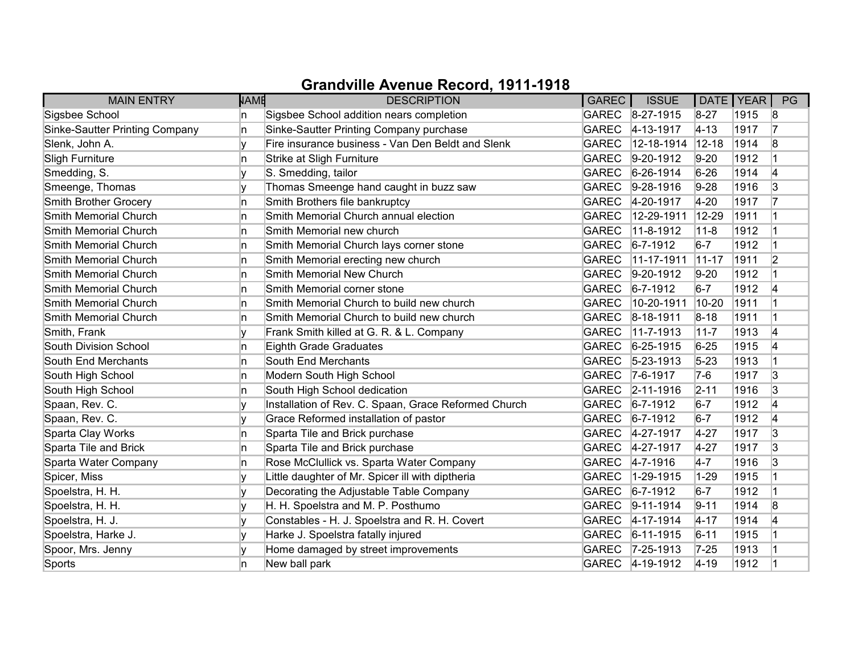| <b>MAIN ENTRY</b>                     | <b>NAME</b> | <b>DESCRIPTION</b>                                   | GAREC        | <b>ISSUE</b>      | DATE   YEAR |      | PG             |
|---------------------------------------|-------------|------------------------------------------------------|--------------|-------------------|-------------|------|----------------|
| Sigsbee School                        | n           | Sigsbee School addition nears completion             |              | GAREC 8-27-1915   | $8 - 27$    | 1915 | 8              |
| <b>Sinke-Sautter Printing Company</b> | n.          | Sinke-Sautter Printing Company purchase              | <b>GAREC</b> | $ 4 - 13 - 1917$  | $ 4 - 13 $  | 1917 | 17             |
| Slenk, John A.                        |             | Fire insurance business - Van Den Beldt and Slenk    | <b>GAREC</b> | 12-18-1914        | $12 - 18$   | 1914 | 8              |
| Sligh Furniture                       | n           | Strike at Sligh Furniture                            | <b>GAREC</b> | $ 9-20-1912 $     | $9 - 20$    | 1912 |                |
| Smedding, S.                          |             | S. Smedding, tailor                                  | <b>GAREC</b> | $6 - 26 - 1914$   | $6 - 26$    | 1914 | 4              |
| Smeenge, Thomas                       | v           | Thomas Smeenge hand caught in buzz saw               | <b>GAREC</b> | $9-28-1916$       | $9-28$      | 1916 | 3              |
| Smith Brother Grocery                 | In.         | Smith Brothers file bankruptcy                       |              | GAREC 4-20-1917   | $4 - 20$    | 1917 |                |
| Smith Memorial Church                 | n           | Smith Memorial Church annual election                | <b>GAREC</b> | 12-29-1911        | 12-29       | 1911 |                |
| Smith Memorial Church                 | n.          | Smith Memorial new church                            | <b>GAREC</b> | 11-8-1912         | $11 - 8$    | 1912 |                |
| Smith Memorial Church                 | n.          | Smith Memorial Church lays corner stone              | <b>GAREC</b> | $6 - 7 - 1912$    | $6-7$       | 1912 |                |
| Smith Memorial Church                 | n.          | Smith Memorial erecting new church                   | <b>GAREC</b> | 11-17-1911        | $11-17$     | 1911 | 2              |
| Smith Memorial Church                 | n           | Smith Memorial New Church                            | <b>GAREC</b> | $9-20-1912$       | $9-20$      | 1912 |                |
| Smith Memorial Church                 | In.         | Smith Memorial corner stone                          | <b>GAREC</b> | $6 - 7 - 1912$    | $6-7$       | 1912 | 4              |
| Smith Memorial Church                 | n.          | Smith Memorial Church to build new church            | <b>GAREC</b> | 10-20-1911        | $10-20$     | 1911 |                |
| Smith Memorial Church                 | n.          | Smith Memorial Church to build new church            | <b>GAREC</b> | $ 8 - 18 - 1911 $ | $8 - 18$    | 1911 | $\overline{1}$ |
| Smith, Frank                          | v           | Frank Smith killed at G. R. & L. Company             | <b>GAREC</b> | $11-7-1913$       | $11 - 7$    | 1913 | 4              |
| South Division School                 | In.         | Eighth Grade Graduates                               | <b>GAREC</b> | $6 - 25 - 1915$   | $6 - 25$    | 1915 | 4              |
| South End Merchants                   | n           | South End Merchants                                  | <b>GAREC</b> | $ 5 - 23 - 1913$  | $5 - 23$    | 1913 |                |
| South High School                     | n           | Modern South High School                             | <b>GAREC</b> | $7-6-1917$        | $7-6$       | 1917 | 3              |
| South High School                     | n           | South High School dedication                         | <b>GAREC</b> | $2 - 11 - 1916$   | $2 - 11$    | 1916 | 3              |
| Spaan, Rev. C.                        | ١v          | Installation of Rev. C. Spaan, Grace Reformed Church | <b>GAREC</b> | $6 - 7 - 1912$    | $6-7$       | 1912 | 4              |
| Spaan, Rev. C.                        |             | Grace Reformed installation of pastor                | <b>GAREC</b> | $6 - 7 - 1912$    | $6-7$       | 1912 | 4              |
| Sparta Clay Works                     | In.         | Sparta Tile and Brick purchase                       |              | GAREC 4-27-1917   | $4 - 27$    | 1917 | 3              |
| Sparta Tile and Brick                 | n           | Sparta Tile and Brick purchase                       |              | GAREC 4-27-1917   | $4 - 27$    | 1917 | $\overline{3}$ |
| Sparta Water Company                  | In.         | Rose McClullick vs. Sparta Water Company             | <b>GAREC</b> | $4 - 7 - 1916$    | $4-7$       | 1916 | 3              |
| Spicer, Miss                          |             | Little daughter of Mr. Spicer ill with diptheria     | <b>GAREC</b> | 1-29-1915         | $1 - 29$    | 1915 |                |
| Spoelstra, H. H.                      | V           | Decorating the Adjustable Table Company              | <b>GAREC</b> | $ 6 - 7 - 1912 $  | $6-7$       | 1912 |                |
| Spoelstra, H. H.                      |             | H. H. Spoelstra and M. P. Posthumo                   | <b>GAREC</b> | $9 - 11 - 1914$   | $9 - 11$    | 1914 | 8              |
| Spoelstra, H. J.                      | ١v          | Constables - H. J. Spoelstra and R. H. Covert        | <b>GAREC</b> | $ 4 - 17 - 1914 $ | $4 - 17$    | 1914 | 14             |
| Spoelstra, Harke J.                   |             | Harke J. Spoelstra fatally injured                   | <b>GAREC</b> | $ 6 - 11 - 1915 $ | $6 - 11$    | 1915 |                |
| Spoor, Mrs. Jenny                     |             | Home damaged by street improvements                  |              | GAREC 7-25-1913   | $7 - 25$    | 1913 |                |
| Sports                                | n           | New ball park                                        |              | GAREC 4-19-1912   | $ 4 - 19 $  | 1912 |                |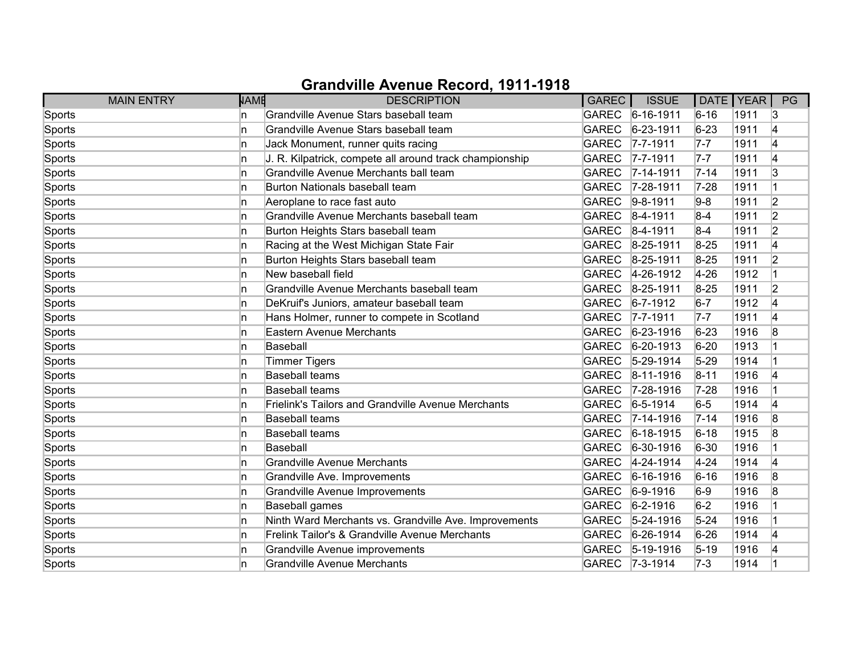| <b>MAIN ENTRY</b> | NAME | <b>DESCRIPTION</b>                                        | GAREC        | <b>ISSUE</b>      | DATE   YEAR |      | PG             |
|-------------------|------|-----------------------------------------------------------|--------------|-------------------|-------------|------|----------------|
| Sports            | In.  | Grandville Avenue Stars baseball team                     |              | GAREC 6-16-1911   | $6 - 16$    | 1911 | 13             |
| Sports            | ln.  | Grandville Avenue Stars baseball team                     | <b>GAREC</b> | $6 - 23 - 1911$   | $6 - 23$    | 1911 | 4              |
| Sports            | ln.  | Jack Monument, runner quits racing                        | <b>GAREC</b> | $7 - 7 - 1911$    | $7 - 7$     | 1911 | 4              |
| Sports            | ln.  | J. R. Kilpatrick, compete all around track championship   | <b>GAREC</b> | $ 7 - 7 - 1911 $  | $7-7$       | 1911 | 4              |
| Sports            | ln.  | Grandville Avenue Merchants ball team                     | <b>GAREC</b> | $ 7 - 14 - 1911$  | $7 - 14$    | 1911 | 3              |
| Sports            | In.  | Burton Nationals baseball team                            | <b>GAREC</b> | 7-28-1911         | $7 - 28$    | 1911 |                |
| Sports            | In.  | Aeroplane to race fast auto                               | <b>GAREC</b> | $9-8-1911$        | $9-8$       | 1911 | $\overline{2}$ |
| Sports            | ln.  | Grandville Avenue Merchants baseball team                 | GAREC        | $8-4-1911$        | $8-4$       | 1911 | 2              |
| Sports            | ln.  | Burton Heights Stars baseball team                        | GAREC        | $ 8-4-1911$       | $8-4$       | 1911 | $\overline{2}$ |
| Sports            | ln.  | Racing at the West Michigan State Fair                    | <b>GAREC</b> | $8 - 25 - 1911$   | $8 - 25$    | 1911 | 4              |
| Sports            | ln.  | Burton Heights Stars baseball team                        | <b>GAREC</b> | 8-25-1911         | $8 - 25$    | 1911 | $\overline{2}$ |
| Sports            | ln.  | New baseball field                                        | <b>GAREC</b> | 4-26-1912         | $4 - 26$    | 1912 |                |
| Sports            | ln.  | Grandville Avenue Merchants baseball team                 | <b>GAREC</b> | 8-25-1911         | $8 - 25$    | 1911 | $\overline{2}$ |
| Sports            | ln.  | DeKruif's Juniors, amateur baseball team                  | GAREC        | $ 6 - 7 - 1912 $  | $6-7$       | 1912 | 4              |
| Sports            | ln.  | Hans Holmer, runner to compete in Scotland                | GAREC        | $ 7 - 7 - 1911 $  | $7 - 7$     | 1911 | 4              |
| Sports            | In.  | Eastern Avenue Merchants                                  | GAREC        | $ 6-23-1916$      | $6 - 23$    | 1916 | 8              |
| Sports            | ln.  | Baseball                                                  | <b>GAREC</b> | $6 - 20 - 1913$   | $6 - 20$    | 1913 |                |
| Sports            | ln.  | <b>Timmer Tigers</b>                                      | <b>GAREC</b> | $ 5 - 29 - 1914 $ | $5 - 29$    | 1914 |                |
| Sports            | In.  | <b>Baseball teams</b>                                     | <b>GAREC</b> | $ 8-11-1916$      | $8 - 11$    | 1916 | 14             |
| Sports            | ln.  | <b>Baseball teams</b>                                     | GAREC        | $ 7 - 28 - 1916$  | $7 - 28$    | 1916 |                |
| Sports            | ln.  | <b>Frielink's Tailors and Grandville Avenue Merchants</b> | GAREC        | $6 - 5 - 1914$    | $6-5$       | 1914 | 4              |
| Sports            | ln.  | <b>Baseball teams</b>                                     | GAREC        | $7 - 14 - 1916$   | $7 - 14$    | 1916 | 8              |
| Sports            | In.  | <b>Baseball teams</b>                                     | GAREC        | $6 - 18 - 1915$   | $6 - 18$    | 1915 | 8              |
| Sports            | ln.  | Baseball                                                  | GAREC        | $ 6 - 30 - 1916$  | $6 - 30$    | 1916 |                |
| Sports            | ln.  | <b>Grandville Avenue Merchants</b>                        | <b>GAREC</b> | 4-24-1914         | $4 - 24$    | 1914 | 4              |
| Sports            | In.  | Grandville Ave. Improvements                              | <b>GAREC</b> | $6 - 16 - 1916$   | $6 - 16$    | 1916 | 8              |
| Sports            | ln.  | Grandville Avenue Improvements                            | <b>GAREC</b> | $6-9-1916$        | $6-9$       | 1916 | 8              |
| Sports            | ln.  | Baseball games                                            | <b>GAREC</b> | $ 6-2-1916$       | $6-2$       | 1916 |                |
| Sports            | In.  | Ninth Ward Merchants vs. Grandville Ave. Improvements     | <b>GAREC</b> | $5 - 24 - 1916$   | $5 - 24$    | 1916 |                |
| Sports            | ln.  | Frelink Tailor's & Grandville Avenue Merchants            | <b>GAREC</b> | $6-26-1914$       | $6 - 26$    | 1914 | 4              |
| Sports            | ln.  | Grandville Avenue improvements                            | GAREC        | $ 5 - 19 - 1916$  | $5 - 19$    | 1916 | 14             |
| Sports            | In   | <b>Grandville Avenue Merchants</b>                        |              | GAREC 7-3-1914    | $7-3$       | 1914 |                |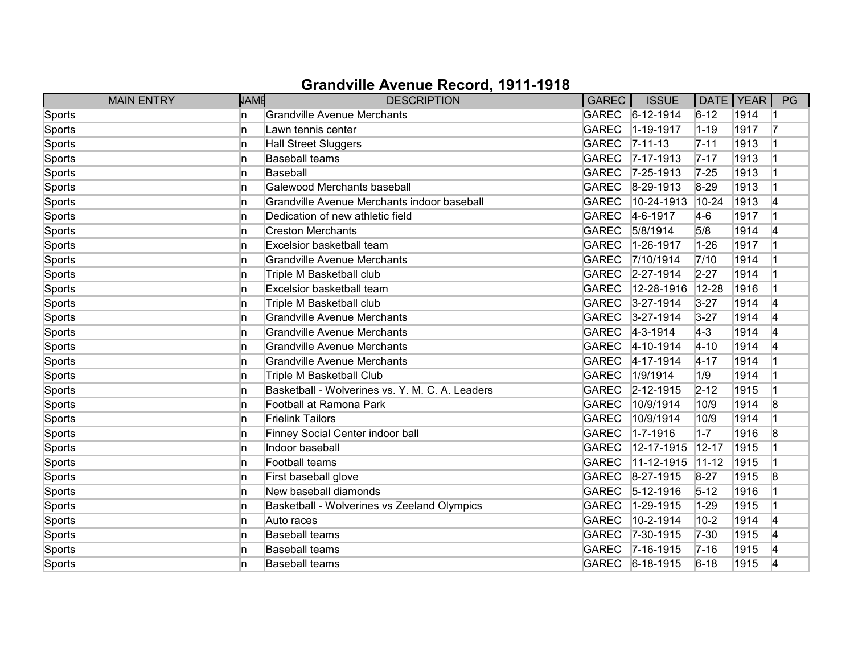| <b>MAIN ENTRY</b> | <b>NAME</b> | <b>DESCRIPTION</b>                              | GAREC        | <b>ISSUE</b>      | DATE   YEAR |      | PG |
|-------------------|-------------|-------------------------------------------------|--------------|-------------------|-------------|------|----|
| Sports            | In.         | <b>Grandville Avenue Merchants</b>              |              | GAREC 6-12-1914   | $6 - 12$    | 1914 |    |
| Sports            | In.         | Lawn tennis center                              | <b>GAREC</b> | $1 - 19 - 1917$   | $1 - 19$    | 1917 | 17 |
| Sports            | 'n          | <b>Hall Street Sluggers</b>                     | <b>GAREC</b> | $ 7 - 11 - 13 $   | $7 - 11$    | 1913 |    |
| Sports            | In.         | <b>Baseball teams</b>                           | <b>GAREC</b> | $ 7 - 17 - 1913 $ | $7 - 17$    | 1913 |    |
| Sports            | In.         | Baseball                                        | <b>GAREC</b> | $7 - 25 - 1913$   | $7 - 25$    | 1913 |    |
| Sports            | n.          | Galewood Merchants baseball                     | <b>GAREC</b> | $ 8-29-1913 $     | $8 - 29$    | 1913 |    |
| Sports            | 'n          | Grandville Avenue Merchants indoor baseball     | <b>GAREC</b> | 10-24-1913        | $10 - 24$   | 1913 |    |
| Sports            | In.         | Dedication of new athletic field                | GAREC        | $4-6-1917$        | $4-6$       | 1917 |    |
| Sports            | 'n          | <b>Creston Merchants</b>                        | <b>GAREC</b> | 5/8/1914          | 5/8         | 1914 | 4  |
| Sports            | 'n          | Excelsior basketball team                       | <b>GAREC</b> | 1-26-1917         | $1 - 26$    | 1917 |    |
| Sports            | n           | <b>Grandville Avenue Merchants</b>              | <b>GAREC</b> | 7/10/1914         | 7/10        | 1914 |    |
| Sports            | n           | Triple M Basketball club                        | <b>GAREC</b> | 2-27-1914         | $2 - 27$    | 1914 |    |
| Sports            | 'n          | Excelsior basketball team                       | <b>GAREC</b> | 12-28-1916        | 12-28       | 1916 |    |
| Sports            | 'n          | Triple M Basketball club                        | <b>GAREC</b> | $3 - 27 - 1914$   | $3 - 27$    | 1914 | 4  |
| Sports            | n           | <b>Grandville Avenue Merchants</b>              | GAREC        | $3 - 27 - 1914$   | $3 - 27$    | 1914 | 4  |
| Sports            | n.          | Grandville Avenue Merchants                     |              | GAREC 4-3-1914    | $ 4-3 $     | 1914 | 14 |
| Sports            | 'n          | <b>Grandville Avenue Merchants</b>              | <b>GAREC</b> | $4 - 10 - 1914$   | $4 - 10$    | 1914 | 14 |
| Sports            | 'n          | <b>Grandville Avenue Merchants</b>              | <b>GAREC</b> | 4-17-1914         | $4 - 17$    | 1914 |    |
| Sports            | n           | <b>Triple M Basketball Club</b>                 | <b>GAREC</b> | 1/9/1914          | 1/9         | 1914 |    |
| Sports            | ln.         | Basketball - Wolverines vs. Y. M. C. A. Leaders | <b>GAREC</b> | 2-12-1915         | $2 - 12$    | 1915 |    |
| Sports            | ln.         | Football at Ramona Park                         | <b>GAREC</b> | 10/9/1914         | 10/9        | 1914 | 8  |
| Sports            | In.         | <b>Frielink Tailors</b>                         | <b>GAREC</b> | 10/9/1914         | 10/9        | 1914 |    |
| Sports            | In.         | Finney Social Center indoor ball                | <b>GAREC</b> | 1-7-1916          | $1 - 7$     | 1916 | 8  |
| Sports            | ln.         | Indoor baseball                                 | <b>GAREC</b> | 12-17-1915        | 12-17       | 1915 |    |
| Sports            | ln.         | Football teams                                  | <b>GAREC</b> | 11-12-1915        | $11-12$     | 1915 |    |
| Sports            | 'n          | First baseball glove                            | <b>GAREC</b> | $8-27-1915$       | $8 - 27$    | 1915 | 8  |
| Sports            | ln.         | New baseball diamonds                           | <b>GAREC</b> | $5 - 12 - 1916$   | $5 - 12$    | 1916 |    |
| Sports            | ln.         | Basketball - Wolverines vs Zeeland Olympics     | <b>GAREC</b> | 1-29-1915         | $1 - 29$    | 1915 |    |
| Sports            | ln.         | Auto races                                      | <b>GAREC</b> | 10-2-1914         | $10 - 2$    | 1914 | 4  |
| Sports            | 'n          | <b>Baseball teams</b>                           | GAREC        | $ 7-30-1915$      | $7 - 30$    | 1915 | 4  |
| Sports            | n.          | <b>Baseball teams</b>                           | <b>GAREC</b> | $ 7 - 16 - 1915$  | $7 - 16$    | 1915 | 14 |
| Sports            | n           | <b>Baseball teams</b>                           |              | GAREC 6-18-1915   | $6 - 18$    | 1915 | 4  |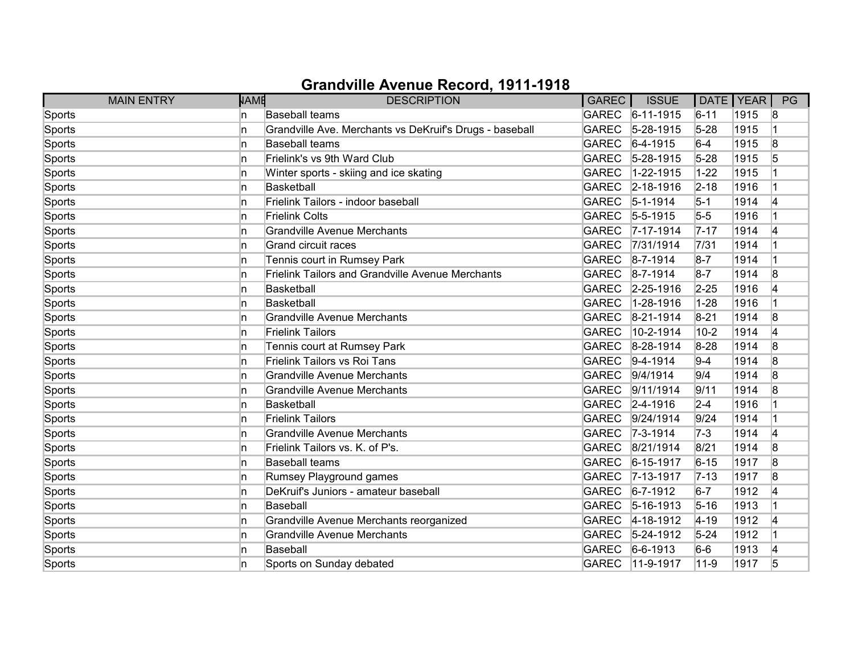| <b>MAIN ENTRY</b> | NAME | <b>DESCRIPTION</b>                                      | GAREC        | <b>ISSUE</b>      | DATE   YEAR |      | PG |
|-------------------|------|---------------------------------------------------------|--------------|-------------------|-------------|------|----|
| Sports            | In.  | <b>Baseball teams</b>                                   |              | GAREC 6-11-1915   | $6 - 11$    | 1915 | 8  |
| Sports            | In   | Grandville Ave. Merchants vs DeKruif's Drugs - baseball | <b>GAREC</b> | $5-28-1915$       | $5 - 28$    | 1915 |    |
| Sports            | ln.  | <b>Baseball teams</b>                                   | GAREC        | $6-4-1915$        | $6-4$       | 1915 | 8  |
| Sports            | ln.  | Frielink's vs 9th Ward Club                             | GAREC        | $5 - 28 - 1915$   | $5 - 28$    | 1915 | 5  |
| Sports            | ln.  | Winter sports - skiing and ice skating                  | <b>GAREC</b> | $1 - 22 - 1915$   | $1 - 22$    | 1915 |    |
| Sports            | ln.  | <b>Basketball</b>                                       | <b>GAREC</b> | $2 - 18 - 1916$   | $2 - 18$    | 1916 |    |
| Sports            | ln.  | Frielink Tailors - indoor baseball                      |              | GAREC 5-1-1914    | $5-1$       | 1914 | 14 |
| Sports            | ln.  | <b>Frielink Colts</b>                                   |              | GAREC 5-5-1915    | $5-5$       | 1916 |    |
| Sports            | In   | <b>Grandville Avenue Merchants</b>                      |              | GAREC 7-17-1914   | $7 - 17$    | 1914 | 4  |
| Sports            | In.  | <b>Grand circuit races</b>                              | <b>GAREC</b> | 7/31/1914         | 7/31        | 1914 |    |
| Sports            | In   | Tennis court in Rumsey Park                             | <b>GAREC</b> | $8 - 7 - 1914$    | $8-7$       | 1914 |    |
| Sports            | ln.  | <b>Frielink Tailors and Grandville Avenue Merchants</b> |              | GAREC 8-7-1914    | $8-7$       | 1914 | 8  |
| Sports            | ln.  | Basketball                                              | <b>GAREC</b> | $2 - 25 - 1916$   | $2 - 25$    | 1916 | 4  |
| Sports            | ln.  | <b>Basketball</b>                                       | <b>GAREC</b> | $1 - 28 - 1916$   | $ 1 - 28$   | 1916 |    |
| Sports            | ln.  | <b>Grandville Avenue Merchants</b>                      | GAREC        | $8-21-1914$       | $8 - 21$    | 1914 | 8  |
| Sports            | In.  | <b>Frielink Tailors</b>                                 | <b>GAREC</b> | 10-2-1914         | $10 - 2$    | 1914 | 4  |
| Sports            | ln.  | Tennis court at Rumsey Park                             | <b>GAREC</b> | 8-28-1914         | 8-28        | 1914 | 8  |
| Sports            | ln.  | <b>Frielink Tailors vs Roi Tans</b>                     | <b>GAREC</b> | $ 9-4-1914$       | $9-4$       | 1914 | 8  |
| Sports            | ln.  | <b>Grandville Avenue Merchants</b>                      | <b>GAREC</b> | 9/4/1914          | 9/4         | 1914 | 8  |
| Sports            | ln.  | <b>Grandville Avenue Merchants</b>                      | <b>GAREC</b> | 9/11/1914         | 9/11        | 1914 | 8  |
| Sports            | n    | <b>Basketball</b>                                       | GAREC        | $ 2 - 4 - 1916$   | $2 - 4$     | 1916 |    |
| Sports            | ln.  | <b>Frielink Tailors</b>                                 | GAREC        | 9/24/1914         | 9/24        | 1914 |    |
| Sports            | ln.  | <b>Grandville Avenue Merchants</b>                      |              | GAREC 7-3-1914    | $ 7-3 $     | 1914 | 4  |
| Sports            | ln.  | Frielink Tailors vs. K. of P's.                         | <b>GAREC</b> | 8/21/1914         | 8/21        | 1914 | 8  |
| Sports            | ln.  | <b>Baseball teams</b>                                   | <b>GAREC</b> | $6 - 15 - 1917$   | $6 - 15$    | 1917 | 8  |
| Sports            | ln.  | Rumsey Playground games                                 | GAREC        | $ 7 - 13 - 1917$  | $ 7-13 $    | 1917 | 8  |
| Sports            | In.  | DeKruif's Juniors - amateur baseball                    | <b>GAREC</b> | $6 - 7 - 1912$    | $6-7$       | 1912 | 14 |
| Sports            | ln.  | Baseball                                                | GAREC        | $ 5 - 16 - 1913 $ | $5 - 16$    | 1913 |    |
| Sports            | ln.  | Grandville Avenue Merchants reorganized                 | <b>GAREC</b> | 4-18-1912         | $ 4 - 19$   | 1912 | 4  |
| Sports            | In.  | <b>Grandville Avenue Merchants</b>                      | GAREC        | $5 - 24 - 1912$   | $5 - 24$    | 1912 |    |
| Sports            | ln.  | <b>Baseball</b>                                         | GAREC        | $ 6-6-1913$       | $6-6$       | 1913 | 4  |
| Sports            | 'n   | Sports on Sunday debated                                | GAREC        | $11-9-1917$       | $ 11 - 9$   | 1917 | 5  |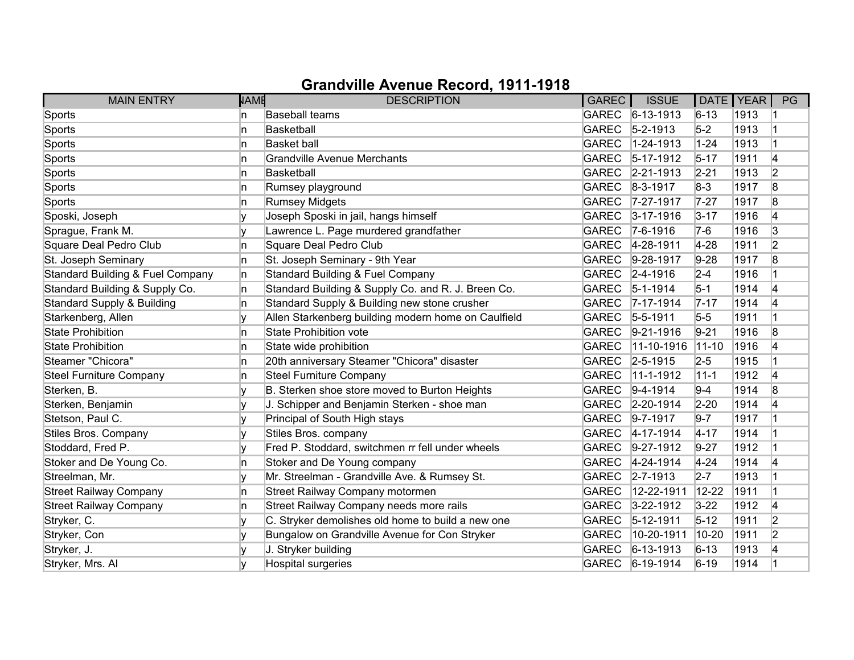| <b>MAIN ENTRY</b>                           | <b>NAME</b> | <b>DESCRIPTION</b>                                  | GAREC        | <b>ISSUE</b>      | DATE   YEAR |      | PG             |
|---------------------------------------------|-------------|-----------------------------------------------------|--------------|-------------------|-------------|------|----------------|
| Sports                                      | n           | <b>Baseball teams</b>                               |              | GAREC 6-13-1913   | $6 - 13$    | 1913 |                |
| Sports                                      | n           | <b>Basketball</b>                                   | <b>GAREC</b> | $5 - 2 - 1913$    | $5-2$       | 1913 |                |
| Sports                                      | n           | <b>Basket ball</b>                                  | <b>GAREC</b> | 1-24-1913         | $1 - 24$    | 1913 |                |
| Sports                                      | n           | <b>Grandville Avenue Merchants</b>                  | <b>GAREC</b> | $ 5 - 17 - 1912 $ | $5 - 17$    | 1911 | 4              |
| Sports                                      | n           | <b>Basketball</b>                                   | <b>GAREC</b> | $ 2 - 21 - 1913$  | $2 - 21$    | 1913 | $\overline{2}$ |
| Sports                                      | In.         | Rumsey playground                                   | <b>GAREC</b> | $ 8-3-1917$       | $8-3$       | 1917 | 8              |
| Sports                                      | n           | <b>Rumsey Midgets</b>                               |              | GAREC 7-27-1917   | $7 - 27$    | 1917 | 8              |
| Sposki, Joseph                              | v           | Joseph Sposki in jail, hangs himself                |              | GAREC 3-17-1916   | $3 - 17$    | 1916 | 4              |
| Sprague, Frank M.                           |             | Lawrence L. Page murdered grandfather               |              | GAREC 7-6-1916    | 7-6         | 1916 | 3              |
| Square Deal Pedro Club                      | n.          | Square Deal Pedro Club                              | <b>GAREC</b> | $4 - 28 - 1911$   | $4-28$      | 1911 | 2              |
| St. Joseph Seminary                         | n           | St. Joseph Seminary - 9th Year                      | <b>GAREC</b> | $9 - 28 - 1917$   | $9-28$      | 1917 | 8              |
| <b>Standard Building &amp; Fuel Company</b> | n           | Standard Building & Fuel Company                    |              | GAREC 2-4-1916    | $2 - 4$     | 1916 |                |
| Standard Building & Supply Co.              | n.          | Standard Building & Supply Co. and R. J. Breen Co.  | <b>GAREC</b> | $ 5 - 1 - 1914 $  | $5-1$       | 1914 | 4              |
| <b>Standard Supply &amp; Building</b>       | n.          | Standard Supply & Building new stone crusher        | <b>GAREC</b> | $7 - 17 - 1914$   | $7 - 17$    | 1914 | 4              |
| Starkenberg, Allen                          |             | Allen Starkenberg building modern home on Caulfield |              | GAREC 5-5-1911    | $5-5$       | 1911 |                |
| <b>State Prohibition</b>                    | n           | State Prohibition vote                              | <b>GAREC</b> | $9-21-1916$       | $9 - 21$    | 1916 | 8              |
| <b>State Prohibition</b>                    | n           | State wide prohibition                              | <b>GAREC</b> | 11-10-1916        | $ 11 - 10$  | 1916 | 4              |
| Steamer "Chicora"                           | n           | 20th anniversary Steamer "Chicora" disaster         | <b>GAREC</b> | $ 2 - 5 - 1915 $  | $2-5$       | 1915 |                |
| <b>Steel Furniture Company</b>              | n           | <b>Steel Furniture Company</b>                      | <b>GAREC</b> | 11-1-1912         | $11 - 1$    | 1912 | 4              |
| Sterken, B.                                 |             | B. Sterken shoe store moved to Burton Heights       | <b>GAREC</b> | $9-4-1914$        | $9 - 4$     | 1914 | 8              |
| Sterken, Benjamin                           | v           | J. Schipper and Benjamin Sterken - shoe man         | <b>GAREC</b> | $2 - 20 - 1914$   | $2-20$      | 1914 | 4              |
| Stetson, Paul C.                            |             | Principal of South High stays                       | <b>GAREC</b> | $ 9 - 7 - 1917$   | $9 - 7$     | 1917 |                |
| Stiles Bros. Company                        |             | Stiles Bros. company                                | <b>GAREC</b> | $ 4 - 17 - 1914 $ | $4 - 17$    | 1914 |                |
| Stoddard, Fred P.                           |             | Fred P. Stoddard, switchmen rr fell under wheels    | <b>GAREC</b> | $9 - 27 - 1912$   | $9 - 27$    | 1912 |                |
| Stoker and De Young Co.                     | n           | Stoker and De Young company                         | <b>GAREC</b> | 4-24-1914         | $4 - 24$    | 1914 | 14             |
| Streelman, Mr.                              |             | Mr. Streelman - Grandville Ave. & Rumsey St.        | <b>GAREC</b> | $2 - 7 - 1913$    | $2 - 7$     | 1913 |                |
| <b>Street Railway Company</b>               | n           | Street Railway Company motormen                     | <b>GAREC</b> | 12-22-1911        | 12-22       | 1911 |                |
| <b>Street Railway Company</b>               | n           | Street Railway Company needs more rails             | <b>GAREC</b> | $3 - 22 - 1912$   | $3 - 22$    | 1912 | 4              |
| Stryker, C.                                 | v           | C. Stryker demolishes old home to build a new one   | <b>GAREC</b> | $ 5 - 12 - 1911 $ | $5 - 12$    | 1911 | $\overline{2}$ |
| Stryker, Con                                |             | Bungalow on Grandville Avenue for Con Stryker       | <b>GAREC</b> | 10-20-1911        | 10-20       | 1911 | $\overline{2}$ |
| Stryker, J.                                 |             | J. Stryker building                                 | <b>GAREC</b> | $ 6 - 13 - 1913 $ | $6 - 13$    | 1913 | 4              |
| Stryker, Mrs. Al                            |             | Hospital surgeries                                  |              | GAREC 6-19-1914   | $6 - 19$    | 1914 |                |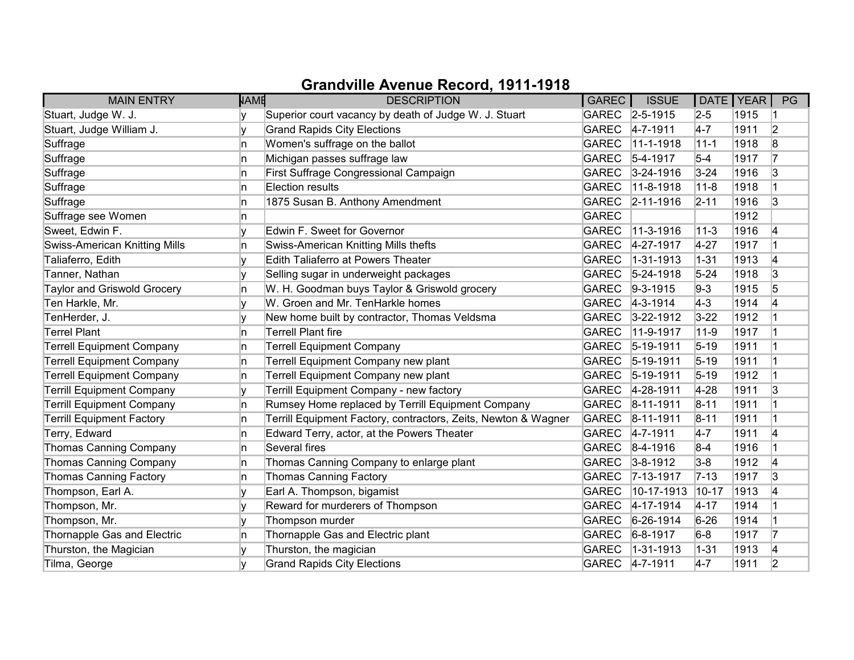| <b>MAIN ENTRY</b>                    | <b>NAME</b> | <b>DESCRIPTION</b>                                             | GAREC        | <b>ISSUE</b>      | DATE   YEAR |      | PG |
|--------------------------------------|-------------|----------------------------------------------------------------|--------------|-------------------|-------------|------|----|
| Stuart, Judge W. J.                  |             | Superior court vacancy by death of Judge W. J. Stuart          |              | GAREC 2-5-1915    | $2-5$       | 1915 |    |
| Stuart, Judge William J.             |             | <b>Grand Rapids City Elections</b>                             | <b>GAREC</b> | $4 - 7 - 1911$    | $4 - 7$     | 1911 | 2  |
| Suffrage                             | n           | Women's suffrage on the ballot                                 | <b>GAREC</b> | 11-1-1918         | $11 - 1$    | 1918 | 8  |
| Suffrage                             | n           | Michigan passes suffrage law                                   | <b>GAREC</b> | $ 5 - 4 - 1917$   | $5-4$       | 1917 | 17 |
| Suffrage                             | In.         | First Suffrage Congressional Campaign                          | <b>GAREC</b> | $3 - 24 - 1916$   | $3 - 24$    | 1916 | 3  |
| Suffrage                             | n           | Election results                                               | <b>GAREC</b> | $11-8-1918$       | $11 - 8$    | 1918 |    |
| Suffrage                             | n           | 1875 Susan B. Anthony Amendment                                | <b>GAREC</b> | $ 2 - 11 - 1916 $ | $2 - 11$    | 1916 | 3  |
| Suffrage see Women                   | n           |                                                                | <b>GAREC</b> |                   |             | 1912 |    |
| Sweet, Edwin F.                      |             | Edwin F. Sweet for Governor                                    | <b>GAREC</b> | 11-3-1916         | $11 - 3$    | 1916 | 4  |
| <b>Swiss-American Knitting Mills</b> | n           | Swiss-American Knitting Mills thefts                           | <b>GAREC</b> | 4-27-1917         | $4 - 27$    | 1917 |    |
| Taliaferro, Edith                    |             | Edith Taliaferro at Powers Theater                             | <b>GAREC</b> | 1-31-1913         | $1 - 31$    | 1913 | 4  |
| Tanner, Nathan                       |             | Selling sugar in underweight packages                          | <b>GAREC</b> | $5 - 24 - 1918$   | $5 - 24$    | 1918 | 3  |
| <b>Taylor and Griswold Grocery</b>   | In.         | W. H. Goodman buys Taylor & Griswold grocery                   | <b>GAREC</b> | $9-3-1915$        | $9-3$       | 1915 | 5  |
| Ten Harkle, Mr.                      |             | W. Groen and Mr. TenHarkle homes                               |              | GAREC 4-3-1914    | $ 4-3 $     | 1914 | 14 |
| TenHerder, J.                        |             | New home built by contractor, Thomas Veldsma                   | <b>GAREC</b> | $3 - 22 - 1912$   | $3 - 22$    | 1912 |    |
| <b>Terrel Plant</b>                  | n           | <b>Terrell Plant fire</b>                                      | <b>GAREC</b> | $11-9-1917$       | $11 - 9$    | 1917 |    |
| <b>Terrell Equipment Company</b>     | n           | <b>Terrell Equipment Company</b>                               | <b>GAREC</b> | $ 5 - 19 - 1911$  | $5 - 19$    | 1911 |    |
| <b>Terrell Equipment Company</b>     | n           | Terrell Equipment Company new plant                            | <b>GAREC</b> | $5-19-1911$       | $5 - 19$    | 1911 |    |
| <b>Terrell Equipment Company</b>     | n           | Terrell Equipment Company new plant                            | <b>GAREC</b> | $ 5 - 19 - 1911$  | $5 - 19$    | 1912 |    |
| <b>Terrill Equipment Company</b>     |             | Terrill Equipment Company - new factory                        | <b>GAREC</b> | 4-28-1911         | $4 - 28$    | 1911 | 3  |
| <b>Terrill Equipment Company</b>     | n.          | Rumsey Home replaced by Terrill Equipment Company              | <b>GAREC</b> | $ 8 - 11 - 1911$  | $8 - 11$    | 1911 |    |
| <b>Terrill Equipment Factory</b>     | n           | Terrill Equipment Factory, contractors, Zeits, Newton & Wagner | GAREC        | $ 8 - 11 - 1911$  | $8 - 11$    | 1911 |    |
| Terry, Edward                        | n           | Edward Terry, actor, at the Powers Theater                     |              | GAREC 4-7-1911    | $4-7$       | 1911 | 4  |
| Thomas Canning Company               | In.         | Several fires                                                  |              | GAREC 8-4-1916    | $8-4$       | 1916 | 1  |
| Thomas Canning Company               | n           | Thomas Canning Company to enlarge plant                        | <b>GAREC</b> | $3 - 8 - 1912$    | $3-8$       | 1912 | 4  |
| <b>Thomas Canning Factory</b>        | n           | <b>Thomas Canning Factory</b>                                  |              | GAREC 7-13-1917   | $7 - 13$    | 1917 | 3  |
| Thompson, Earl A.                    | V           | Earl A. Thompson, bigamist                                     | <b>GAREC</b> | 10-17-1913        | $10 - 17$   | 1913 | 4  |
| Thompson, Mr.                        |             | Reward for murderers of Thompson                               | <b>GAREC</b> | $4 - 17 - 1914$   | $4 - 17$    | 1914 |    |
| Thompson, Mr.                        | v           | Thompson murder                                                | <b>GAREC</b> | $6 - 26 - 1914$   | $6 - 26$    | 1914 |    |
| Thornapple Gas and Electric          | In.         | Thornapple Gas and Electric plant                              | <b>GAREC</b> | $6 - 8 - 1917$    | $6-8$       | 1917 | 17 |
| Thurston, the Magician               |             | Thurston, the magician                                         | <b>GAREC</b> | $1 - 31 - 1913$   | $ 1 - 31$   | 1913 | 4  |
| Tilma, George                        |             | <b>Grand Rapids City Elections</b>                             |              | GAREC 4-7-1911    | $4-7$       | 1911 | 2  |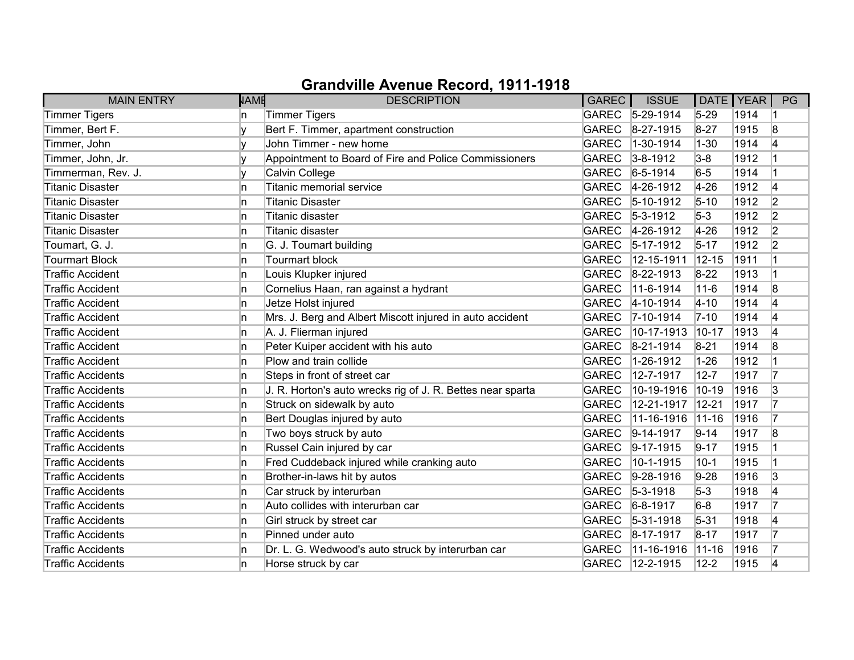| <b>MAIN ENTRY</b>        | <b>NAME</b> | <b>DESCRIPTION</b>                                         | GAREC        | <b>ISSUE</b>      | DATE   YEAR |      | PG |
|--------------------------|-------------|------------------------------------------------------------|--------------|-------------------|-------------|------|----|
| Timmer Tigers            | n           | <b>Timmer Tigers</b>                                       |              | GAREC 5-29-1914   | $5 - 29$    | 1914 |    |
| Timmer, Bert F.          | v           | Bert F. Timmer, apartment construction                     | <b>GAREC</b> | 8-27-1915         | $8 - 27$    | 1915 | 8  |
| Timmer, John             |             | John Timmer - new home                                     | <b>GAREC</b> | 1-30-1914         | $1 - 30$    | 1914 | 14 |
| Timmer, John, Jr.        | v           | Appointment to Board of Fire and Police Commissioners      | <b>GAREC</b> | $ 3 - 8 - 1912 $  | $3 - 8$     | 1912 |    |
| Timmerman, Rev. J.       | v           | Calvin College                                             | <b>GAREC</b> | $6 - 5 - 1914$    | $6-5$       | 1914 |    |
| <b>Titanic Disaster</b>  | ln.         | Titanic memorial service                                   | <b>GAREC</b> | 4-26-1912         | $4 - 26$    | 1912 | 14 |
| <b>Titanic Disaster</b>  | In.         | Titanic Disaster                                           | <b>GAREC</b> | $5-10-1912$       | $5 - 10$    | 1912 | 2  |
| <b>Titanic Disaster</b>  | In.         | <b>Titanic disaster</b>                                    | <b>GAREC</b> | $5 - 3 - 1912$    | $5-3$       | 1912 | 2  |
| <b>Titanic Disaster</b>  | In.         | Titanic disaster                                           | <b>GAREC</b> | $4-26-1912$       | $4 - 26$    | 1912 | 2  |
| Toumart, G. J.           | In.         | G. J. Toumart building                                     | <b>GAREC</b> | $5-17-1912$       | $5 - 17$    | 1912 | 2  |
| <b>Tourmart Block</b>    | In.         | <b>Tourmart block</b>                                      | <b>GAREC</b> | 12-15-1911        | $12 - 15$   | 1911 |    |
| <b>Traffic Accident</b>  | In.         | Louis Klupker injured                                      | <b>GAREC</b> | 8-22-1913         | $8-22$      | 1913 |    |
| <b>Traffic Accident</b>  | In.         | Cornelius Haan, ran against a hydrant                      | <b>GAREC</b> | 11-6-1914         | $11 - 6$    | 1914 | 8  |
| <b>Traffic Accident</b>  | In.         | Jetze Holst injured                                        | <b>GAREC</b> | $4 - 10 - 1914$   | $4 - 10$    | 1914 | 14 |
| <b>Traffic Accident</b>  | In.         | Mrs. J. Berg and Albert Miscott injured in auto accident   | <b>GAREC</b> | $7 - 10 - 1914$   | $7 - 10$    | 1914 | 4  |
| <b>Traffic Accident</b>  | In.         | A. J. Flierman injured                                     | <b>GAREC</b> | 10-17-1913        | $10 - 17$   | 1913 | 4  |
| <b>Traffic Accident</b>  | ln.         | Peter Kuiper accident with his auto                        | <b>GAREC</b> | 8-21-1914         | $8 - 21$    | 1914 | 8  |
| <b>Traffic Accident</b>  | In.         | Plow and train collide                                     | <b>GAREC</b> | 1-26-1912         | $1 - 26$    | 1912 |    |
| <b>Traffic Accidents</b> | ln.         | Steps in front of street car                               | <b>GAREC</b> | 12-7-1917         | $12 - 7$    | 1917 | 17 |
| <b>Traffic Accidents</b> | ln.         | J. R. Horton's auto wrecks rig of J. R. Bettes near sparta | <b>GAREC</b> | 10-19-1916        | 10-19       | 1916 | 3  |
| <b>Traffic Accidents</b> | ln.         | Struck on sidewalk by auto                                 | <b>GAREC</b> | 12-21-1917        | $12 - 21$   | 1917 | 7  |
| <b>Traffic Accidents</b> | ln.         | Bert Douglas injured by auto                               | <b>GAREC</b> | 11-16-1916        | $ 11 - 16$  | 1916 | 7  |
| <b>Traffic Accidents</b> | In.         | Two boys struck by auto                                    | <b>GAREC</b> | $ 9-14-1917$      | $9 - 14$    | 1917 | 8  |
| <b>Traffic Accidents</b> | In.         | Russel Cain injured by car                                 | <b>GAREC</b> | $9-17-1915$       | $9 - 17$    | 1915 |    |
| <b>Traffic Accidents</b> | ln.         | Fred Cuddeback injured while cranking auto                 | <b>GAREC</b> | 10-1-1915         | $10 - 1$    | 1915 |    |
| <b>Traffic Accidents</b> | ln.         | Brother-in-laws hit by autos                               | <b>GAREC</b> | $9-28-1916$       | $9-28$      | 1916 | 3  |
| <b>Traffic Accidents</b> | In.         | Car struck by interurban                                   | <b>GAREC</b> | $5 - 3 - 1918$    | $5-3$       | 1918 | 14 |
| <b>Traffic Accidents</b> | ln.         | Auto collides with interurban car                          | <b>GAREC</b> | $6 - 8 - 1917$    | $6-8$       | 1917 | 17 |
| <b>Traffic Accidents</b> | In.         | Girl struck by street car                                  | <b>GAREC</b> | $ 5 - 31 - 1918 $ | $5 - 31$    | 1918 | 4  |
| <b>Traffic Accidents</b> | In.         | Pinned under auto                                          | <b>GAREC</b> | $ 8-17-1917$      | $8 - 17$    | 1917 | 17 |
| <b>Traffic Accidents</b> | ln.         | Dr. L. G. Wedwood's auto struck by interurban car          | <b>GAREC</b> | 11-16-1916        | $ 11 - 16$  | 1916 | 17 |
| <b>Traffic Accidents</b> | n           | Horse struck by car                                        | <b>GAREC</b> | 12-2-1915         | $12 - 2$    | 1915 | 4  |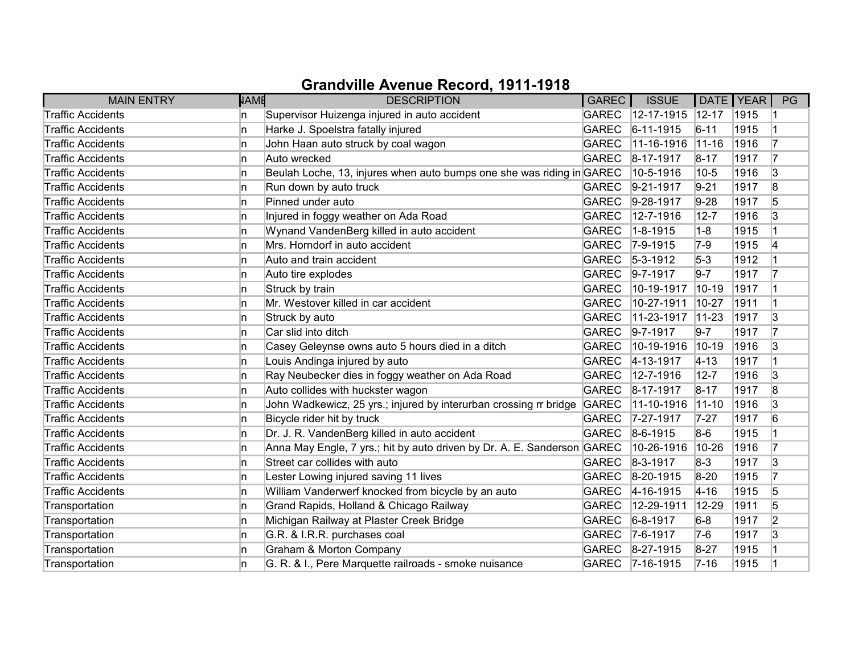| <b>MAIN ENTRY</b>        | <b>NAME</b> | <b>DESCRIPTION</b>                                                      | <b>GAREC</b> | <b>ISSUE</b>      | DATE   YEAR |      | PG              |
|--------------------------|-------------|-------------------------------------------------------------------------|--------------|-------------------|-------------|------|-----------------|
| <b>Traffic Accidents</b> | n           | Supervisor Huizenga injured in auto accident                            | <b>GAREC</b> | $12 - 17 - 1915$  | $ 12 - 17 $ | 1915 |                 |
| <b>Traffic Accidents</b> | ln.         | Harke J. Spoelstra fatally injured                                      | <b>GAREC</b> | $ 6 - 11 - 1915 $ | $6 - 11$    | 1915 |                 |
| <b>Traffic Accidents</b> | ln.         | John Haan auto struck by coal wagon                                     | <b>GAREC</b> | 11-16-1916        | $ 11 - 16$  | 1916 |                 |
| <b>Traffic Accidents</b> | In.         | Auto wrecked                                                            | <b>GAREC</b> | 8-17-1917         | $8 - 17$    | 1917 | 17              |
| <b>Traffic Accidents</b> | ln.         | Beulah Loche, 13, injures when auto bumps one she was riding in GAREC   |              | 10-5-1916         | $10 - 5$    | 1916 | 3               |
| <b>Traffic Accidents</b> | In.         | Run down by auto truck                                                  | <b>GAREC</b> | $9-21-1917$       | $9 - 21$    | 1917 | 8               |
| <b>Traffic Accidents</b> | In.         | Pinned under auto                                                       | <b>GAREC</b> | $9-28-1917$       | $9-28$      | 1917 | 5               |
| <b>Traffic Accidents</b> | In.         | Injured in foggy weather on Ada Road                                    | <b>GAREC</b> | 12-7-1916         | $12 - 7$    | 1916 | 3               |
| <b>Traffic Accidents</b> | ln.         | Wynand VandenBerg killed in auto accident                               | <b>GAREC</b> | 1-8-1915          | $1 - 8$     | 1915 |                 |
| <b>Traffic Accidents</b> | ln.         | Mrs. Horndorf in auto accident                                          | <b>GAREC</b> | $7 - 9 - 1915$    | $7-9$       | 1915 | 4               |
| <b>Traffic Accidents</b> | n           | Auto and train accident                                                 | <b>GAREC</b> | $ 5-3-1912$       | $5-3$       | 1912 |                 |
| Traffic Accidents        | In.         | Auto tire explodes                                                      | <b>GAREC</b> | $9 - 7 - 1917$    | $9 - 7$     | 1917 | 17              |
| <b>Traffic Accidents</b> | ln.         | Struck by train                                                         | <b>GAREC</b> | 10-19-1917        | 10-19       | 1917 |                 |
| <b>Traffic Accidents</b> | ln.         | Mr. Westover killed in car accident                                     | <b>GAREC</b> | 10-27-1911        | $10-27$     | 1911 |                 |
| <b>Traffic Accidents</b> | In.         | Struck by auto                                                          | <b>GAREC</b> | 11-23-1917        | $11-23$     | 1917 | 3               |
| <b>Traffic Accidents</b> | n           | Car slid into ditch                                                     | <b>GAREC</b> | $9 - 7 - 1917$    | $9 - 7$     | 1917 | 17              |
| <b>Traffic Accidents</b> | ln.         | Casey Geleynse owns auto 5 hours died in a ditch                        | <b>GAREC</b> | 10-19-1916        | $ 10 - 19$  | 1916 | 3               |
| <b>Traffic Accidents</b> | ln.         | Louis Andinga injured by auto                                           | <b>GAREC</b> | $4 - 13 - 1917$   | $ 4 - 13 $  | 1917 |                 |
| <b>Traffic Accidents</b> | In.         | Ray Neubecker dies in foggy weather on Ada Road                         | <b>GAREC</b> | 12-7-1916         | $12 - 7$    | 1916 | 3               |
| <b>Traffic Accidents</b> | ln.         | Auto collides with huckster wagon                                       | <b>GAREC</b> | 8-17-1917         | $8 - 17$    | 1917 | 8               |
| <b>Traffic Accidents</b> | ln.         | John Wadkewicz, 25 yrs.; injured by interurban crossing rr bridge       | GAREC        | 11-10-1916        | $ 11 - 10$  | 1916 | 3               |
| <b>Traffic Accidents</b> | ln.         | Bicycle rider hit by truck                                              | <b>GAREC</b> | 7-27-1917         | $7 - 27$    | 1917 | $6\overline{6}$ |
| <b>Traffic Accidents</b> | In.         | Dr. J. R. VandenBerg killed in auto accident                            | <b>GAREC</b> | $ 8-6-1915$       | $8-6$       | 1915 |                 |
| <b>Traffic Accidents</b> | ln.         | Anna May Engle, 7 yrs.; hit by auto driven by Dr. A. E. Sanderson GAREC |              | 10-26-1916        | 10-26       | 1916 | 17              |
| <b>Traffic Accidents</b> | ln.         | Street car collides with auto                                           | <b>GAREC</b> | 8-3-1917          | $8-3$       | 1917 | 3               |
| <b>Traffic Accidents</b> | n           | Lester Lowing injured saving 11 lives                                   | <b>GAREC</b> | 8-20-1915         | $8 - 20$    | 1915 |                 |
| <b>Traffic Accidents</b> | In.         | William Vanderwerf knocked from bicycle by an auto                      | <b>GAREC</b> | $4 - 16 - 1915$   | $4 - 16$    | 1915 | 5               |
| Transportation           | ln.         | Grand Rapids, Holland & Chicago Railway                                 | <b>GAREC</b> | 12-29-1911        | 12-29       | 1911 | 5               |
| Transportation           | ln.         | Michigan Railway at Plaster Creek Bridge                                | <b>GAREC</b> | $6 - 8 - 1917$    | $6-8$       | 1917 | 2               |
| Transportation           | ln.         | G.R. & I.R.R. purchases coal                                            | <b>GAREC</b> | $7-6-1917$        | 7-6         | 1917 | 3               |
| Transportation           | In.         | Graham & Morton Company                                                 | <b>GAREC</b> | $ 8-27-1915 $     | $8 - 27$    | 1915 |                 |
| Transportation           | n           | G. R. & I., Pere Marquette railroads - smoke nuisance                   |              | GAREC 7-16-1915   | $7 - 16$    | 1915 |                 |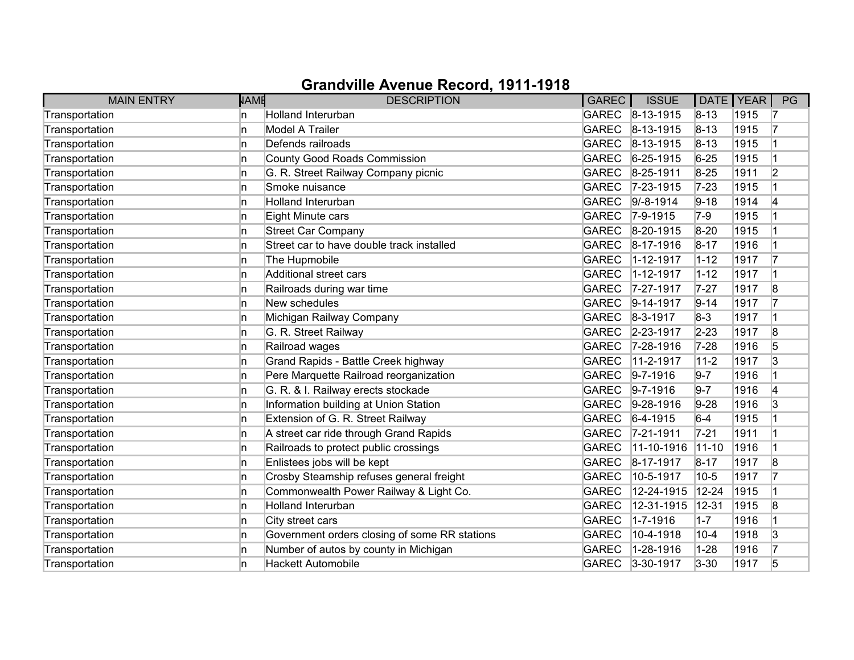| <b>MAIN ENTRY</b> | <b>NAME</b> | <b>DESCRIPTION</b>                            | GAREC        | <b>ISSUE</b>     | DATE   YEAR |      | PG             |
|-------------------|-------------|-----------------------------------------------|--------------|------------------|-------------|------|----------------|
| Transportation    | n           | <b>Holland Interurban</b>                     | <b>GAREC</b> | $ 8-13-1915 $    | $8 - 13$    | 1915 | 17             |
| Transportation    | 'n          | Model A Trailer                               | <b>GAREC</b> | $ 8-13-1915 $    | $8 - 13$    | 1915 | 7              |
| Transportation    | n           | Defends railroads                             | <b>GAREC</b> | 8-13-1915        | $8 - 13$    | 1915 |                |
| Transportation    | n           | County Good Roads Commission                  | <b>GAREC</b> | $6 - 25 - 1915$  | $6 - 25$    | 1915 |                |
| Transportation    | n           | G. R. Street Railway Company picnic           | <b>GAREC</b> | 8-25-1911        | $8 - 25$    | 1911 | $\overline{2}$ |
| Transportation    | In.         | Smoke nuisance                                | <b>GAREC</b> | $ 7-23-1915 $    | $7 - 23$    | 1915 |                |
| Transportation    | In.         | <b>Holland Interurban</b>                     | <b>GAREC</b> | $ 9/-8-1914$     | $9 - 18$    | 1914 | 14             |
| Transportation    | n.          | Eight Minute cars                             | <b>GAREC</b> | $7 - 9 - 1915$   | $7-9$       | 1915 |                |
| Transportation    | 'n          | <b>Street Car Company</b>                     | <b>GAREC</b> | 8-20-1915        | $8 - 20$    | 1915 |                |
| Transportation    | 'n          | Street car to have double track installed     | <b>GAREC</b> | 8-17-1916        | $8 - 17$    | 1916 |                |
| Transportation    | 'n          | The Hupmobile                                 | <b>GAREC</b> | 1-12-1917        | $1 - 12$    | 1917 | 17             |
| Transportation    | In.         | Additional street cars                        | <b>GAREC</b> | 1-12-1917        | $1 - 12$    | 1917 |                |
| Transportation    | In.         | Railroads during war time                     | <b>GAREC</b> | 7-27-1917        | $7 - 27$    | 1917 | 8              |
| Transportation    | 'n          | New schedules                                 | <b>GAREC</b> | $ 9 - 14 - 1917$ | $9 - 14$    | 1917 | 17             |
| Transportation    | 'n          | Michigan Railway Company                      | <b>GAREC</b> | $8 - 3 - 1917$   | $8-3$       | 1917 | 1              |
| Transportation    | In.         | G. R. Street Railway                          | <b>GAREC</b> | 2-23-1917        | $2 - 23$    | 1917 | 8              |
| Transportation    | 'n          | Railroad wages                                | <b>GAREC</b> | 7-28-1916        | $7 - 28$    | 1916 | 5              |
| Transportation    | n           | Grand Rapids - Battle Creek highway           | <b>GAREC</b> | 11-2-1917        | $11 - 2$    | 1917 | $\overline{3}$ |
| Transportation    | n           | Pere Marquette Railroad reorganization        | <b>GAREC</b> | $9 - 7 - 1916$   | $9 - 7$     | 1916 |                |
| Transportation    | n           | G. R. & I. Railway erects stockade            | <b>GAREC</b> | $9 - 7 - 1916$   | $9 - 7$     | 1916 | 4              |
| Transportation    | In.         | Information building at Union Station         | <b>GAREC</b> | $9-28-1916$      | $9-28$      | 1916 | 3              |
| Transportation    | In.         | Extension of G. R. Street Railway             | <b>GAREC</b> | $6-4-1915$       | $6-4$       | 1915 |                |
| Transportation    | n           | A street car ride through Grand Rapids        | <b>GAREC</b> | $ 7 - 21 - 1911$ | $7 - 21$    | 1911 |                |
| Transportation    | n           | Railroads to protect public crossings         | <b>GAREC</b> | 11-10-1916       | $11 - 10$   | 1916 |                |
| Transportation    | 'n          | Enlistees jobs will be kept                   | <b>GAREC</b> | 8-17-1917        | $8 - 17$    | 1917 | 8              |
| Transportation    | n           | Crosby Steamship refuses general freight      | <b>GAREC</b> | 10-5-1917        | $10 - 5$    | 1917 | 7              |
| Transportation    | n.          | Commonwealth Power Railway & Light Co.        | <b>GAREC</b> | 12-24-1915       | $12 - 24$   | 1915 |                |
| Transportation    | In.         | Holland Interurban                            | <b>GAREC</b> | 12-31-1915       | 12-31       | 1915 | 8              |
| Transportation    | n.          | City street cars                              | <b>GAREC</b> | 1-7-1916         | $1 - 7$     | 1916 |                |
| Transportation    | n           | Government orders closing of some RR stations | <b>GAREC</b> | 10-4-1918        | $10 - 4$    | 1918 | 3              |
| Transportation    | In.         | Number of autos by county in Michigan         | <b>GAREC</b> | 1-28-1916        | $1 - 28$    | 1916 | 17             |
| Transportation    | n           | <b>Hackett Automobile</b>                     | <b>GAREC</b> | 3-30-1917        | $3 - 30$    | 1917 | 5              |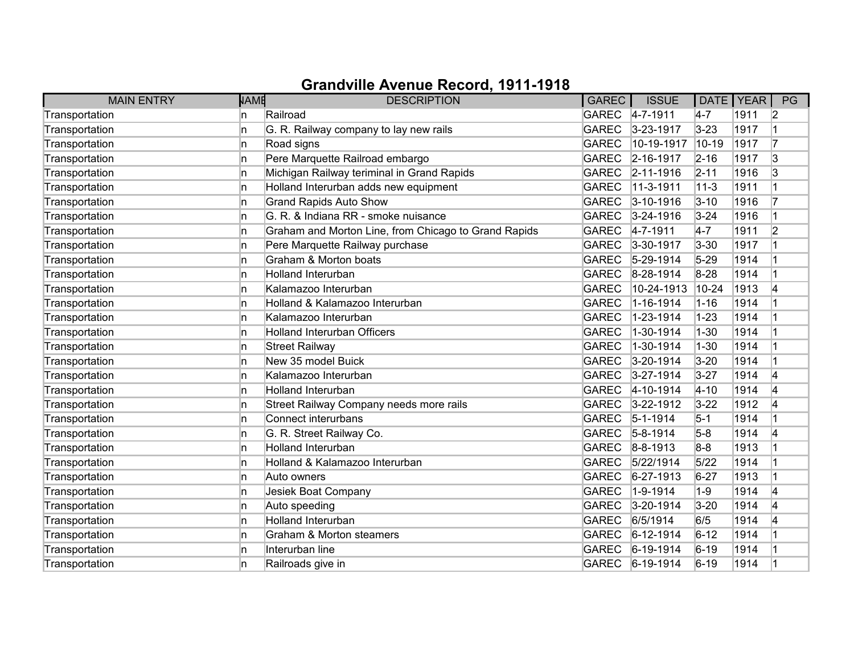| <b>MAIN ENTRY</b> | <b>NAME</b> | <b>DESCRIPTION</b>                                   | <b>GAREC</b> | <b>ISSUE</b>      | DATE   YEAR |      | PG             |
|-------------------|-------------|------------------------------------------------------|--------------|-------------------|-------------|------|----------------|
| Transportation    | n           | Railroad                                             |              | GAREC 4-7-1911    | $4-7$       | 1911 | 2              |
| Transportation    | ln.         | G. R. Railway company to lay new rails               | <b>GAREC</b> | $3 - 23 - 1917$   | $3 - 23$    | 1917 |                |
| Transportation    | ln.         | Road signs                                           | <b>GAREC</b> | 10-19-1917        | $10 - 19$   | 1917 | 7              |
| Transportation    | In.         | Pere Marquette Railroad embargo                      | <b>GAREC</b> | 2-16-1917         | $2 - 16$    | 1917 | 3              |
| Transportation    | ln.         | Michigan Railway teriminal in Grand Rapids           | <b>GAREC</b> | $ 2 - 11 - 1916 $ | $2 - 11$    | 1916 | 3              |
| Transportation    | ln.         | Holland Interurban adds new equipment                | <b>GAREC</b> | 11-3-1911         | $11 - 3$    | 1911 |                |
| Transportation    | In.         | <b>Grand Rapids Auto Show</b>                        | <b>GAREC</b> | $3 - 10 - 1916$   | $3 - 10$    | 1916 |                |
| Transportation    | In.         | G. R. & Indiana RR - smoke nuisance                  | <b>GAREC</b> | $3 - 24 - 1916$   | $3 - 24$    | 1916 |                |
| Transportation    | ln.         | Graham and Morton Line, from Chicago to Grand Rapids | <b>GAREC</b> | $4 - 7 - 1911$    | $4-7$       | 1911 | $\overline{2}$ |
| Transportation    | n           | Pere Marquette Railway purchase                      | <b>GAREC</b> | $3 - 30 - 1917$   | $3 - 30$    | 1917 |                |
| Transportation    | ln.         | Graham & Morton boats                                | <b>GAREC</b> | 5-29-1914         | $5 - 29$    | 1914 |                |
| Transportation    | In.         | <b>Holland Interurban</b>                            | <b>GAREC</b> | 8-28-1914         | $8 - 28$    | 1914 |                |
| Transportation    | ln.         | Kalamazoo Interurban                                 | <b>GAREC</b> | 10-24-1913        | 10-24       | 1913 | 4              |
| Transportation    | In.         | Holland & Kalamazoo Interurban                       | <b>GAREC</b> | 1-16-1914         | $1 - 16$    | 1914 |                |
| Transportation    | In.         | Kalamazoo Interurban                                 | <b>GAREC</b> | 1-23-1914         | $1 - 23$    | 1914 |                |
| Transportation    | In.         | <b>Holland Interurban Officers</b>                   | <b>GAREC</b> | 1-30-1914         | $1 - 30$    | 1914 |                |
| Transportation    | ln.         | <b>Street Railway</b>                                | <b>GAREC</b> | 1-30-1914         | $1 - 30$    | 1914 |                |
| Transportation    | ln.         | New 35 model Buick                                   | <b>GAREC</b> | 3-20-1914         | $3 - 20$    | 1914 |                |
| Transportation    | In.         | Kalamazoo Interurban                                 | <b>GAREC</b> | 3-27-1914         | $3 - 27$    | 1914 | 4              |
| Transportation    | In.         | <b>Holland Interurban</b>                            | <b>GAREC</b> | 4-10-1914         | $4 - 10$    | 1914 | 4              |
| Transportation    | ln.         | Street Railway Company needs more rails              | <b>GAREC</b> | $3 - 22 - 1912$   | $3 - 22$    | 1912 | 14             |
| Transportation    | ln.         | Connect interurbans                                  | <b>GAREC</b> | $5 - 1 - 1914$    | $5 - 1$     | 1914 |                |
| Transportation    | In.         | G. R. Street Railway Co.                             | <b>GAREC</b> | $5 - 8 - 1914$    | $5-8$       | 1914 | 4              |
| Transportation    | In.         | <b>Holland Interurban</b>                            | <b>GAREC</b> | $8 - 8 - 1913$    | $8-8$       | 1913 |                |
| Transportation    | ln.         | Holland & Kalamazoo Interurban                       | <b>GAREC</b> | 5/22/1914         | 5/22        | 1914 |                |
| Transportation    | ln.         | Auto owners                                          | <b>GAREC</b> | 6-27-1913         | $6 - 27$    | 1913 |                |
| Transportation    | In.         | Jesiek Boat Company                                  | <b>GAREC</b> | 1-9-1914          | $1 - 9$     | 1914 | 4              |
| Transportation    | In.         | Auto speeding                                        | <b>GAREC</b> | 3-20-1914         | $3 - 20$    | 1914 | 4              |
| Transportation    | In.         | <b>Holland Interurban</b>                            | <b>GAREC</b> | 6/5/1914          | 6/5         | 1914 | 4              |
| Transportation    | ln.         | Graham & Morton steamers                             | <b>GAREC</b> | $6 - 12 - 1914$   | $6 - 12$    | 1914 |                |
| Transportation    | In.         | Interurban line                                      | <b>GAREC</b> | 6-19-1914         | $6 - 19$    | 1914 |                |
| Transportation    | ln.         | Railroads give in                                    | <b>GAREC</b> | $6-19-1914$       | $6 - 19$    | 1914 |                |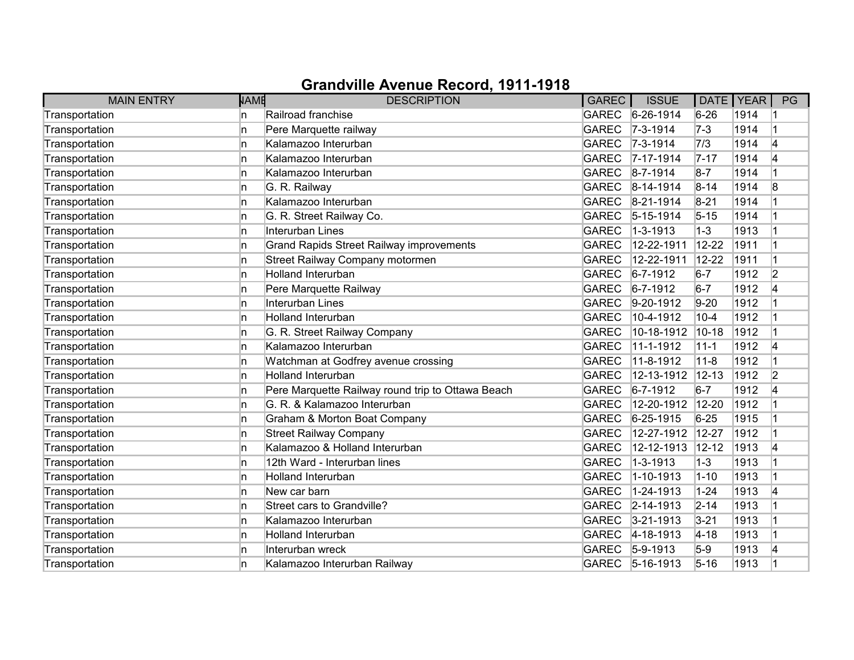| <b>MAIN ENTRY</b> | <b>NAME</b> | <b>DESCRIPTION</b>                                | GAREC        | <b>ISSUE</b>      | DATE   YEAR |      | PG             |
|-------------------|-------------|---------------------------------------------------|--------------|-------------------|-------------|------|----------------|
| Transportation    | n           | Railroad franchise                                | <b>GAREC</b> | $6 - 26 - 1914$   | $6 - 26$    | 1914 |                |
| Transportation    | n           | Pere Marquette railway                            | <b>GAREC</b> | $7 - 3 - 1914$    | $7-3$       | 1914 |                |
| Transportation    | n           | Kalamazoo Interurban                              | <b>GAREC</b> | $7 - 3 - 1914$    | 7/3         | 1914 | 4              |
| Transportation    | n           | Kalamazoo Interurban                              | <b>GAREC</b> | $7 - 17 - 1914$   | $7 - 17$    | 1914 | 4              |
| Transportation    | n           | Kalamazoo Interurban                              | <b>GAREC</b> | $8 - 7 - 1914$    | $8 - 7$     | 1914 |                |
| Transportation    | In.         | G. R. Railway                                     | <b>GAREC</b> | $ 8 - 14 - 1914 $ | $8 - 14$    | 1914 | 8              |
| Transportation    | n           | Kalamazoo Interurban                              | <b>GAREC</b> | 8-21-1914         | $8 - 21$    | 1914 |                |
| Transportation    | In.         | G. R. Street Railway Co.                          | <b>GAREC</b> | $ 5 - 15 - 1914 $ | $5 - 15$    | 1914 |                |
| Transportation    | 'n          | Interurban Lines                                  | <b>GAREC</b> | 1-3-1913          | $1 - 3$     | 1913 |                |
| Transportation    | 'n          | <b>Grand Rapids Street Railway improvements</b>   | <b>GAREC</b> | 12-22-1911        | $12 - 22$   | 1911 |                |
| Transportation    | n           | Street Railway Company motormen                   | <b>GAREC</b> | 12-22-1911        | 12-22       | 1911 | $\overline{1}$ |
| Transportation    | In.         | <b>Holland Interurban</b>                         | <b>GAREC</b> | $6 - 7 - 1912$    | $6 - 7$     | 1912 | $\overline{2}$ |
| Transportation    | In.         | Pere Marquette Railway                            | <b>GAREC</b> | $6 - 7 - 1912$    | $6 - 7$     | 1912 | 4              |
| Transportation    | In.         | Interurban Lines                                  | <b>GAREC</b> | $9-20-1912$       | $9-20$      | 1912 |                |
| Transportation    | In.         | Holland Interurban                                | <b>GAREC</b> | 10-4-1912         | $10 - 4$    | 1912 |                |
| Transportation    | n           | G. R. Street Railway Company                      | <b>GAREC</b> | 10-18-1912        | 10-18       | 1912 |                |
| Transportation    | 'n          | Kalamazoo Interurban                              | <b>GAREC</b> | 11-1-1912         | $11 - 1$    | 1912 | 4              |
| Transportation    | n           | Watchman at Godfrey avenue crossing               | <b>GAREC</b> | 11-8-1912         | $11 - 8$    | 1912 |                |
| Transportation    | In.         | <b>Holland Interurban</b>                         | <b>GAREC</b> | 12-13-1912        | $12 - 13$   | 1912 | $\overline{2}$ |
| Transportation    | n           | Pere Marquette Railway round trip to Ottawa Beach | <b>GAREC</b> | $6 - 7 - 1912$    | $6 - 7$     | 1912 | 4              |
| Transportation    | In.         | G. R. & Kalamazoo Interurban                      | <b>GAREC</b> | 12-20-1912        | 12-20       | 1912 |                |
| Transportation    | n           | Graham & Morton Boat Company                      | <b>GAREC</b> | $6 - 25 - 1915$   | $6 - 25$    | 1915 |                |
| Transportation    | In.         | <b>Street Railway Company</b>                     | <b>GAREC</b> | 12-27-1912        | $12 - 27$   | 1912 |                |
| Transportation    | n           | Kalamazoo & Holland Interurban                    | <b>GAREC</b> | 12-12-1913        | $12 - 12$   | 1913 | 4              |
| Transportation    | 'n          | 12th Ward - Interurban lines                      | <b>GAREC</b> | 1-3-1913          | $1 - 3$     | 1913 |                |
| Transportation    | n           | <b>Holland Interurban</b>                         | <b>GAREC</b> | 1-10-1913         | $1 - 10$    | 1913 |                |
| Transportation    | In.         | New car barn                                      | <b>GAREC</b> | 1-24-1913         | $1 - 24$    | 1913 | 4              |
| Transportation    | 'n          | Street cars to Grandville?                        | <b>GAREC</b> | $ 2 - 14 - 1913$  | $2 - 14$    | 1913 |                |
| Transportation    | In.         | Kalamazoo Interurban                              | <b>GAREC</b> | $3 - 21 - 1913$   | $3 - 21$    | 1913 |                |
| Transportation    | In.         | <b>Holland Interurban</b>                         | <b>GAREC</b> | 4-18-1913         | $4 - 18$    | 1913 |                |
| Transportation    | 'n          | Interurban wreck                                  | <b>GAREC</b> | $5-9-1913$        | $5-9$       | 1913 | 4              |
| Transportation    | n           | Kalamazoo Interurban Railway                      | <b>GAREC</b> | $ 5 - 16 - 1913 $ | $5 - 16$    | 1913 |                |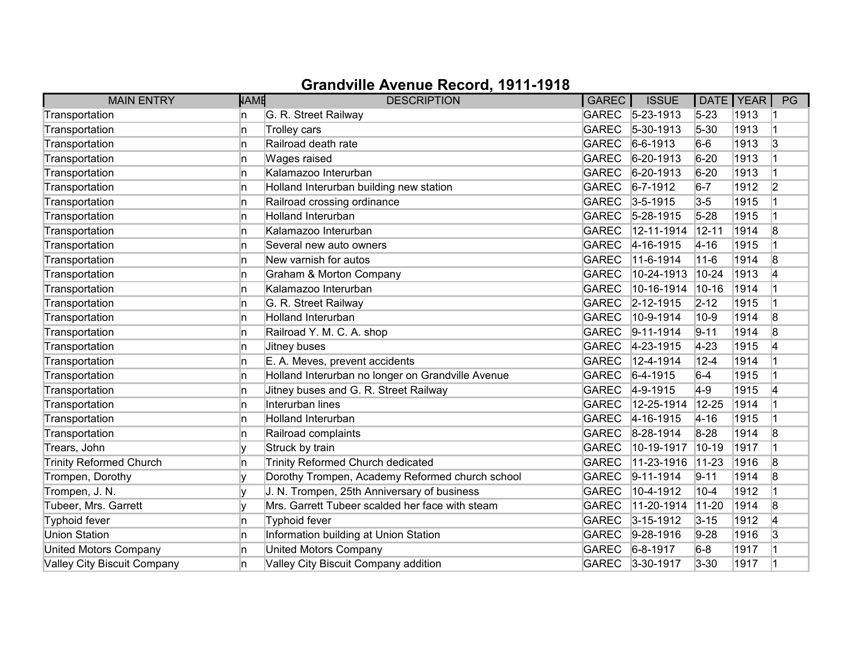| <b>MAIN ENTRY</b>              | <b>NAME</b> | <b>DESCRIPTION</b>                                | <b>GAREC</b> | <b>ISSUE</b>     | DATE   YEAR |      | PG             |
|--------------------------------|-------------|---------------------------------------------------|--------------|------------------|-------------|------|----------------|
| Transportation                 | n           | G. R. Street Railway                              |              | GAREC 5-23-1913  | $5 - 23$    | 1913 |                |
| Transportation                 | n           | Trolley cars                                      | <b>GAREC</b> | $ 5 - 30 - 1913$ | $5 - 30$    | 1913 | 1              |
| Transportation                 | n           | Railroad death rate                               | <b>GAREC</b> | $6-6-1913$       | $6-6$       | 1913 | 3              |
| Transportation                 | n           | Wages raised                                      | <b>GAREC</b> | $ 6-20-1913$     | $6 - 20$    | 1913 |                |
| Transportation                 | n.          | Kalamazoo Interurban                              | <b>GAREC</b> | $ 6-20-1913 $    | $6 - 20$    | 1913 | $\overline{1}$ |
| Transportation                 | In.         | Holland Interurban building new station           | <b>GAREC</b> | $6 - 7 - 1912$   | $6 - 7$     | 1912 | 2              |
| Transportation                 | n.          | Railroad crossing ordinance                       |              | GAREC 3-5-1915   | $3-5$       | 1915 |                |
| Transportation                 | In.         | Holland Interurban                                | <b>GAREC</b> | $5 - 28 - 1915$  | $5 - 28$    | 1915 |                |
| Transportation                 | In.         | Kalamazoo Interurban                              | <b>GAREC</b> | 12-11-1914       | $12 - 11$   | 1914 | 8              |
| Transportation                 | In.         | Several new auto owners                           | <b>GAREC</b> | $4 - 16 - 1915$  | $4 - 16$    | 1915 | $\vert$ 1      |
| Transportation                 | n           | New varnish for autos                             | <b>GAREC</b> | 11-6-1914        | $11 - 6$    | 1914 | 8              |
| Transportation                 | n           | Graham & Morton Company                           | <b>GAREC</b> | 10-24-1913       | $10 - 24$   | 1913 | 4              |
| Transportation                 | In.         | Kalamazoo Interurban                              | <b>GAREC</b> | 10-16-1914       | $10 - 16$   | 1914 | $\overline{1}$ |
| Transportation                 | In.         | G. R. Street Railway                              | <b>GAREC</b> | $2 - 12 - 1915$  | $2 - 12$    | 1915 |                |
| Transportation                 | In.         | Holland Interurban                                | <b>GAREC</b> | 10-9-1914        | $10-9$      | 1914 | 8              |
| Transportation                 | In.         | Railroad Y. M. C. A. shop                         | <b>GAREC</b> | $9-11-1914$      | $9 - 11$    | 1914 | 8              |
| Transportation                 | In.         | Jitney buses                                      | <b>GAREC</b> | 4-23-1915        | $4 - 23$    | 1915 | 4              |
| Transportation                 | n           | E. A. Meves, prevent accidents                    | <b>GAREC</b> | 12-4-1914        | $12 - 4$    | 1914 |                |
| Transportation                 | n           | Holland Interurban no longer on Grandville Avenue | <b>GAREC</b> | $6-4-1915$       | $6-4$       | 1915 | $\overline{1}$ |
| Transportation                 | n           | Jitney buses and G. R. Street Railway             | <b>GAREC</b> | $4-9-1915$       | $4-9$       | 1915 | 4              |
| Transportation                 | In.         | Interurban lines                                  | <b>GAREC</b> | 12-25-1914       | $12 - 25$   | 1914 | $\overline{1}$ |
| Transportation                 | In.         | <b>Holland Interurban</b>                         | <b>GAREC</b> | $4 - 16 - 1915$  | $ 4 - 16 $  | 1915 |                |
| Transportation                 | n           | Railroad complaints                               | <b>GAREC</b> | 8-28-1914        | $8 - 28$    | 1914 | 8              |
| Trears, John                   | v           | Struck by train                                   | <b>GAREC</b> | 10-19-1917       | $10 - 19$   | 1917 | $\overline{1}$ |
| <b>Trinity Reformed Church</b> | n           | Trinity Reformed Church dedicated                 | <b>GAREC</b> | 11-23-1916       | $11 - 23$   | 1916 | 8              |
| Trompen, Dorothy               |             | Dorothy Trompen, Academy Reformed church school   | <b>GAREC</b> | $ 9-11-1914$     | $9 - 11$    | 1914 | 8              |
| Trompen, J. N.                 |             | J. N. Trompen, 25th Anniversary of business       | <b>GAREC</b> | 10-4-1912        | $10 - 4$    | 1912 | $\overline{1}$ |
| Tubeer, Mrs. Garrett           | v           | Mrs. Garrett Tubeer scalded her face with steam   | <b>GAREC</b> | 11-20-1914       | $11 - 20$   | 1914 | 8              |
| Typhoid fever                  | ln.         | Typhoid fever                                     | <b>GAREC</b> | $3 - 15 - 1912$  | $3 - 15$    | 1912 | 4              |
| <b>Union Station</b>           | In.         | Information building at Union Station             | <b>GAREC</b> | $9 - 28 - 1916$  | $9 - 28$    | 1916 | 3              |
| <b>United Motors Company</b>   | In.         | <b>United Motors Company</b>                      | <b>GAREC</b> | $6 - 8 - 1917$   | $6-8$       | 1917 |                |
| Valley City Biscuit Company    | n.          | Valley City Biscuit Company addition              | <b>GAREC</b> | $3 - 30 - 1917$  | $3 - 30$    | 1917 | $\overline{1}$ |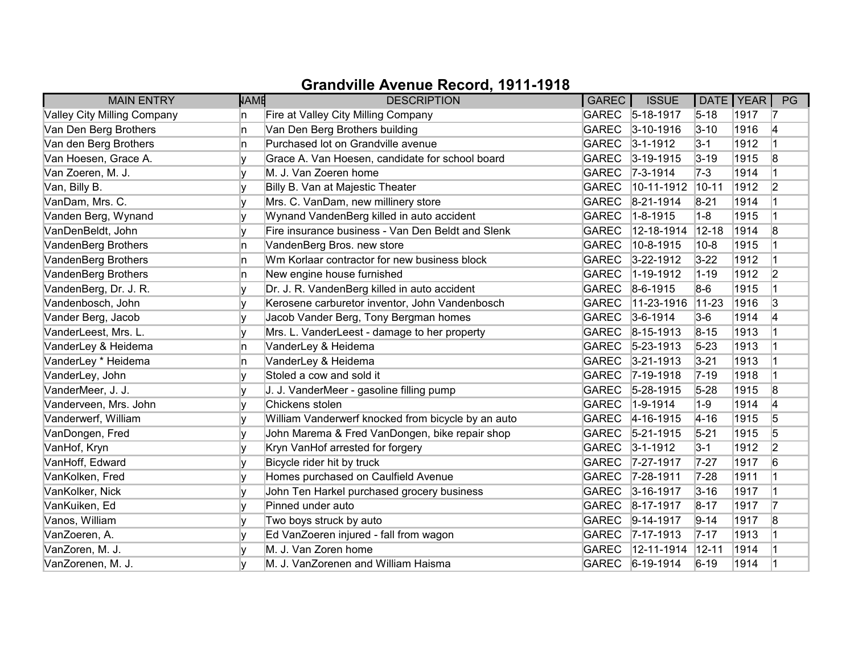| <b>MAIN ENTRY</b>           | <b>NAME</b> | <b>DESCRIPTION</b>                                 | GAREC        | <b>ISSUE</b>       | DATE   YEAR |      | PG             |
|-----------------------------|-------------|----------------------------------------------------|--------------|--------------------|-------------|------|----------------|
| Valley City Milling Company | n           | Fire at Valley City Milling Company                |              | GAREC 5-18-1917    | $5 - 18$    | 1917 | 17             |
| Van Den Berg Brothers       | n.          | Van Den Berg Brothers building                     | <b>GAREC</b> | $3 - 10 - 1916$    | $3 - 10$    | 1916 | 4              |
| Van den Berg Brothers       | In.         | Purchased lot on Grandville avenue                 |              | GAREC 3-1-1912     | $3 - 1$     | 1912 |                |
| Van Hoesen, Grace A.        |             | Grace A. Van Hoesen, candidate for school board    | <b>GAREC</b> | $3 - 19 - 1915$    | $3 - 19$    | 1915 | 8              |
| Van Zoeren, M. J.           |             | M. J. Van Zoeren home                              | <b>GAREC</b> | $ 7-3-1914 $       | $7-3$       | 1914 | 1              |
| Van, Billy B.               |             | Billy B. Van at Majestic Theater                   | <b>GAREC</b> | $10-11-1912$       | $ 10 - 11$  | 1912 | 2              |
| VanDam, Mrs. C.             |             | Mrs. C. VanDam, new millinery store                | <b>GAREC</b> | $8-21-1914$        | $8 - 21$    | 1914 |                |
| Vanden Berg, Wynand         |             | Wynand VandenBerg killed in auto accident          | <b>GAREC</b> | $1 - 8 - 1915$     | $1-8$       | 1915 |                |
| VanDenBeldt, John           |             | Fire insurance business - Van Den Beldt and Slenk  | <b>GAREC</b> | 12-18-1914         | $12 - 18$   | 1914 | 8              |
| VandenBerg Brothers         | n           | VandenBerg Bros. new store                         | <b>GAREC</b> | 10-8-1915          | $10-8$      | 1915 |                |
| VandenBerg Brothers         | n.          | Wm Korlaar contractor for new business block       | <b>GAREC</b> | $3 - 22 - 1912$    | $3 - 22$    | 1912 |                |
| VandenBerg Brothers         | n           | New engine house furnished                         | <b>GAREC</b> | 1-19-1912          | $1 - 19$    | 1912 | 2              |
| VandenBerg, Dr. J. R.       | v           | Dr. J. R. VandenBerg killed in auto accident       | <b>GAREC</b> | $8-6-1915$         | 8-6         | 1915 |                |
| Vandenbosch, John           |             | Kerosene carburetor inventor, John Vandenbosch     | <b>GAREC</b> | $ 11 - 23 - 1916 $ | $ 11 - 23 $ | 1916 | 3              |
| Vander Berg, Jacob          |             | Jacob Vander Berg, Tony Bergman homes              | <b>GAREC</b> | $3-6-1914$         | $3-6$       | 1914 | 14             |
| VanderLeest, Mrs. L.        |             | Mrs. L. VanderLeest - damage to her property       | <b>GAREC</b> | $ 8 - 15 - 1913 $  | $8 - 15$    | 1913 |                |
| VanderLey & Heidema         | n           | VanderLey & Heidema                                | <b>GAREC</b> | $ 5-23-1913 $      | $5 - 23$    | 1913 |                |
| VanderLey * Heidema         | n           | VanderLey & Heidema                                | <b>GAREC</b> | $3 - 21 - 1913$    | $3 - 21$    | 1913 |                |
| VanderLey, John             |             | Stoled a cow and sold it                           | <b>GAREC</b> | $7-19-1918$        | $7 - 19$    | 1918 |                |
| VanderMeer, J. J.           |             | J. J. VanderMeer - gasoline filling pump           | <b>GAREC</b> | $5 - 28 - 1915$    | $5 - 28$    | 1915 | 8              |
| Vanderveen, Mrs. John       | V           | Chickens stolen                                    | <b>GAREC</b> | $1-9-1914$         | $1-9$       | 1914 | 4              |
| Vanderwerf, William         |             | William Vanderwerf knocked from bicycle by an auto |              | GAREC 4-16-1915    | $4 - 16$    | 1915 | 5              |
| VanDongen, Fred             | V           | John Marema & Fred VanDongen, bike repair shop     |              | GAREC 5-21-1915    | $5 - 21$    | 1915 | 5              |
| VanHof, Kryn                |             | Kryn VanHof arrested for forgery                   |              | GAREC 3-1-1912     | $3-1$       | 1912 | $\overline{2}$ |
| VanHoff, Edward             |             | Bicycle rider hit by truck                         | <b>GAREC</b> | $7 - 27 - 1917$    | $7 - 27$    | 1917 | 6              |
| VanKolken, Fred             |             | Homes purchased on Caulfield Avenue                |              | GAREC 7-28-1911    | $7 - 28$    | 1911 |                |
| VanKolker, Nick             | v           | John Ten Harkel purchased grocery business         | <b>GAREC</b> | $3 - 16 - 1917$    | $3 - 16$    | 1917 |                |
| VanKuiken, Ed               |             | Pinned under auto                                  | GAREC        | $8 - 17 - 1917$    | $8 - 17$    | 1917 | 17             |
| Vanos, William              |             | Two boys struck by auto                            | <b>GAREC</b> | $9-14-1917$        | $9 - 14$    | 1917 | 8              |
| VanZoeren, A.               |             | Ed VanZoeren injured - fall from wagon             |              | GAREC 7-17-1913    | $7 - 17$    | 1913 |                |
| VanZoren, M. J.             |             | M. J. Van Zoren home                               | <b>GAREC</b> | 12-11-1914         | $12 - 11$   | 1914 |                |
| VanZorenen, M. J.           |             | M. J. VanZorenen and William Haisma                |              | GAREC 6-19-1914    | $6 - 19$    | 1914 |                |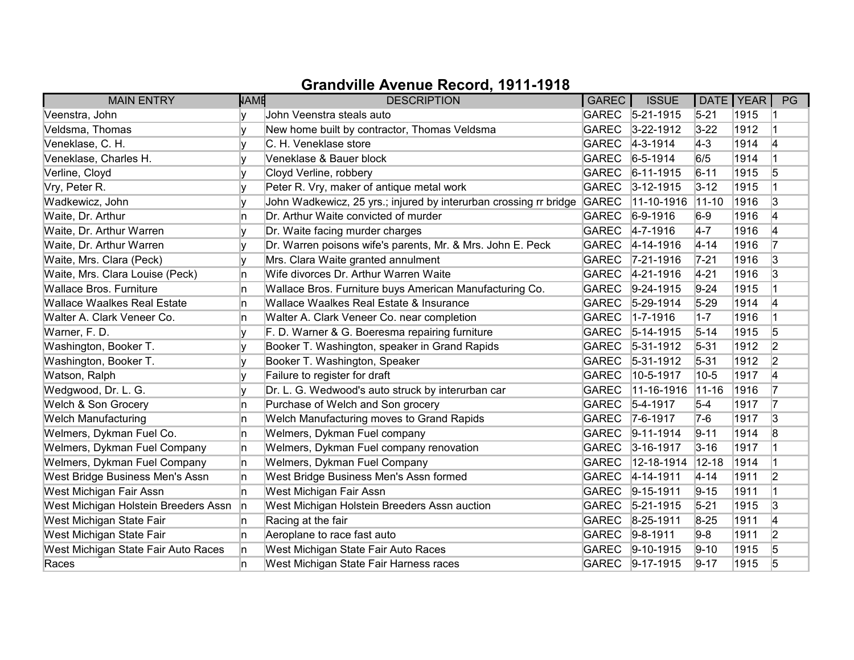| <b>MAIN ENTRY</b>                    | <b>NAME</b> | <b>DESCRIPTION</b>                                                | GAREC        | <b>ISSUE</b>      | DATE   YEAR |      | PG             |
|--------------------------------------|-------------|-------------------------------------------------------------------|--------------|-------------------|-------------|------|----------------|
| Veenstra, John                       |             | John Veenstra steals auto                                         |              | GAREC 5-21-1915   | $5 - 21$    | 1915 |                |
| Veldsma, Thomas                      |             | New home built by contractor, Thomas Veldsma                      | <b>GAREC</b> | $3 - 22 - 1912$   | $3 - 22$    | 1912 |                |
| Veneklase, C. H.                     |             | C. H. Veneklase store                                             | <b>GAREC</b> | $4 - 3 - 1914$    | $ 4-3 $     | 1914 | 4              |
| Veneklase, Charles H.                |             | Veneklase & Bauer block                                           | <b>GAREC</b> | $6 - 5 - 1914$    | 6/5         | 1914 |                |
| Verline, Cloyd                       | ۷           | Cloyd Verline, robbery                                            | <b>GAREC</b> | $6 - 11 - 1915$   | $6 - 11$    | 1915 | 5              |
| Vry, Peter R.                        | v           | Peter R. Vry, maker of antique metal work                         | <b>GAREC</b> | $3 - 12 - 1915$   | $3 - 12$    | 1915 |                |
| Wadkewicz, John                      |             | John Wadkewicz, 25 yrs.; injured by interurban crossing rr bridge | <b>GAREC</b> | 11-10-1916        | $ 11 - 10 $ | 1916 | 3              |
| Waite, Dr. Arthur                    | n           | Dr. Arthur Waite convicted of murder                              | <b>GAREC</b> | $6-9-1916$        | $6-9$       | 1916 | 4              |
| Waite, Dr. Arthur Warren             | v           | Dr. Waite facing murder charges                                   | <b>GAREC</b> | $4 - 7 - 1916$    | $4-7$       | 1916 | 4              |
| Waite, Dr. Arthur Warren             |             | Dr. Warren poisons wife's parents, Mr. & Mrs. John E. Peck        | <b>GAREC</b> | 4-14-1916         | $4 - 14$    | 1916 | 17             |
| Waite, Mrs. Clara (Peck)             | v           | Mrs. Clara Waite granted annulment                                | <b>GAREC</b> | $ 7-21-1916$      | $7 - 21$    | 1916 | 3              |
| Waite, Mrs. Clara Louise (Peck)      | n           | Wife divorces Dr. Arthur Warren Waite                             | <b>GAREC</b> | $ 4-21-1916 $     | $4 - 21$    | 1916 | 3              |
| <b>Wallace Bros, Furniture</b>       | ln.         | Wallace Bros. Furniture buys American Manufacturing Co.           | <b>GAREC</b> | $9-24-1915$       | $9 - 24$    | 1915 |                |
| <b>Wallace Waalkes Real Estate</b>   | ln.         | Wallace Waalkes Real Estate & Insurance                           | <b>GAREC</b> | $5-29-1914$       | $5-29$      | 1914 | 4              |
| Walter A. Clark Veneer Co.           | n           | Walter A. Clark Veneer Co. near completion                        | <b>GAREC</b> | $1 - 7 - 1916$    | $1 - 7$     | 1916 |                |
| Warner, F. D.                        |             | F. D. Warner & G. Boeresma repairing furniture                    | <b>GAREC</b> | $ 5 - 14 - 1915 $ | $5 - 14$    | 1915 | 5              |
| Washington, Booker T.                | ۷           | Booker T. Washington, speaker in Grand Rapids                     | <b>GAREC</b> | $5-31-1912$       | $5 - 31$    | 1912 | 2              |
| Washington, Booker T.                |             | Booker T. Washington, Speaker                                     | <b>GAREC</b> | $5 - 31 - 1912$   | $5 - 31$    | 1912 | $\overline{2}$ |
| Watson, Ralph                        | v           | Failure to register for draft                                     | <b>GAREC</b> | 10-5-1917         | $10-5$      | 1917 | 4              |
| Wedgwood, Dr. L. G.                  | v           | Dr. L. G. Wedwood's auto struck by interurban car                 | <b>GAREC</b> | 11-16-1916        | $11 - 16$   | 1916 | 17             |
| Welch & Son Grocery                  | ln.         | Purchase of Welch and Son grocery                                 | <b>GAREC</b> | $5-4-1917$        | $5-4$       | 1917 | 17             |
| <b>Welch Manufacturing</b>           | ln.         | Welch Manufacturing moves to Grand Rapids                         | <b>GAREC</b> | $7-6-1917$        | $7-6$       | 1917 | 3              |
| Welmers, Dykman Fuel Co.             | In.         | Welmers, Dykman Fuel company                                      | <b>GAREC</b> | $ 9-11-1914 $     | $9 - 11$    | 1914 | 8              |
| Welmers, Dykman Fuel Company         | In.         | Welmers, Dykman Fuel company renovation                           | <b>GAREC</b> | $3 - 16 - 1917$   | $3 - 16$    | 1917 |                |
| Welmers, Dykman Fuel Company         | In.         | Welmers, Dykman Fuel Company                                      | <b>GAREC</b> | 12-18-1914        | $12 - 18$   | 1914 |                |
| West Bridge Business Men's Assn      | n           | West Bridge Business Men's Assn formed                            | <b>GAREC</b> | $ 4 - 14 - 1911$  | $4 - 14$    | 1911 | $\overline{2}$ |
| West Michigan Fair Assn              | In.         | West Michigan Fair Assn                                           | <b>GAREC</b> | $9-15-1911$       | $9 - 15$    | 1911 |                |
| West Michigan Holstein Breeders Assn | n           | West Michigan Holstein Breeders Assn auction                      | <b>GAREC</b> | $5 - 21 - 1915$   | $5 - 21$    | 1915 | 3              |
| West Michigan State Fair             | In.         | Racing at the fair                                                | <b>GAREC</b> | $8 - 25 - 1911$   | $8-25$      | 1911 | 4              |
| West Michigan State Fair             | In.         | Aeroplane to race fast auto                                       | <b>GAREC</b> | $9-8-1911$        | $9-8$       | 1911 | $\overline{2}$ |
| West Michigan State Fair Auto Races  | n           | West Michigan State Fair Auto Races                               | <b>GAREC</b> | $ 9-10-1915$      | $9-10$      | 1915 | 5              |
| Races                                | n           | West Michigan State Fair Harness races                            | <b>GAREC</b> | $9-17-1915$       | $9 - 17$    | 1915 | 5              |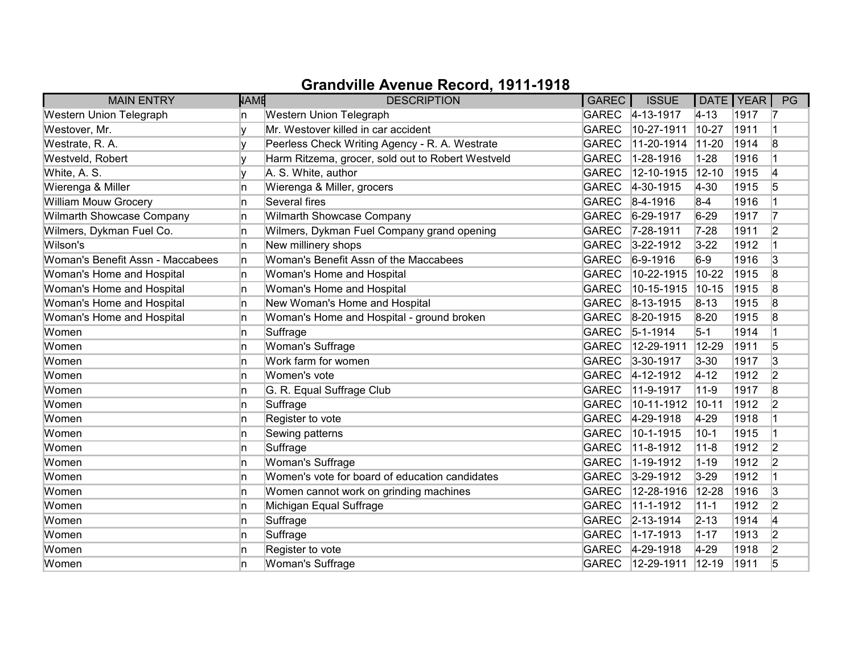| <b>MAIN ENTRY</b>                | <b>NAME</b> | <b>DESCRIPTION</b>                                | GAREC        | <b>ISSUE</b>     |            | DATE   YEAR | PG             |
|----------------------------------|-------------|---------------------------------------------------|--------------|------------------|------------|-------------|----------------|
| Western Union Telegraph          | n           | Western Union Telegraph                           |              | GAREC 4-13-1917  | $ 4 - 13 $ | 1917        | 17             |
| Westover, Mr.                    |             | Mr. Westover killed in car accident               | <b>GAREC</b> | 10-27-1911       | $10 - 27$  | 1911        | 1              |
| Westrate, R. A.                  |             | Peerless Check Writing Agency - R. A. Westrate    | <b>GAREC</b> | 11-20-1914       | $11 - 20$  | 1914        | 8              |
| Westveld, Robert                 |             | Harm Ritzema, grocer, sold out to Robert Westveld | <b>GAREC</b> | 1-28-1916        | $1 - 28$   | 1916        |                |
| White, A. S.                     |             | A. S. White, author                               | <b>GAREC</b> | 12-10-1915       | $12 - 10$  | 1915        | 4              |
| Wierenga & Miller                | n           | Wierenga & Miller, grocers                        | <b>GAREC</b> | 4-30-1915        | $4 - 30$   | 1915        | 5              |
| William Mouw Grocery             | n           | Several fires                                     | GAREC        | $ 8 - 4 - 1916 $ | $8-4$      | 1916        |                |
| Wilmarth Showcase Company        | n           | Wilmarth Showcase Company                         | <b>GAREC</b> | 6-29-1917        | $6 - 29$   | 1917        | 17             |
| Wilmers, Dykman Fuel Co.         | n           | Wilmers, Dykman Fuel Company grand opening        | <b>GAREC</b> | 7-28-1911        | $7 - 28$   | 1911        | 2              |
| Wilson's                         | n           | New millinery shops                               | <b>GAREC</b> | $3 - 22 - 1912$  | $3 - 22$   | 1912        | $\vert$ 1      |
| Woman's Benefit Assn - Maccabees | n           | Woman's Benefit Assn of the Maccabees             | <b>GAREC</b> | $6-9-1916$       | $6-9$      | 1916        | 3              |
| Woman's Home and Hospital        | n           | Woman's Home and Hospital                         | <b>GAREC</b> | 10-22-1915       | $10 - 22$  | 1915        | 8              |
| Woman's Home and Hospital        | In.         | Woman's Home and Hospital                         | <b>GAREC</b> | 10-15-1915       | $10-15$    | 1915        | 8              |
| Woman's Home and Hospital        | n           | New Woman's Home and Hospital                     | <b>GAREC</b> | $ 8 - 13 - 1915$ | $8 - 13$   | 1915        | 8              |
| Woman's Home and Hospital        | n           | Woman's Home and Hospital - ground broken         |              | GAREC 8-20-1915  | $8 - 20$   | 1915        | 8              |
| Women                            | n           | Suffrage                                          | GAREC        | $5 - 1 - 1914$   | $5-1$      | 1914        | $\overline{1}$ |
| Women                            | n           | Woman's Suffrage                                  | <b>GAREC</b> | 12-29-1911       | 12-29      | 1911        | 5              |
| Women                            | n           | Work farm for women                               | GAREC        | $3 - 30 - 1917$  | $3 - 30$   | 1917        | 3              |
| Women                            | n           | Women's vote                                      | <b>GAREC</b> | $4 - 12 - 1912$  | $4 - 12$   | 1912        | 2              |
| Women                            | n           | G. R. Equal Suffrage Club                         | <b>GAREC</b> | 11-9-1917        | $11 - 9$   | 1917        | 8              |
| Women                            | n           | Suffrage                                          | <b>GAREC</b> | 10-11-1912       | $10 - 11$  | 1912        | 2              |
| Women                            | n           | Register to vote                                  | <b>GAREC</b> | $4 - 29 - 1918$  | $4-29$     | 1918        |                |
| Women                            | n           | Sewing patterns                                   | <b>GAREC</b> | 10-1-1915        | $10-1$     | 1915        |                |
| Women                            | n           | Suffrage                                          | <b>GAREC</b> | 11-8-1912        | $11 - 8$   | 1912        | 2              |
| Women                            | n           | Woman's Suffrage                                  | <b>GAREC</b> | 1-19-1912        | $1 - 19$   | 1912        | $\overline{2}$ |
| Women                            | n           | Women's vote for board of education candidates    | <b>GAREC</b> | $3-29-1912$      | $3 - 29$   | 1912        | $\overline{1}$ |
| Women                            | n           | Women cannot work on grinding machines            | <b>GAREC</b> | 12-28-1916       | 12-28      | 1916        | 3              |
| Women                            | In.         | Michigan Equal Suffrage                           | <b>GAREC</b> | 11-1-1912        | $11 - 1$   | 1912        | $\overline{2}$ |
| Women                            | n           | Suffrage                                          | <b>GAREC</b> | $2 - 13 - 1914$  | $2 - 13$   | 1914        | 4              |
| Women                            | n           | Suffrage                                          | <b>GAREC</b> | $1 - 17 - 1913$  | $1 - 17$   | 1913        | $\overline{2}$ |
| Women                            | n           | Register to vote                                  | <b>GAREC</b> | $4 - 29 - 1918$  | 4-29       | 1918        | 2              |
| Women                            | n           | Woman's Suffrage                                  | <b>GAREC</b> | 12-29-1911       | $12 - 19$  | 1911        | 5              |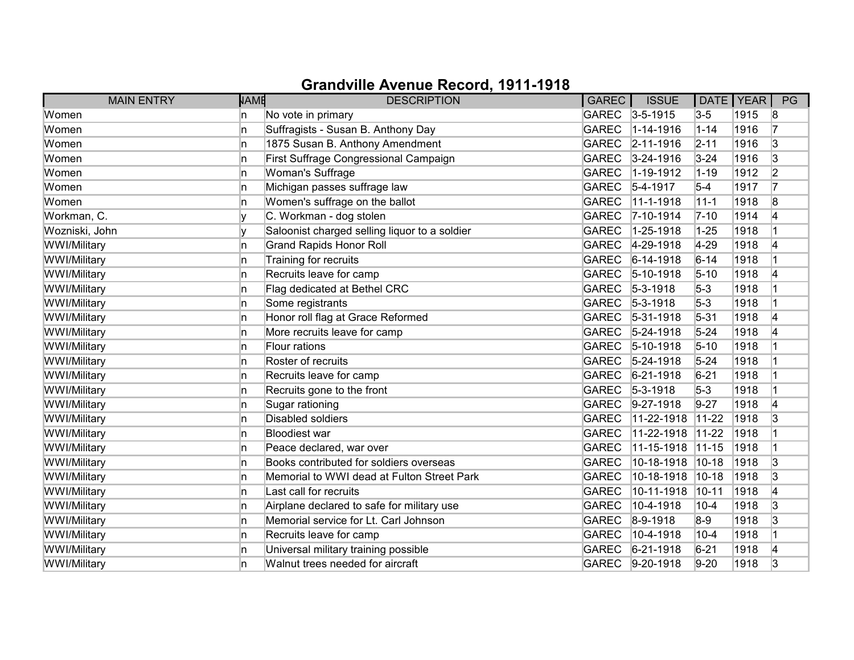| <b>MAIN ENTRY</b> | <b>NAME</b> | <b>DESCRIPTION</b>                            | GAREC        | <b>ISSUE</b>     | DATE   YEAR |      | PG |
|-------------------|-------------|-----------------------------------------------|--------------|------------------|-------------|------|----|
| Women             | n           | No vote in primary                            |              | GAREC 3-5-1915   | $3-5$       | 1915 | 8  |
| Women             | n.          | Suffragists - Susan B. Anthony Day            | <b>GAREC</b> | $1 - 14 - 1916$  | $1 - 14$    | 1916 | 17 |
| Women             | n           | 1875 Susan B. Anthony Amendment               |              | GAREC 2-11-1916  | $2 - 11$    | 1916 | 3  |
| Women             | n           | First Suffrage Congressional Campaign         | <b>GAREC</b> | $3 - 24 - 1916$  | $3 - 24$    | 1916 | 3  |
| Women             | n.          | Woman's Suffrage                              | <b>GAREC</b> | 1-19-1912        | $1 - 19$    | 1912 | 2  |
| Women             | n.          | Michigan passes suffrage law                  | <b>GAREC</b> | $5-4-1917$       | $5-4$       | 1917 | 17 |
| Women             | n.          | Women's suffrage on the ballot                | <b>GAREC</b> | 11-1-1918        | $11 - 1$    | 1918 | 8  |
| Workman, C.       |             | C. Workman - dog stolen                       | <b>GAREC</b> | $ 7 - 10 - 1914$ | $7 - 10$    | 1914 | 4  |
| Wozniski, John    |             | Saloonist charged selling liquor to a soldier | <b>GAREC</b> | 1-25-1918        | $1 - 25$    | 1918 |    |
| WWI/Military      | n.          | <b>Grand Rapids Honor Roll</b>                | <b>GAREC</b> | $4 - 29 - 1918$  | $4-29$      | 1918 | 4  |
| WWI/Military      | n           | Training for recruits                         | <b>GAREC</b> | $6-14-1918$      | $6 - 14$    | 1918 |    |
| WWI/Military      | n           | Recruits leave for camp                       | <b>GAREC</b> | $ 5 - 10 - 1918$ | $5 - 10$    | 1918 | 4  |
| WWI/Military      | n.          | Flag dedicated at Bethel CRC                  | <b>GAREC</b> | $5-3-1918$       | $5-3$       | 1918 |    |
| WWI/Military      | n.          | Some registrants                              | <b>GAREC</b> | $5 - 3 - 1918$   | $5-3$       | 1918 |    |
| WWI/Military      | n.          | Honor roll flag at Grace Reformed             | <b>GAREC</b> | $ 5-31-1918$     | $5 - 31$    | 1918 | 4  |
| WWI/Military      | n           | More recruits leave for camp                  | <b>GAREC</b> | $5 - 24 - 1918$  | $5 - 24$    | 1918 | 4  |
| WWI/Military      | n.          | Flour rations                                 | <b>GAREC</b> | $ 5 - 10 - 1918$ | $5 - 10$    | 1918 |    |
| WWI/Military      | n           | Roster of recruits                            | <b>GAREC</b> | $5 - 24 - 1918$  | $5 - 24$    | 1918 |    |
| WWI/Military      | n           | Recruits leave for camp                       | <b>GAREC</b> | $6 - 21 - 1918$  | $6 - 21$    | 1918 |    |
| WWI/Military      | n           | Recruits gone to the front                    | <b>GAREC</b> | $5-3-1918$       | $5-3$       | 1918 |    |
| WWI/Military      | In.         | Sugar rationing                               | <b>GAREC</b> | $9-27-1918$      | $9-27$      | 1918 | 4  |
| WWI/Military      | n.          | Disabled soldiers                             | <b>GAREC</b> | $11-22-1918$     | $11-22$     | 1918 | 3  |
| WWI/Military      | n.          | <b>Bloodiest war</b>                          | <b>GAREC</b> | 11-22-1918       | $11-22$     | 1918 |    |
| WWI/Military      | n           | Peace declared, war over                      | <b>GAREC</b> | 11-15-1918       | $ 11 - 15 $ | 1918 |    |
| WWI/Military      | In.         | Books contributed for soldiers overseas       | <b>GAREC</b> | 10-18-1918       | $ 10 - 18$  | 1918 | 3  |
| WWI/Military      | n           | Memorial to WWI dead at Fulton Street Park    | <b>GAREC</b> | 10-18-1918       | $10-18$     | 1918 | 3  |
| WWI/Military      | n           | Last call for recruits                        | <b>GAREC</b> | 10-11-1918       | $10 - 11$   | 1918 | 14 |
| WWI/Military      | n           | Airplane declared to safe for military use    | <b>GAREC</b> | 10-4-1918        | $10 - 4$    | 1918 | 3  |
| WWI/Military      | n.          | Memorial service for Lt. Carl Johnson         | <b>GAREC</b> | $8-9-1918$       | $8-9$       | 1918 | 3  |
| WWI/Military      | n.          | Recruits leave for camp                       | <b>GAREC</b> | 10-4-1918        | $10 - 4$    | 1918 |    |
| WWI/Military      | n.          | Universal military training possible          | <b>GAREC</b> | $ 6-21-1918$     | $6 - 21$    | 1918 | 4  |
| WWI/Military      | n           | Walnut trees needed for aircraft              | <b>GAREC</b> | $9-20-1918$      | $9 - 20$    | 1918 | 3  |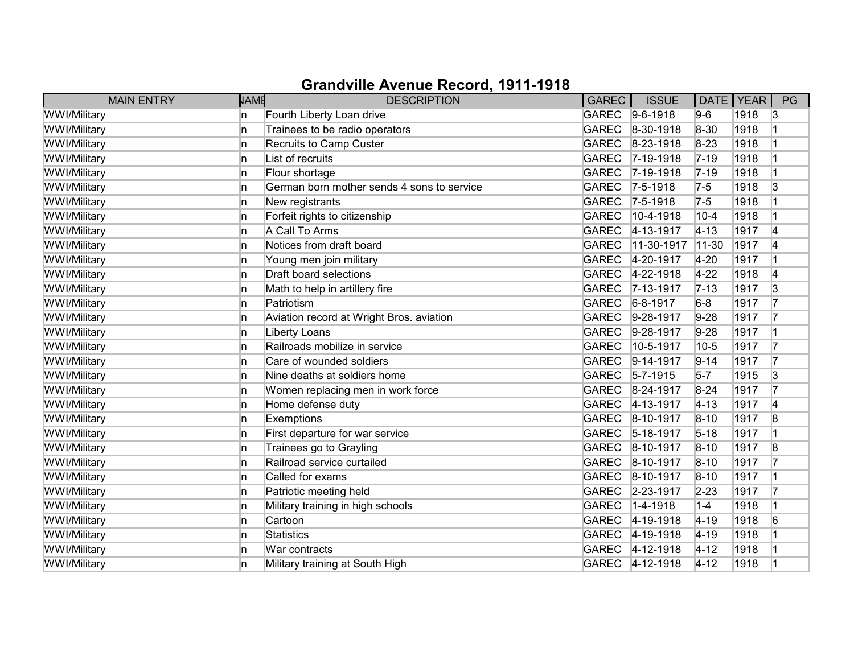| <b>MAIN ENTRY</b> | <b>NAME</b> | <b>DESCRIPTION</b>                         | GAREC        | <b>ISSUE</b>      | DATE   YEAR |      | PG |
|-------------------|-------------|--------------------------------------------|--------------|-------------------|-------------|------|----|
| WWI/Military      | In.         | Fourth Liberty Loan drive                  |              | GAREC 9-6-1918    | $9-6$       | 1918 | 13 |
| WWI/Military      | 'n          | Trainees to be radio operators             | <b>GAREC</b> | $8 - 30 - 1918$   | 8-30        | 1918 |    |
| WWI/Military      | 'n          | Recruits to Camp Custer                    | GAREC        | $8-23-1918$       | $8 - 23$    | 1918 |    |
| WWI/Military      | In.         | List of recruits                           | GAREC        | $7-19-1918$       | $7 - 19$    | 1918 |    |
| WWI/Military      | In.         | Flour shortage                             | GAREC        | $7 - 19 - 1918$   | $7 - 19$    | 1918 | 1  |
| WWI/Military      | 'n          | German born mother sends 4 sons to service | <b>GAREC</b> | $ 7-5-1918$       | $7-5$       | 1918 | 3  |
| WWI/Military      | n           | New registrants                            |              | GAREC 7-5-1918    | $7-5$       | 1918 |    |
| WWI/Military      | In.         | Forfeit rights to citizenship              | <b>GAREC</b> | $ 10 - 4 - 1918 $ | $10 - 4$    | 1918 |    |
| WWI/Military      | 'n          | A Call To Arms                             | GAREC        | $4 - 13 - 1917$   | $4 - 13$    | 1917 | 4  |
| WWI/Military      | 'n          | Notices from draft board                   | <b>GAREC</b> | $11-30-1917$      | 11-30       | 1917 | 4  |
| WWI/Military      | n           | Young men join military                    | GAREC        | 4-20-1917         | $4 - 20$    | 1917 |    |
| WWI/Military      | 'n          | Draft board selections                     | <b>GAREC</b> | $4 - 22 - 1918$   | $4 - 22$    | 1918 | 4  |
| WWI/Military      | ln.         | Math to help in artillery fire             | GAREC        | $7 - 13 - 1917$   | $7 - 13$    | 1917 | 3  |
| WWI/Military      | In.         | Patriotism                                 | <b>GAREC</b> | $6 - 8 - 1917$    | $6-8$       | 1917 | 17 |
| WWI/Military      | 'n          | Aviation record at Wright Bros. aviation   | <b>GAREC</b> | $9-28-1917$       | $9-28$      | 1917 | 17 |
| WWI/Military      | In.         | Liberty Loans                              | GAREC        | $9-28-1917$       | $9-28$      | 1917 |    |
| WWI/Military      | ln.         | Railroads mobilize in service              | <b>GAREC</b> | 10-5-1917         | $10 - 5$    | 1917 | 17 |
| WWI/Military      | 'n          | Care of wounded soldiers                   | GAREC        | $9-14-1917$       | $9 - 14$    | 1917 | 17 |
| WWI/Military      | n.          | Nine deaths at soldiers home               | GAREC        | $5 - 7 - 1915$    | $5-7$       | 1915 | 3  |
| WWI/Military      | ln.         | Women replacing men in work force          | GAREC        | 8-24-1917         | $8 - 24$    | 1917 | 17 |
| WWI/Military      | ln.         | Home defense duty                          | GAREC        | $4 - 13 - 1917$   | $ 4 - 13 $  | 1917 | 4  |
| WWI/Military      | ln.         | Exemptions                                 |              | GAREC 8-10-1917   | $8 - 10$    | 1917 | 8  |
| WWI/Military      | In.         | First departure for war service            |              | GAREC 5-18-1917   | $5 - 18$    | 1917 |    |
| WWI/Military      | 'n          | Trainees go to Grayling                    |              | GAREC 8-10-1917   | $8 - 10$    | 1917 | 8  |
| WWI/Military      | n           | Railroad service curtailed                 | GAREC        | $8 - 10 - 1917$   | $8 - 10$    | 1917 | 17 |
| WWI/Military      | 'n          | Called for exams                           | GAREC        | 8-10-1917         | $8 - 10$    | 1917 |    |
| WWI/Military      | n           | Patriotic meeting held                     |              | GAREC 2-23-1917   | $2 - 23$    | 1917 | 17 |
| WWI/Military      | ln.         | Military training in high schools          | <b>GAREC</b> | $ 1 - 4 - 1918$   | $1-4$       | 1918 |    |
| WWI/Military      | ln.         | Cartoon                                    | <b>GAREC</b> | $4 - 19 - 1918$   | $ 4 - 19$   | 1918 | 6  |
| WWI/Military      | In          | Statistics                                 | GAREC        | $4 - 19 - 1918$   | $4 - 19$    | 1918 |    |
| WWI/Military      | ln.         | War contracts                              |              | GAREC 4-12-1918   | $4 - 12$    | 1918 |    |
| WWI/Military      | n           | Military training at South High            | GAREC        | $4 - 12 - 1918$   | $4 - 12$    | 1918 |    |